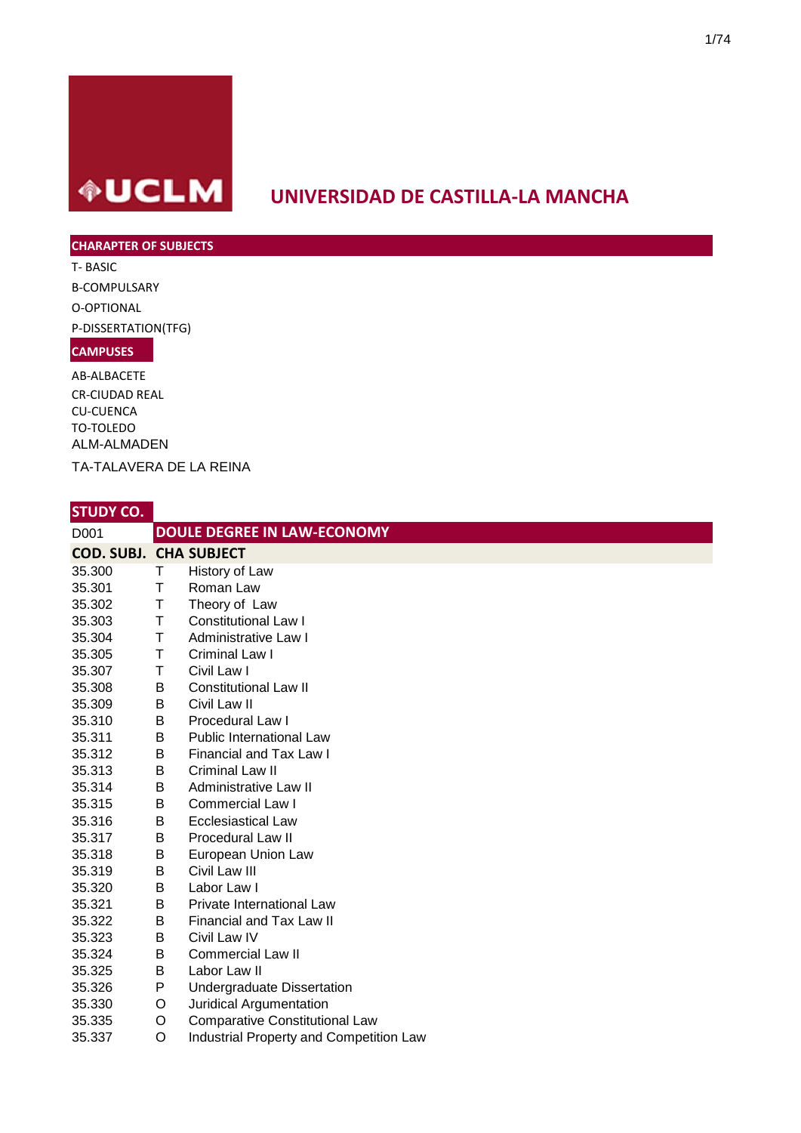

# **UNIVERSIDAD DE CASTILLA-LA MANCHA**

#### **CHARAPTER OF SUBJECTS**

T- BASIC B-COMPULSARY O-OPTIONAL P-DISSERTATION(TFG) **CAMPUSES**

AB-ALBACETE CR-CIUDAD REAL CU-CUENCA TO-TOLEDO ALM-ALMADEN TA-TALAVERA DE LA REINA

| D001                          |   | <b>DOULE DEGREE IN LAW-ECONOMY</b>      |
|-------------------------------|---|-----------------------------------------|
| <b>COD. SUBJ. CHA SUBJECT</b> |   |                                         |
| 35.300                        | Τ | History of Law                          |
| 35.301                        | T | Roman Law                               |
| 35.302                        | Τ | Theory of Law                           |
| 35.303                        | Τ | <b>Constitutional Law I</b>             |
| 35.304                        | T | Administrative Law I                    |
| 35.305                        | Τ | Criminal Law I                          |
| 35.307                        | Τ | Civil Law I                             |
| 35.308                        | В | <b>Constitutional Law II</b>            |
| 35.309                        | В | Civil Law II                            |
| 35.310                        | B | Procedural Law I                        |
| 35.311                        | В | <b>Public International Law</b>         |
| 35.312                        | B | Financial and Tax Law I                 |
| 35.313                        | B | Criminal Law II                         |
| 35.314                        | В | Administrative Law II                   |
| 35.315                        | B | <b>Commercial Law I</b>                 |
| 35.316                        | В | <b>Ecclesiastical Law</b>               |
| 35.317                        | B | <b>Procedural Law II</b>                |
| 35.318                        | В | European Union Law                      |
| 35.319                        | В | Civil Law III                           |
| 35.320                        | B | Labor Law I                             |
| 35.321                        | B | Private International Law               |
| 35.322                        | B | Financial and Tax Law II                |
| 35.323                        | B | Civil Law IV                            |
| 35.324                        | B | <b>Commercial Law II</b>                |
| 35.325                        | В | Labor Law II                            |
| 35.326                        | P | <b>Undergraduate Dissertation</b>       |
| 35.330                        | O | Juridical Argumentation                 |
| 35.335                        | O | <b>Comparative Constitutional Law</b>   |
| 35.337                        | O | Industrial Property and Competition Law |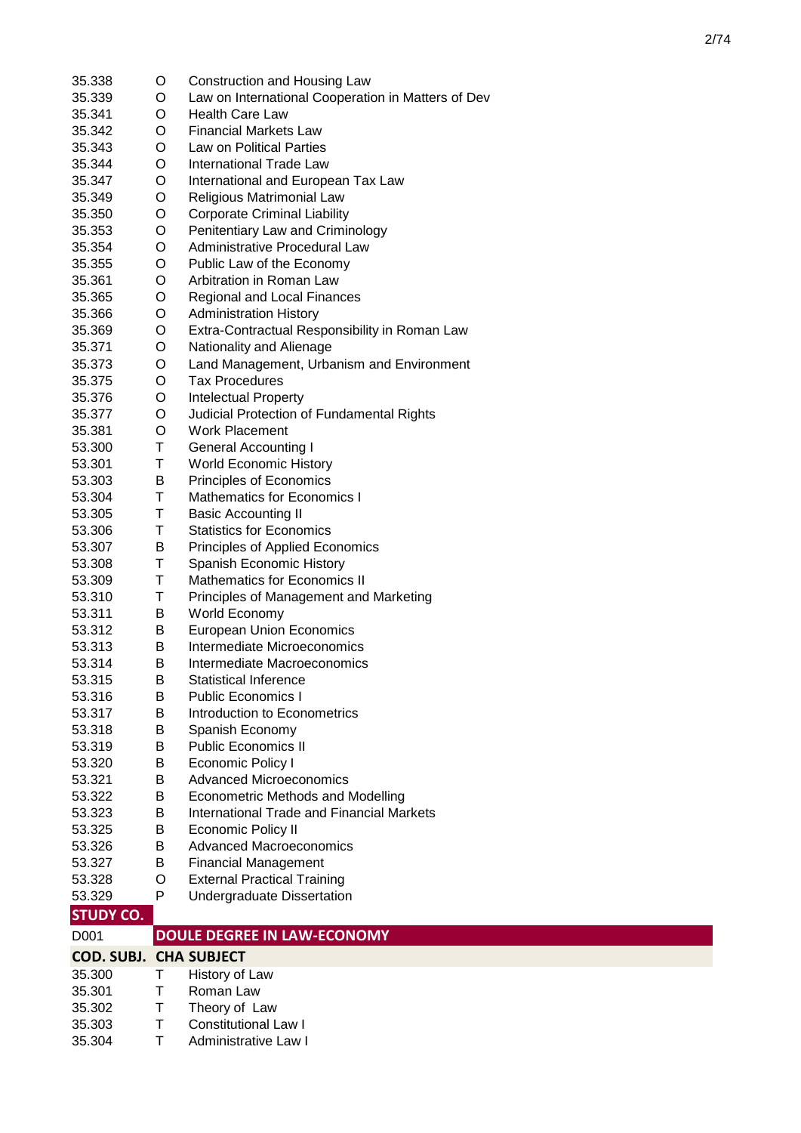| 35.338                        | O      | Construction and Housing Law                       |
|-------------------------------|--------|----------------------------------------------------|
| 35.339                        | O      | Law on International Cooperation in Matters of Dev |
| 35.341                        | O      | <b>Health Care Law</b>                             |
| 35.342                        | O      | <b>Financial Markets Law</b>                       |
| 35.343                        | O      | Law on Political Parties                           |
| 35.344                        | O      | <b>International Trade Law</b>                     |
| 35.347                        | O      | International and European Tax Law                 |
| 35.349                        | O      | Religious Matrimonial Law                          |
| 35.350                        | O      | <b>Corporate Criminal Liability</b>                |
| 35.353                        | O      | Penitentiary Law and Criminology                   |
| 35.354                        | O      | Administrative Procedural Law                      |
| 35.355                        | O      | Public Law of the Economy                          |
| 35.361                        | O      | Arbitration in Roman Law                           |
| 35.365                        | O      | Regional and Local Finances                        |
| 35.366                        | O      | <b>Administration History</b>                      |
| 35.369                        | O      | Extra-Contractual Responsibility in Roman Law      |
| 35.371                        | O      | Nationality and Alienage                           |
| 35.373                        | O      | Land Management, Urbanism and Environment          |
| 35.375                        | O      | <b>Tax Procedures</b>                              |
| 35.376                        | O      | <b>Intelectual Property</b>                        |
| 35.377                        | O      | Judicial Protection of Fundamental Rights          |
| 35.381                        | O      | <b>Work Placement</b>                              |
| 53.300                        | Τ      | <b>General Accounting I</b>                        |
| 53.301                        | Τ      | <b>World Economic History</b>                      |
| 53.303                        | В      | Principles of Economics                            |
| 53.304                        | Τ      | <b>Mathematics for Economics I</b>                 |
| 53.305                        | Τ      | <b>Basic Accounting II</b>                         |
| 53.306                        | Τ      | <b>Statistics for Economics</b>                    |
| 53.307                        | В      | Principles of Applied Economics                    |
| 53.308                        | Τ      | Spanish Economic History                           |
| 53.309                        | Τ      | Mathematics for Economics II                       |
| 53.310                        | Τ      | Principles of Management and Marketing             |
| 53.311                        | В      | World Economy                                      |
| 53.312                        | B      | <b>European Union Economics</b>                    |
| 53.313                        | B      | Intermediate Microeconomics                        |
| 53.314                        | В      | Intermediate Macroeconomics                        |
| 53.315                        | B      | <b>Statistical Inference</b>                       |
| 53.316                        | В      | <b>Public Economics I</b>                          |
| 53.317                        | В      | Introduction to Econometrics                       |
| 53.318                        | B      | Spanish Economy                                    |
| 53.319                        | В      | <b>Public Economics II</b>                         |
| 53.320                        | В      | <b>Economic Policy I</b>                           |
| 53.321                        | B      | <b>Advanced Microeconomics</b>                     |
| 53.322                        | B      | <b>Econometric Methods and Modelling</b>           |
| 53.323                        |        | <b>International Trade and Financial Markets</b>   |
| 53.325                        |        |                                                    |
|                               | B      |                                                    |
|                               | B      | <b>Economic Policy II</b>                          |
| 53.326                        | B      | <b>Advanced Macroeconomics</b>                     |
| 53.327                        | B      | <b>Financial Management</b>                        |
| 53.328                        | O<br>P | <b>External Practical Training</b>                 |
| 53.329                        |        | Undergraduate Dissertation                         |
| <b>STUDY CO.</b>              |        |                                                    |
| D <sub>001</sub>              |        | <b>DOULE DEGREE IN LAW-ECONOMY</b>                 |
| <b>COD. SUBJ. CHA SUBJECT</b> |        |                                                    |
| 35.300                        | т      | History of Law                                     |
| 35.301                        | Τ      | Roman Law                                          |
| 35.302<br>35.303              | Τ<br>т | Theory of Law<br><b>Constitutional Law I</b>       |

35.304 T Administrative Law I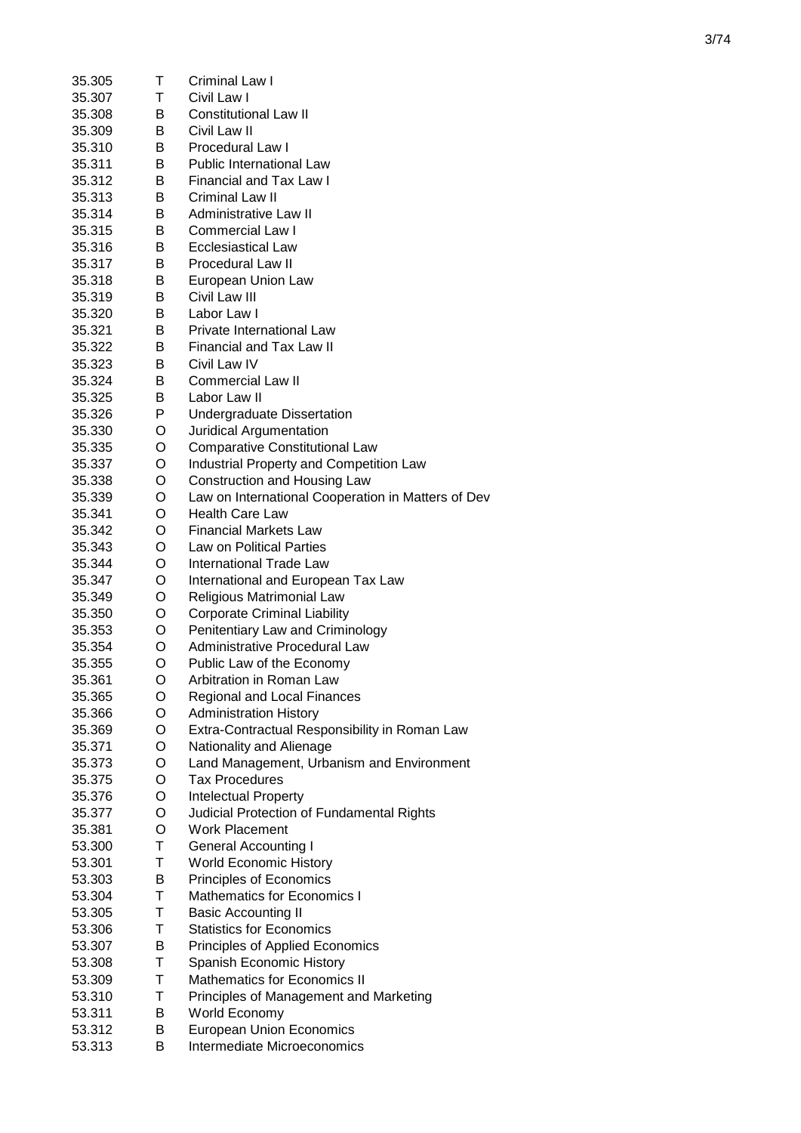| 35.305 | т | Criminal Law I                                     |
|--------|---|----------------------------------------------------|
| 35.307 | т | Civil Law I                                        |
| 35.308 | B | <b>Constitutional Law II</b>                       |
| 35.309 | B | Civil Law II                                       |
| 35.310 | В | <b>Procedural Law I</b>                            |
| 35.311 | В | Public International Law                           |
| 35.312 | B | <b>Financial and Tax Law I</b>                     |
| 35.313 | B | Criminal Law II                                    |
| 35.314 | B | Administrative Law II                              |
| 35.315 | B | Commercial Law I                                   |
| 35.316 | B | <b>Ecclesiastical Law</b>                          |
| 35.317 | B | <b>Procedural Law II</b>                           |
| 35.318 | B | European Union Law                                 |
| 35.319 | B | Civil Law III                                      |
| 35.320 | B | Labor Law I                                        |
| 35.321 | B | <b>Private International Law</b>                   |
| 35.322 | B | <b>Financial and Tax Law II</b>                    |
| 35.323 | B | Civil Law IV                                       |
| 35.324 | B | <b>Commercial Law II</b>                           |
| 35.325 | B | Labor Law II                                       |
| 35.326 | P | Undergraduate Dissertation                         |
| 35.330 | O | Juridical Argumentation                            |
| 35.335 | O | <b>Comparative Constitutional Law</b>              |
| 35.337 | O | Industrial Property and Competition Law            |
| 35.338 | O | Construction and Housing Law                       |
| 35.339 | O | Law on International Cooperation in Matters of Dev |
| 35.341 | O | <b>Health Care Law</b>                             |
| 35.342 | O | <b>Financial Markets Law</b>                       |
| 35.343 | O | Law on Political Parties                           |
| 35.344 | O | <b>International Trade Law</b>                     |
| 35.347 | O | International and European Tax Law                 |
| 35.349 | O | Religious Matrimonial Law                          |
| 35.350 | O | <b>Corporate Criminal Liability</b>                |
| 35.353 | O | Penitentiary Law and Criminology                   |
| 35.354 | O | Administrative Procedural Law                      |
| 35.355 | O | Public Law of the Economy                          |
| 35.361 | O | Arbitration in Roman Law                           |
| 35.365 | O | Regional and Local Finances                        |
| 35.366 | O | <b>Administration History</b>                      |
| 35.369 | O | Extra-Contractual Responsibility in Roman Law      |
| 35.371 | O | Nationality and Alienage                           |
| 35.373 | O | Land Management, Urbanism and Environment          |
| 35.375 | O | <b>Tax Procedures</b>                              |
| 35.376 | O | Intelectual Property                               |
| 35.377 | O | Judicial Protection of Fundamental Rights          |
| 35.381 | O | <b>Work Placement</b>                              |
| 53.300 | T | <b>General Accounting I</b>                        |
| 53.301 | Τ | <b>World Economic History</b>                      |
| 53.303 | B | Principles of Economics                            |
| 53.304 | Τ | <b>Mathematics for Economics I</b>                 |
| 53.305 | Τ | <b>Basic Accounting II</b>                         |
| 53.306 | Т | <b>Statistics for Economics</b>                    |
| 53.307 | B | Principles of Applied Economics                    |
| 53.308 | T | Spanish Economic History                           |
| 53.309 | Т | <b>Mathematics for Economics II</b>                |
| 53.310 | Т | Principles of Management and Marketing             |
| 53.311 | В | World Economy                                      |
| 53.312 | В | <b>European Union Economics</b>                    |

53.313 B Intermediate Microeconomics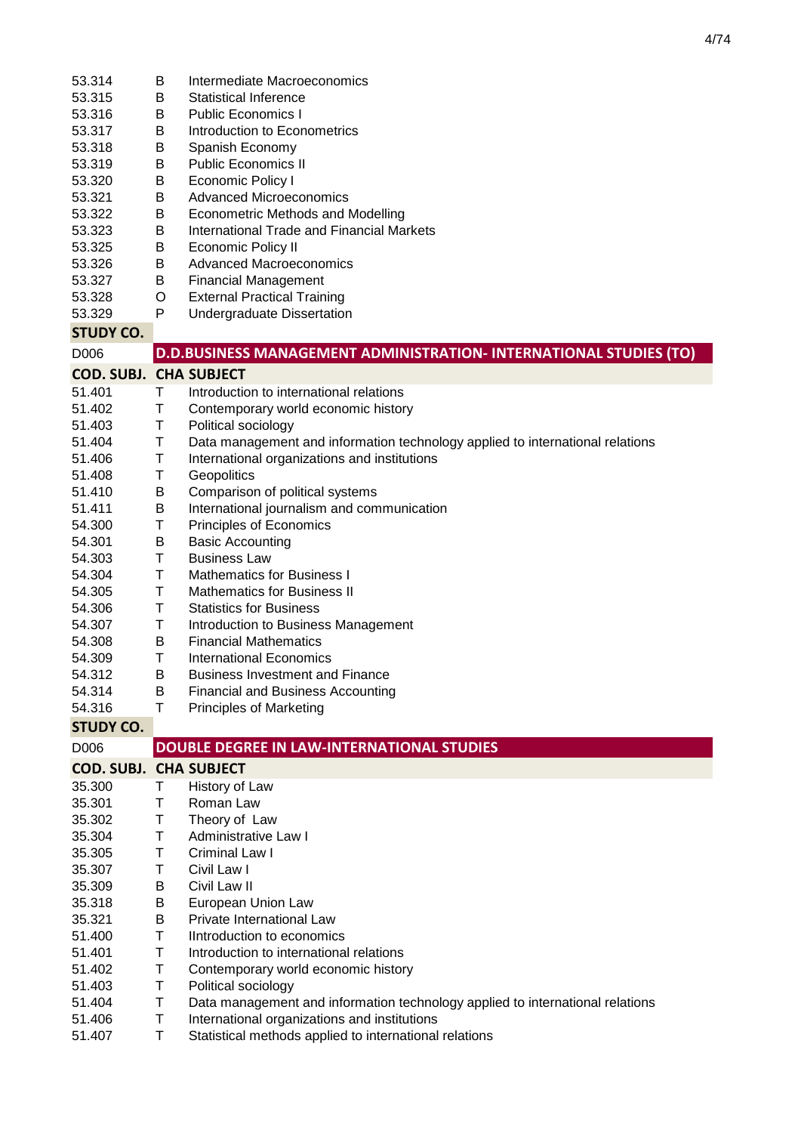| 53.314                        | В      | Intermediate Macroeconomics                                                                            |
|-------------------------------|--------|--------------------------------------------------------------------------------------------------------|
| 53.315                        | B      | Statistical Inference                                                                                  |
| 53.316                        | B      | <b>Public Economics I</b>                                                                              |
| 53.317                        | В      | Introduction to Econometrics                                                                           |
| 53.318                        | Β      | Spanish Economy                                                                                        |
| 53.319                        | Β      | <b>Public Economics II</b>                                                                             |
| 53.320                        | В      | Economic Policy I                                                                                      |
| 53.321                        | В      | <b>Advanced Microeconomics</b>                                                                         |
| 53.322                        | В      | <b>Econometric Methods and Modelling</b>                                                               |
| 53.323                        | В      | International Trade and Financial Markets                                                              |
| 53.325                        | Β      | <b>Economic Policy II</b>                                                                              |
| 53.326                        | Β      | <b>Advanced Macroeconomics</b>                                                                         |
| 53.327                        | В      | <b>Financial Management</b>                                                                            |
| 53.328                        | O      | <b>External Practical Training</b>                                                                     |
| 53.329                        | P      | Undergraduate Dissertation                                                                             |
| <b>STUDY CO.</b>              |        |                                                                                                        |
| D006                          |        | <b>D.D.BUSINESS MANAGEMENT ADMINISTRATION- INTERNATIONAL STUDIES (TO)</b>                              |
| <b>COD. SUBJ. CHA SUBJECT</b> |        |                                                                                                        |
| 51.401                        | T.     | Introduction to international relations                                                                |
| 51.402                        | T      | Contemporary world economic history                                                                    |
| 51.403                        | T      | Political sociology                                                                                    |
| 51.404                        | Τ      | Data management and information technology applied to international relations                          |
| 51.406                        | Τ      | International organizations and institutions                                                           |
| 51.408                        | Τ      | Geopolitics                                                                                            |
| 51.410                        | B      | Comparison of political systems                                                                        |
| 51.411                        | В      | International journalism and communication                                                             |
| 54.300                        | Τ      | Principles of Economics                                                                                |
| 54.301                        | Β      | <b>Basic Accounting</b>                                                                                |
| 54.303                        | T      | <b>Business Law</b>                                                                                    |
| 54.304                        | Τ      | <b>Mathematics for Business I</b>                                                                      |
| 54.305                        | T      | <b>Mathematics for Business II</b>                                                                     |
| 54.306                        | Τ      | <b>Statistics for Business</b>                                                                         |
| 54.307                        | Τ      | Introduction to Business Management                                                                    |
| 54.308                        | B      | <b>Financial Mathematics</b>                                                                           |
| 54.309                        | T      | <b>International Economics</b>                                                                         |
| 54.312                        | B.     | <b>Business Investment and Finance</b>                                                                 |
| 54.314                        | В      | <b>Financial and Business Accounting</b>                                                               |
| 54.316                        | Τ      | <b>Principles of Marketing</b>                                                                         |
| <b>STUDY CO.</b>              |        |                                                                                                        |
| D006                          |        | <b>DOUBLE DEGREE IN LAW-INTERNATIONAL STUDIES</b>                                                      |
| <b>COD. SUBJ. CHA SUBJECT</b> |        |                                                                                                        |
| 35.300                        | Τ      | History of Law                                                                                         |
| 35.301                        | Τ      | Roman Law                                                                                              |
| 35.302                        | Τ      | Theory of Law                                                                                          |
| 35.304                        | Τ      | Administrative Law I                                                                                   |
| 35.305                        | Τ      | Criminal Law I                                                                                         |
| 35.307                        | Τ      | Civil Law I                                                                                            |
| 35.309                        | Β      | Civil Law II                                                                                           |
| 35.318                        | Β      | European Union Law                                                                                     |
| 35.321                        | Β      | Private International Law                                                                              |
| 51.400                        | Τ      | IIntroduction to economics                                                                             |
| 51.401                        | Τ      | Introduction to international relations                                                                |
| 51.402                        | Τ      | Contemporary world economic history                                                                    |
| 51.403                        |        |                                                                                                        |
|                               | Τ      | Political sociology                                                                                    |
| 51.404                        | Τ      | Data management and information technology applied to international relations                          |
| 51.406<br>51.407              | Τ<br>Τ | International organizations and institutions<br>Statistical methods applied to international relations |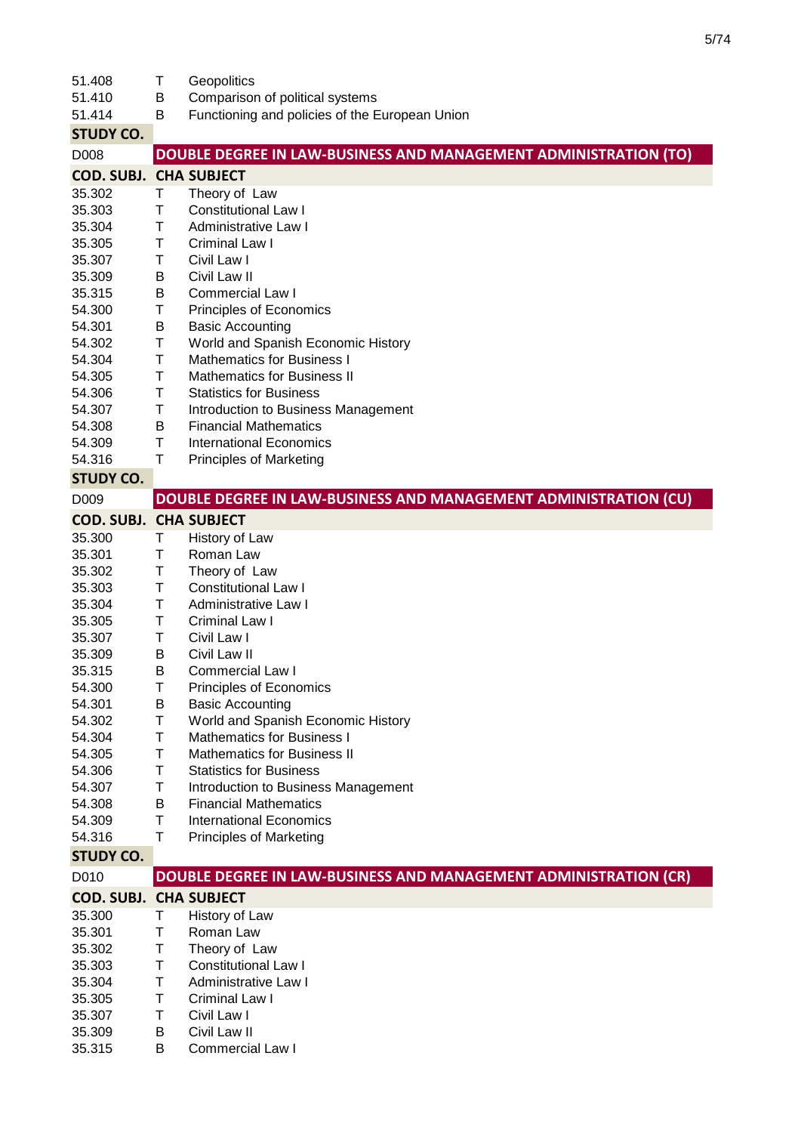| 51.408                        | Τ | Geopolitics                                                      |
|-------------------------------|---|------------------------------------------------------------------|
| 51.410                        | B | Comparison of political systems                                  |
| 51.414                        | В | Functioning and policies of the European Union                   |
| <b>STUDY CO.</b>              |   |                                                                  |
| D008                          |   | DOUBLE DEGREE IN LAW-BUSINESS AND MANAGEMENT ADMINISTRATION (TO) |
| <b>COD. SUBJ. CHA SUBJECT</b> |   |                                                                  |
| 35.302                        | Τ |                                                                  |
|                               |   | Theory of Law                                                    |
| 35.303                        | Τ | <b>Constitutional Law I</b>                                      |
| 35.304                        | Τ | Administrative Law I                                             |
| 35.305                        | Τ | Criminal Law I                                                   |
| 35.307                        | Τ | Civil Law I                                                      |
| 35.309                        | В | Civil Law II                                                     |
| 35.315                        | B | Commercial Law I                                                 |
| 54.300                        | Τ | Principles of Economics                                          |
| 54.301                        | В | <b>Basic Accounting</b>                                          |
| 54.302                        | Τ | World and Spanish Economic History                               |
| 54.304                        | Τ | <b>Mathematics for Business I</b>                                |
| 54.305                        | Τ | <b>Mathematics for Business II</b>                               |
| 54.306                        | Τ | <b>Statistics for Business</b>                                   |
| 54.307                        | Τ | Introduction to Business Management                              |
| 54.308                        | B | <b>Financial Mathematics</b>                                     |
| 54.309                        | T | <b>International Economics</b>                                   |
| 54.316                        | T | <b>Principles of Marketing</b>                                   |
| <b>STUDY CO.</b>              |   |                                                                  |
| D <sub>009</sub>              |   | DOUBLE DEGREE IN LAW-BUSINESS AND MANAGEMENT ADMINISTRATION (CU) |
| <b>COD. SUBJ. CHA SUBJECT</b> |   |                                                                  |
| 35.300                        | Τ | History of Law                                                   |
| 35.301                        | Τ | Roman Law                                                        |
| 35.302                        | Τ | Theory of Law                                                    |
| 35.303                        | Τ | <b>Constitutional Law I</b>                                      |
| 35.304                        | Т | <b>Administrative Law I</b>                                      |
| 35.305                        | Τ | Criminal Law I                                                   |
| 35.307                        | Τ | Civil Law I                                                      |
| 35.309                        | B | Civil Law II                                                     |
| 35.315                        | в | Commercial Law I                                                 |
| 54.300                        | Τ | Principles of Economics                                          |
| 54.301                        | В | <b>Basic Accounting</b>                                          |
| 54.302                        | Τ | World and Spanish Economic History                               |
|                               |   | <b>Mathematics for Business I</b>                                |
| 54.304                        | Τ |                                                                  |
| 54.305                        | Τ | <b>Mathematics for Business II</b>                               |
| 54.306                        | Τ | <b>Statistics for Business</b>                                   |
| 54.307                        | Τ | Introduction to Business Management                              |
| 54.308                        | B | <b>Financial Mathematics</b>                                     |
| 54.309                        | Τ | <b>International Economics</b>                                   |
| 54.316                        | Τ | <b>Principles of Marketing</b>                                   |
| <b>STUDY CO.</b>              |   |                                                                  |
| D010                          |   | DOUBLE DEGREE IN LAW-BUSINESS AND MANAGEMENT ADMINISTRATION (CR) |
| <b>COD. SUBJ. CHA SUBJECT</b> |   |                                                                  |
| 35.300                        | Τ | History of Law                                                   |
| 35.301                        | Τ | Roman Law                                                        |
| 35.302                        | Τ | Theory of Law                                                    |
| 35.303                        | Τ | <b>Constitutional Law I</b>                                      |
| 35.304                        | Τ | <b>Administrative Law I</b>                                      |
| 35.305                        | Τ | Criminal Law I                                                   |
| 35.307                        | Т | Civil Law I                                                      |
| 35.309                        | В | Civil Law II                                                     |
| 35.315                        | В | Commercial Law I                                                 |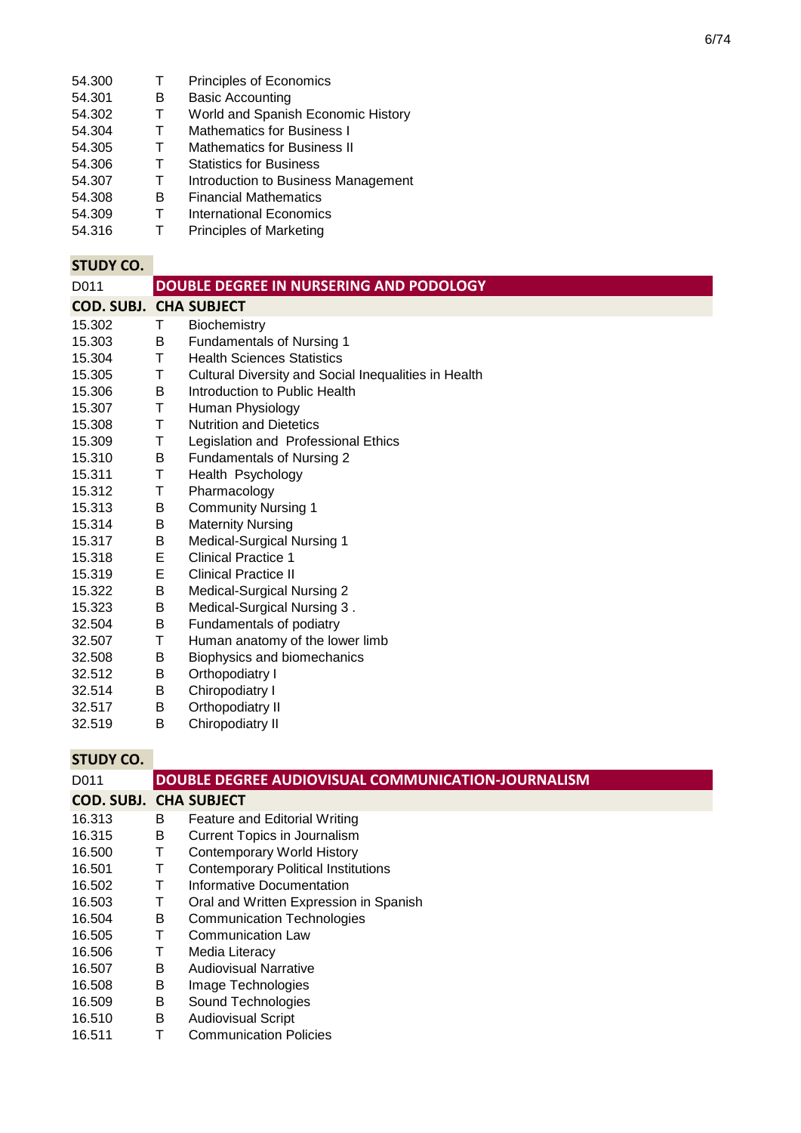- 54.301 B Basic Accounting<br>54.302 T World and Spanis
- 54.302 T World and Spanish Economic History<br>54.304 T Mathematics for Business I
- 54.304 T Mathematics for Business I<br>54.305 T Mathematics for Business II
- 54.305 T Mathematics for Business II<br>54.306 T Statistics for Business
- T Statistics for Business<br>T Introduction to Busines
- 54.307 T Introduction to Business Management<br>54.308 B Financial Mathematics
- 54.308 B Financial Mathematics<br>54.309 T International Economic
- 54.309 T International Economics<br>54.316 T Principles of Marketing
- Principles of Marketing

| D011                          |   | DOUBLE DEGREE IN NURSERING AND PODOLOGY              |
|-------------------------------|---|------------------------------------------------------|
| <b>COD. SUBJ. CHA SUBJECT</b> |   |                                                      |
| 15.302                        | Τ | Biochemistry                                         |
| 15.303                        | B | <b>Fundamentals of Nursing 1</b>                     |
| 15.304                        | T | <b>Health Sciences Statistics</b>                    |
| 15.305                        | T | Cultural Diversity and Social Inequalities in Health |
| 15.306                        | B | Introduction to Public Health                        |
| 15.307                        | T | Human Physiology                                     |
| 15.308                        | T | <b>Nutrition and Dietetics</b>                       |
| 15.309                        | Τ | Legislation and Professional Ethics                  |
| 15.310                        | B | Fundamentals of Nursing 2                            |
| 15.311                        | T | Health Psychology                                    |
| 15.312                        | Τ | Pharmacology                                         |
| 15.313                        | B | <b>Community Nursing 1</b>                           |
| 15.314                        | В | <b>Maternity Nursing</b>                             |
| 15.317                        | B | <b>Medical-Surgical Nursing 1</b>                    |
| 15.318                        | E | <b>Clinical Practice 1</b>                           |
| 15.319                        | E | <b>Clinical Practice II</b>                          |
| 15.322                        | B | Medical-Surgical Nursing 2                           |
| 15.323                        | B | Medical-Surgical Nursing 3.                          |
| 32.504                        | B | Fundamentals of podiatry                             |
| 32.507                        | Τ | Human anatomy of the lower limb                      |
| 32.508                        | B | Biophysics and biomechanics                          |
| 32.512                        | B | Orthopodiatry I                                      |
| 32.514                        | B | Chiropodiatry I                                      |
| 32.517                        | B | Orthopodiatry II                                     |
| 32.519                        | B | Chiropodiatry II                                     |

| D011                          |   | DOUBLE DEGREE AUDIOVISUAL COMMUNICATION-JOURNALISM |
|-------------------------------|---|----------------------------------------------------|
| <b>COD. SUBJ. CHA SUBJECT</b> |   |                                                    |
| 16.313                        | B | Feature and Editorial Writing                      |
| 16.315                        | В | <b>Current Topics in Journalism</b>                |
| 16.500                        | т | Contemporary World History                         |
| 16.501                        | т | <b>Contemporary Political Institutions</b>         |
| 16.502                        | Т | Informative Documentation                          |
| 16.503                        | Τ | Oral and Written Expression in Spanish             |
| 16.504                        | В | <b>Communication Technologies</b>                  |
| 16.505                        | Т | Communication Law                                  |
| 16.506                        | Т | Media Literacy                                     |
| 16.507                        | в | <b>Audiovisual Narrative</b>                       |
| 16.508                        | Β | Image Technologies                                 |
| 16.509                        | в | Sound Technologies                                 |
| 16.510                        | B | <b>Audiovisual Script</b>                          |
| 16.511                        |   | <b>Communication Policies</b>                      |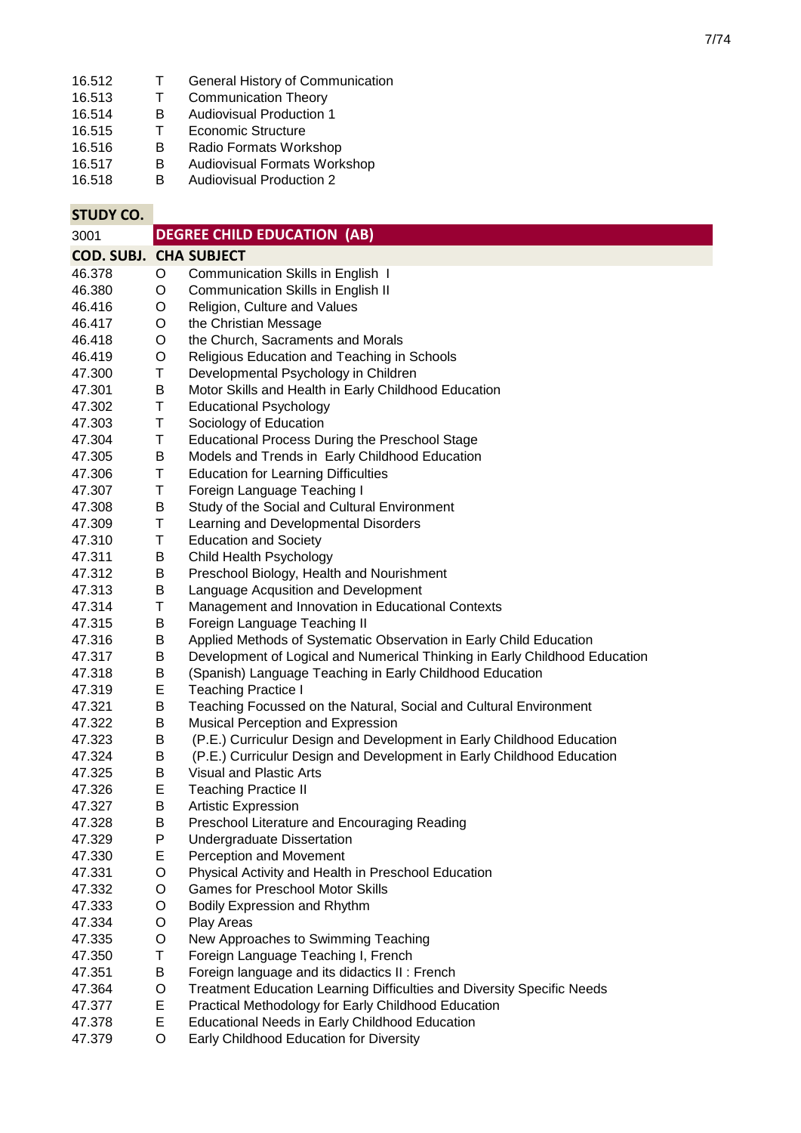| 16.512<br>16.513<br>16.514<br>16.515<br>16.516 | т<br>T<br>B<br>T<br>B | General History of Communication<br><b>Communication Theory</b><br><b>Audiovisual Production 1</b><br><b>Economic Structure</b><br>Radio Formats Workshop |
|------------------------------------------------|-----------------------|-----------------------------------------------------------------------------------------------------------------------------------------------------------|
| 16.517                                         | B                     | Audiovisual Formats Workshop                                                                                                                              |
| 16.518                                         | B                     | <b>Audiovisual Production 2</b>                                                                                                                           |
| <b>STUDY CO.</b>                               |                       |                                                                                                                                                           |
| 3001                                           |                       | <b>DEGREE CHILD EDUCATION (AB)</b>                                                                                                                        |
| COD. SUBJ. CHA SUBJECT                         |                       |                                                                                                                                                           |
| 46.378                                         | O                     | Communication Skills in English 1                                                                                                                         |
| 46.380                                         | O                     | Communication Skills in English II                                                                                                                        |
| 46.416                                         | O                     | Religion, Culture and Values                                                                                                                              |
| 46.417                                         | O                     | the Christian Message                                                                                                                                     |
| 46.418                                         | O                     | the Church, Sacraments and Morals                                                                                                                         |
| 46.419                                         | O                     | Religious Education and Teaching in Schools                                                                                                               |
| 47.300                                         | Τ                     | Developmental Psychology in Children                                                                                                                      |
| 47.301                                         | B                     | Motor Skills and Health in Early Childhood Education                                                                                                      |
| 47.302                                         | T                     | <b>Educational Psychology</b>                                                                                                                             |
| 47.303                                         | $\mathsf T$           | Sociology of Education                                                                                                                                    |
| 47.304                                         | T                     | <b>Educational Process During the Preschool Stage</b>                                                                                                     |
| 47.305                                         | B                     | Models and Trends in Early Childhood Education                                                                                                            |
| 47.306                                         | T                     | <b>Education for Learning Difficulties</b>                                                                                                                |
| 47.307                                         | Τ                     | Foreign Language Teaching I                                                                                                                               |
| 47.308                                         | B                     | Study of the Social and Cultural Environment                                                                                                              |
| 47.309                                         | T                     | Learning and Developmental Disorders                                                                                                                      |
| 47.310                                         | T                     | <b>Education and Society</b>                                                                                                                              |
| 47.311                                         | B                     | Child Health Psychology                                                                                                                                   |
| 47.312                                         | B                     | Preschool Biology, Health and Nourishment                                                                                                                 |
| 47.313                                         | B                     | Language Acqusition and Development                                                                                                                       |
| 47.314                                         | T                     | Management and Innovation in Educational Contexts                                                                                                         |
| 47.315                                         | B                     | Foreign Language Teaching II                                                                                                                              |
| 47.316<br>47.317                               | В<br>B                | Applied Methods of Systematic Observation in Early Child Education                                                                                        |
| 47.318                                         | B                     | Development of Logical and Numerical Thinking in Early Childhood Education<br>(Spanish) Language Teaching in Early Childhood Education                    |
| 47.319                                         | E                     | <b>Teaching Practice I</b>                                                                                                                                |
|                                                |                       |                                                                                                                                                           |

- 47.321 B Teaching Focussed on the Natural, Social and Cultural Environment
- 47.322 B Musical Perception and Expression
- 47.323 B (P.E.) Curriculur Design and Development in Early Childhood Education
- 47.324 B (P.E.) Curriculur Design and Development in Early Childhood Education<br>47.325 B Visual and Plastic Arts
- 47.325 B Visual and Plastic Arts<br>47.326 E Teaching Practice II
- 47.326 E Teaching Practice II
- 47.327 B Artistic Expression<br>47.328 B Preschool Literature
- 47.328 B Preschool Literature and Encouraging Reading
- 47.329 P Undergraduate Dissertation<br>47.330 E Perception and Movement
- 47.330 E Perception and Movement
- 47.331 O Physical Activity and Health in Preschool Education
- 47.332 O Games for Preschool Motor Skills
- 47.333 O Bodily Expression and Rhythm
- 47.334 O Play Areas
- 47.335 O New Approaches to Swimming Teaching
- 47.350 T Foreign Language Teaching I, French
- 47.351 B Foreign language and its didactics II : French
- 47.364 O Treatment Education Learning Difficulties and Diversity Specific Needs
- 47.377 E Practical Methodology for Early Childhood Education
- 47.378 E Educational Needs in Early Childhood Education
- 47.379 O Early Childhood Education for Diversity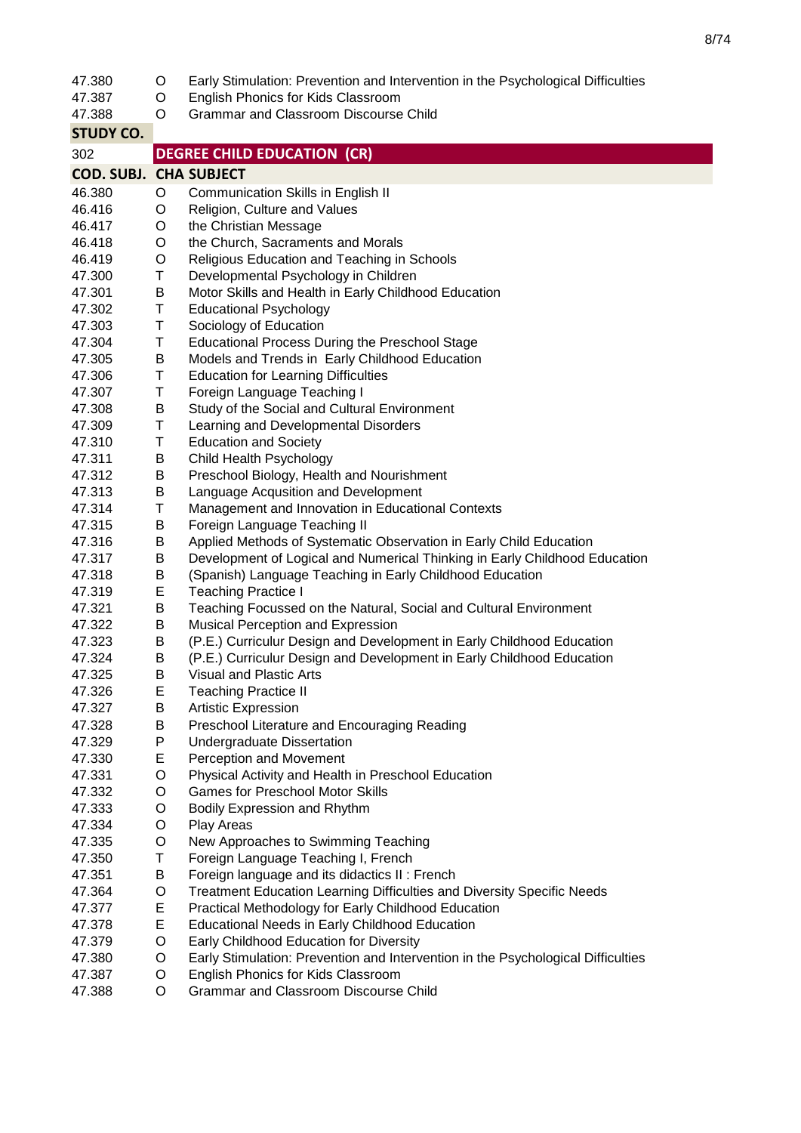| 47.380                        | O | Early Stimulation: Prevention and Intervention in the Psychological Difficulties |
|-------------------------------|---|----------------------------------------------------------------------------------|
| 47.387                        | O | English Phonics for Kids Classroom                                               |
| 47.388                        | O | <b>Grammar and Classroom Discourse Child</b>                                     |
| <b>STUDY CO.</b>              |   |                                                                                  |
| 302                           |   | <b>DEGREE CHILD EDUCATION (CR)</b>                                               |
| <b>COD. SUBJ. CHA SUBJECT</b> |   |                                                                                  |
| 46.380                        | O | Communication Skills in English II                                               |
| 46.416                        | O | Religion, Culture and Values                                                     |
| 46.417                        | O | the Christian Message                                                            |
| 46.418                        | O | the Church, Sacraments and Morals                                                |
| 46.419                        | O | Religious Education and Teaching in Schools                                      |
| 47.300                        | Τ | Developmental Psychology in Children                                             |
| 47.301                        | B | Motor Skills and Health in Early Childhood Education                             |
| 47.302                        | T | <b>Educational Psychology</b>                                                    |
| 47.303                        | Τ | Sociology of Education                                                           |
| 47.304                        | Τ | <b>Educational Process During the Preschool Stage</b>                            |
| 47.305                        | В | Models and Trends in Early Childhood Education                                   |
| 47.306                        | T | <b>Education for Learning Difficulties</b>                                       |
| 47.307                        | Τ | Foreign Language Teaching I                                                      |
| 47.308                        | В | Study of the Social and Cultural Environment                                     |
| 47.309                        | T | Learning and Developmental Disorders                                             |
| 47.310                        | Τ | <b>Education and Society</b>                                                     |
| 47.311                        | B | Child Health Psychology                                                          |
| 47.312                        | В | Preschool Biology, Health and Nourishment                                        |
| 47.313                        | В | Language Acqusition and Development                                              |
| 47.314                        | Τ | Management and Innovation in Educational Contexts                                |
| 47.315                        | В | Foreign Language Teaching II                                                     |
| 47.316                        | B | Applied Methods of Systematic Observation in Early Child Education               |
| 47.317                        | B | Development of Logical and Numerical Thinking in Early Childhood Education       |
| 47.318                        | B | (Spanish) Language Teaching in Early Childhood Education                         |
| 47.319                        | E | <b>Teaching Practice I</b>                                                       |
| 47.321                        | В | Teaching Focussed on the Natural, Social and Cultural Environment                |
| 47.322                        | B | Musical Perception and Expression                                                |
| 47.323                        | B | (P.E.) Curriculur Design and Development in Early Childhood Education            |
| 47.324                        | B | (P.E.) Curriculur Design and Development in Early Childhood Education            |
| 47.325                        | Β | Visual and Plastic Arts                                                          |
| 47.326                        | Е | <b>Teaching Practice II</b>                                                      |
| 47.327                        | Β | <b>Artistic Expression</b>                                                       |
| 47.328                        | В | Preschool Literature and Encouraging Reading                                     |
| 47.329                        | P | <b>Undergraduate Dissertation</b>                                                |
| 47.330                        | Е | Perception and Movement                                                          |
| 47.331                        | O | Physical Activity and Health in Preschool Education                              |
| 47.332                        | O | <b>Games for Preschool Motor Skills</b>                                          |
| 47.333                        | O | Bodily Expression and Rhythm                                                     |
| 47.334                        | O | Play Areas                                                                       |
| 47.335                        | O | New Approaches to Swimming Teaching                                              |
| 47.350                        | Τ | Foreign Language Teaching I, French                                              |
| 47.351                        | Β | Foreign language and its didactics II : French                                   |
| 47.364                        | O | <b>Treatment Education Learning Difficulties and Diversity Specific Needs</b>    |
| 47.377                        | Е | Practical Methodology for Early Childhood Education                              |
| 47.378                        | Е | <b>Educational Needs in Early Childhood Education</b>                            |
| 47.379                        | O | Early Childhood Education for Diversity                                          |
| 47.380                        | O | Early Stimulation: Prevention and Intervention in the Psychological Difficulties |
| 47.387                        | O | English Phonics for Kids Classroom                                               |
| 47.388                        | O | Grammar and Classroom Discourse Child                                            |
|                               |   |                                                                                  |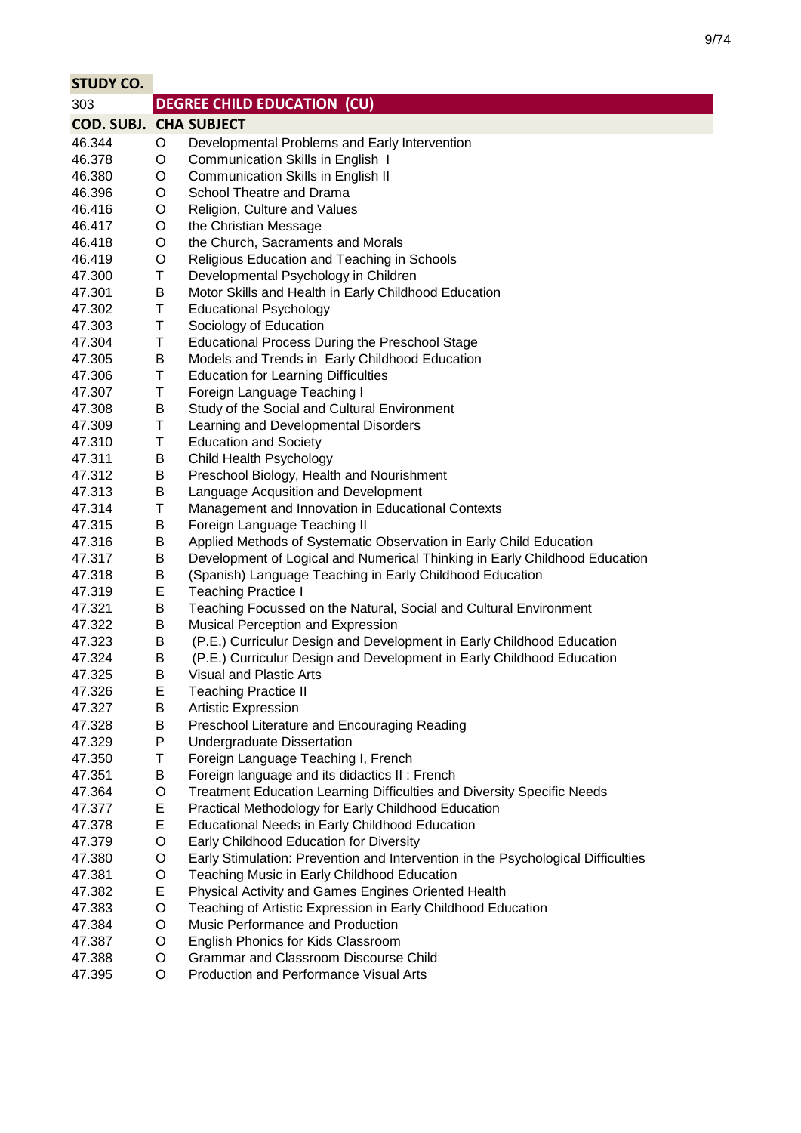| <b>STUDY CO.</b>              |   |                                                                                  |
|-------------------------------|---|----------------------------------------------------------------------------------|
| 303                           |   | <b>DEGREE CHILD EDUCATION (CU)</b>                                               |
| <b>COD. SUBJ. CHA SUBJECT</b> |   |                                                                                  |
| 46.344                        | O | Developmental Problems and Early Intervention                                    |
| 46.378                        | O | Communication Skills in English 1                                                |
| 46.380                        | O | Communication Skills in English II                                               |
| 46.396                        | O | School Theatre and Drama                                                         |
| 46.416                        | O | Religion, Culture and Values                                                     |
| 46.417                        | O | the Christian Message                                                            |
| 46.418                        | O | the Church, Sacraments and Morals                                                |
| 46.419                        | O | Religious Education and Teaching in Schools                                      |
| 47.300                        | Τ | Developmental Psychology in Children                                             |
| 47.301                        | B | Motor Skills and Health in Early Childhood Education                             |
| 47.302                        | Τ | <b>Educational Psychology</b>                                                    |
| 47.303                        | Τ | Sociology of Education                                                           |
| 47.304                        | Τ | Educational Process During the Preschool Stage                                   |
| 47.305                        | B | Models and Trends in Early Childhood Education                                   |
| 47.306                        | Τ | <b>Education for Learning Difficulties</b>                                       |
| 47.307                        | Τ | Foreign Language Teaching I                                                      |
| 47.308                        | В | Study of the Social and Cultural Environment                                     |
| 47.309                        | Τ | Learning and Developmental Disorders                                             |
| 47.310                        | Τ | <b>Education and Society</b>                                                     |
| 47.311                        | B | Child Health Psychology                                                          |
| 47.312                        | В | Preschool Biology, Health and Nourishment                                        |
| 47.313                        | В | Language Acqusition and Development                                              |
| 47.314                        | Τ | Management and Innovation in Educational Contexts                                |
| 47.315                        | B | Foreign Language Teaching II                                                     |
| 47.316                        | B | Applied Methods of Systematic Observation in Early Child Education               |
| 47.317                        | B | Development of Logical and Numerical Thinking in Early Childhood Education       |
| 47.318                        | B | (Spanish) Language Teaching in Early Childhood Education                         |
| 47.319                        | E | <b>Teaching Practice I</b>                                                       |
| 47.321                        | B | Teaching Focussed on the Natural, Social and Cultural Environment                |
| 47.322                        | В | Musical Perception and Expression                                                |
| 47.323                        | В | (P.E.) Curriculur Design and Development in Early Childhood Education            |
| 47.324                        | B | (P.E.) Curriculur Design and Development in Early Childhood Education            |
| 47.325                        | B | Visual and Plastic Arts                                                          |
| 47.326                        | Е | <b>Teaching Practice II</b>                                                      |
| 47.327                        | В | <b>Artistic Expression</b>                                                       |
| 47.328                        | В | Preschool Literature and Encouraging Reading                                     |
| 47.329                        | P | <b>Undergraduate Dissertation</b>                                                |
| 47.350                        | Τ | Foreign Language Teaching I, French                                              |
| 47.351                        | B | Foreign language and its didactics II: French                                    |
| 47.364                        | O | <b>Treatment Education Learning Difficulties and Diversity Specific Needs</b>    |
| 47.377                        | E | Practical Methodology for Early Childhood Education                              |
| 47.378                        | E | <b>Educational Needs in Early Childhood Education</b>                            |
| 47.379                        | O | Early Childhood Education for Diversity                                          |
| 47.380                        | O | Early Stimulation: Prevention and Intervention in the Psychological Difficulties |
| 47.381                        | O | Teaching Music in Early Childhood Education                                      |
| 47.382                        | E | Physical Activity and Games Engines Oriented Health                              |
| 47.383                        | O | Teaching of Artistic Expression in Early Childhood Education                     |
| 47.384                        | O | Music Performance and Production                                                 |
| 47.387                        | O | English Phonics for Kids Classroom                                               |
| 47.388                        | O | <b>Grammar and Classroom Discourse Child</b>                                     |
| 47.395                        | O | Production and Performance Visual Arts                                           |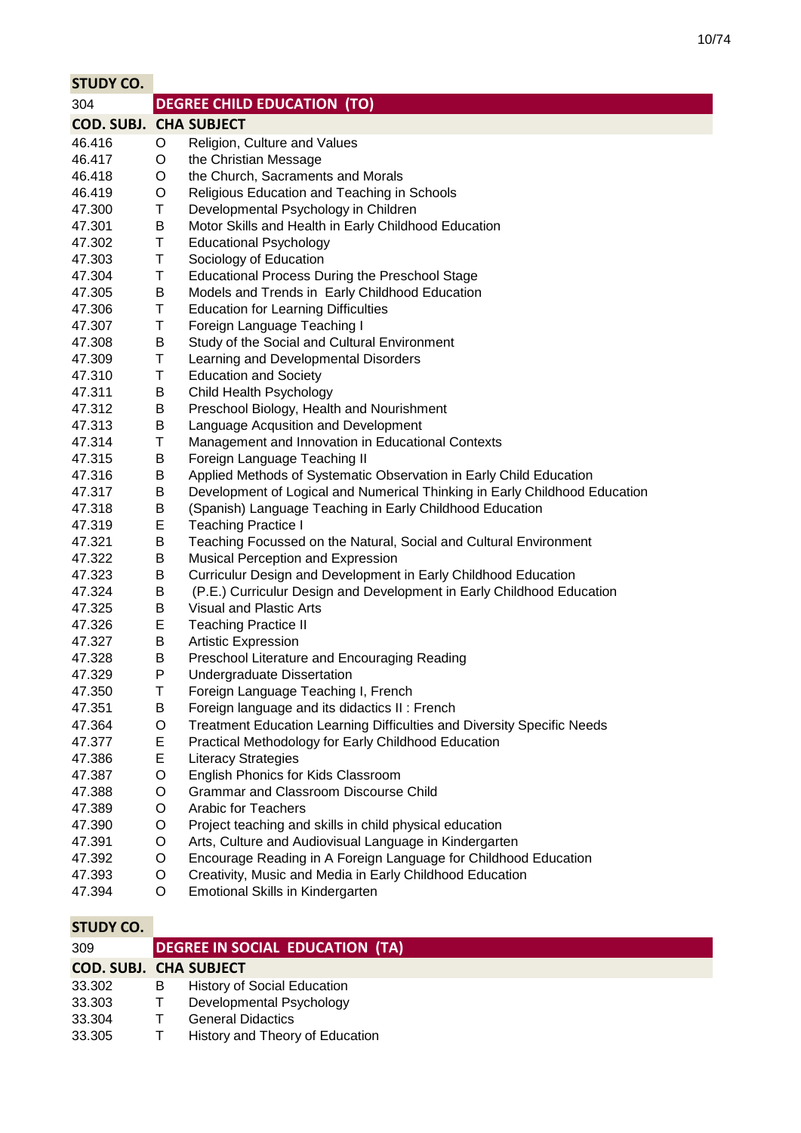m.

| <b>STUDY CO.</b>              |        |                                                                                                                                      |
|-------------------------------|--------|--------------------------------------------------------------------------------------------------------------------------------------|
| 304                           |        | <b>DEGREE CHILD EDUCATION (TO)</b>                                                                                                   |
| <b>COD. SUBJ. CHA SUBJECT</b> |        |                                                                                                                                      |
| 46.416                        | O      | Religion, Culture and Values                                                                                                         |
| 46.417                        | O      | the Christian Message                                                                                                                |
| 46.418                        | O      | the Church, Sacraments and Morals                                                                                                    |
| 46.419                        | O      | Religious Education and Teaching in Schools                                                                                          |
| 47.300                        | T      | Developmental Psychology in Children                                                                                                 |
| 47.301                        | B      | Motor Skills and Health in Early Childhood Education                                                                                 |
| 47.302                        | Τ      | <b>Educational Psychology</b>                                                                                                        |
| 47.303                        | T      | Sociology of Education                                                                                                               |
| 47.304                        | T      | <b>Educational Process During the Preschool Stage</b>                                                                                |
| 47.305                        | B      | Models and Trends in Early Childhood Education                                                                                       |
| 47.306                        | Τ      | <b>Education for Learning Difficulties</b>                                                                                           |
| 47.307                        | T      | Foreign Language Teaching I                                                                                                          |
| 47.308                        | B      | Study of the Social and Cultural Environment                                                                                         |
| 47.309                        | T      | Learning and Developmental Disorders                                                                                                 |
| 47.310                        | T      | <b>Education and Society</b>                                                                                                         |
| 47.311                        | B      | Child Health Psychology                                                                                                              |
| 47.312                        | B      | Preschool Biology, Health and Nourishment                                                                                            |
| 47.313                        | B      | Language Acqusition and Development                                                                                                  |
| 47.314                        | T      | Management and Innovation in Educational Contexts                                                                                    |
| 47.315                        | B      | Foreign Language Teaching II                                                                                                         |
| 47.316                        | B      | Applied Methods of Systematic Observation in Early Child Education                                                                   |
| 47.317                        | B      | Development of Logical and Numerical Thinking in Early Childhood Education                                                           |
| 47.318                        | B      | (Spanish) Language Teaching in Early Childhood Education                                                                             |
| 47.319                        | E      | <b>Teaching Practice I</b>                                                                                                           |
| 47.321                        | B      | Teaching Focussed on the Natural, Social and Cultural Environment                                                                    |
| 47.322                        | B      | Musical Perception and Expression                                                                                                    |
| 47.323                        | B      | Curriculur Design and Development in Early Childhood Education                                                                       |
| 47.324                        | B      | (P.E.) Curriculur Design and Development in Early Childhood Education                                                                |
| 47.325                        | B      | <b>Visual and Plastic Arts</b>                                                                                                       |
| 47.326                        | E      | <b>Teaching Practice II</b>                                                                                                          |
| 47.327                        | B      | <b>Artistic Expression</b>                                                                                                           |
| 47.328                        | B      | Preschool Literature and Encouraging Reading                                                                                         |
| 47.329                        | P      | Undergraduate Dissertation                                                                                                           |
| 47.350                        | Τ      | Foreign Language Teaching I, French                                                                                                  |
| 47.351<br>47.364              | B      | Foreign language and its didactics II : French                                                                                       |
| 47.377                        | O<br>Ε | <b>Treatment Education Learning Difficulties and Diversity Specific Needs</b><br>Practical Methodology for Early Childhood Education |
| 47.386                        | E      | <b>Literacy Strategies</b>                                                                                                           |
| 47.387                        | O      | English Phonics for Kids Classroom                                                                                                   |
| 47.388                        | O      | <b>Grammar and Classroom Discourse Child</b>                                                                                         |
| 47.389                        | O      | <b>Arabic for Teachers</b>                                                                                                           |
| 47.390                        | O      | Project teaching and skills in child physical education                                                                              |
| 47.391                        | O      | Arts, Culture and Audiovisual Language in Kindergarten                                                                               |
| 47.392                        | O      | Encourage Reading in A Foreign Language for Childhood Education                                                                      |
| 47.393                        | O      | Creativity, Music and Media in Early Childhood Education                                                                             |
| 47.394                        | O      | Emotional Skills in Kindergarten                                                                                                     |
|                               |        |                                                                                                                                      |
|                               |        |                                                                                                                                      |

| 309                           |   | DEGREE IN SOCIAL EDUCATION (TA)    |
|-------------------------------|---|------------------------------------|
| <b>COD. SUBJ. CHA SUBJECT</b> |   |                                    |
| 33.302                        | B | <b>History of Social Education</b> |
| 33.303                        |   | Developmental Psychology           |
| 33.304                        |   | <b>General Didactics</b>           |
| 33.305                        |   | History and Theory of Education    |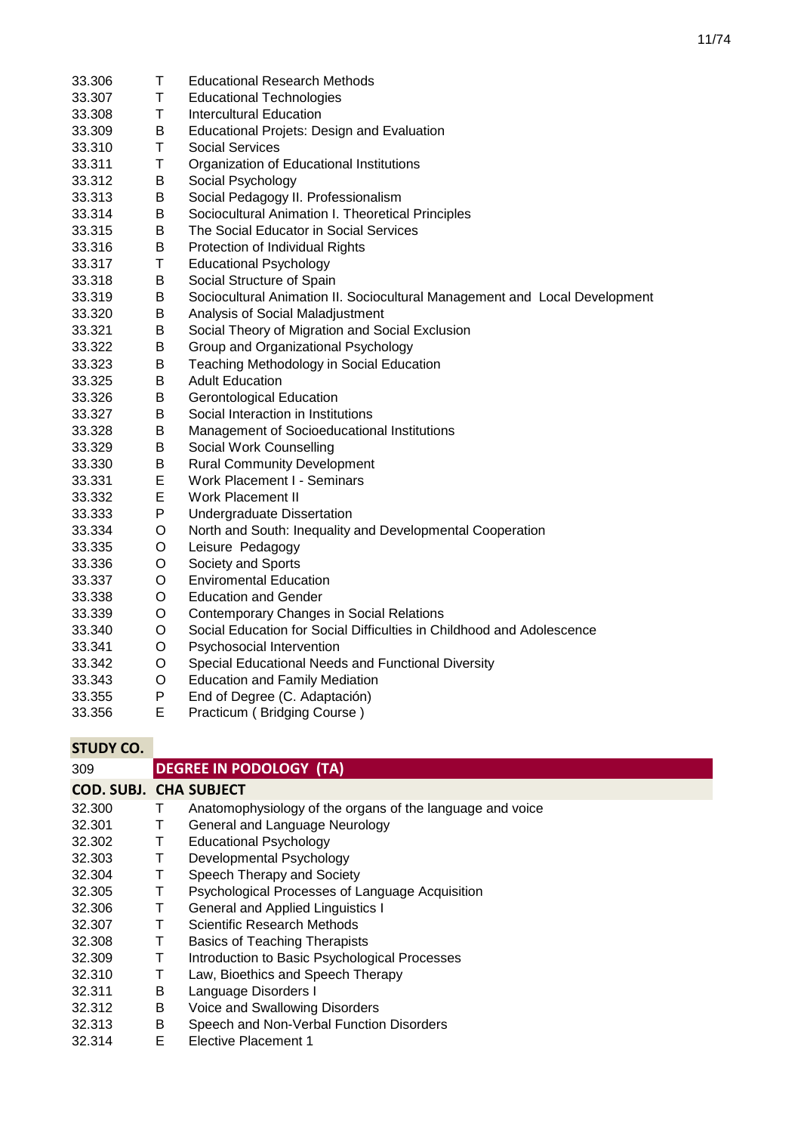| 33.306           | T            | <b>Educational Research Methods</b>                                        |
|------------------|--------------|----------------------------------------------------------------------------|
| 33.307           | T            | <b>Educational Technologies</b>                                            |
| 33.308           | T            | <b>Intercultural Education</b>                                             |
| 33.309           | B            | <b>Educational Projets: Design and Evaluation</b>                          |
| 33.310           | T            | <b>Social Services</b>                                                     |
| 33.311           | $\sf T$      | Organization of Educational Institutions                                   |
| 33.312           | B            |                                                                            |
|                  | B            | Social Psychology<br>Social Pedagogy II. Professionalism                   |
| 33.313<br>33.314 | B            | Sociocultural Animation I. Theoretical Principles                          |
|                  | B            |                                                                            |
| 33.315           | B            | The Social Educator in Social Services                                     |
| 33.316           | T            | Protection of Individual Rights                                            |
| 33.317           |              | <b>Educational Psychology</b>                                              |
| 33.318           | B            | Social Structure of Spain                                                  |
| 33.319           | B            | Sociocultural Animation II. Sociocultural Management and Local Development |
| 33.320           | B<br>$\sf B$ | Analysis of Social Maladjustment                                           |
| 33.321           | B            | Social Theory of Migration and Social Exclusion                            |
| 33.322           |              | Group and Organizational Psychology                                        |
| 33.323           | B            | Teaching Methodology in Social Education                                   |
| 33.325           | B            | <b>Adult Education</b>                                                     |
| 33.326           | B            | <b>Gerontological Education</b>                                            |
| 33.327           | B            | Social Interaction in Institutions                                         |
| 33.328           | B            | Management of Socioeducational Institutions                                |
| 33.329           | B            | Social Work Counselling                                                    |
| 33.330           | B            | <b>Rural Community Development</b>                                         |
| 33.331           | E            | Work Placement I - Seminars                                                |
| 33.332           | E            | <b>Work Placement II</b>                                                   |
| 33.333           | P            | Undergraduate Dissertation                                                 |
| 33.334           | $\circ$      | North and South: Inequality and Developmental Cooperation                  |
| 33.335           | O            | Leisure Pedagogy                                                           |
| 33.336           | $\circ$      | Society and Sports                                                         |
| 33.337           | $\circ$      | <b>Enviromental Education</b>                                              |
| 33.338           | O            | <b>Education and Gender</b>                                                |
| 33.339           | $\circ$      | <b>Contemporary Changes in Social Relations</b>                            |
| 33.340           | O            | Social Education for Social Difficulties in Childhood and Adolescence      |
| 33.341           | $\circ$      | Psychosocial Intervention                                                  |
| 33.342           | $\circ$      | Special Educational Needs and Functional Diversity                         |
| 33.343           | $\circ$      | <b>Education and Family Mediation</b>                                      |
| 33.355           | P            | End of Degree (C. Adaptación)                                              |
| 33.356           | E            | Practicum (Bridging Course)                                                |

| 309                           |   | <b>DEGREE IN PODOLOGY (TA)</b>                            |
|-------------------------------|---|-----------------------------------------------------------|
| <b>COD. SUBJ. CHA SUBJECT</b> |   |                                                           |
| 32,300                        | Т | Anatomophysiology of the organs of the language and voice |
| 32.301                        | T | General and Language Neurology                            |
| 32.302                        |   | <b>Educational Psychology</b>                             |
| 32.303                        | Τ | Developmental Psychology                                  |
| 32.304                        | Τ | Speech Therapy and Society                                |
| 32.305                        | Τ | Psychological Processes of Language Acquisition           |
| 32.306                        | т | <b>General and Applied Linguistics I</b>                  |
| 32.307                        |   | Scientific Research Methods                               |
| 32.308                        |   | <b>Basics of Teaching Therapists</b>                      |
| 32.309                        | Т | Introduction to Basic Psychological Processes             |
| 32.310                        |   | Law, Bioethics and Speech Therapy                         |
| 32.311                        | в | Language Disorders I                                      |
| 32.312                        | В | Voice and Swallowing Disorders                            |
| 32.313                        | В | Speech and Non-Verbal Function Disorders                  |
| 32.314                        | E | <b>Elective Placement 1</b>                               |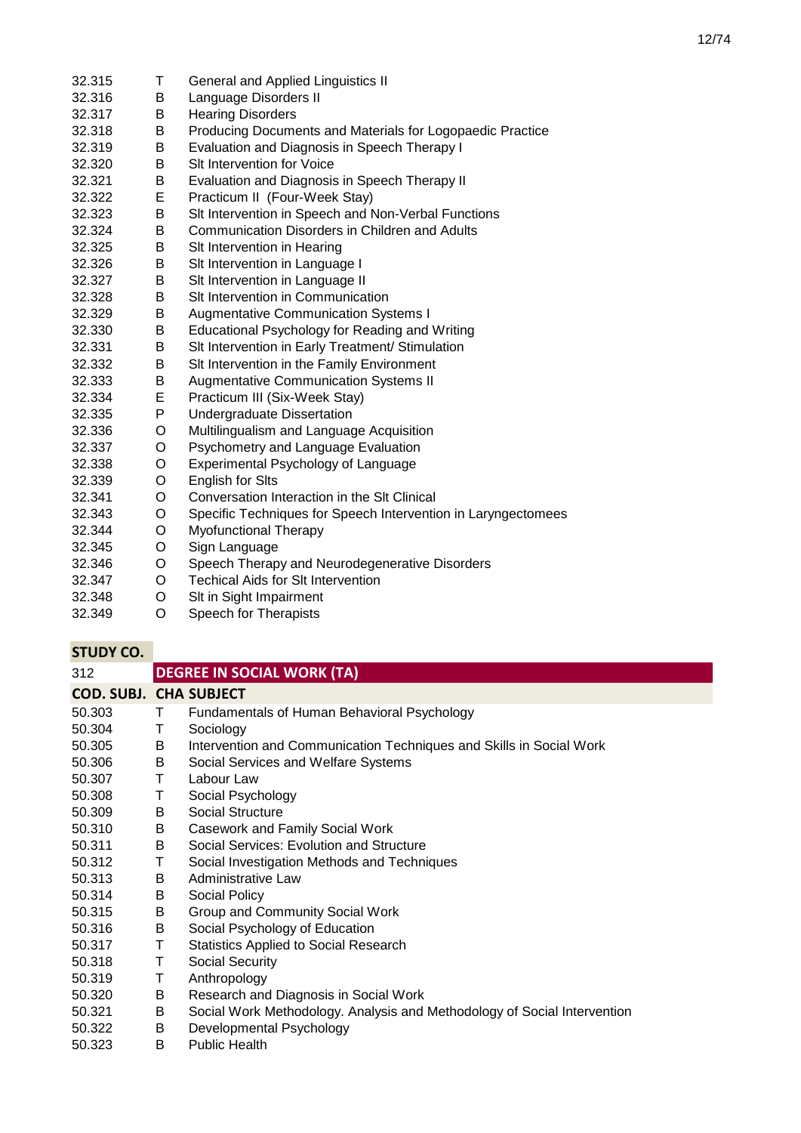- 32.315 T General and Applied Linguistics II<br>32.316 B Language Disorders II 32.316 B Language Disorders II<br>32.317 B Hearing Disorders **B** Hearing Disorders<br>B Producing Docume 32.318 B Producing Documents and Materials for Logopaedic Practice 32.319 B Evaluation and Diagnosis in Speech Therapy I 32.320 B Slt Intervention for Voice 32.321 B Evaluation and Diagnosis in Speech Therapy II 32.322 E Practicum II (Four-Week Stay) 32.323 B Slt Intervention in Speech and Non-Verbal Functions 32.324 B Communication Disorders in Children and Adults 32.325 B Slt Intervention in Hearing 32.326 B Slt Intervention in Language I 32.327 B Slt Intervention in Language II 32.328 B Slt Intervention in Communication 32.329 B Augmentative Communication Systems I<br>32.330 B Educational Psychology for Reading and Educational Psychology for Reading and Writing 32.331 B SIt Intervention in Early Treatment/ Stimulation<br>32.332 B SIt Intervention in the Family Environment 32.332 B Slt Intervention in the Family Environment 32.333 B Augmentative Communication Systems II 32.334 E Practicum III (Six-Week Stay) 32.335 P Undergraduate Dissertation 32.336 O Multilingualism and Language Acquisition 32.337 O Psychometry and Language Evaluation 32.338 O Experimental Psychology of Language 32.339 O English for Sits<br>32.341 O Conversation In Conversation Interaction in the Slt Clinical 32.343 O Specific Techniques for Speech Intervention in Laryngectomees 32.344 O Myofunctional Therapy 32.345 O Sign Language 32.346 O Speech Therapy and Neurodegenerative Disorders 32.347 O Techical Aids for Slt Intervention 32.348 O Slt in Sight Impairment
- 32.349 O Speech for Therapists

| 312                           |    | <b>DEGREE IN SOCIAL WORK (TA)</b>                                        |
|-------------------------------|----|--------------------------------------------------------------------------|
| <b>COD. SUBJ. CHA SUBJECT</b> |    |                                                                          |
| 50.303                        | T. | Fundamentals of Human Behavioral Psychology                              |
| 50.304                        | Τ  | Sociology                                                                |
| 50.305                        | B  | Intervention and Communication Techniques and Skills in Social Work      |
| 50.306                        | B  | Social Services and Welfare Systems                                      |
| 50.307                        | Τ  | Labour Law                                                               |
| 50.308                        | Τ  | Social Psychology                                                        |
| 50.309                        | B  | Social Structure                                                         |
| 50.310                        | B  | Casework and Family Social Work                                          |
| 50.311                        | B  | Social Services: Evolution and Structure                                 |
| 50.312                        | т  | Social Investigation Methods and Techniques                              |
| 50.313                        | B  | Administrative Law                                                       |
| 50.314                        | B  | Social Policy                                                            |
| 50.315                        | B  | Group and Community Social Work                                          |
| 50.316                        | B  | Social Psychology of Education                                           |
| 50.317                        | т  | <b>Statistics Applied to Social Research</b>                             |
| 50.318                        | Τ  | <b>Social Security</b>                                                   |
| 50.319                        | Т  | Anthropology                                                             |
| 50.320                        | B  | Research and Diagnosis in Social Work                                    |
| 50.321                        | B  | Social Work Methodology. Analysis and Methodology of Social Intervention |
| 50.322                        | B  | Developmental Psychology                                                 |
| 50.323                        | B  | <b>Public Health</b>                                                     |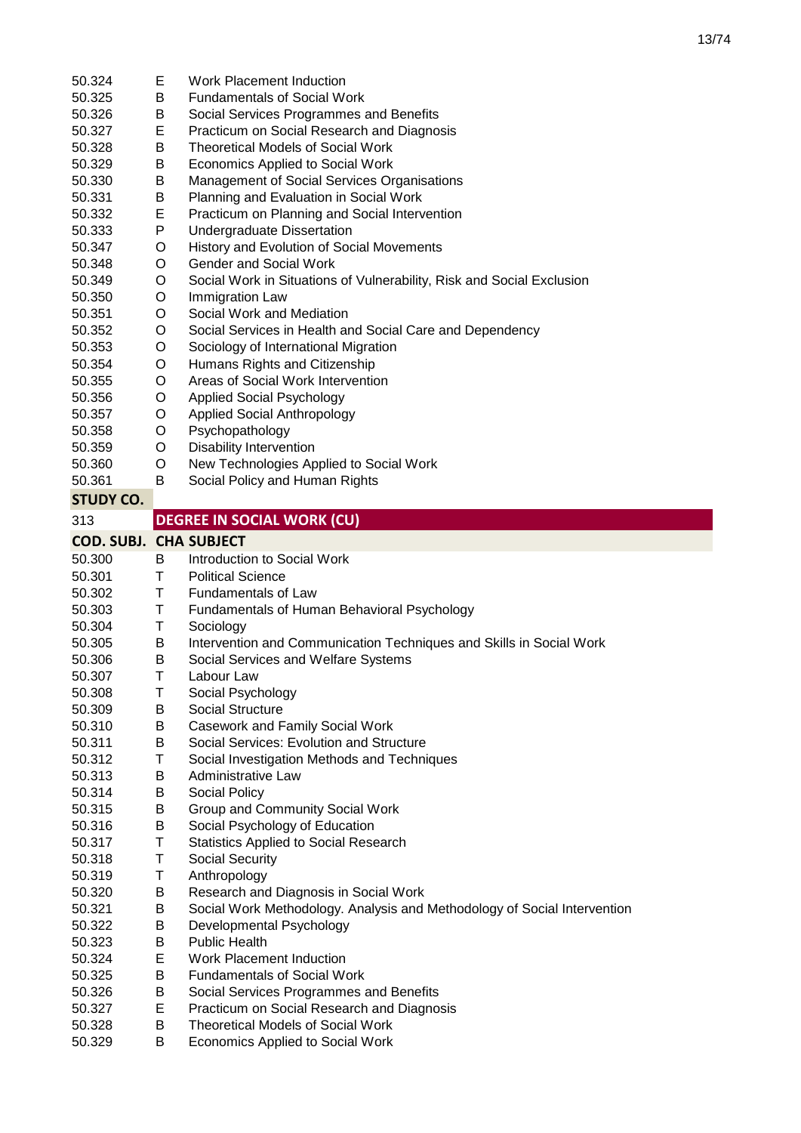| 50.324                        | Е      | Work Placement Induction                                                           |
|-------------------------------|--------|------------------------------------------------------------------------------------|
| 50.325                        | В      | <b>Fundamentals of Social Work</b>                                                 |
| 50.326                        | B      | Social Services Programmes and Benefits                                            |
| 50.327                        | Е      | Practicum on Social Research and Diagnosis                                         |
| 50.328                        | В      | <b>Theoretical Models of Social Work</b>                                           |
| 50.329                        | B      | Economics Applied to Social Work                                                   |
| 50.330                        | В      | Management of Social Services Organisations                                        |
| 50.331                        | В      | Planning and Evaluation in Social Work                                             |
| 50.332                        | Е      | Practicum on Planning and Social Intervention                                      |
| 50.333                        | P      | <b>Undergraduate Dissertation</b>                                                  |
| 50.347                        | O      | History and Evolution of Social Movements                                          |
| 50.348                        | O      | Gender and Social Work                                                             |
| 50.349                        | O      | Social Work in Situations of Vulnerability, Risk and Social Exclusion              |
| 50.350                        | O      | Immigration Law                                                                    |
| 50.351                        | O      | Social Work and Mediation                                                          |
| 50.352                        | O      | Social Services in Health and Social Care and Dependency                           |
| 50.353                        | O      | Sociology of International Migration                                               |
| 50.354                        | O      | Humans Rights and Citizenship                                                      |
| 50.355                        | O      | Areas of Social Work Intervention                                                  |
| 50.356                        | O      | <b>Applied Social Psychology</b>                                                   |
| 50.357                        | O      | <b>Applied Social Anthropology</b>                                                 |
| 50.358                        | O      | Psychopathology                                                                    |
| 50.359                        | O      | <b>Disability Intervention</b>                                                     |
| 50.360                        | O      | New Technologies Applied to Social Work                                            |
| 50.361                        | B      | Social Policy and Human Rights                                                     |
| <b>STUDY CO.</b>              |        |                                                                                    |
| 313                           |        | <b>DEGREE IN SOCIAL WORK (CU)</b>                                                  |
| <b>COD. SUBJ. CHA SUBJECT</b> |        |                                                                                    |
|                               |        |                                                                                    |
|                               |        |                                                                                    |
| 50.300                        | B      | Introduction to Social Work                                                        |
| 50.301                        | T.     | <b>Political Science</b>                                                           |
| 50.302                        | T      | <b>Fundamentals of Law</b>                                                         |
| 50.303                        | Т      | Fundamentals of Human Behavioral Psychology                                        |
| 50.304                        | Τ      | Sociology                                                                          |
| 50.305                        | B      | Intervention and Communication Techniques and Skills in Social Work                |
| 50.306<br>50.307              | В<br>Τ | Social Services and Welfare Systems<br>Labour Law                                  |
|                               |        |                                                                                    |
| 50.308                        | Т      | Social Psychology                                                                  |
| 50.309                        | B      | <b>Social Structure</b>                                                            |
| 50.310                        | Β<br>В | <b>Casework and Family Social Work</b><br>Social Services: Evolution and Structure |
| 50.311<br>50.312              | Τ      | Social Investigation Methods and Techniques                                        |
| 50.313                        |        | <b>Administrative Law</b>                                                          |
| 50.314                        | Β      |                                                                                    |
| 50.315                        | Β<br>B | Social Policy<br>Group and Community Social Work                                   |
| 50.316                        | B      | Social Psychology of Education                                                     |
| 50.317                        | Τ      | <b>Statistics Applied to Social Research</b>                                       |
| 50.318                        | Τ      | Social Security                                                                    |
| 50.319                        | Τ      | Anthropology                                                                       |
| 50.320                        | B      | Research and Diagnosis in Social Work                                              |
| 50.321                        | Β      | Social Work Methodology. Analysis and Methodology of Social Intervention           |
| 50.322                        | B      | Developmental Psychology                                                           |
| 50.323                        | B      | <b>Public Health</b>                                                               |
| 50.324                        | Е      | <b>Work Placement Induction</b>                                                    |
| 50.325                        | В      | <b>Fundamentals of Social Work</b>                                                 |
| 50.326                        | B      | Social Services Programmes and Benefits                                            |
| 50.327                        | E      | Practicum on Social Research and Diagnosis                                         |
| 50.328                        | B      | <b>Theoretical Models of Social Work</b>                                           |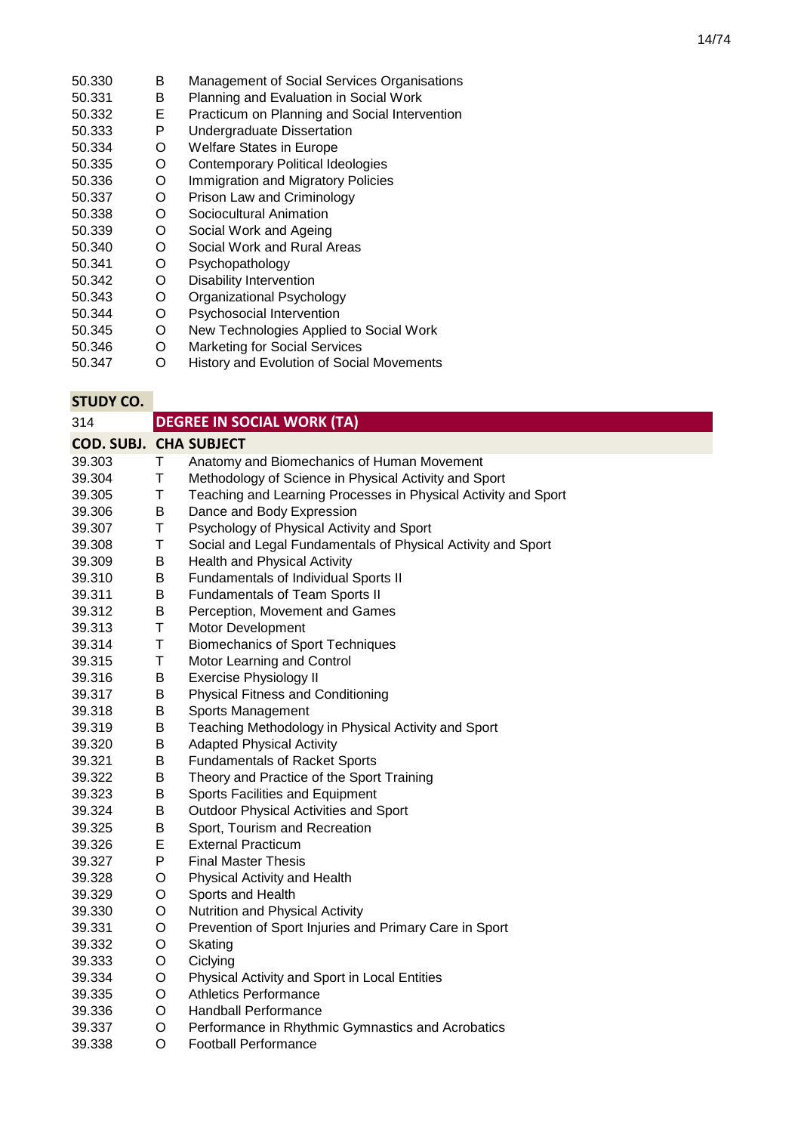- 50.330 B Management of Social Services Organisations<br>50.331 B Planning and Evaluation in Social Work
- 50.331 B Planning and Evaluation in Social Work<br>50.332 E Practicum on Planning and Social Interv
- 50.332 E Practicum on Planning and Social Intervention<br>50.333 P Undergraduate Dissertation
- P Undergraduate Dissertation<br>O Welfare States in Europe
- 50.334 O Welfare States in Europe
- Contemporary Political Ideologies
- 50.336 O Immigration and Migratory Policies
- 50.337 O Prison Law and Criminology
- 50.338 O Sociocultural Animation<br>50.339 O Social Work and Ageing
- 50.339 O Social Work and Ageing<br>50.340 O Social Work and Rural A
- 50.340 O Social Work and Rural Areas<br>50.341 O Psychopathology
- 50.341 O Psychopathology
- 50.342 O Disability Intervention<br>50.343 O Organizational Psycho
- 50.343 O Organizational Psychology
- 50.344 O Psychosocial Intervention<br>50.345 O New Technologies Applied
- New Technologies Applied to Social Work
- 50.346 O Marketing for Social Services<br>50.347 O History and Evolution of Social
- History and Evolution of Social Movements

| 314                           |    | <b>DEGREE IN SOCIAL WORK (TA)</b>                              |
|-------------------------------|----|----------------------------------------------------------------|
| <b>COD. SUBJ. CHA SUBJECT</b> |    |                                                                |
| 39.303                        | T. | Anatomy and Biomechanics of Human Movement                     |
| 39.304                        | T  | Methodology of Science in Physical Activity and Sport          |
| 39.305                        | T  | Teaching and Learning Processes in Physical Activity and Sport |
| 39.306                        | В  | Dance and Body Expression                                      |
| 39.307                        | Τ  | Psychology of Physical Activity and Sport                      |
| 39.308                        | Τ  | Social and Legal Fundamentals of Physical Activity and Sport   |
| 39.309                        | Β  | <b>Health and Physical Activity</b>                            |
| 39.310                        | Β  | Fundamentals of Individual Sports II                           |
| 39.311                        | B  | Fundamentals of Team Sports II                                 |
| 39.312                        | Β  | Perception, Movement and Games                                 |
| 39.313                        | T  | Motor Development                                              |
| 39.314                        | T  | <b>Biomechanics of Sport Techniques</b>                        |
| 39.315                        | Τ  | Motor Learning and Control                                     |
| 39.316                        | Β  | <b>Exercise Physiology II</b>                                  |
| 39.317                        | B  | <b>Physical Fitness and Conditioning</b>                       |
| 39.318                        | Β  | Sports Management                                              |
| 39.319                        | Β  | Teaching Methodology in Physical Activity and Sport            |
| 39.320                        | Β  | <b>Adapted Physical Activity</b>                               |
| 39.321                        | Β  | <b>Fundamentals of Racket Sports</b>                           |
| 39.322                        | B  | Theory and Practice of the Sport Training                      |
| 39.323                        | B  | Sports Facilities and Equipment                                |
| 39.324                        | B  | Outdoor Physical Activities and Sport                          |
| 39.325                        | Β  | Sport, Tourism and Recreation                                  |
| 39.326                        | Е  | <b>External Practicum</b>                                      |
| 39.327                        | P  | <b>Final Master Thesis</b>                                     |
| 39.328                        | O  | Physical Activity and Health                                   |
| 39.329                        | O  | Sports and Health                                              |
| 39.330                        | O  | Nutrition and Physical Activity                                |
| 39.331                        | O  | Prevention of Sport Injuries and Primary Care in Sport         |
| 39.332                        | O  | Skating                                                        |
| 39.333                        | O  | Ciclying                                                       |
| 39.334                        | O  | Physical Activity and Sport in Local Entities                  |
| 39.335                        | O  | <b>Athletics Performance</b>                                   |
| 39.336                        | O  | <b>Handball Performance</b>                                    |
| 39.337                        | O  | Performance in Rhythmic Gymnastics and Acrobatics              |
| 39.338                        | O  | <b>Football Performance</b>                                    |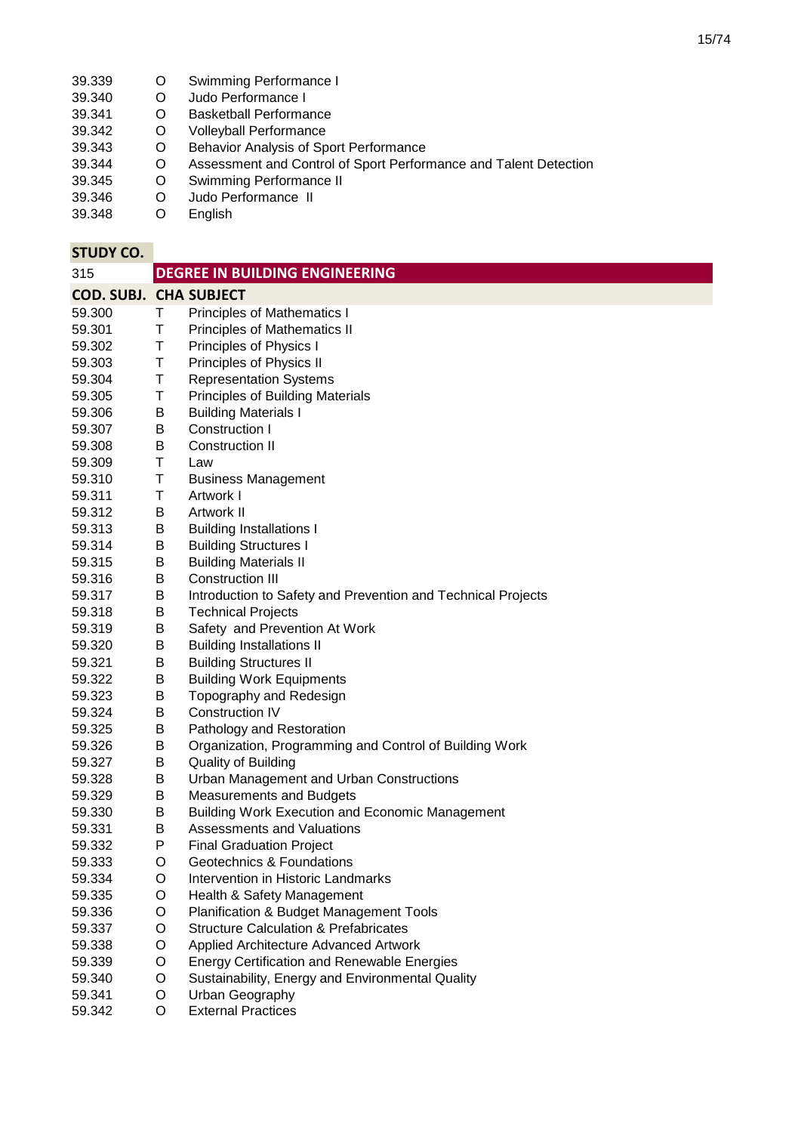- 39.339 O Swimming Performance I<br>39.340 O Judo Performance I
- 39.340 O Judo Performance I<br>39.341 O Basketball Performa
- 39.341 O Basketball Performance
- O Volleyball Performance<br>O Behavior Analysis of Sp
- 39.343 O Behavior Analysis of Sport Performance<br>39.344 O Assessment and Control of Sport Perform
- 39.344 O Assessment and Control of Sport Performance and Talent Detection<br>39.344 O Swimming Performance II
- 39.345 O Swimming Performance II
- 39.346 O Judo Performance II<br>39.348 O English
- **English**

| 315                           |   | <b>DEGREE IN BUILDING ENGINEERING</b>                        |
|-------------------------------|---|--------------------------------------------------------------|
| <b>COD. SUBJ. CHA SUBJECT</b> |   |                                                              |
| 59.300                        | Τ | <b>Principles of Mathematics I</b>                           |
| 59.301                        | Τ | Principles of Mathematics II                                 |
| 59.302                        | Τ | Principles of Physics I                                      |
| 59.303                        | Τ | Principles of Physics II                                     |
| 59.304                        | T | <b>Representation Systems</b>                                |
| 59.305                        | Τ | <b>Principles of Building Materials</b>                      |
| 59.306                        | B | <b>Building Materials I</b>                                  |
| 59.307                        | В | Construction I                                               |
| 59.308                        | В | <b>Construction II</b>                                       |
| 59.309                        | Τ | Law                                                          |
| 59.310                        | Τ | <b>Business Management</b>                                   |
| 59.311                        | Τ | Artwork I                                                    |
| 59.312                        | B | Artwork II                                                   |
| 59.313                        | B | <b>Building Installations I</b>                              |
| 59.314                        | B | <b>Building Structures I</b>                                 |
| 59.315                        | B | <b>Building Materials II</b>                                 |
| 59.316                        | B | <b>Construction III</b>                                      |
| 59.317                        | B | Introduction to Safety and Prevention and Technical Projects |
| 59.318                        | B | <b>Technical Projects</b>                                    |
| 59.319                        | B | Safety and Prevention At Work                                |
| 59.320                        | B | <b>Building Installations II</b>                             |
| 59.321                        | B | <b>Building Structures II</b>                                |
| 59.322                        | B | <b>Building Work Equipments</b>                              |
| 59.323                        | B | Topography and Redesign                                      |
| 59.324                        | B | Construction IV                                              |
| 59.325                        | В | Pathology and Restoration                                    |
| 59.326                        | Β | Organization, Programming and Control of Building Work       |
| 59.327                        | B | <b>Quality of Building</b>                                   |
| 59.328                        | B | Urban Management and Urban Constructions                     |
| 59.329                        | B | <b>Measurements and Budgets</b>                              |
| 59.330                        | B | <b>Building Work Execution and Economic Management</b>       |
| 59.331                        | B | Assessments and Valuations                                   |
| 59.332                        | P | <b>Final Graduation Project</b>                              |
| 59.333                        | O | Geotechnics & Foundations                                    |
| 59.334                        | O | Intervention in Historic Landmarks                           |
| 59.335                        | O | Health & Safety Management                                   |
| 59.336                        | O | Planification & Budget Management Tools                      |
| 59.337                        | O | <b>Structure Calculation &amp; Prefabricates</b>             |
| 59.338                        | O | Applied Architecture Advanced Artwork                        |
| 59.339                        | O | <b>Energy Certification and Renewable Energies</b>           |
| 59.340                        | O | Sustainability, Energy and Environmental Quality             |
| 59.341                        | O | Urban Geography                                              |
| 59.342                        | O | <b>External Practices</b>                                    |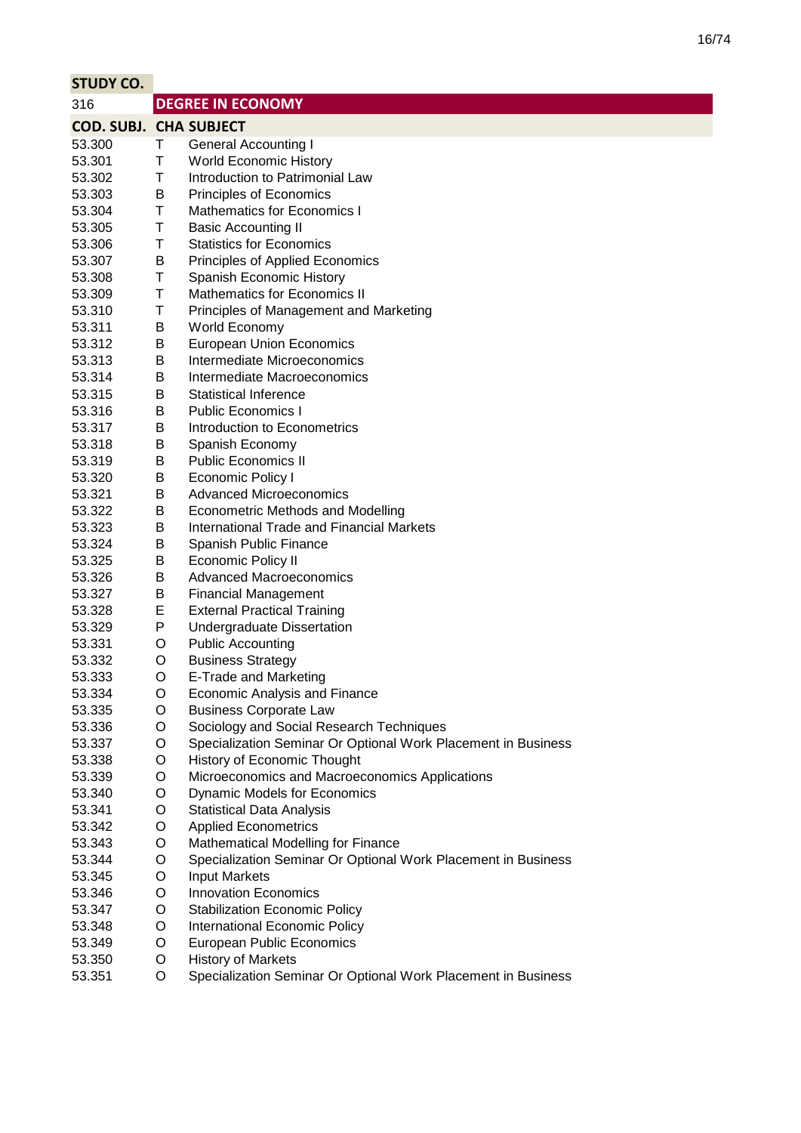| <b>STUDY CO.</b>              |   |                                                               |
|-------------------------------|---|---------------------------------------------------------------|
| 316                           |   | <b>DEGREE IN ECONOMY</b>                                      |
| <b>COD. SUBJ. CHA SUBJECT</b> |   |                                                               |
| 53.300                        | Τ | <b>General Accounting I</b>                                   |
| 53.301                        | T | <b>World Economic History</b>                                 |
| 53.302                        | Τ | Introduction to Patrimonial Law                               |
| 53.303                        | В | Principles of Economics                                       |
| 53.304                        | Τ | <b>Mathematics for Economics I</b>                            |
| 53.305                        | Τ | <b>Basic Accounting II</b>                                    |
| 53.306                        | Τ | <b>Statistics for Economics</b>                               |
| 53.307                        | В | Principles of Applied Economics                               |
| 53.308                        | Τ | Spanish Economic History                                      |
| 53.309                        | Τ | Mathematics for Economics II                                  |
| 53.310                        | Τ | Principles of Management and Marketing                        |
| 53.311                        | B | World Economy                                                 |
| 53.312                        | B | <b>European Union Economics</b>                               |
| 53.313                        | B | Intermediate Microeconomics                                   |
| 53.314                        | В | Intermediate Macroeconomics                                   |
| 53.315                        | В | Statistical Inference                                         |
| 53.316                        | В | <b>Public Economics I</b>                                     |
| 53.317                        | В | Introduction to Econometrics                                  |
| 53.318                        | B | Spanish Economy                                               |
| 53.319                        | В | <b>Public Economics II</b>                                    |
| 53.320                        | B | <b>Economic Policy I</b>                                      |
| 53.321                        | В | <b>Advanced Microeconomics</b>                                |
| 53.322                        | B | <b>Econometric Methods and Modelling</b>                      |
| 53.323                        | В | International Trade and Financial Markets                     |
| 53.324                        | Β | Spanish Public Finance                                        |
| 53.325                        | Β | <b>Economic Policy II</b>                                     |
| 53.326                        | B | <b>Advanced Macroeconomics</b>                                |
| 53.327                        | B | <b>Financial Management</b>                                   |
| 53.328                        | E | <b>External Practical Training</b>                            |
| 53.329                        | P | <b>Undergraduate Dissertation</b>                             |
| 53.331                        | O | <b>Public Accounting</b>                                      |
| 53.332                        | O | <b>Business Strategy</b>                                      |
| 53.333                        | O | E-Trade and Marketing                                         |
| 53.334                        | O | <b>Economic Analysis and Finance</b>                          |
| 53.335                        | O | <b>Business Corporate Law</b>                                 |
| 53.336                        | O | Sociology and Social Research Techniques                      |
| 53.337                        | O | Specialization Seminar Or Optional Work Placement in Business |
| 53.338                        | O | History of Economic Thought                                   |
| 53.339                        | O | Microeconomics and Macroeconomics Applications                |
| 53.340                        | O | <b>Dynamic Models for Economics</b>                           |
| 53.341                        | O | <b>Statistical Data Analysis</b>                              |
| 53.342                        | O | <b>Applied Econometrics</b>                                   |
| 53.343                        | O | Mathematical Modelling for Finance                            |
| 53.344                        | O | Specialization Seminar Or Optional Work Placement in Business |
| 53.345                        | O | <b>Input Markets</b>                                          |
| 53.346                        | O | <b>Innovation Economics</b>                                   |
| 53.347                        | O | <b>Stabilization Economic Policy</b>                          |
| 53.348                        | O | International Economic Policy                                 |
| 53.349                        | O | <b>European Public Economics</b>                              |
| 53.350                        | O | <b>History of Markets</b>                                     |
| 53.351                        | O | Specialization Seminar Or Optional Work Placement in Business |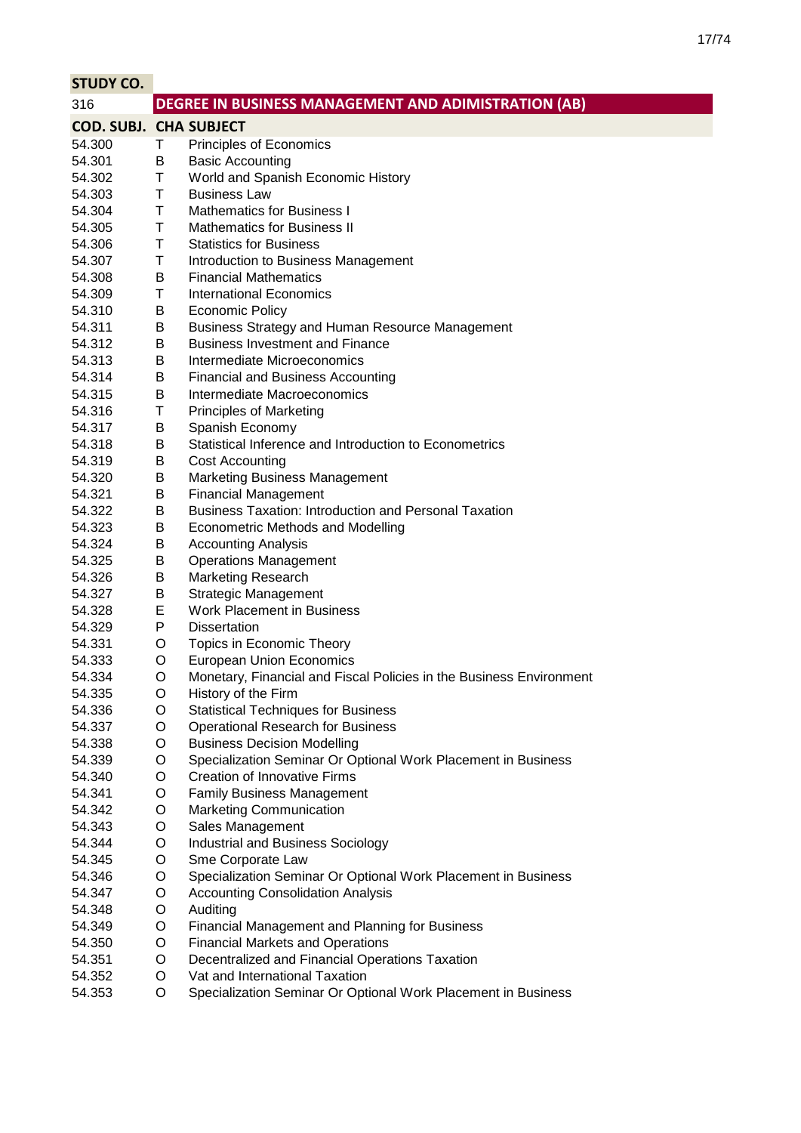| <b>STUDY CO.</b>              |        |                                                                                                      |
|-------------------------------|--------|------------------------------------------------------------------------------------------------------|
| 316                           |        | DEGREE IN BUSINESS MANAGEMENT AND ADIMISTRATION (AB)                                                 |
| <b>COD. SUBJ. CHA SUBJECT</b> |        |                                                                                                      |
| 54.300                        | Τ      | Principles of Economics                                                                              |
| 54.301                        | B      | <b>Basic Accounting</b>                                                                              |
| 54.302                        | Τ      | World and Spanish Economic History                                                                   |
| 54.303                        | Τ      | <b>Business Law</b>                                                                                  |
| 54.304                        | Τ      | <b>Mathematics for Business I</b>                                                                    |
| 54.305                        | T      | <b>Mathematics for Business II</b>                                                                   |
| 54.306                        | Τ      | <b>Statistics for Business</b>                                                                       |
| 54.307                        | Τ      | Introduction to Business Management                                                                  |
| 54.308                        | B      | <b>Financial Mathematics</b>                                                                         |
| 54.309                        | Τ      | <b>International Economics</b>                                                                       |
| 54.310                        | B      | <b>Economic Policy</b>                                                                               |
| 54.311                        | Β      | Business Strategy and Human Resource Management                                                      |
| 54.312                        | В      | <b>Business Investment and Finance</b>                                                               |
| 54.313                        | Β      | Intermediate Microeconomics                                                                          |
| 54.314                        | В      | <b>Financial and Business Accounting</b>                                                             |
| 54.315                        | В      | Intermediate Macroeconomics                                                                          |
| 54.316                        | Τ      | <b>Principles of Marketing</b>                                                                       |
| 54.317                        | В      | Spanish Economy                                                                                      |
| 54.318                        | В      | Statistical Inference and Introduction to Econometrics                                               |
| 54.319                        | Β      | <b>Cost Accounting</b>                                                                               |
| 54.320                        | Β      | <b>Marketing Business Management</b>                                                                 |
| 54.321                        | Β      | <b>Financial Management</b>                                                                          |
| 54.322                        | B      | <b>Business Taxation: Introduction and Personal Taxation</b>                                         |
| 54.323                        | B      | <b>Econometric Methods and Modelling</b>                                                             |
| 54.324                        | В      | <b>Accounting Analysis</b>                                                                           |
| 54.325                        | Β      | <b>Operations Management</b>                                                                         |
| 54.326                        | Β      | <b>Marketing Research</b>                                                                            |
| 54.327                        | Β      | <b>Strategic Management</b>                                                                          |
| 54.328                        | Е      | Work Placement in Business                                                                           |
| 54.329                        | P      | <b>Dissertation</b>                                                                                  |
| 54.331                        | O      | Topics in Economic Theory                                                                            |
| 54.333                        | O      | <b>European Union Economics</b>                                                                      |
| 54.334                        | O      | Monetary, Financial and Fiscal Policies in the Business Environment                                  |
| 54.335                        | O      | History of the Firm                                                                                  |
| 54.336                        | O      | <b>Statistical Techniques for Business</b>                                                           |
| 54.337                        | O      | <b>Operational Research for Business</b>                                                             |
| 54.338                        | O      | <b>Business Decision Modelling</b>                                                                   |
| 54.339                        | O      | Specialization Seminar Or Optional Work Placement in Business<br><b>Creation of Innovative Firms</b> |
| 54.340<br>54.341              | O<br>O | <b>Family Business Management</b>                                                                    |
| 54.342                        | O      | <b>Marketing Communication</b>                                                                       |
| 54.343                        | O      | Sales Management                                                                                     |
| 54.344                        | O      | Industrial and Business Sociology                                                                    |
| 54.345                        | O      | Sme Corporate Law                                                                                    |
| 54.346                        | O      | Specialization Seminar Or Optional Work Placement in Business                                        |
| 54.347                        | O      | <b>Accounting Consolidation Analysis</b>                                                             |
| 54.348                        | O      | Auditing                                                                                             |
| 54.349                        | O      | <b>Financial Management and Planning for Business</b>                                                |
| 54.350                        | O      | <b>Financial Markets and Operations</b>                                                              |
| 54.351                        | O      | Decentralized and Financial Operations Taxation                                                      |
| 54.352                        | O      | Vat and International Taxation                                                                       |
| 54.353                        | O      | Specialization Seminar Or Optional Work Placement in Business                                        |
|                               |        |                                                                                                      |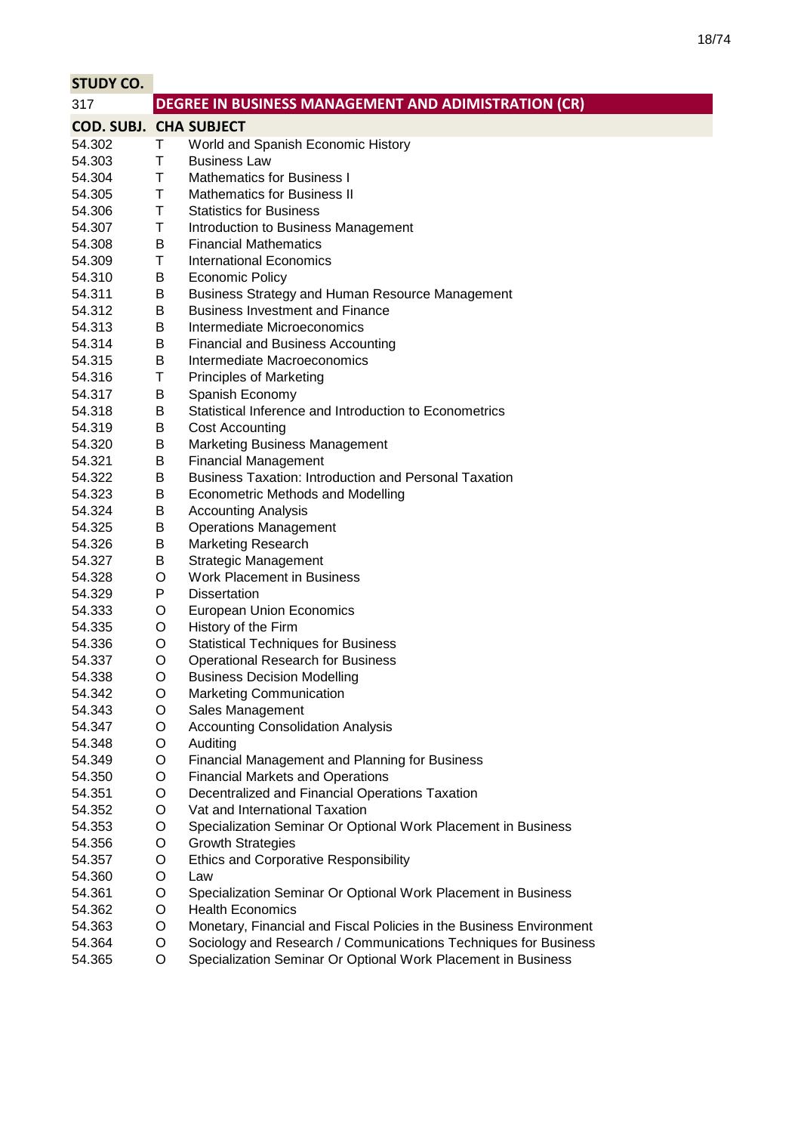| <b>STUDY CO.</b>              |        |                                                                     |
|-------------------------------|--------|---------------------------------------------------------------------|
| 317                           |        | DEGREE IN BUSINESS MANAGEMENT AND ADIMISTRATION (CR)                |
| <b>COD. SUBJ. CHA SUBJECT</b> |        |                                                                     |
| 54.302                        | Τ      | World and Spanish Economic History                                  |
| 54.303                        | Τ      | <b>Business Law</b>                                                 |
| 54.304                        | T      | <b>Mathematics for Business I</b>                                   |
| 54.305                        | T      | <b>Mathematics for Business II</b>                                  |
| 54.306                        | Τ      | <b>Statistics for Business</b>                                      |
| 54.307                        | T      | Introduction to Business Management                                 |
| 54.308                        | B      | <b>Financial Mathematics</b>                                        |
| 54.309                        | Τ      | <b>International Economics</b>                                      |
| 54.310                        | B      | <b>Economic Policy</b>                                              |
| 54.311                        | В      | Business Strategy and Human Resource Management                     |
| 54.312                        | B      | <b>Business Investment and Finance</b>                              |
| 54.313                        | B      | Intermediate Microeconomics                                         |
| 54.314                        | В      | <b>Financial and Business Accounting</b>                            |
| 54.315                        | B      | Intermediate Macroeconomics                                         |
| 54.316                        | Τ      | <b>Principles of Marketing</b>                                      |
| 54.317                        | В      | Spanish Economy                                                     |
| 54.318                        | B      | Statistical Inference and Introduction to Econometrics              |
| 54.319                        | B      | <b>Cost Accounting</b>                                              |
| 54.320                        | B      | <b>Marketing Business Management</b>                                |
| 54.321                        | В      | <b>Financial Management</b>                                         |
| 54.322                        | B      | <b>Business Taxation: Introduction and Personal Taxation</b>        |
| 54.323                        | B      | <b>Econometric Methods and Modelling</b>                            |
| 54.324                        | B      | <b>Accounting Analysis</b>                                          |
| 54.325                        | B      | <b>Operations Management</b>                                        |
| 54.326                        | B      | <b>Marketing Research</b>                                           |
| 54.327                        | B      | <b>Strategic Management</b>                                         |
| 54.328                        | O      | <b>Work Placement in Business</b>                                   |
| 54.329                        | P      | <b>Dissertation</b>                                                 |
| 54.333                        | O      | <b>European Union Economics</b>                                     |
| 54.335                        | O      | History of the Firm                                                 |
| 54.336                        | O      | <b>Statistical Techniques for Business</b>                          |
| 54.337<br>54.338              | O<br>O | <b>Operational Research for Business</b>                            |
| 54.342                        | O      | <b>Business Decision Modelling</b><br>Marketing Communication       |
| 54.343                        | O      | Sales Management                                                    |
| 54.347                        | O      | <b>Accounting Consolidation Analysis</b>                            |
| 54.348                        | O      | Auditing                                                            |
| 54.349                        | O      | Financial Management and Planning for Business                      |
| 54.350                        | O      | <b>Financial Markets and Operations</b>                             |
| 54.351                        | O      | Decentralized and Financial Operations Taxation                     |
| 54.352                        | O      | Vat and International Taxation                                      |
| 54.353                        | O      | Specialization Seminar Or Optional Work Placement in Business       |
| 54.356                        | O      | <b>Growth Strategies</b>                                            |
| 54.357                        | O      | <b>Ethics and Corporative Responsibility</b>                        |
| 54.360                        | O      | Law                                                                 |
| 54.361                        | O      | Specialization Seminar Or Optional Work Placement in Business       |
| 54.362                        | O      | <b>Health Economics</b>                                             |
| 54.363                        | O      | Monetary, Financial and Fiscal Policies in the Business Environment |
| 54.364                        | O      | Sociology and Research / Communications Techniques for Business     |
| 54.365                        | O      | Specialization Seminar Or Optional Work Placement in Business       |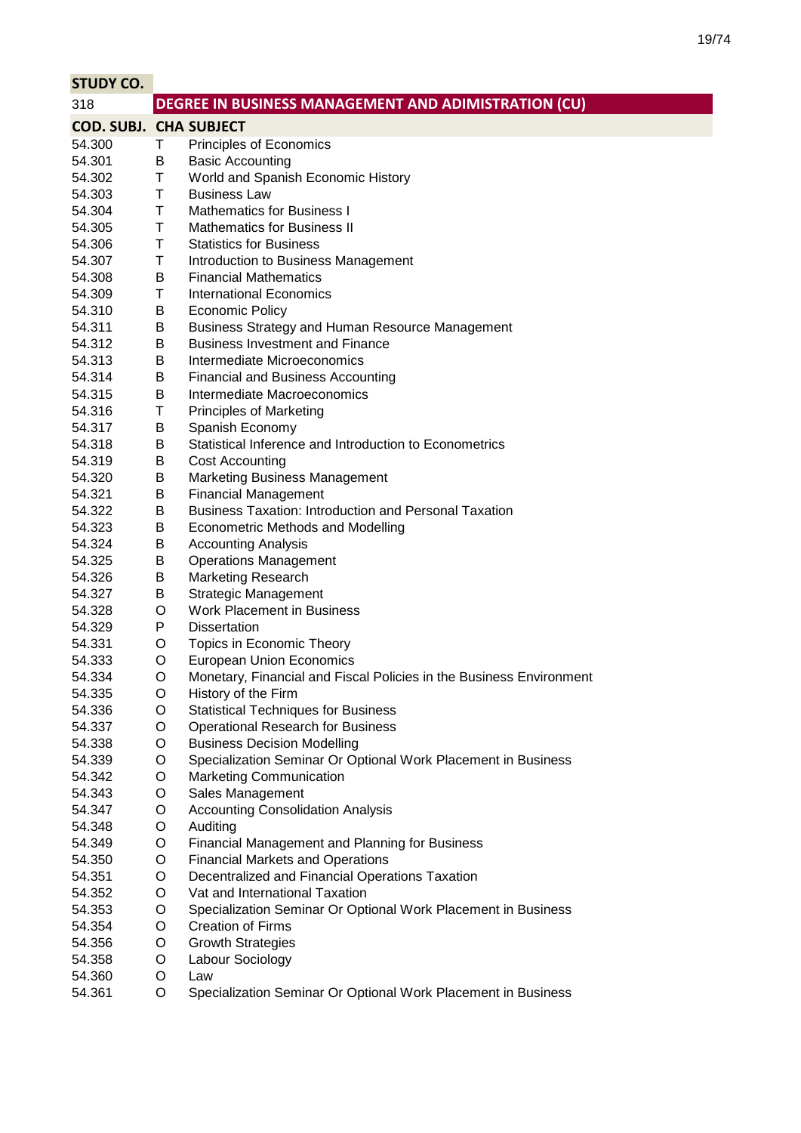| <b>STUDY CO.</b>              |   |                                                                     |
|-------------------------------|---|---------------------------------------------------------------------|
| 318                           |   | DEGREE IN BUSINESS MANAGEMENT AND ADIMISTRATION (CU)                |
| <b>COD. SUBJ. CHA SUBJECT</b> |   |                                                                     |
| 54.300                        | Τ | Principles of Economics                                             |
| 54.301                        | B | <b>Basic Accounting</b>                                             |
| 54.302                        | Τ | World and Spanish Economic History                                  |
| 54.303                        | Τ | <b>Business Law</b>                                                 |
| 54.304                        | т | <b>Mathematics for Business I</b>                                   |
| 54.305                        | Τ | <b>Mathematics for Business II</b>                                  |
| 54.306                        | т | <b>Statistics for Business</b>                                      |
| 54.307                        | Τ | Introduction to Business Management                                 |
| 54.308                        | B | <b>Financial Mathematics</b>                                        |
| 54.309                        | Τ | <b>International Economics</b>                                      |
| 54.310                        | B | <b>Economic Policy</b>                                              |
| 54.311                        | B | Business Strategy and Human Resource Management                     |
| 54.312                        | B | <b>Business Investment and Finance</b>                              |
| 54.313                        | В | Intermediate Microeconomics                                         |
| 54.314                        | В | <b>Financial and Business Accounting</b>                            |
| 54.315                        | B | Intermediate Macroeconomics                                         |
| 54.316                        | Τ | <b>Principles of Marketing</b>                                      |
| 54.317                        | B | Spanish Economy                                                     |
| 54.318                        | B | Statistical Inference and Introduction to Econometrics              |
| 54.319                        | В | Cost Accounting                                                     |
| 54.320                        | B | <b>Marketing Business Management</b>                                |
| 54.321                        | В | <b>Financial Management</b>                                         |
| 54.322                        | B | <b>Business Taxation: Introduction and Personal Taxation</b>        |
| 54.323                        | B | <b>Econometric Methods and Modelling</b>                            |
| 54.324                        | B | <b>Accounting Analysis</b>                                          |
| 54.325                        | В | <b>Operations Management</b>                                        |
| 54.326                        | B | <b>Marketing Research</b>                                           |
| 54.327                        | B | <b>Strategic Management</b>                                         |
| 54.328                        | O | <b>Work Placement in Business</b>                                   |
| 54.329                        | P | <b>Dissertation</b>                                                 |
| 54.331                        | O | Topics in Economic Theory                                           |
| 54.333                        | O | <b>European Union Economics</b>                                     |
| 54.334                        | O | Monetary, Financial and Fiscal Policies in the Business Environment |
| 54.335                        | O | History of the Firm                                                 |
| 54.336                        | O | <b>Statistical Techniques for Business</b>                          |
| 54.337                        | O | <b>Operational Research for Business</b>                            |
| 54.338                        | O | <b>Business Decision Modelling</b>                                  |
| 54.339                        | O | Specialization Seminar Or Optional Work Placement in Business       |
| 54.342                        | O | <b>Marketing Communication</b>                                      |
| 54.343                        | O | Sales Management                                                    |
| 54.347                        | O | <b>Accounting Consolidation Analysis</b>                            |
| 54.348                        | O | Auditing                                                            |
| 54.349                        | O | <b>Financial Management and Planning for Business</b>               |
| 54.350                        | O | <b>Financial Markets and Operations</b>                             |
| 54.351                        | O | Decentralized and Financial Operations Taxation                     |
| 54.352                        | O | Vat and International Taxation                                      |
| 54.353                        | O | Specialization Seminar Or Optional Work Placement in Business       |
| 54.354                        | O | <b>Creation of Firms</b>                                            |
| 54.356                        | O | <b>Growth Strategies</b>                                            |
| 54.358                        | O | Labour Sociology                                                    |
| 54.360                        | O | Law                                                                 |
| 54.361                        | O | Specialization Seminar Or Optional Work Placement in Business       |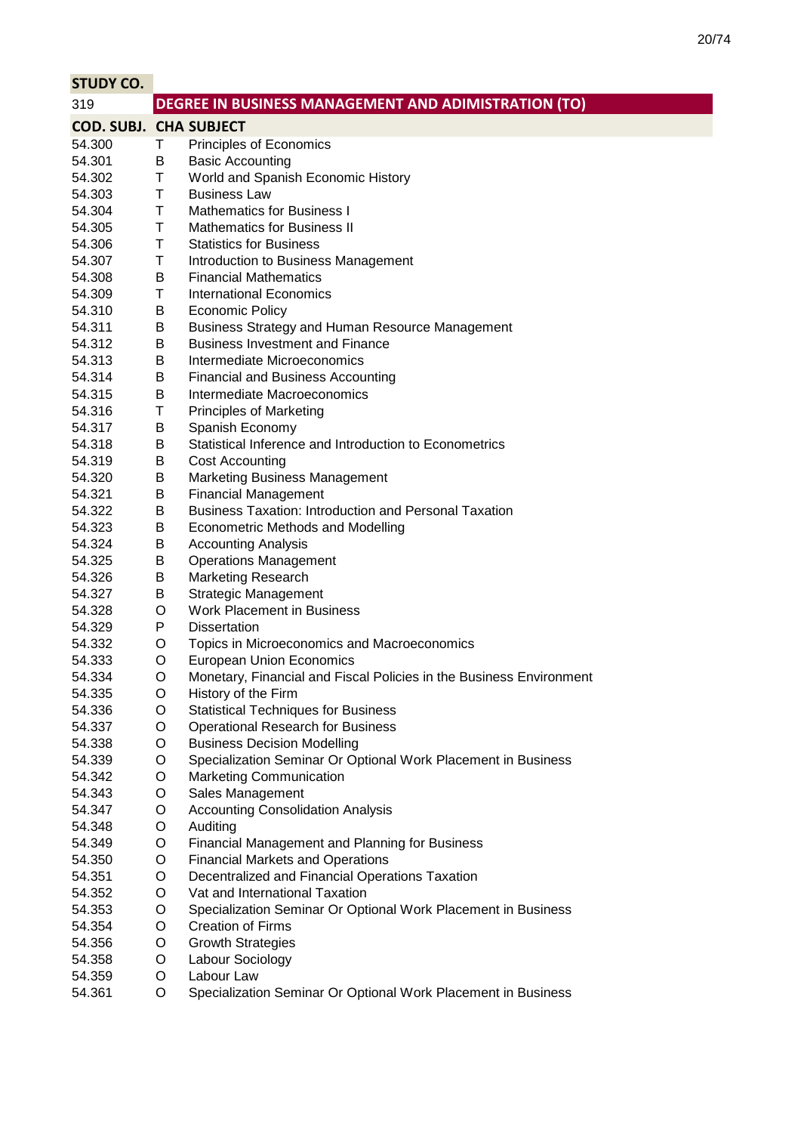| <b>STUDY CO.</b>              |        |                                                                                        |
|-------------------------------|--------|----------------------------------------------------------------------------------------|
| 319                           |        | DEGREE IN BUSINESS MANAGEMENT AND ADIMISTRATION (TO)                                   |
| <b>COD. SUBJ. CHA SUBJECT</b> |        |                                                                                        |
| 54.300                        | Τ      | Principles of Economics                                                                |
| 54.301                        | B      | <b>Basic Accounting</b>                                                                |
| 54.302                        | Τ      | World and Spanish Economic History                                                     |
| 54.303                        | Τ      | <b>Business Law</b>                                                                    |
| 54.304                        | Τ      | <b>Mathematics for Business I</b>                                                      |
| 54.305                        | T      | <b>Mathematics for Business II</b>                                                     |
| 54.306                        | Τ      | <b>Statistics for Business</b>                                                         |
| 54.307                        | Τ      | Introduction to Business Management                                                    |
| 54.308                        | B      | <b>Financial Mathematics</b>                                                           |
| 54.309                        | Τ      | <b>International Economics</b>                                                         |
| 54.310                        | B      | <b>Economic Policy</b>                                                                 |
| 54.311                        | Β      | Business Strategy and Human Resource Management                                        |
| 54.312                        | В      | <b>Business Investment and Finance</b>                                                 |
| 54.313                        | В      | Intermediate Microeconomics                                                            |
| 54.314                        | В      | <b>Financial and Business Accounting</b>                                               |
| 54.315                        | В      | Intermediate Macroeconomics                                                            |
| 54.316                        | Τ      | <b>Principles of Marketing</b>                                                         |
| 54.317                        | В      | Spanish Economy                                                                        |
| 54.318                        | В      | Statistical Inference and Introduction to Econometrics                                 |
| 54.319                        | Β      | <b>Cost Accounting</b>                                                                 |
| 54.320                        | В      | <b>Marketing Business Management</b>                                                   |
| 54.321                        | Β      | <b>Financial Management</b>                                                            |
| 54.322                        | B      | <b>Business Taxation: Introduction and Personal Taxation</b>                           |
| 54.323                        | B      | <b>Econometric Methods and Modelling</b>                                               |
| 54.324                        | В      | <b>Accounting Analysis</b>                                                             |
| 54.325                        | Β      | <b>Operations Management</b>                                                           |
| 54.326                        | Β      | <b>Marketing Research</b>                                                              |
| 54.327                        | B      | <b>Strategic Management</b>                                                            |
| 54.328                        | O      | Work Placement in Business                                                             |
| 54.329                        | P      | <b>Dissertation</b>                                                                    |
| 54.332                        | O      | Topics in Microeconomics and Macroeconomics                                            |
| 54.333                        | O      | <b>European Union Economics</b>                                                        |
| 54.334                        | O      | Monetary, Financial and Fiscal Policies in the Business Environment                    |
| 54.335<br>54.336              | O      | History of the Firm                                                                    |
| 54.337                        | O<br>O | <b>Statistical Techniques for Business</b><br><b>Operational Research for Business</b> |
| 54.338                        | O      | <b>Business Decision Modelling</b>                                                     |
| 54.339                        | O      | Specialization Seminar Or Optional Work Placement in Business                          |
| 54.342                        | O      | <b>Marketing Communication</b>                                                         |
| 54.343                        | O      | Sales Management                                                                       |
| 54.347                        | O      | <b>Accounting Consolidation Analysis</b>                                               |
| 54.348                        | O      | Auditing                                                                               |
| 54.349                        | O      | <b>Financial Management and Planning for Business</b>                                  |
| 54.350                        | O      | <b>Financial Markets and Operations</b>                                                |
| 54.351                        | O      | Decentralized and Financial Operations Taxation                                        |
| 54.352                        | O      | Vat and International Taxation                                                         |
| 54.353                        | O      | Specialization Seminar Or Optional Work Placement in Business                          |
| 54.354                        | O      | <b>Creation of Firms</b>                                                               |
| 54.356                        | O      | <b>Growth Strategies</b>                                                               |
| 54.358                        | O      | Labour Sociology                                                                       |
| 54.359                        | O      | Labour Law                                                                             |
| 54.361                        | O      | Specialization Seminar Or Optional Work Placement in Business                          |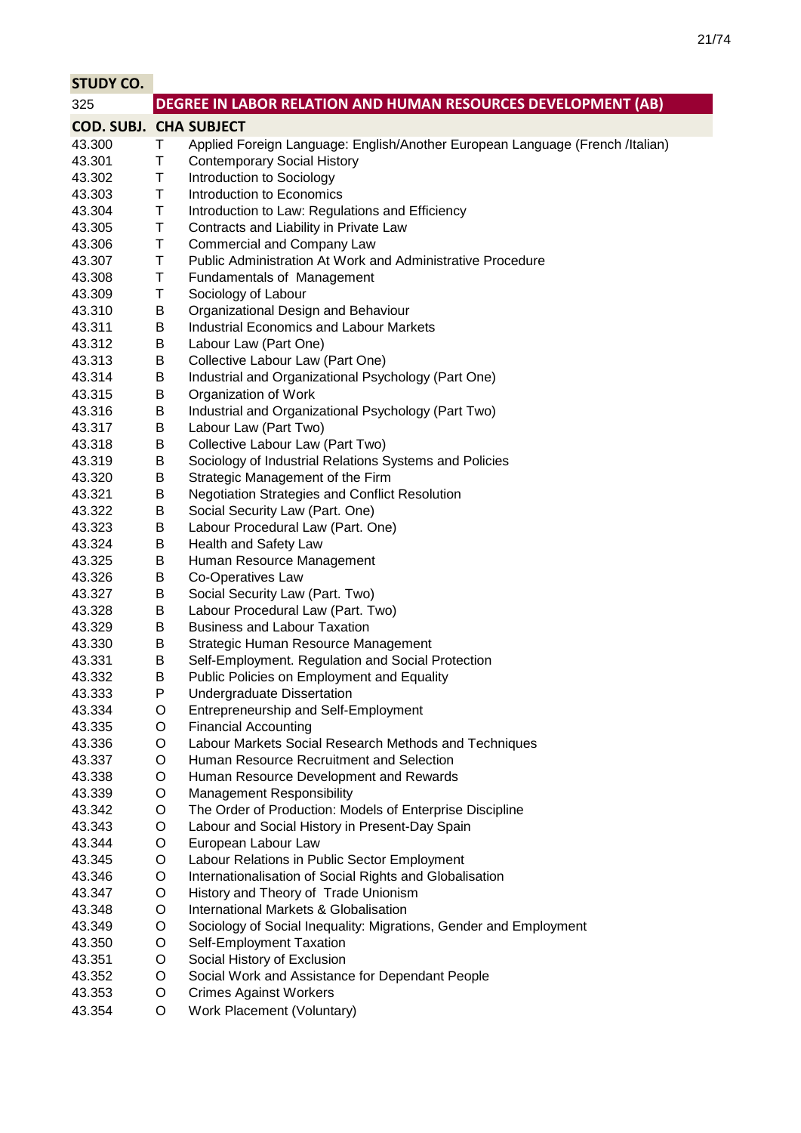| <b>STUDY CO.</b>              |        |                                                                               |
|-------------------------------|--------|-------------------------------------------------------------------------------|
| 325                           |        | DEGREE IN LABOR RELATION AND HUMAN RESOURCES DEVELOPMENT (AB)                 |
| <b>COD. SUBJ. CHA SUBJECT</b> |        |                                                                               |
| 43.300                        | Τ      | Applied Foreign Language: English/Another European Language (French /Italian) |
| 43.301                        | Τ      | <b>Contemporary Social History</b>                                            |
| 43.302                        | T      | Introduction to Sociology                                                     |
| 43.303                        | Τ      | Introduction to Economics                                                     |
| 43.304                        | Т      | Introduction to Law: Regulations and Efficiency                               |
| 43.305                        | Т      | Contracts and Liability in Private Law                                        |
| 43.306                        | Т      | <b>Commercial and Company Law</b>                                             |
| 43.307                        | Τ      | Public Administration At Work and Administrative Procedure                    |
| 43.308                        | Τ      | <b>Fundamentals of Management</b>                                             |
| 43.309                        | Τ      | Sociology of Labour                                                           |
| 43.310                        | B      | Organizational Design and Behaviour                                           |
| 43.311                        | Β      | <b>Industrial Economics and Labour Markets</b>                                |
| 43.312                        | B      | Labour Law (Part One)                                                         |
| 43.313                        | B      | Collective Labour Law (Part One)                                              |
| 43.314                        | В      | Industrial and Organizational Psychology (Part One)                           |
| 43.315                        | Β      | Organization of Work                                                          |
| 43.316                        | B      | Industrial and Organizational Psychology (Part Two)                           |
| 43.317                        | B      | Labour Law (Part Two)                                                         |
| 43.318                        | Β      | Collective Labour Law (Part Two)                                              |
| 43.319                        | Β      | Sociology of Industrial Relations Systems and Policies                        |
| 43.320                        | Β      | Strategic Management of the Firm                                              |
| 43.321                        | B      | <b>Negotiation Strategies and Conflict Resolution</b>                         |
| 43.322                        | В      | Social Security Law (Part. One)                                               |
| 43.323                        | B      | Labour Procedural Law (Part. One)                                             |
| 43.324                        | Β      | Health and Safety Law                                                         |
| 43.325                        | Β      | Human Resource Management                                                     |
| 43.326                        | Β      | Co-Operatives Law                                                             |
| 43.327                        | Β      | Social Security Law (Part. Two)                                               |
| 43.328                        | B      | Labour Procedural Law (Part. Two)                                             |
| 43.329                        | В      | <b>Business and Labour Taxation</b>                                           |
| 43.330                        | B      | Strategic Human Resource Management                                           |
| 43.331                        | В      | Self-Employment. Regulation and Social Protection                             |
| 43.332                        | B      | Public Policies on Employment and Equality                                    |
| 43.333                        | P      | Undergraduate Dissertation                                                    |
| 43.334                        | O      | Entrepreneurship and Self-Employment                                          |
| 43.335                        | O      | <b>Financial Accounting</b>                                                   |
| 43.336                        | O      | Labour Markets Social Research Methods and Techniques                         |
| 43.337                        | O      | Human Resource Recruitment and Selection                                      |
| 43.338                        | O      | Human Resource Development and Rewards                                        |
| 43.339                        | O      | <b>Management Responsibility</b>                                              |
| 43.342<br>43.343              | O<br>O | The Order of Production: Models of Enterprise Discipline                      |
| 43.344                        | O      | Labour and Social History in Present-Day Spain<br>European Labour Law         |
| 43.345                        | O      | Labour Relations in Public Sector Employment                                  |
| 43.346                        | O      | Internationalisation of Social Rights and Globalisation                       |
| 43.347                        | O      | History and Theory of Trade Unionism                                          |
| 43.348                        | O      | International Markets & Globalisation                                         |
| 43.349                        | O      | Sociology of Social Inequality: Migrations, Gender and Employment             |
| 43.350                        | O      | Self-Employment Taxation                                                      |
| 43.351                        | O      | Social History of Exclusion                                                   |
| 43.352                        | O      | Social Work and Assistance for Dependant People                               |
| 43.353                        | O      | <b>Crimes Against Workers</b>                                                 |
| 43.354                        | O      | Work Placement (Voluntary)                                                    |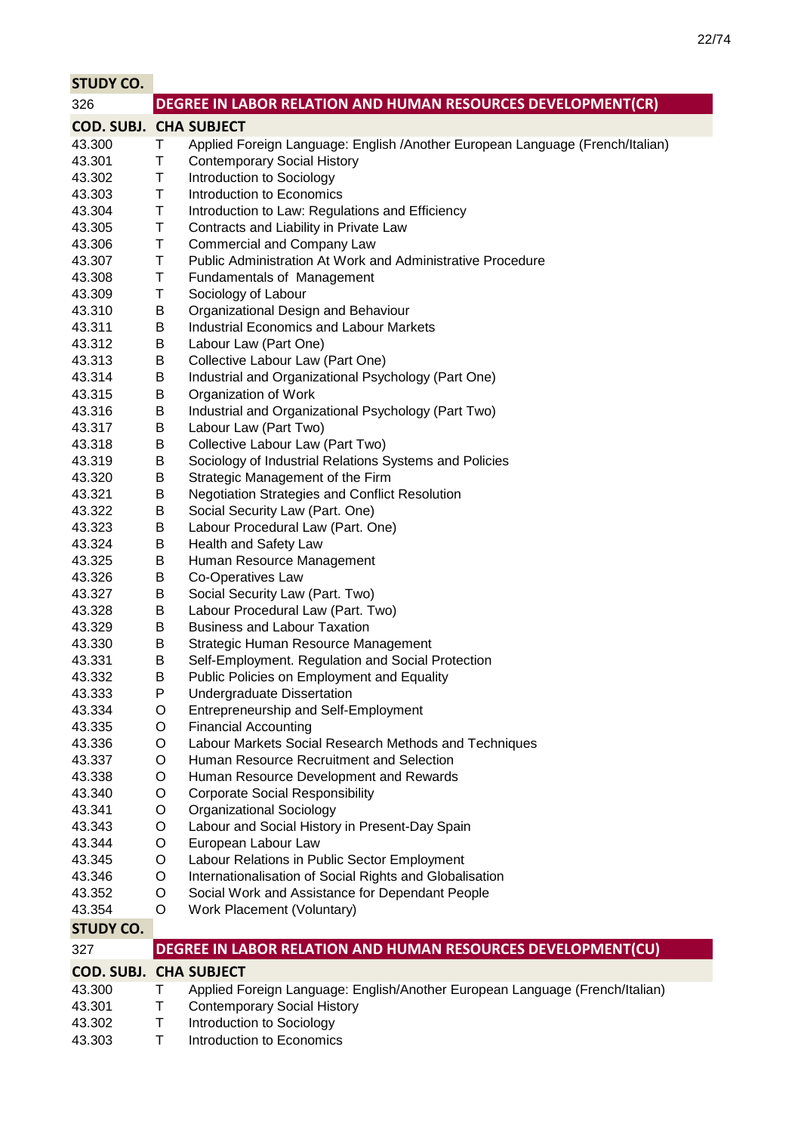| <b>STUDY CO.</b>              |        |                                                                               |
|-------------------------------|--------|-------------------------------------------------------------------------------|
| 326                           |        | DEGREE IN LABOR RELATION AND HUMAN RESOURCES DEVELOPMENT(CR)                  |
| <b>COD. SUBJ. CHA SUBJECT</b> |        |                                                                               |
| 43.300                        | Τ      | Applied Foreign Language: English /Another European Language (French/Italian) |
| 43.301                        | Т      | <b>Contemporary Social History</b>                                            |
| 43.302                        | Τ      | Introduction to Sociology                                                     |
| 43.303                        | Т      | Introduction to Economics                                                     |
| 43.304                        | Τ      | Introduction to Law: Regulations and Efficiency                               |
| 43.305                        | T      | Contracts and Liability in Private Law                                        |
| 43.306                        | Т      | <b>Commercial and Company Law</b>                                             |
| 43.307                        | Τ      | Public Administration At Work and Administrative Procedure                    |
| 43.308                        | Τ      | Fundamentals of Management                                                    |
| 43.309                        | Т      | Sociology of Labour                                                           |
| 43.310                        | B      | Organizational Design and Behaviour                                           |
| 43.311                        | Β      | <b>Industrial Economics and Labour Markets</b>                                |
| 43.312                        | Β      | Labour Law (Part One)                                                         |
| 43.313                        | B      | Collective Labour Law (Part One)                                              |
| 43.314                        | Β      | Industrial and Organizational Psychology (Part One)                           |
| 43.315                        | B      | Organization of Work<br>Industrial and Organizational Psychology (Part Two)   |
| 43.316                        | B      |                                                                               |
| 43.317<br>43.318              | Β<br>Β | Labour Law (Part Two)<br>Collective Labour Law (Part Two)                     |
| 43.319                        | В      | Sociology of Industrial Relations Systems and Policies                        |
| 43.320                        | В      | Strategic Management of the Firm                                              |
| 43.321                        | Β      | <b>Negotiation Strategies and Conflict Resolution</b>                         |
| 43.322                        | В      | Social Security Law (Part. One)                                               |
| 43.323                        | В      | Labour Procedural Law (Part. One)                                             |
| 43.324                        | B      | Health and Safety Law                                                         |
| 43.325                        | B      | Human Resource Management                                                     |
| 43.326                        | Β      | Co-Operatives Law                                                             |
| 43.327                        | В      | Social Security Law (Part. Two)                                               |
| 43.328                        | В      | Labour Procedural Law (Part. Two)                                             |
| 43.329                        | В      | <b>Business and Labour Taxation</b>                                           |
| 43.330                        | В      | Strategic Human Resource Management                                           |
| 43.331                        | B      | Self-Employment. Regulation and Social Protection                             |
| 43.332                        | B      | Public Policies on Employment and Equality                                    |
| 43.333                        | P      | Undergraduate Dissertation                                                    |
| 43.334                        | O      | Entrepreneurship and Self-Employment                                          |
| 43.335                        | O      | <b>Financial Accounting</b>                                                   |
| 43.336                        | O      | Labour Markets Social Research Methods and Techniques                         |
| 43.337                        | O      | Human Resource Recruitment and Selection                                      |
| 43.338                        | O      | Human Resource Development and Rewards                                        |
| 43.340                        | O      | <b>Corporate Social Responsibility</b>                                        |
| 43.341                        | O      | <b>Organizational Sociology</b>                                               |
| 43.343                        | O      | Labour and Social History in Present-Day Spain                                |
| 43.344                        | O      | European Labour Law                                                           |
| 43.345                        | O      | Labour Relations in Public Sector Employment                                  |
| 43.346                        | O      | Internationalisation of Social Rights and Globalisation                       |
| 43.352                        | O      | Social Work and Assistance for Dependant People                               |
| 43.354                        | O      | Work Placement (Voluntary)                                                    |
| <b>STUDY CO.</b>              |        |                                                                               |
| 327                           |        | DEGREE IN LABOR RELATION AND HUMAN RESOURCES DEVELOPMENT(CU)                  |
| <b>COD. SUBJ. CHA SUBJECT</b> |        |                                                                               |
| 43.300                        | Τ      | Applied Foreign Language: English/Another European Language (French/Italian)  |
| 43.301                        | Т      | <b>Contemporary Social History</b>                                            |
| 43.302                        | Τ      | Introduction to Sociology                                                     |

43.303 T Introduction to Economics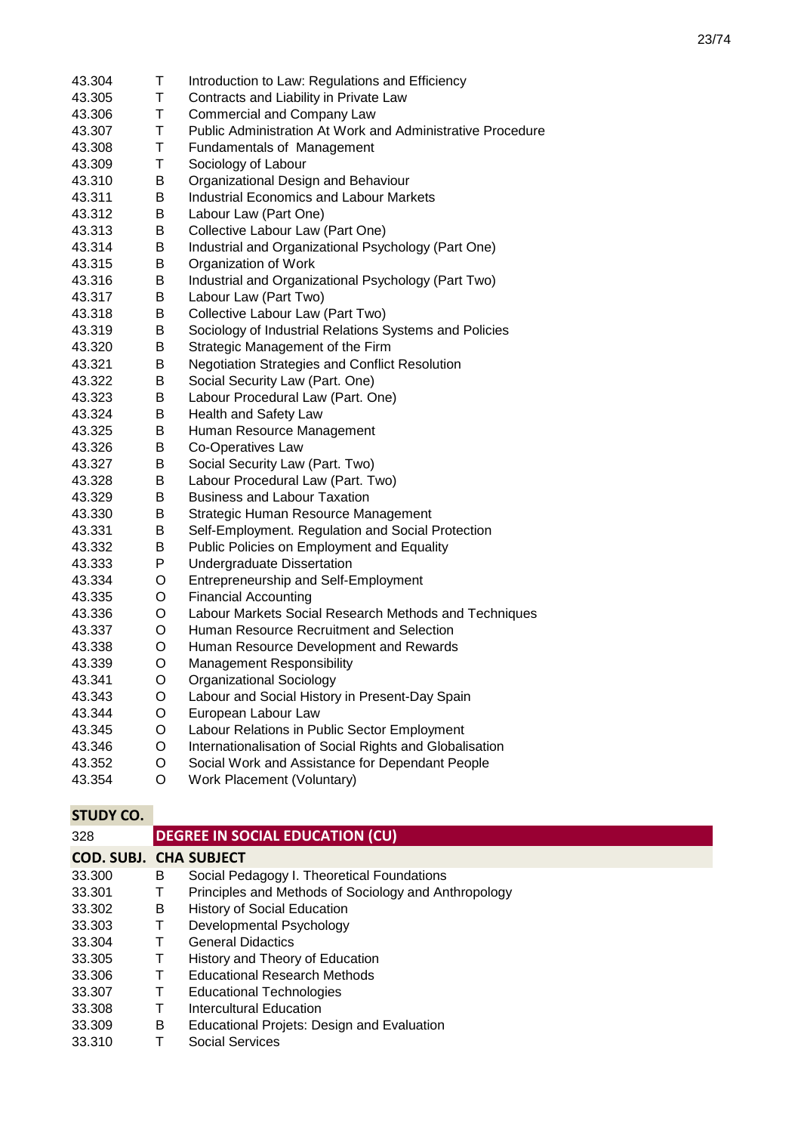| 43.304 | T. | Introduction to Law: Regulations and Efficiency                   |
|--------|----|-------------------------------------------------------------------|
| 43.305 | T  | Contracts and Liability in Private Law                            |
| 43.306 | T  | <b>Commercial and Company Law</b>                                 |
| 43.307 | T  | <b>Public Administration At Work and Administrative Procedure</b> |
| 43.308 | T  | <b>Fundamentals of Management</b>                                 |
| 43.309 | T  | Sociology of Labour                                               |
| 43.310 | B  | Organizational Design and Behaviour                               |
| 43.311 | Β  | <b>Industrial Economics and Labour Markets</b>                    |
| 43.312 | Β  | Labour Law (Part One)                                             |
| 43.313 | B  | Collective Labour Law (Part One)                                  |
| 43.314 | B  | Industrial and Organizational Psychology (Part One)               |
| 43.315 | В  | Organization of Work                                              |
| 43.316 | Β  | Industrial and Organizational Psychology (Part Two)               |
| 43.317 | B  | Labour Law (Part Two)                                             |
| 43.318 | B  | Collective Labour Law (Part Two)                                  |
| 43.319 | B  | Sociology of Industrial Relations Systems and Policies            |
| 43.320 | B  | Strategic Management of the Firm                                  |
| 43.321 | B  | <b>Negotiation Strategies and Conflict Resolution</b>             |
| 43.322 | B  | Social Security Law (Part. One)                                   |
| 43.323 | B  | Labour Procedural Law (Part. One)                                 |
| 43.324 | B  | Health and Safety Law                                             |
| 43.325 | В  | Human Resource Management                                         |
| 43.326 | В  | Co-Operatives Law                                                 |
| 43.327 | B  | Social Security Law (Part. Two)                                   |
| 43.328 | B  | Labour Procedural Law (Part. Two)                                 |
| 43.329 | В  | <b>Business and Labour Taxation</b>                               |
| 43.330 | В  | Strategic Human Resource Management                               |
| 43.331 | В  | Self-Employment. Regulation and Social Protection                 |
| 43.332 | B  | Public Policies on Employment and Equality                        |
| 43.333 | P  | Undergraduate Dissertation                                        |
| 43.334 | O  | Entrepreneurship and Self-Employment                              |
| 43.335 | O  | <b>Financial Accounting</b>                                       |
| 43.336 | O  | Labour Markets Social Research Methods and Techniques             |
| 43.337 | O  | Human Resource Recruitment and Selection                          |
| 43.338 | O  | Human Resource Development and Rewards                            |
| 43.339 | O  | <b>Management Responsibility</b>                                  |
| 43.341 | O  | <b>Organizational Sociology</b>                                   |
| 43.343 | O  | Labour and Social History in Present-Day Spain                    |
| 43.344 | O  | European Labour Law                                               |
| 43.345 | O  | Labour Relations in Public Sector Employment                      |
| 43.346 | O  | Internationalisation of Social Rights and Globalisation           |
| 43.352 | O  | Social Work and Assistance for Dependant People                   |
| 43.354 | O  | Work Placement (Voluntary)                                        |
|        |    |                                                                   |

| 328                           |   | <b>DEGREE IN SOCIAL EDUCATION (CU)</b>               |
|-------------------------------|---|------------------------------------------------------|
| <b>COD. SUBJ. CHA SUBJECT</b> |   |                                                      |
| 33,300                        | B | Social Pedagogy I. Theoretical Foundations           |
| 33.301                        | Т | Principles and Methods of Sociology and Anthropology |
| 33.302                        | B | <b>History of Social Education</b>                   |
| 33.303                        | Τ | Developmental Psychology                             |
| 33.304                        | Т | <b>General Didactics</b>                             |
| 33.305                        | Т | History and Theory of Education                      |
| 33.306                        | Т | Educational Research Methods                         |
| 33.307                        | т | Educational Technologies                             |
| 33.308                        | Т | Intercultural Education                              |
| 33.309                        | B | <b>Educational Projets: Design and Evaluation</b>    |
| 33.310                        |   | Social Services                                      |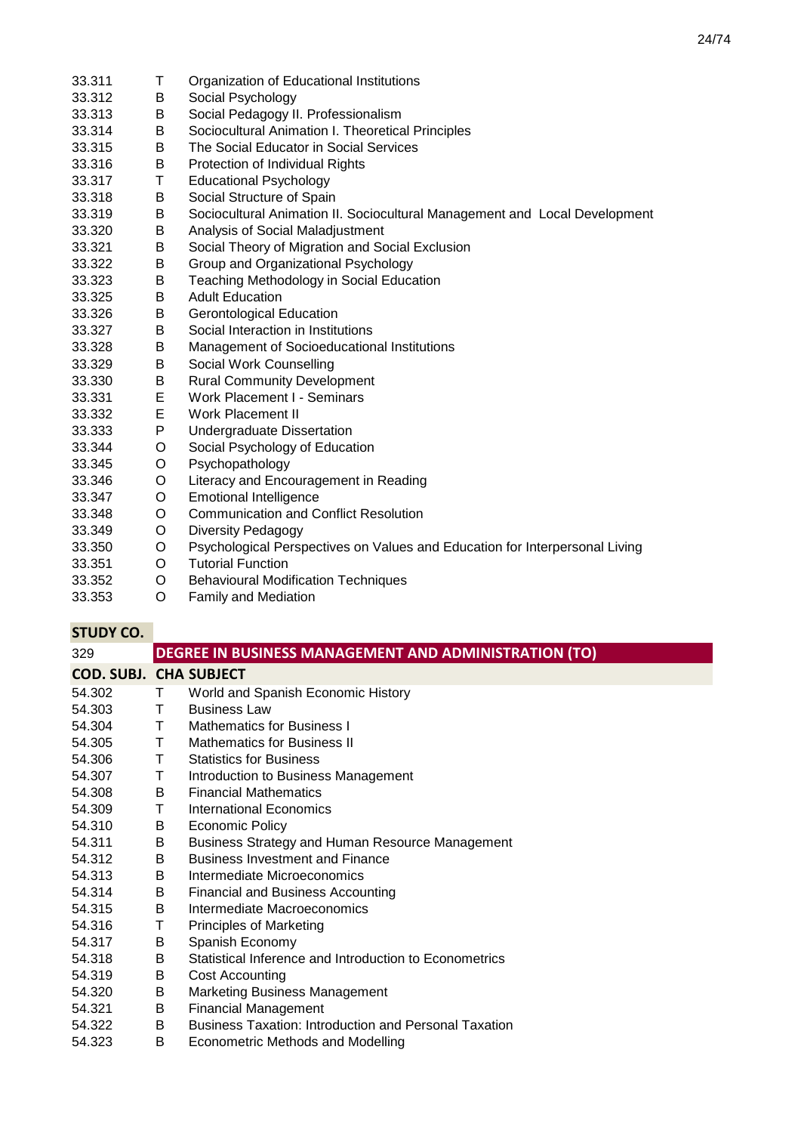33.311 T Organization of Educational Institutions<br>33.312 B Social Psychology 33.312 B Social Psychology<br>33.313 B Social Pedagogy II 33.313 B Social Pedagogy II. Professionalism<br>33.314 B Sociocultural Animation L Theoretics 33.314 B Sociocultural Animation I. Theoretical Principles 33.315 B The Social Educator in Social Services 33.316 B Protection of Individual Rights 33.317 T Educational Psychology 33.318 B Social Structure of Spain 33.319 B Sociocultural Animation II. Sociocultural Management and Local Development 33.320 B Analysis of Social Maladjustment 33.321 B Social Theory of Migration and Social Exclusion 33.322 B Group and Organizational Psychology 33.323 B Teaching Methodology in Social Education 33.325 B Adult Education 33.326 B Gerontological Education<br>33.327 B Social Interaction in Institu Social Interaction in Institutions 33.328 B Management of Socioeducational Institutions<br>33.329 B Social Work Counselling 33.329 B Social Work Counselling 33.330 B Rural Community Development 33.331 E Work Placement I - Seminars 33.332 E Work Placement II<br>33.333 P Undergraduate Dis 33.333 P Undergraduate Dissertation 33.344 O Social Psychology of Education 33.345 O Psychopathology 33.346 O Literacy and Encouragement in Reading<br>33.347 O Emotional Intelligence 33.347 O Emotional Intelligence 33.348 O Communication and Conflict Resolution 33.349 O Diversity Pedagogy 33.350 O Psychological Perspectives on Values and Education for Interpersonal Living 33.351 O Tutorial Function 33.352 O Behavioural Modification Techniques 33.353 O Family and Mediation

| 329                           |    | DEGREE IN BUSINESS MANAGEMENT AND ADMINISTRATION (TO)        |
|-------------------------------|----|--------------------------------------------------------------|
| <b>COD. SUBJ. CHA SUBJECT</b> |    |                                                              |
| 54.302                        | T. | World and Spanish Economic History                           |
| 54.303                        | T. | <b>Business Law</b>                                          |
| 54.304                        | T. | <b>Mathematics for Business I</b>                            |
| 54.305                        | T  | <b>Mathematics for Business II</b>                           |
| 54.306                        | T. | <b>Statistics for Business</b>                               |
| 54.307                        | Τ  | Introduction to Business Management                          |
| 54.308                        | B  | <b>Financial Mathematics</b>                                 |
| 54.309                        | Τ  | International Economics                                      |
| 54.310                        | B  | <b>Economic Policy</b>                                       |
| 54.311                        | B  | Business Strategy and Human Resource Management              |
| 54.312                        | B  | <b>Business Investment and Finance</b>                       |
| 54.313                        | B  | Intermediate Microeconomics                                  |
| 54.314                        | B  | <b>Financial and Business Accounting</b>                     |
| 54.315                        | B  | Intermediate Macroeconomics                                  |
| 54.316                        | Τ  | <b>Principles of Marketing</b>                               |
| 54.317                        | B  | Spanish Economy                                              |
| 54.318                        | B  | Statistical Inference and Introduction to Econometrics       |
| 54.319                        | B  | <b>Cost Accounting</b>                                       |
| 54.320                        | B  | <b>Marketing Business Management</b>                         |
| 54.321                        | B  | <b>Financial Management</b>                                  |
| 54.322                        | B  | <b>Business Taxation: Introduction and Personal Taxation</b> |
| 54.323                        | B  | Econometric Methods and Modelling                            |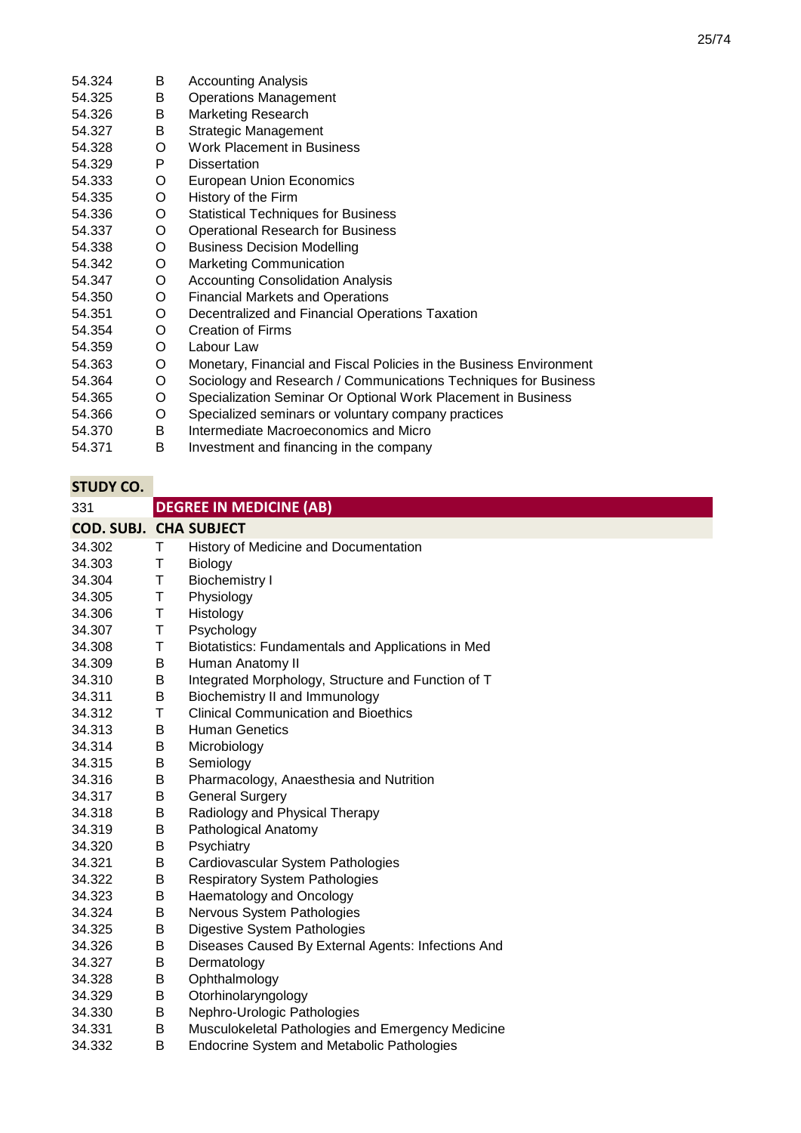| 54.324 | B. | <b>Accounting Analysis</b>                                          |
|--------|----|---------------------------------------------------------------------|
| 54.325 | B  | <b>Operations Management</b>                                        |
| 54.326 | B  | <b>Marketing Research</b>                                           |
| 54.327 | B  | Strategic Management                                                |
| 54.328 | O  | <b>Work Placement in Business</b>                                   |
| 54.329 | P  | <b>Dissertation</b>                                                 |
| 54.333 | O  | European Union Economics                                            |
| 54.335 | O  | History of the Firm                                                 |
| 54.336 | O  | <b>Statistical Techniques for Business</b>                          |
| 54.337 | O  | <b>Operational Research for Business</b>                            |
| 54.338 | O  | <b>Business Decision Modelling</b>                                  |
| 54.342 | O  | <b>Marketing Communication</b>                                      |
| 54.347 | O  | <b>Accounting Consolidation Analysis</b>                            |
| 54.350 | O  | <b>Financial Markets and Operations</b>                             |
| 54.351 | O  | Decentralized and Financial Operations Taxation                     |
| 54.354 | O  | <b>Creation of Firms</b>                                            |
| 54.359 | O  | Labour Law                                                          |
| 54.363 | O  | Monetary, Financial and Fiscal Policies in the Business Environment |
| 54.364 | O  | Sociology and Research / Communications Techniques for Business     |
| 54.365 | O  | Specialization Seminar Or Optional Work Placement in Business       |
| 54.366 | O  | Specialized seminars or voluntary company practices                 |
| 54.370 | B  | Intermediate Macroeconomics and Micro                               |
| 54.371 | B  | Investment and financing in the company                             |
|        |    |                                                                     |

| 331                           |   | <b>DEGREE IN MEDICINE (AB)</b>                     |
|-------------------------------|---|----------------------------------------------------|
| <b>COD. SUBJ. CHA SUBJECT</b> |   |                                                    |
| 34.302                        | Τ | History of Medicine and Documentation              |
| 34.303                        | Τ | Biology                                            |
| 34.304                        | T | <b>Biochemistry I</b>                              |
| 34.305                        | Τ | Physiology                                         |
| 34.306                        | Τ | Histology                                          |
| 34.307                        | Т | Psychology                                         |
| 34.308                        | Т | Biotatistics: Fundamentals and Applications in Med |
| 34.309                        | B | Human Anatomy II                                   |
| 34.310                        | Β | Integrated Morphology, Structure and Function of T |
| 34.311                        | B | Biochemistry II and Immunology                     |
| 34.312                        | T | <b>Clinical Communication and Bioethics</b>        |
| 34.313                        | B | <b>Human Genetics</b>                              |
| 34.314                        | B | Microbiology                                       |
| 34.315                        | B | Semiology                                          |
| 34.316                        | B | Pharmacology, Anaesthesia and Nutrition            |
| 34.317                        | В | <b>General Surgery</b>                             |
| 34.318                        | В | Radiology and Physical Therapy                     |
| 34.319                        | В | Pathological Anatomy                               |
| 34.320                        | B | Psychiatry                                         |
| 34.321                        | Β | Cardiovascular System Pathologies                  |
| 34.322                        | В | <b>Respiratory System Pathologies</b>              |
| 34.323                        | В | Haematology and Oncology                           |
| 34.324                        | B | Nervous System Pathologies                         |
| 34.325                        | B | Digestive System Pathologies                       |
| 34.326                        | B | Diseases Caused By External Agents: Infections And |
| 34.327                        | B | Dermatology                                        |
| 34.328                        | B | Ophthalmology                                      |
| 34.329                        | В | Otorhinolaryngology                                |
| 34.330                        | В | Nephro-Urologic Pathologies                        |
| 34.331                        | В | Musculokeletal Pathologies and Emergency Medicine  |
| 34.332                        | B | <b>Endocrine System and Metabolic Pathologies</b>  |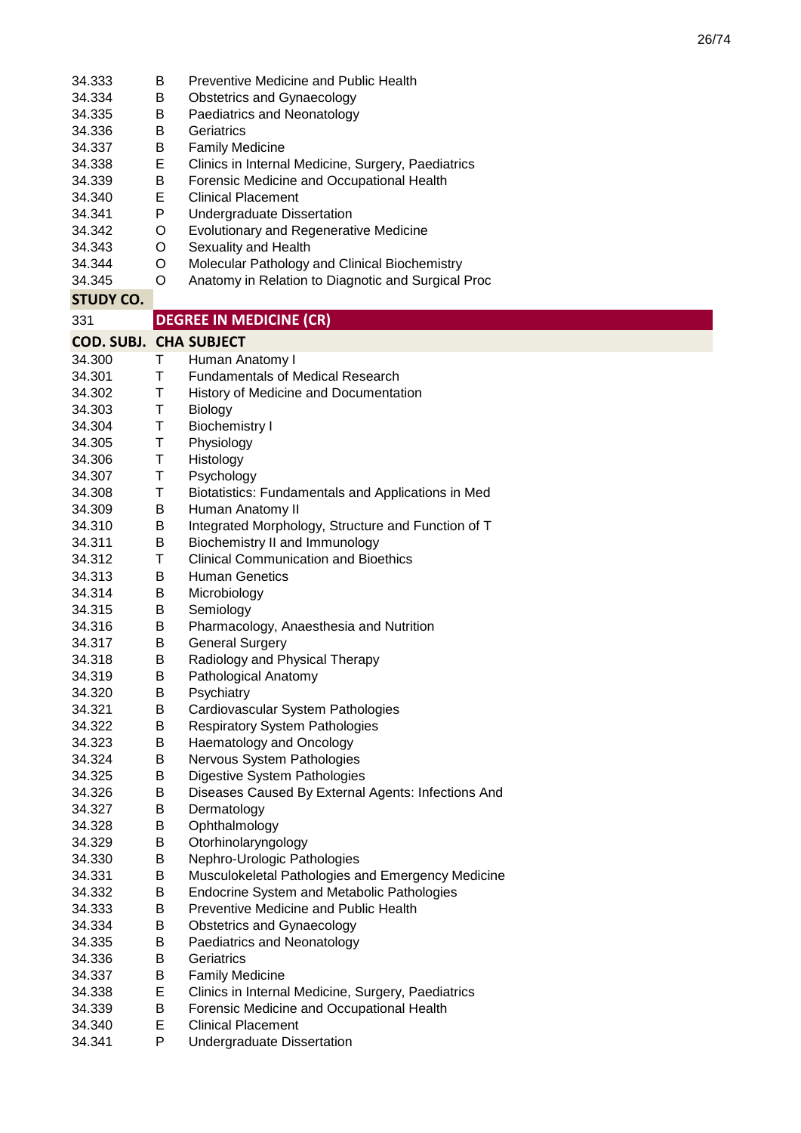| 34.333<br>34.334<br>34.335<br>34.336<br>34.337<br>34.338<br>34.339<br>34.340<br>34.341<br>34.342<br>34.343<br>34.344<br>34.345 | B<br>B<br>B<br>В<br>Β<br>E<br>В<br>Е<br>P<br>O<br>O<br>O<br>O | <b>Preventive Medicine and Public Health</b><br><b>Obstetrics and Gynaecology</b><br>Paediatrics and Neonatology<br>Geriatrics<br><b>Family Medicine</b><br>Clinics in Internal Medicine, Surgery, Paediatrics<br>Forensic Medicine and Occupational Health<br><b>Clinical Placement</b><br>Undergraduate Dissertation<br><b>Evolutionary and Regenerative Medicine</b><br>Sexuality and Health<br>Molecular Pathology and Clinical Biochemistry<br>Anatomy in Relation to Diagnotic and Surgical Proc |
|--------------------------------------------------------------------------------------------------------------------------------|---------------------------------------------------------------|--------------------------------------------------------------------------------------------------------------------------------------------------------------------------------------------------------------------------------------------------------------------------------------------------------------------------------------------------------------------------------------------------------------------------------------------------------------------------------------------------------|
| <b>STUDY CO.</b>                                                                                                               |                                                               |                                                                                                                                                                                                                                                                                                                                                                                                                                                                                                        |
| 331                                                                                                                            |                                                               | <b>DEGREE IN MEDICINE (CR)</b>                                                                                                                                                                                                                                                                                                                                                                                                                                                                         |
| <b>COD. SUBJ. CHA SUBJECT</b>                                                                                                  |                                                               |                                                                                                                                                                                                                                                                                                                                                                                                                                                                                                        |
| 34.300                                                                                                                         | Τ                                                             | Human Anatomy I                                                                                                                                                                                                                                                                                                                                                                                                                                                                                        |
| 34.301                                                                                                                         | Τ                                                             | Fundamentals of Medical Research                                                                                                                                                                                                                                                                                                                                                                                                                                                                       |
| 34.302                                                                                                                         | Τ                                                             | History of Medicine and Documentation                                                                                                                                                                                                                                                                                                                                                                                                                                                                  |
| 34.303                                                                                                                         | Τ                                                             | Biology                                                                                                                                                                                                                                                                                                                                                                                                                                                                                                |
| 34.304                                                                                                                         | Τ                                                             | <b>Biochemistry I</b>                                                                                                                                                                                                                                                                                                                                                                                                                                                                                  |
| 34.305                                                                                                                         | Τ                                                             | Physiology                                                                                                                                                                                                                                                                                                                                                                                                                                                                                             |
| 34.306                                                                                                                         | Τ                                                             | Histology                                                                                                                                                                                                                                                                                                                                                                                                                                                                                              |
| 34.307                                                                                                                         | Τ                                                             | Psychology                                                                                                                                                                                                                                                                                                                                                                                                                                                                                             |
| 34.308                                                                                                                         | Τ                                                             | Biotatistics: Fundamentals and Applications in Med                                                                                                                                                                                                                                                                                                                                                                                                                                                     |
| 34.309                                                                                                                         | B                                                             | Human Anatomy II                                                                                                                                                                                                                                                                                                                                                                                                                                                                                       |
| 34.310                                                                                                                         | Β                                                             | Integrated Morphology, Structure and Function of T                                                                                                                                                                                                                                                                                                                                                                                                                                                     |
| 34.311                                                                                                                         | Β                                                             | Biochemistry II and Immunology                                                                                                                                                                                                                                                                                                                                                                                                                                                                         |
| 34.312                                                                                                                         | Τ                                                             | <b>Clinical Communication and Bioethics</b>                                                                                                                                                                                                                                                                                                                                                                                                                                                            |
| 34.313                                                                                                                         | B                                                             | <b>Human Genetics</b>                                                                                                                                                                                                                                                                                                                                                                                                                                                                                  |
| 34.314                                                                                                                         | Β                                                             | Microbiology                                                                                                                                                                                                                                                                                                                                                                                                                                                                                           |
| 34.315                                                                                                                         | В                                                             | Semiology                                                                                                                                                                                                                                                                                                                                                                                                                                                                                              |
| 34.316                                                                                                                         | В                                                             | Pharmacology, Anaesthesia and Nutrition                                                                                                                                                                                                                                                                                                                                                                                                                                                                |
| 34.317                                                                                                                         | B                                                             | <b>General Surgery</b>                                                                                                                                                                                                                                                                                                                                                                                                                                                                                 |
| 34.318                                                                                                                         | В                                                             | Radiology and Physical Therapy                                                                                                                                                                                                                                                                                                                                                                                                                                                                         |
| 34.319                                                                                                                         | B                                                             | Pathological Anatomy                                                                                                                                                                                                                                                                                                                                                                                                                                                                                   |
| 34.320                                                                                                                         | В                                                             | Psychiatry                                                                                                                                                                                                                                                                                                                                                                                                                                                                                             |
| 34.321                                                                                                                         | В                                                             | Cardiovascular System Pathologies                                                                                                                                                                                                                                                                                                                                                                                                                                                                      |
| 34.322                                                                                                                         | В                                                             | <b>Respiratory System Pathologies</b>                                                                                                                                                                                                                                                                                                                                                                                                                                                                  |
| 34.323<br>34.324                                                                                                               | В                                                             | Haematology and Oncology                                                                                                                                                                                                                                                                                                                                                                                                                                                                               |
| 34.325                                                                                                                         | В                                                             | Nervous System Pathologies                                                                                                                                                                                                                                                                                                                                                                                                                                                                             |
| 34.326                                                                                                                         | В<br>В                                                        | Digestive System Pathologies<br>Diseases Caused By External Agents: Infections And                                                                                                                                                                                                                                                                                                                                                                                                                     |
| 34.327                                                                                                                         | В                                                             | Dermatology                                                                                                                                                                                                                                                                                                                                                                                                                                                                                            |
| 34.328                                                                                                                         | Β                                                             | Ophthalmology                                                                                                                                                                                                                                                                                                                                                                                                                                                                                          |
| 34.329                                                                                                                         | Β                                                             | Otorhinolaryngology                                                                                                                                                                                                                                                                                                                                                                                                                                                                                    |
| 34.330                                                                                                                         | В                                                             | Nephro-Urologic Pathologies                                                                                                                                                                                                                                                                                                                                                                                                                                                                            |
| 34.331                                                                                                                         | В                                                             | Musculokeletal Pathologies and Emergency Medicine                                                                                                                                                                                                                                                                                                                                                                                                                                                      |
| 34.332                                                                                                                         | Β                                                             | Endocrine System and Metabolic Pathologies                                                                                                                                                                                                                                                                                                                                                                                                                                                             |
| 34.333                                                                                                                         | B                                                             | Preventive Medicine and Public Health                                                                                                                                                                                                                                                                                                                                                                                                                                                                  |
| 34.334                                                                                                                         | В                                                             | Obstetrics and Gynaecology                                                                                                                                                                                                                                                                                                                                                                                                                                                                             |
| 34.335                                                                                                                         | В                                                             | Paediatrics and Neonatology                                                                                                                                                                                                                                                                                                                                                                                                                                                                            |
| 34.336                                                                                                                         | В                                                             | Geriatrics                                                                                                                                                                                                                                                                                                                                                                                                                                                                                             |
| 34.337                                                                                                                         | В                                                             | <b>Family Medicine</b>                                                                                                                                                                                                                                                                                                                                                                                                                                                                                 |
| 34.338                                                                                                                         | Е                                                             | Clinics in Internal Medicine, Surgery, Paediatrics                                                                                                                                                                                                                                                                                                                                                                                                                                                     |
| 34.339                                                                                                                         | В                                                             | Forensic Medicine and Occupational Health                                                                                                                                                                                                                                                                                                                                                                                                                                                              |
| 34.340                                                                                                                         | E                                                             | <b>Clinical Placement</b>                                                                                                                                                                                                                                                                                                                                                                                                                                                                              |
| 34.341                                                                                                                         | P                                                             | <b>Undergraduate Dissertation</b>                                                                                                                                                                                                                                                                                                                                                                                                                                                                      |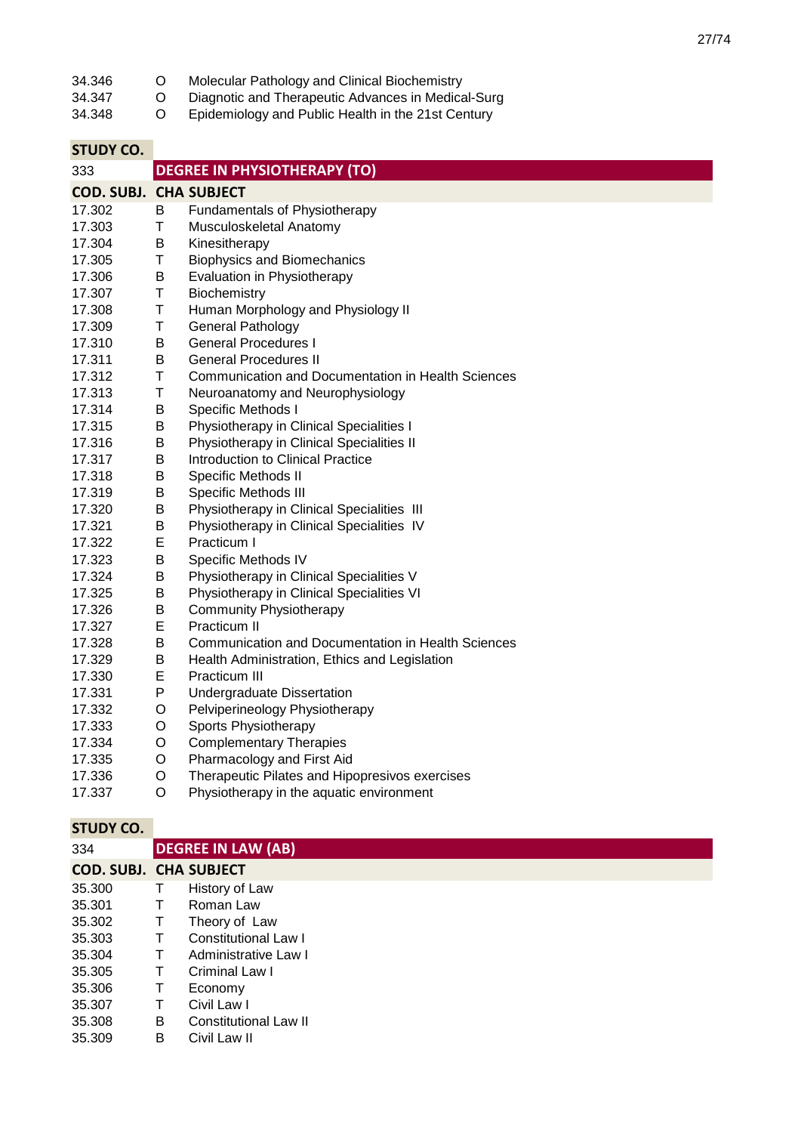٠

| 34.346                        | O | Molecular Pathology and Clinical Biochemistry             |
|-------------------------------|---|-----------------------------------------------------------|
| 34.347                        | O | Diagnotic and Therapeutic Advances in Medical-Surg        |
| 34.348                        | O | Epidemiology and Public Health in the 21st Century        |
| <b>STUDY CO.</b>              |   |                                                           |
| 333                           |   | <b>DEGREE IN PHYSIOTHERAPY (TO)</b>                       |
| <b>COD. SUBJ. CHA SUBJECT</b> |   |                                                           |
| 17.302                        | B | Fundamentals of Physiotherapy                             |
| 17.303                        | Τ | Musculoskeletal Anatomy                                   |
| 17.304                        | B | Kinesitherapy                                             |
| 17.305                        | Τ | <b>Biophysics and Biomechanics</b>                        |
| 17.306                        | B | Evaluation in Physiotherapy                               |
| 17.307                        | Τ | Biochemistry                                              |
| 17.308                        | Τ | Human Morphology and Physiology II                        |
| 17.309                        | Τ | General Pathology                                         |
| 17.310                        | В | <b>General Procedures I</b>                               |
| 17.311                        | Β | <b>General Procedures II</b>                              |
| 17.312                        | Τ | <b>Communication and Documentation in Health Sciences</b> |
| 17.313                        | Τ | Neuroanatomy and Neurophysiology                          |
| 17.314                        | В | Specific Methods I                                        |
| 17.315                        | Β | Physiotherapy in Clinical Specialities I                  |
| 17.316                        | Β | Physiotherapy in Clinical Specialities II                 |
| 17.317                        | B | Introduction to Clinical Practice                         |
| 17.318                        | В | Specific Methods II                                       |
| 17.319                        | Β | Specific Methods III                                      |
| 17.320                        | В | Physiotherapy in Clinical Specialities III                |
| 17.321                        | В | Physiotherapy in Clinical Specialities IV                 |
| 17.322                        | Е | Practicum I                                               |
| 17.323                        | Β | Specific Methods IV                                       |
| 17.324                        | Β | Physiotherapy in Clinical Specialities V                  |
| 17.325                        | В | Physiotherapy in Clinical Specialities VI                 |
| 17.326                        | В | <b>Community Physiotherapy</b>                            |
| 17.327                        | Е | Practicum II                                              |
| 17.328                        | В | <b>Communication and Documentation in Health Sciences</b> |
| 17.329                        | Β | Health Administration, Ethics and Legislation             |
| 17.330                        | E | Practicum III                                             |
| 17.331                        | P | Undergraduate Dissertation                                |
| 17.332                        | O | Pelviperineology Physiotherapy                            |
| 17.333                        | O | Sports Physiotherapy                                      |
| 17.334                        | O | <b>Complementary Therapies</b>                            |
| 17.335                        | O | Pharmacology and First Aid                                |
| 17.336                        | O | Therapeutic Pilates and Hipopresivos exercises            |
| 17.337                        | O | Physiotherapy in the aquatic environment                  |

| 334                           |        | <b>DEGREE IN LAW (AB)</b>   |
|-------------------------------|--------|-----------------------------|
| <b>COD. SUBJ. CHA SUBJECT</b> |        |                             |
| 35.300                        | Τ      | History of Law              |
| 35.301                        | Т      | Roman Law                   |
| 35.302                        | $\top$ | Theory of Law               |
| 35.303                        | Τ      | <b>Constitutional Law I</b> |
| 35.304                        | Τ      | Administrative Law I        |
| 35.305                        | Τ      | Criminal Law I              |
| 35.306                        | Τ      | Economy                     |
| 35.307                        | Т      | Civil Law I                 |
| 35.308                        | B      | Constitutional Law II       |
| 35.309                        | B      | Civil Law II                |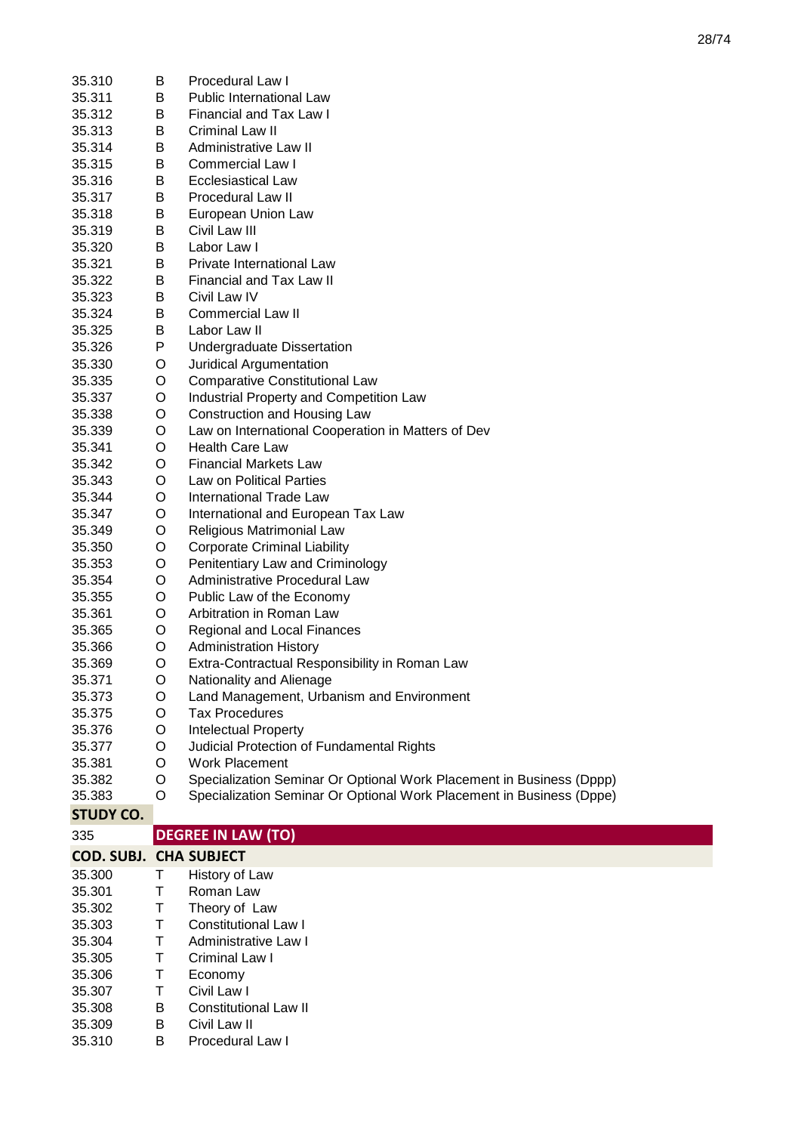| 35.310                        | В      | Procedural Law I                                                     |
|-------------------------------|--------|----------------------------------------------------------------------|
| 35.311                        | B      | <b>Public International Law</b>                                      |
| 35.312                        | B      | Financial and Tax Law I                                              |
| 35.313                        | В      | Criminal Law II                                                      |
| 35.314                        | В      | Administrative Law II                                                |
| 35.315                        | В      | Commercial Law I                                                     |
|                               |        |                                                                      |
| 35.316                        | В      | <b>Ecclesiastical Law</b>                                            |
| 35.317                        | В      | Procedural Law II                                                    |
| 35.318                        | B      | European Union Law                                                   |
| 35.319                        | B      | Civil Law III                                                        |
| 35.320                        | B      | Labor Law I                                                          |
| 35.321                        | Β      | Private International Law                                            |
| 35.322                        | B      | <b>Financial and Tax Law II</b>                                      |
| 35.323                        | B      | Civil Law IV                                                         |
| 35.324                        | B      | <b>Commercial Law II</b>                                             |
| 35.325                        | B      | Labor Law II                                                         |
| 35.326                        | P      | <b>Undergraduate Dissertation</b>                                    |
| 35.330                        | O      | Juridical Argumentation                                              |
| 35.335                        | O      | <b>Comparative Constitutional Law</b>                                |
| 35.337                        | O      | Industrial Property and Competition Law                              |
| 35.338                        | O      | Construction and Housing Law                                         |
| 35.339                        | O      | Law on International Cooperation in Matters of Dev                   |
| 35.341                        | O      | <b>Health Care Law</b>                                               |
| 35.342                        | O      | <b>Financial Markets Law</b>                                         |
| 35.343                        | O      | Law on Political Parties                                             |
| 35.344                        | O      | <b>International Trade Law</b>                                       |
| 35.347                        | O      | International and European Tax Law                                   |
| 35.349                        | O      | Religious Matrimonial Law                                            |
| 35.350                        | O      | <b>Corporate Criminal Liability</b>                                  |
| 35.353                        | O      | Penitentiary Law and Criminology                                     |
| 35.354                        | O      | Administrative Procedural Law                                        |
| 35.355                        | O      | Public Law of the Economy                                            |
| 35.361                        | O      | Arbitration in Roman Law                                             |
| 35.365                        | O      | Regional and Local Finances                                          |
| 35.366                        | O      | <b>Administration History</b>                                        |
| 35.369                        | O      | Extra-Contractual Responsibility in Roman Law                        |
| 35.371                        | O      | Nationality and Alienage                                             |
| 35.373                        | O      | Land Management, Urbanism and Environment                            |
| 35.375                        | O      | <b>Tax Procedures</b>                                                |
| 35.376                        | O      | <b>Intelectual Property</b>                                          |
| 35.377                        | O      | Judicial Protection of Fundamental Rights                            |
| 35.381                        | O      | <b>Work Placement</b>                                                |
| 35.382                        | O      | Specialization Seminar Or Optional Work Placement in Business (Dppp) |
| 35.383                        | O      | Specialization Seminar Or Optional Work Placement in Business (Dppe) |
| <b>STUDY CO.</b>              |        |                                                                      |
|                               |        |                                                                      |
| 335                           |        | <b>DEGREE IN LAW (TO)</b>                                            |
| <b>COD. SUBJ. CHA SUBJECT</b> |        |                                                                      |
| 35.300                        | Т      | History of Law                                                       |
| 35.301                        | Τ      | Roman Law                                                            |
| 35.302                        | Т      | Theory of Law                                                        |
| 35.303                        | Τ      | <b>Constitutional Law I</b>                                          |
| 35.304                        | Τ      | Administrative Law I                                                 |
| 35.305                        |        |                                                                      |
|                               | Τ      | Criminal Law I                                                       |
| 35.306                        | Τ      | Economy                                                              |
| 35.307<br>35.308              | Τ<br>B | Civil Law I<br><b>Constitutional Law II</b>                          |

- 35.309 B Civil Law II
- 35.310 B Procedural Law I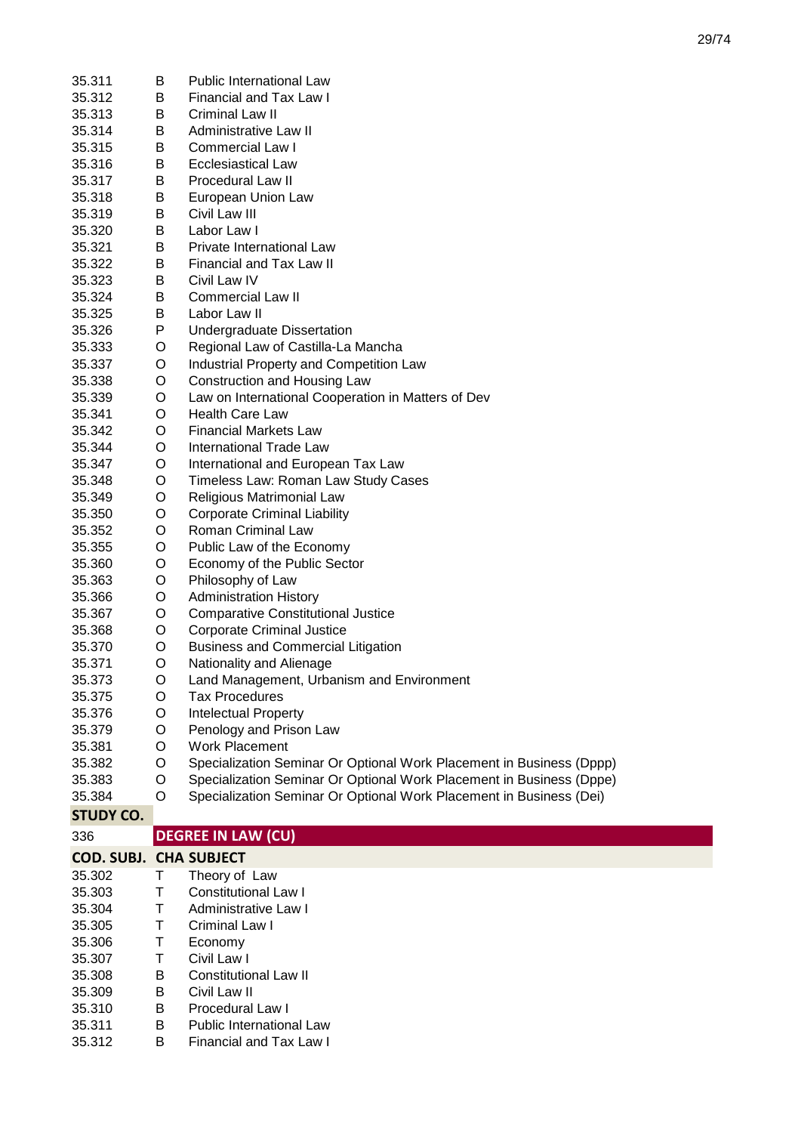| 35.311                        | B | Public International Law                                             |
|-------------------------------|---|----------------------------------------------------------------------|
| 35.312                        | B | Financial and Tax Law I                                              |
| 35.313                        | B | Criminal Law II                                                      |
| 35.314                        | B | Administrative Law II                                                |
|                               |   |                                                                      |
| 35.315                        | B | Commercial Law I                                                     |
| 35.316                        | Β | <b>Ecclesiastical Law</b>                                            |
| 35.317                        | В | Procedural Law II                                                    |
| 35.318                        | Β | European Union Law                                                   |
| 35.319                        | Β | Civil Law III                                                        |
| 35.320                        | В | Labor Law I                                                          |
| 35.321                        | B | Private International Law                                            |
| 35.322                        | Β | Financial and Tax Law II                                             |
| 35.323                        | Β | Civil Law IV                                                         |
| 35.324                        | Β | <b>Commercial Law II</b>                                             |
| 35.325                        | B | Labor Law II                                                         |
| 35.326                        | P | Undergraduate Dissertation                                           |
| 35.333                        | O | Regional Law of Castilla-La Mancha                                   |
| 35.337                        | O | Industrial Property and Competition Law                              |
| 35.338                        | O | Construction and Housing Law                                         |
| 35.339                        | O | Law on International Cooperation in Matters of Dev                   |
| 35.341                        | O | <b>Health Care Law</b>                                               |
| 35.342                        | O | <b>Financial Markets Law</b>                                         |
| 35.344                        | O | International Trade Law                                              |
| 35.347                        | O | International and European Tax Law                                   |
| 35.348                        | O | Timeless Law: Roman Law Study Cases                                  |
| 35.349                        | O | Religious Matrimonial Law                                            |
| 35.350                        | O | <b>Corporate Criminal Liability</b>                                  |
| 35.352                        | O | Roman Criminal Law                                                   |
| 35.355                        | O | Public Law of the Economy                                            |
| 35.360                        | O | Economy of the Public Sector                                         |
| 35.363                        | O | Philosophy of Law                                                    |
| 35.366                        | O | <b>Administration History</b>                                        |
| 35.367                        | O | <b>Comparative Constitutional Justice</b>                            |
| 35.368                        | O | <b>Corporate Criminal Justice</b>                                    |
| 35.370                        | O | <b>Business and Commercial Litigation</b>                            |
| 35.371                        | O | Nationality and Alienage                                             |
| 35.373                        | O | Land Management, Urbanism and Environment                            |
| 35.375                        | O | <b>Tax Procedures</b>                                                |
| 35.376                        | O | <b>Intelectual Property</b>                                          |
| 35.379                        | O | Penology and Prison Law                                              |
| 35.381                        | O | Work Placement                                                       |
| 35.382                        | O | Specialization Seminar Or Optional Work Placement in Business (Dppp) |
| 35.383                        | O | Specialization Seminar Or Optional Work Placement in Business (Dppe) |
| 35.384                        | O | Specialization Seminar Or Optional Work Placement in Business (Dei)  |
|                               |   |                                                                      |
| <b>STUDY CO.</b>              |   |                                                                      |
| 336                           |   | <b>DEGREE IN LAW (CU)</b>                                            |
| <b>COD. SUBJ. CHA SUBJECT</b> |   |                                                                      |
| 35.302                        | Τ | Theory of Law                                                        |
| 35.303                        | Τ | <b>Constitutional Law I</b>                                          |
| 35.304                        | Τ | Administrative Law I                                                 |
| 35.305                        | Τ | Criminal Law I                                                       |
| 35.306                        | Τ | Economy                                                              |
| 35.307                        | Τ | Civil Law I                                                          |
| 35.308                        | Β | <b>Constitutional Law II</b>                                         |

- 35.309 B Civil Law II
- 35.310 B Procedural Law I<br>35.311 B Public Internation
- 35.311 B Public International Law<br>35.312 B Financial and Tax Law I
- B Financial and Tax Law I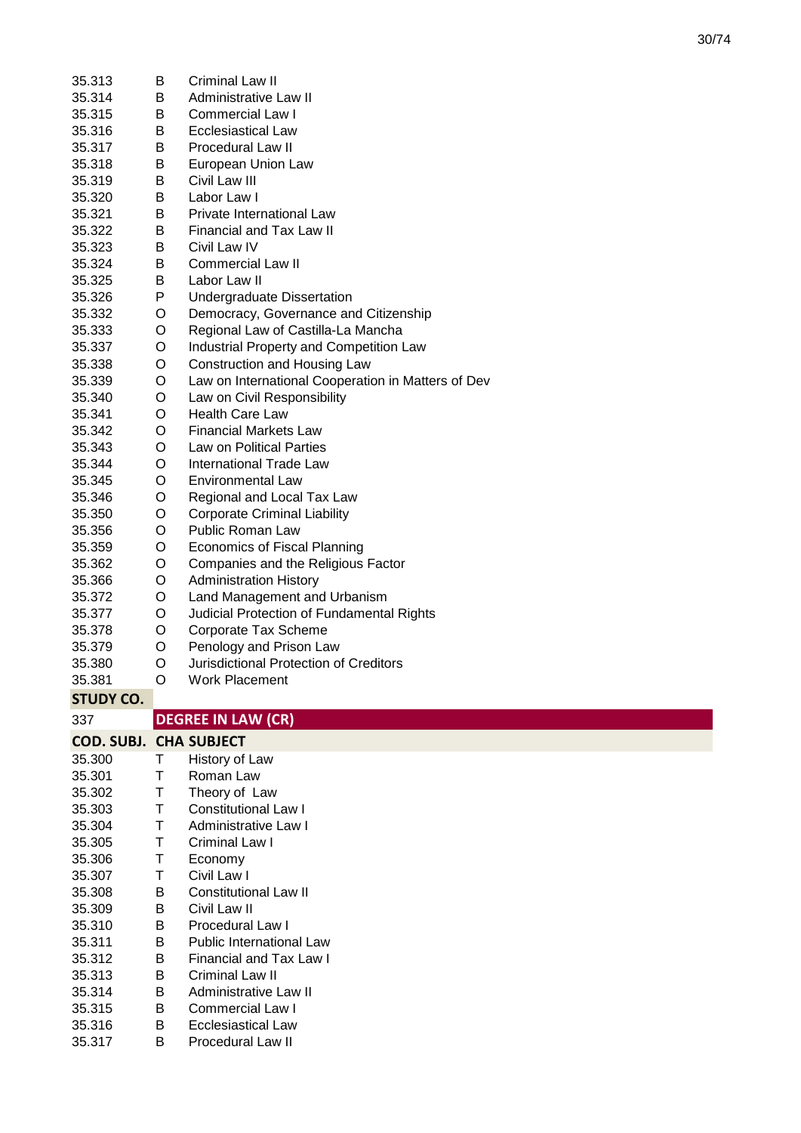| 35.313                        | В | Criminal Law II                                    |
|-------------------------------|---|----------------------------------------------------|
| 35.314                        | B | Administrative Law II                              |
| 35.315                        | B | Commercial Law I                                   |
| 35.316                        | B | <b>Ecclesiastical Law</b>                          |
| 35.317                        | B | <b>Procedural Law II</b>                           |
| 35.318                        | B | European Union Law                                 |
| 35.319                        | B | Civil Law III                                      |
| 35.320                        | B | Labor Law I                                        |
| 35.321                        | B | <b>Private International Law</b>                   |
| 35.322                        | B | Financial and Tax Law II                           |
| 35.323                        | B | Civil Law IV                                       |
| 35.324                        | B | <b>Commercial Law II</b>                           |
| 35.325                        | B | Labor Law II                                       |
| 35.326                        | P | Undergraduate Dissertation                         |
| 35.332                        | O | Democracy, Governance and Citizenship              |
| 35.333                        | O | Regional Law of Castilla-La Mancha                 |
| 35.337                        | O | Industrial Property and Competition Law            |
| 35.338                        | O | Construction and Housing Law                       |
| 35.339                        | O | Law on International Cooperation in Matters of Dev |
| 35.340                        | O | Law on Civil Responsibility                        |
| 35.341                        | O | <b>Health Care Law</b>                             |
| 35.342                        | O | <b>Financial Markets Law</b>                       |
| 35.343                        | O | <b>Law on Political Parties</b>                    |
| 35.344                        | O | <b>International Trade Law</b>                     |
| 35.345                        | O | <b>Environmental Law</b>                           |
| 35.346                        | O | Regional and Local Tax Law                         |
| 35.350                        | O | <b>Corporate Criminal Liability</b>                |
| 35.356                        | O | Public Roman Law                                   |
| 35.359                        | O | <b>Economics of Fiscal Planning</b>                |
|                               |   |                                                    |
| 35.362                        | O | Companies and the Religious Factor                 |
| 35.366                        | O | <b>Administration History</b>                      |
| 35.372                        | O | Land Management and Urbanism                       |
| 35.377                        | O | Judicial Protection of Fundamental Rights          |
| 35.378                        | O | Corporate Tax Scheme                               |
| 35.379                        | O | Penology and Prison Law                            |
| 35.380                        | O | Jurisdictional Protection of Creditors             |
| 35.381                        | O | <b>Work Placement</b>                              |
| <b>STUDY CO.</b>              |   |                                                    |
| 337                           |   | <b>DEGREE IN LAW (CR)</b>                          |
|                               |   |                                                    |
| <b>COD. SUBJ. CHA SUBJECT</b> | т |                                                    |
| 35.300                        | Τ | History of Law<br>Roman Law                        |
| 35.301                        | Τ |                                                    |
| 35.302<br>35.303              | Τ | Theory of Law<br><b>Constitutional Law I</b>       |
|                               | Τ | <b>Administrative Law I</b>                        |
| 35.304<br>35.305              | Τ | Criminal Law I                                     |
| 35.306                        | Τ | Economy                                            |
|                               | Τ | Civil Law I                                        |
| 35.307<br>35.308              | B | <b>Constitutional Law II</b>                       |
| 35.309                        | В | Civil Law II                                       |
| 35.310                        | B | Procedural Law I                                   |
| 35.311                        | B | <b>Public International Law</b>                    |
| 35.312                        | В | Financial and Tax Law I                            |
| 35.313                        | В | Criminal Law II                                    |
| 35.314                        | B | Administrative Law II                              |
| 35.315                        | B | <b>Commercial Law I</b>                            |
| 35.316                        | B | <b>Ecclesiastical Law</b>                          |
| 35.317                        | В | <b>Procedural Law II</b>                           |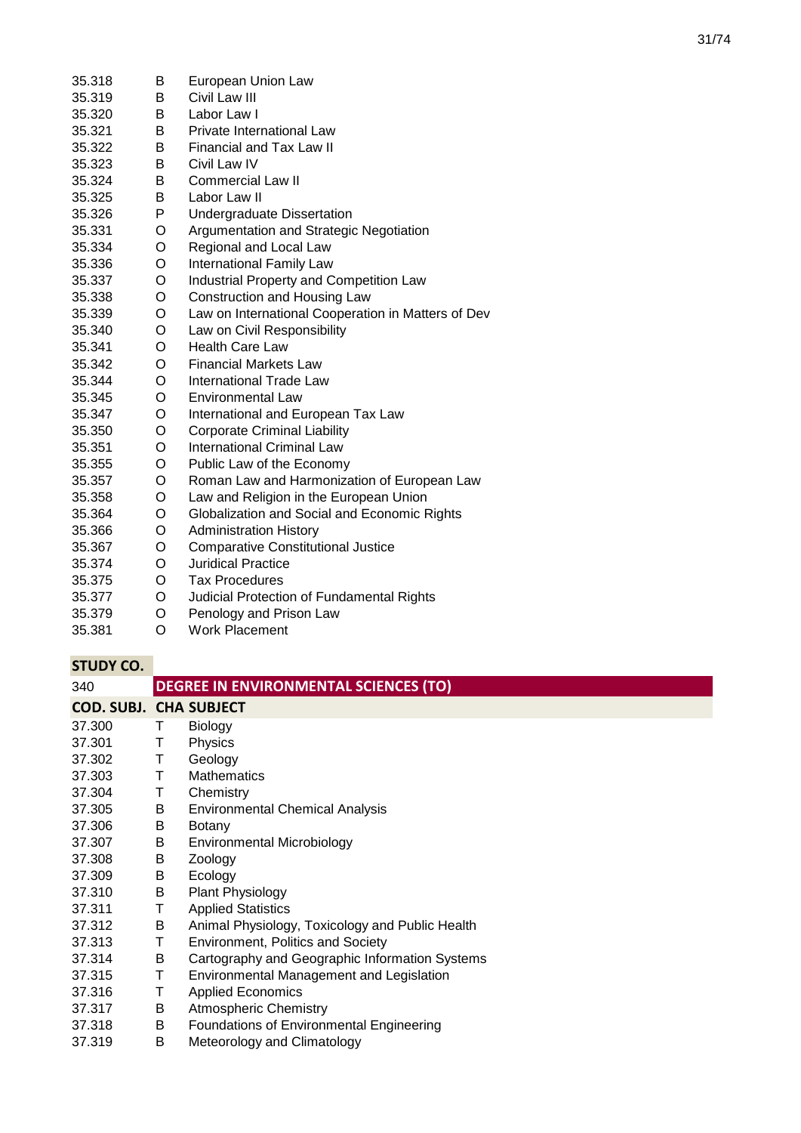| 35.318 | B | European Union Law                                 |
|--------|---|----------------------------------------------------|
| 35.319 | B | Civil Law III                                      |
| 35.320 | B | Labor Law I                                        |
| 35.321 | B | Private International Law                          |
| 35.322 | B | <b>Financial and Tax Law II</b>                    |
| 35.323 | В | Civil Law IV                                       |
| 35.324 | В | Commercial Law II                                  |
| 35.325 | B | Labor Law II                                       |
| 35.326 | P | Undergraduate Dissertation                         |
| 35.331 | O | Argumentation and Strategic Negotiation            |
| 35.334 | O | Regional and Local Law                             |
| 35.336 | O | <b>International Family Law</b>                    |
| 35.337 | O | Industrial Property and Competition Law            |
| 35.338 | O | Construction and Housing Law                       |
| 35.339 | O | Law on International Cooperation in Matters of Dev |
| 35.340 | O | Law on Civil Responsibility                        |
| 35.341 | O | <b>Health Care Law</b>                             |
| 35.342 | O | <b>Financial Markets Law</b>                       |
| 35.344 | O | <b>International Trade Law</b>                     |
| 35.345 | O | <b>Environmental Law</b>                           |
| 35.347 | O | International and European Tax Law                 |
| 35.350 | O | <b>Corporate Criminal Liability</b>                |
| 35.351 | O | <b>International Criminal Law</b>                  |
| 35.355 | O | Public Law of the Economy                          |
| 35.357 | O | Roman Law and Harmonization of European Law        |
| 35.358 | O | Law and Religion in the European Union             |
| 35.364 | O | Globalization and Social and Economic Rights       |
| 35.366 | O | <b>Administration History</b>                      |
| 35.367 | O | <b>Comparative Constitutional Justice</b>          |
| 35.374 | O | <b>Juridical Practice</b>                          |
| 35.375 | O | <b>Tax Procedures</b>                              |
| 35.377 | O | Judicial Protection of Fundamental Rights          |
| 35.379 | O | Penology and Prison Law                            |
| 35.381 | O | <b>Work Placement</b>                              |

| 340                           | <b>DEGREE IN ENVIRONMENTAL SCIENCES (TO)</b> |                                                 |  |
|-------------------------------|----------------------------------------------|-------------------------------------------------|--|
| <b>COD. SUBJ. CHA SUBJECT</b> |                                              |                                                 |  |
| 37.300                        | Τ                                            | <b>Biology</b>                                  |  |
| 37.301                        | Τ                                            | Physics                                         |  |
| 37.302                        | Τ                                            | Geology                                         |  |
| 37.303                        | т                                            | <b>Mathematics</b>                              |  |
| 37.304                        | т                                            | Chemistry                                       |  |
| 37.305                        | B                                            | <b>Environmental Chemical Analysis</b>          |  |
| 37.306                        | B                                            | <b>Botany</b>                                   |  |
| 37.307                        | В                                            | <b>Environmental Microbiology</b>               |  |
| 37.308                        | B                                            | Zoology                                         |  |
| 37.309                        | В                                            | Ecology                                         |  |
| 37.310                        | B                                            | <b>Plant Physiology</b>                         |  |
| 37.311                        | т                                            | <b>Applied Statistics</b>                       |  |
| 37.312                        | B                                            | Animal Physiology, Toxicology and Public Health |  |
| 37.313                        | Τ                                            | <b>Environment, Politics and Society</b>        |  |
| 37.314                        | В                                            | Cartography and Geographic Information Systems  |  |
| 37.315                        | т                                            | Environmental Management and Legislation        |  |
| 37.316                        | т                                            | <b>Applied Economics</b>                        |  |
| 37.317                        | В                                            | <b>Atmospheric Chemistry</b>                    |  |
| 37.318                        | В                                            | <b>Foundations of Environmental Engineering</b> |  |
| 37.319                        | B                                            | Meteorology and Climatology                     |  |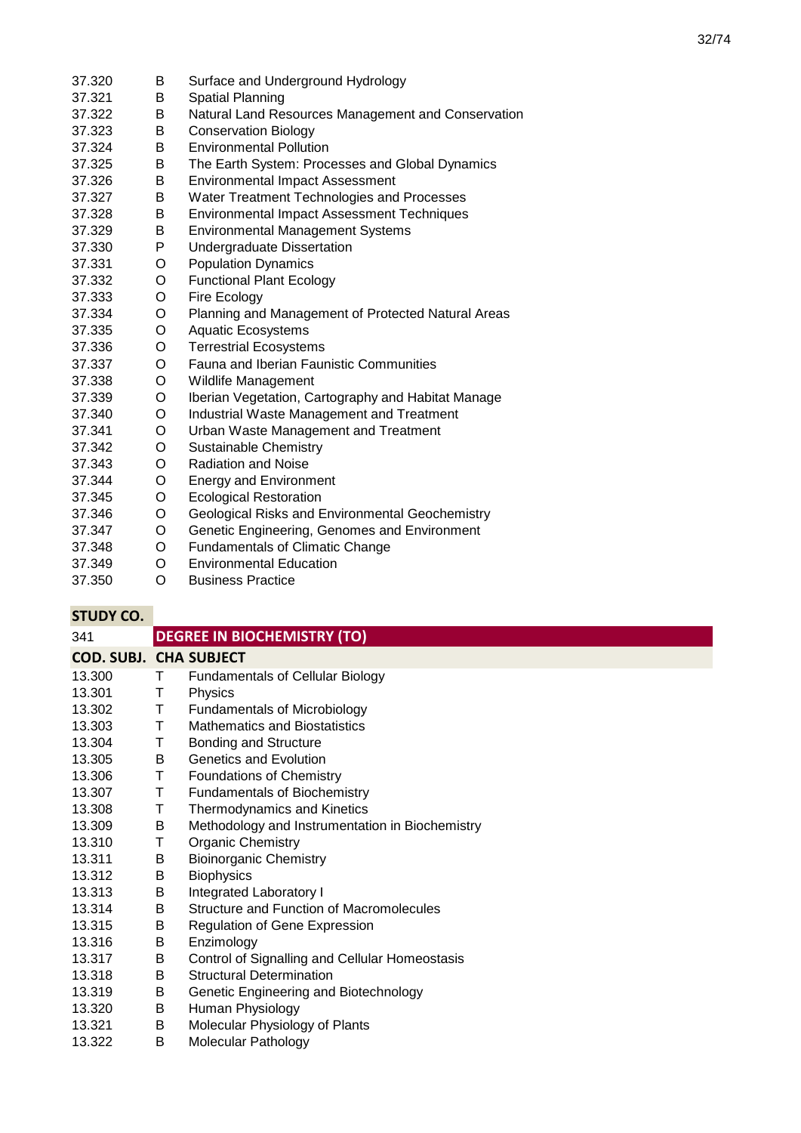| 37.320 | B | Surface and Underground Hydrology                  |
|--------|---|----------------------------------------------------|
| 37.321 | B | Spatial Planning                                   |
| 37.322 | B | Natural Land Resources Management and Conservation |
| 37.323 | B | <b>Conservation Biology</b>                        |
| 37.324 | B | <b>Environmental Pollution</b>                     |
| 37.325 | B | The Earth System: Processes and Global Dynamics    |
| 37.326 | В | <b>Environmental Impact Assessment</b>             |
| 37.327 | B | Water Treatment Technologies and Processes         |
| 37.328 | B | Environmental Impact Assessment Techniques         |
| 37.329 | B | <b>Environmental Management Systems</b>            |
| 37.330 | P | <b>Undergraduate Dissertation</b>                  |
| 37.331 | O | <b>Population Dynamics</b>                         |
| 37.332 | O | <b>Functional Plant Ecology</b>                    |
| 37.333 | O | Fire Ecology                                       |
| 37.334 | O | Planning and Management of Protected Natural Areas |
| 37.335 | O | <b>Aquatic Ecosystems</b>                          |
| 37.336 | O | <b>Terrestrial Ecosystems</b>                      |
| 37.337 | O | <b>Fauna and Iberian Faunistic Communities</b>     |
| 37.338 | O | Wildlife Management                                |
| 37.339 | O | Iberian Vegetation, Cartography and Habitat Manage |
| 37.340 | O | Industrial Waste Management and Treatment          |
| 37.341 | O | Urban Waste Management and Treatment               |
| 37.342 | O | <b>Sustainable Chemistry</b>                       |
| 37.343 | O | <b>Radiation and Noise</b>                         |
| 37.344 | O | <b>Energy and Environment</b>                      |
| 37.345 | O | <b>Ecological Restoration</b>                      |
| 37.346 | O | Geological Risks and Environmental Geochemistry    |
| 37.347 | O | Genetic Engineering, Genomes and Environment       |
| 37.348 | O | <b>Fundamentals of Climatic Change</b>             |
| 37.349 | O | <b>Environmental Education</b>                     |

37.350 O Business Practice

| 341                           | <b>DEGREE IN BIOCHEMISTRY (TO)</b> |                                                 |  |  |
|-------------------------------|------------------------------------|-------------------------------------------------|--|--|
| <b>COD. SUBJ. CHA SUBJECT</b> |                                    |                                                 |  |  |
| 13.300                        | Τ                                  | <b>Fundamentals of Cellular Biology</b>         |  |  |
| 13.301                        | Τ                                  | Physics                                         |  |  |
| 13.302                        | T                                  | <b>Fundamentals of Microbiology</b>             |  |  |
| 13.303                        | Τ                                  | <b>Mathematics and Biostatistics</b>            |  |  |
| 13.304                        | Τ                                  | <b>Bonding and Structure</b>                    |  |  |
| 13.305                        | B                                  | <b>Genetics and Evolution</b>                   |  |  |
| 13.306                        | Τ                                  | Foundations of Chemistry                        |  |  |
| 13.307                        | Τ                                  | <b>Fundamentals of Biochemistry</b>             |  |  |
| 13.308                        | Τ                                  | Thermodynamics and Kinetics                     |  |  |
| 13.309                        | B                                  | Methodology and Instrumentation in Biochemistry |  |  |
| 13.310                        | Т                                  | <b>Organic Chemistry</b>                        |  |  |
| 13.311                        | В                                  | <b>Bioinorganic Chemistry</b>                   |  |  |
| 13.312                        | B                                  | <b>Biophysics</b>                               |  |  |
| 13.313                        | B                                  | Integrated Laboratory I                         |  |  |
| 13.314                        | B                                  | <b>Structure and Function of Macromolecules</b> |  |  |
| 13.315                        | В                                  | <b>Regulation of Gene Expression</b>            |  |  |
| 13.316                        | В                                  | Enzimology                                      |  |  |
| 13.317                        | В                                  | Control of Signalling and Cellular Homeostasis  |  |  |
| 13.318                        | B                                  | <b>Structural Determination</b>                 |  |  |
| 13.319                        | В                                  | Genetic Engineering and Biotechnology           |  |  |
| 13.320                        | В                                  | Human Physiology                                |  |  |
| 13.321                        | В                                  | Molecular Physiology of Plants                  |  |  |
| 13.322                        | B                                  | Molecular Pathology                             |  |  |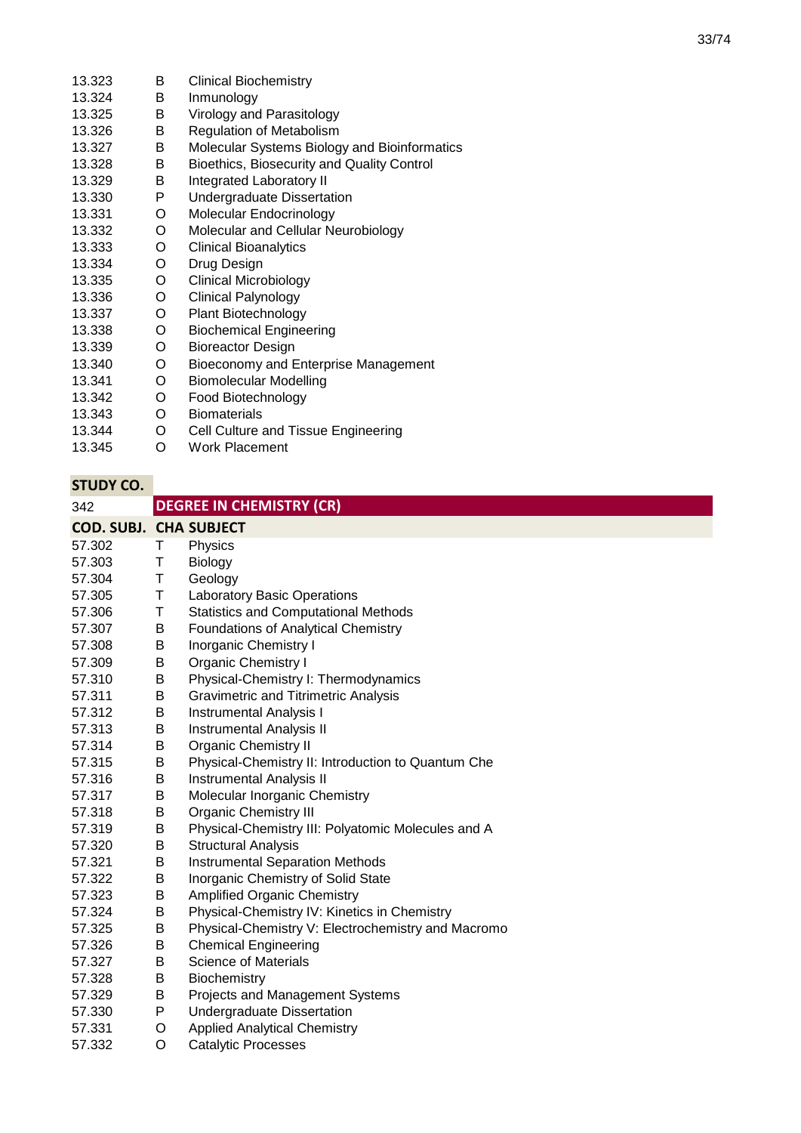| 13.323 | B | <b>Clinical Biochemistry</b>                 |
|--------|---|----------------------------------------------|
| 13.324 | B | Inmunology                                   |
| 13.325 | B | Virology and Parasitology                    |
| 13.326 | В | <b>Regulation of Metabolism</b>              |
| 13.327 | B | Molecular Systems Biology and Bioinformatics |
| 13.328 | В | Bioethics, Biosecurity and Quality Control   |
| 13.329 | B | <b>Integrated Laboratory II</b>              |
| 13.330 | P | <b>Undergraduate Dissertation</b>            |
| 13.331 | O | Molecular Endocrinology                      |
| 13.332 | O | Molecular and Cellular Neurobiology          |
| 13.333 | O | <b>Clinical Bioanalytics</b>                 |
| 13.334 | O | Drug Design                                  |
| 13.335 | O | <b>Clinical Microbiology</b>                 |
| 13.336 | O | <b>Clinical Palynology</b>                   |
| 13.337 | O | <b>Plant Biotechnology</b>                   |
| 13.338 | O | <b>Biochemical Engineering</b>               |
| 13.339 | O | <b>Bioreactor Design</b>                     |
| 13.340 | O | Bioeconomy and Enterprise Management         |
| 13.341 | O | <b>Biomolecular Modelling</b>                |
| 13.342 | O | Food Biotechnology                           |
| 13.343 | O | <b>Biomaterials</b>                          |
| 13.344 | O | Cell Culture and Tissue Engineering          |
| 13.345 | O | <b>Work Placement</b>                        |

| 342                           |   | <b>DEGREE IN CHEMISTRY (CR)</b>                    |
|-------------------------------|---|----------------------------------------------------|
| <b>COD. SUBJ. CHA SUBJECT</b> |   |                                                    |
| 57.302                        | Т | Physics                                            |
| 57.303                        | Τ | Biology                                            |
| 57.304                        | Τ | Geology                                            |
| 57.305                        | Τ | <b>Laboratory Basic Operations</b>                 |
| 57.306                        | Τ | <b>Statistics and Computational Methods</b>        |
| 57.307                        | В | <b>Foundations of Analytical Chemistry</b>         |
| 57.308                        | В | Inorganic Chemistry I                              |
| 57.309                        | В | Organic Chemistry I                                |
| 57.310                        | B | Physical-Chemistry I: Thermodynamics               |
| 57.311                        | B | <b>Gravimetric and Titrimetric Analysis</b>        |
| 57.312                        | B | <b>Instrumental Analysis I</b>                     |
| 57.313                        | B | <b>Instrumental Analysis II</b>                    |
| 57.314                        | Β | <b>Organic Chemistry II</b>                        |
| 57.315                        | Β | Physical-Chemistry II: Introduction to Quantum Che |
| 57.316                        | Β | <b>Instrumental Analysis II</b>                    |
| 57.317                        | Β | Molecular Inorganic Chemistry                      |
| 57.318                        | Β | <b>Organic Chemistry III</b>                       |
| 57.319                        | B | Physical-Chemistry III: Polyatomic Molecules and A |
| 57.320                        | B | <b>Structural Analysis</b>                         |
| 57.321                        | В | <b>Instrumental Separation Methods</b>             |
| 57.322                        | Β | Inorganic Chemistry of Solid State                 |
| 57.323                        | Β | <b>Amplified Organic Chemistry</b>                 |
| 57.324                        | В | Physical-Chemistry IV: Kinetics in Chemistry       |
| 57.325                        | B | Physical-Chemistry V: Electrochemistry and Macromo |
| 57.326                        | B | <b>Chemical Engineering</b>                        |
| 57.327                        | Β | <b>Science of Materials</b>                        |
| 57.328                        | B | Biochemistry                                       |
| 57.329                        | Β | Projects and Management Systems                    |
| 57.330                        | P | Undergraduate Dissertation                         |
| 57.331                        | O | <b>Applied Analytical Chemistry</b>                |
| 57.332                        | O | <b>Catalytic Processes</b>                         |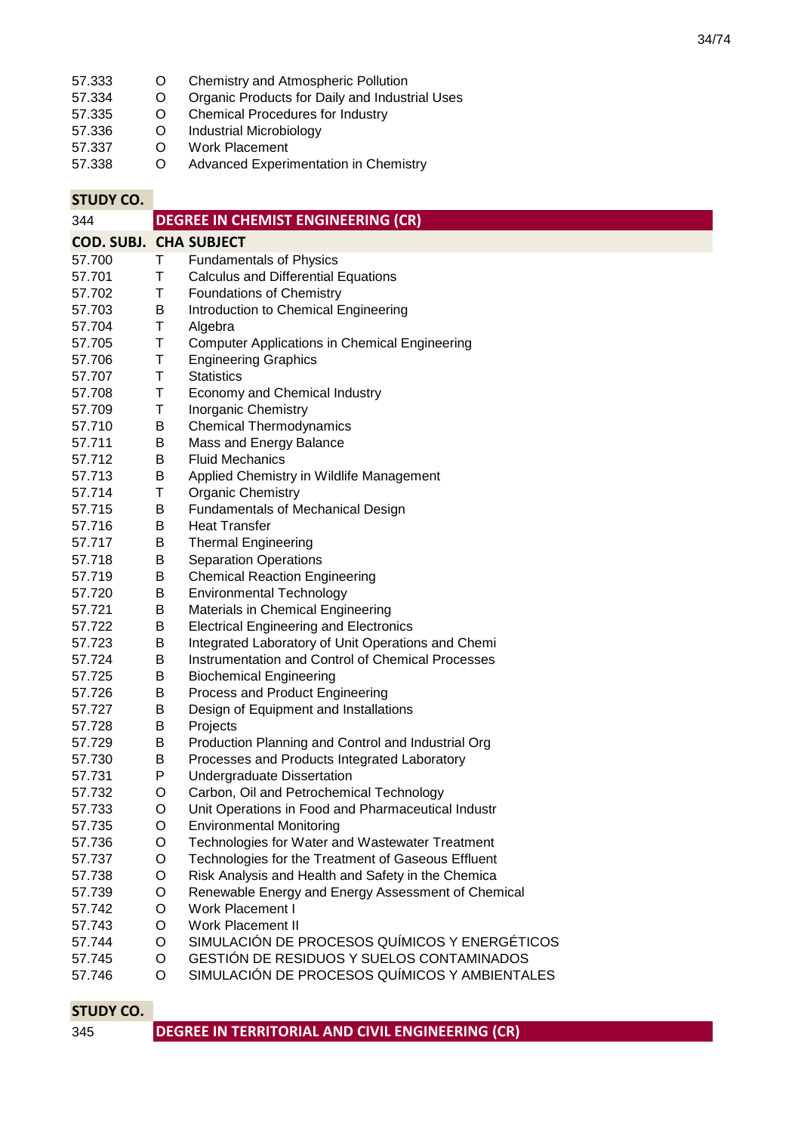- 57.333 O Chemistry and Atmospheric Pollution<br>57.334 O Organic Products for Daily and Indust
- 57.334 O Organic Products for Daily and Industrial Uses<br>57.335 O Chemical Procedures for Industry
- 57.335 O Chemical Procedures for Industry<br>57.336 O Industrial Microbiology
- 57.336 O Industrial Microbiology<br>57.337 O Work Placement
- 57.337 O Work Placement<br>57.338 O Advanced Experii
- Advanced Experimentation in Chemistry

| 344                           |   | <b>DEGREE IN CHEMIST ENGINEERING (CR)</b>            |
|-------------------------------|---|------------------------------------------------------|
| <b>COD. SUBJ. CHA SUBJECT</b> |   |                                                      |
| 57.700                        | Τ | <b>Fundamentals of Physics</b>                       |
| 57.701                        | Τ | <b>Calculus and Differential Equations</b>           |
| 57.702                        | Τ | <b>Foundations of Chemistry</b>                      |
| 57.703                        | B | Introduction to Chemical Engineering                 |
| 57.704                        | Τ | Algebra                                              |
| 57.705                        | Τ | <b>Computer Applications in Chemical Engineering</b> |
| 57.706                        | Τ | <b>Engineering Graphics</b>                          |
| 57.707                        | Τ | <b>Statistics</b>                                    |
| 57.708                        | Τ | Economy and Chemical Industry                        |
| 57.709                        | Τ | <b>Inorganic Chemistry</b>                           |
| 57.710                        | Β | <b>Chemical Thermodynamics</b>                       |
| 57.711                        | B | Mass and Energy Balance                              |
| 57.712                        | B | <b>Fluid Mechanics</b>                               |
| 57.713                        | B | Applied Chemistry in Wildlife Management             |
| 57.714                        | Τ | <b>Organic Chemistry</b>                             |
| 57.715                        | B | Fundamentals of Mechanical Design                    |
| 57.716                        | B | <b>Heat Transfer</b>                                 |
| 57.717                        | B | <b>Thermal Engineering</b>                           |
| 57.718                        | B | <b>Separation Operations</b>                         |
| 57.719                        | B | <b>Chemical Reaction Engineering</b>                 |
| 57.720                        | B | <b>Environmental Technology</b>                      |
| 57.721                        | B | Materials in Chemical Engineering                    |
| 57.722                        | B | <b>Electrical Engineering and Electronics</b>        |
| 57.723                        | B | Integrated Laboratory of Unit Operations and Chemi   |
| 57.724                        | B | Instrumentation and Control of Chemical Processes    |
| 57.725                        | Β | <b>Biochemical Engineering</b>                       |
| 57.726                        | B | Process and Product Engineering                      |
| 57.727                        | B | Design of Equipment and Installations                |
| 57.728                        | B | Projects                                             |
| 57.729                        | B | Production Planning and Control and Industrial Org   |
| 57.730                        | B | Processes and Products Integrated Laboratory         |
| 57.731                        | P | <b>Undergraduate Dissertation</b>                    |
| 57.732                        | O | Carbon, Oil and Petrochemical Technology             |
| 57.733                        | O | Unit Operations in Food and Pharmaceutical Industr   |
| 57.735                        | O | <b>Environmental Monitoring</b>                      |
| 57.736                        | O | Technologies for Water and Wastewater Treatment      |
| 57.737                        | O | Technologies for the Treatment of Gaseous Effluent   |
| 57.738                        | O | Risk Analysis and Health and Safety in the Chemica   |
| 57.739                        | O | Renewable Energy and Energy Assessment of Chemical   |
| 57.742                        | O | Work Placement I                                     |
| 57.743                        | O | Work Placement II                                    |
| 57.744                        | O | SIMULACIÓN DE PROCESOS QUÍMICOS Y ENERGÉTICOS        |
| 57.745                        | O | GESTIÓN DE RESIDUOS Y SUELOS CONTAMINADOS            |
| 57.746                        | O | SIMULACIÓN DE PROCESOS QUÍMICOS Y AMBIENTALES        |

| DEGREE IN TERRITORIAL AND CIVIL ENGINEERING (CR)<br>345 |  |
|---------------------------------------------------------|--|
|---------------------------------------------------------|--|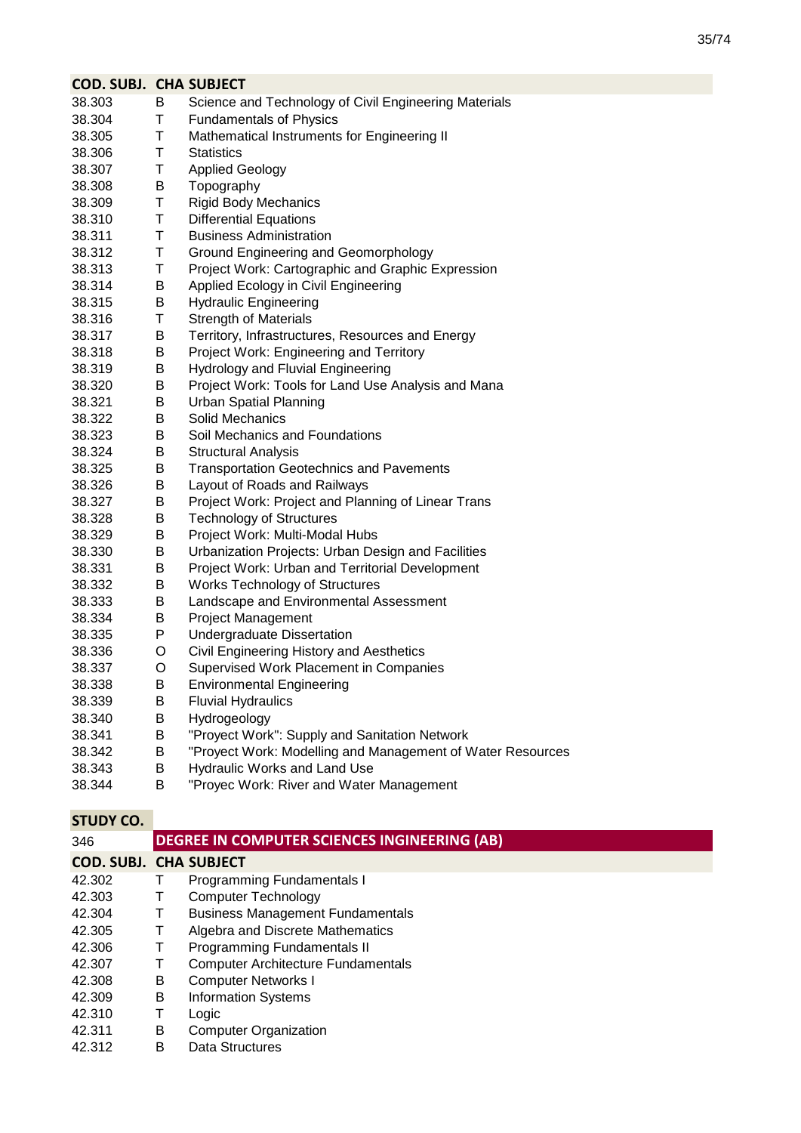| <b>COD. SUBJ. CHA SUBJECT</b> |   |                                                            |
|-------------------------------|---|------------------------------------------------------------|
| 38.303                        | B | Science and Technology of Civil Engineering Materials      |
| 38.304                        | Τ | <b>Fundamentals of Physics</b>                             |
| 38.305                        | Τ | Mathematical Instruments for Engineering II                |
| 38.306                        | Τ | Statistics                                                 |
| 38.307                        | Τ | <b>Applied Geology</b>                                     |
| 38.308                        | В | Topography                                                 |
| 38.309                        | Τ | <b>Rigid Body Mechanics</b>                                |
| 38.310                        | Τ | <b>Differential Equations</b>                              |
| 38.311                        | Τ | <b>Business Administration</b>                             |
| 38.312                        | Τ | Ground Engineering and Geomorphology                       |
| 38.313                        | Τ | Project Work: Cartographic and Graphic Expression          |
| 38.314                        | B | Applied Ecology in Civil Engineering                       |
| 38.315                        | В | <b>Hydraulic Engineering</b>                               |
| 38.316                        | Τ | <b>Strength of Materials</b>                               |
| 38.317                        | В | Territory, Infrastructures, Resources and Energy           |
| 38.318                        | B | Project Work: Engineering and Territory                    |
| 38.319                        | B | <b>Hydrology and Fluvial Engineering</b>                   |
| 38.320                        | B | Project Work: Tools for Land Use Analysis and Mana         |
| 38.321                        | B | <b>Urban Spatial Planning</b>                              |
| 38.322                        | В | Solid Mechanics                                            |
| 38.323                        | В | Soil Mechanics and Foundations                             |
| 38.324                        | В | <b>Structural Analysis</b>                                 |
| 38.325                        | В | <b>Transportation Geotechnics and Pavements</b>            |
| 38.326                        | В | Layout of Roads and Railways                               |
| 38.327                        | B | Project Work: Project and Planning of Linear Trans         |
| 38.328                        | B | <b>Technology of Structures</b>                            |
| 38.329                        | B | Project Work: Multi-Modal Hubs                             |
| 38.330                        | B | Urbanization Projects: Urban Design and Facilities         |
| 38.331                        | B | Project Work: Urban and Territorial Development            |
| 38.332                        | В | <b>Works Technology of Structures</b>                      |
| 38.333                        | В | Landscape and Environmental Assessment                     |
| 38.334                        | В | <b>Project Management</b>                                  |
| 38.335                        | P | <b>Undergraduate Dissertation</b>                          |
| 38.336                        | O | Civil Engineering History and Aesthetics                   |
| 38.337                        | O | Supervised Work Placement in Companies                     |
| 38.338                        | Β | <b>Environmental Engineering</b>                           |
| 38.339                        | B | <b>Fluvial Hydraulics</b>                                  |
| 38.340                        | Β | Hydrogeology                                               |
| 38.341                        | В | "Proyect Work": Supply and Sanitation Network              |
| 38.342                        | Β | "Proyect Work: Modelling and Management of Water Resources |
| 38.343                        | B | Hydraulic Works and Land Use                               |
| 38.344                        | Β | "Proyec Work: River and Water Management                   |

| 346    | DEGREE IN COMPUTER SCIENCES INGINEERING (AB) |                                           |  |  |  |
|--------|----------------------------------------------|-------------------------------------------|--|--|--|
|        |                                              | <b>COD. SUBJ. CHA SUBJECT</b>             |  |  |  |
| 42.302 |                                              | Programming Fundamentals I                |  |  |  |
| 42.303 | Ι.                                           | <b>Computer Technology</b>                |  |  |  |
| 42.304 | Τ                                            | <b>Business Management Fundamentals</b>   |  |  |  |
| 42.305 | Τ                                            | Algebra and Discrete Mathematics          |  |  |  |
| 42.306 |                                              | Programming Fundamentals II               |  |  |  |
| 42.307 |                                              | <b>Computer Architecture Fundamentals</b> |  |  |  |
| 42.308 | B                                            | <b>Computer Networks I</b>                |  |  |  |
| 42.309 | B                                            | <b>Information Systems</b>                |  |  |  |
| 42.310 | т                                            | Logic                                     |  |  |  |
| 42.311 | B                                            | <b>Computer Organization</b>              |  |  |  |
| 42.312 | В                                            | Data Structures                           |  |  |  |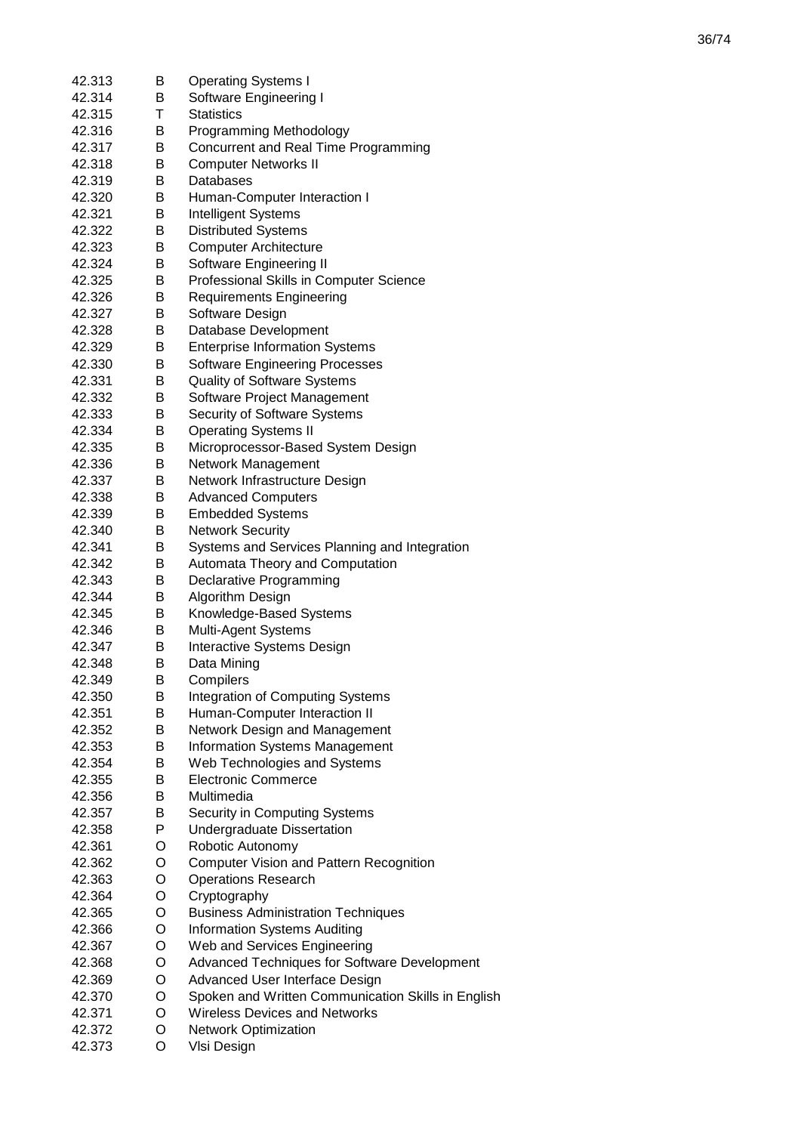| 42.313 | B | <b>Operating Systems I</b>                         |
|--------|---|----------------------------------------------------|
| 42.314 | B | Software Engineering I                             |
| 42.315 | Τ | <b>Statistics</b>                                  |
| 42.316 | B | Programming Methodology                            |
| 42.317 | В | Concurrent and Real Time Programming               |
| 42.318 | B | <b>Computer Networks II</b>                        |
| 42.319 | B | Databases                                          |
| 42.320 | B | Human-Computer Interaction I                       |
| 42.321 | В | <b>Intelligent Systems</b>                         |
| 42.322 | В | <b>Distributed Systems</b>                         |
| 42.323 | В | <b>Computer Architecture</b>                       |
|        |   |                                                    |
| 42.324 | В | Software Engineering II                            |
| 42.325 | B | Professional Skills in Computer Science            |
| 42.326 | В | <b>Requirements Engineering</b>                    |
| 42.327 | В | Software Design                                    |
| 42.328 | Β | Database Development                               |
| 42.329 | Β | <b>Enterprise Information Systems</b>              |
| 42.330 | В | <b>Software Engineering Processes</b>              |
| 42.331 | В | <b>Quality of Software Systems</b>                 |
| 42.332 | В | Software Project Management                        |
| 42.333 | В | Security of Software Systems                       |
| 42.334 | В | <b>Operating Systems II</b>                        |
| 42.335 | B | Microprocessor-Based System Design                 |
| 42.336 | B | Network Management                                 |
| 42.337 | B | Network Infrastructure Design                      |
| 42.338 | В | <b>Advanced Computers</b>                          |
| 42.339 | В | <b>Embedded Systems</b>                            |
| 42.340 | B | <b>Network Security</b>                            |
| 42.341 | Β | Systems and Services Planning and Integration      |
| 42.342 | Β | Automata Theory and Computation                    |
| 42.343 | Β | Declarative Programming                            |
| 42.344 | Β | Algorithm Design                                   |
| 42.345 | Β | Knowledge-Based Systems                            |
| 42.346 | В | Multi-Agent Systems                                |
| 42.347 | В | <b>Interactive Systems Design</b>                  |
| 42.348 | в | Data Mining                                        |
| 42.349 | B | Compilers                                          |
|        |   |                                                    |
| 42.350 | B | <b>Integration of Computing Systems</b>            |
| 42.351 | B | Human-Computer Interaction II                      |
| 42.352 | B | Network Design and Management                      |
| 42.353 | B | <b>Information Systems Management</b>              |
| 42.354 | B | Web Technologies and Systems                       |
| 42.355 | B | <b>Electronic Commerce</b>                         |
| 42.356 | B | Multimedia                                         |
| 42.357 | B | Security in Computing Systems                      |
| 42.358 | P | <b>Undergraduate Dissertation</b>                  |
| 42.361 | O | Robotic Autonomy                                   |
| 42.362 | O | <b>Computer Vision and Pattern Recognition</b>     |
| 42.363 | O | <b>Operations Research</b>                         |
| 42.364 | O | Cryptography                                       |
| 42.365 | O | <b>Business Administration Techniques</b>          |
| 42.366 | O | <b>Information Systems Auditing</b>                |
| 42.367 | O | Web and Services Engineering                       |
| 42.368 | O | Advanced Techniques for Software Development       |
| 42.369 | O | Advanced User Interface Design                     |
| 42.370 | O | Spoken and Written Communication Skills in English |
| 42.371 | O | <b>Wireless Devices and Networks</b>               |
| 42.372 | O | <b>Network Optimization</b>                        |
| 42.373 | O | VIsi Design                                        |
|        |   |                                                    |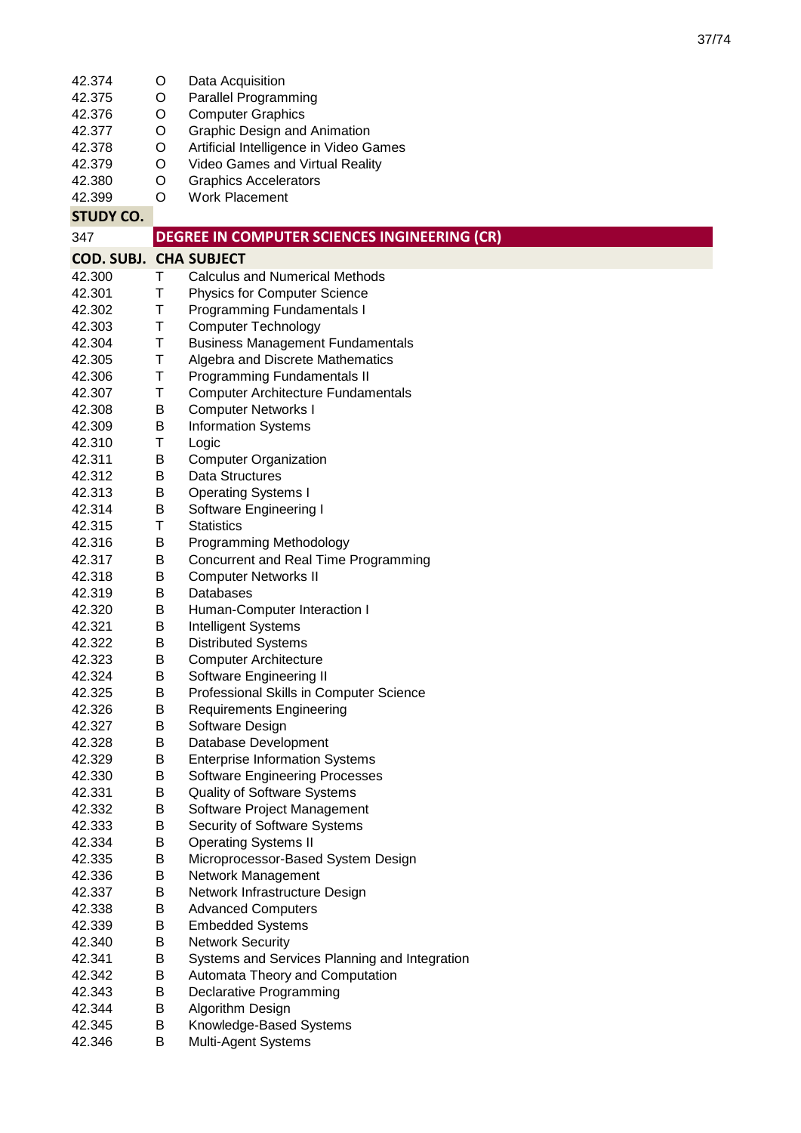| 42.375<br><b>Parallel Programming</b><br>O<br>42.376<br><b>Computer Graphics</b><br>O<br><b>Graphic Design and Animation</b><br>42.377<br>O<br>Artificial Intelligence in Video Games<br>42.378<br>O<br>42.379<br>Video Games and Virtual Reality<br>O<br>42.380<br><b>Graphics Accelerators</b><br>O<br>42.399<br>O<br><b>Work Placement</b><br><b>STUDY CO.</b><br>DEGREE IN COMPUTER SCIENCES INGINEERING (CR)<br>347<br><b>COD. SUBJ. CHA SUBJECT</b><br>42.300<br>Τ<br><b>Calculus and Numerical Methods</b><br>T<br>42.301<br><b>Physics for Computer Science</b><br>42.302<br>Τ<br>Programming Fundamentals I<br>42.303<br>Τ<br><b>Computer Technology</b><br>T<br>42.304<br><b>Business Management Fundamentals</b><br>42.305<br>Τ<br>Algebra and Discrete Mathematics<br>42.306<br>Τ<br><b>Programming Fundamentals II</b><br>42.307<br>Τ<br><b>Computer Architecture Fundamentals</b><br>42.308<br><b>Computer Networks I</b><br>В<br>42.309<br>B<br><b>Information Systems</b><br>42.310<br>Τ<br>Logic<br>42.311<br><b>Computer Organization</b><br>Β<br>42.312<br>Β<br>Data Structures<br>42.313<br><b>Operating Systems I</b><br>В<br>42.314<br>B<br>Software Engineering I<br>42.315<br>Τ<br><b>Statistics</b><br>42.316<br>В<br>Programming Methodology<br>B<br>Concurrent and Real Time Programming<br>42.317<br>42.318<br>Β<br><b>Computer Networks II</b><br>Databases<br>42.319<br>Β<br>Β<br>Human-Computer Interaction I<br>42.320<br>42.321<br>B<br>Intelligent Systems<br><b>Distributed Systems</b><br>42.322<br>В<br><b>Computer Architecture</b><br>42.323<br>В<br>B<br>Software Engineering II<br>42.324<br>42.325<br>Professional Skills in Computer Science<br>Β<br>42.326<br>Β<br><b>Requirements Engineering</b><br>42.327<br>Β<br>Software Design<br>42.328<br>Β<br>Database Development<br>42.329<br>Β<br><b>Enterprise Information Systems</b><br>42.330<br>Β<br><b>Software Engineering Processes</b><br>42.331<br>Β<br><b>Quality of Software Systems</b><br>42.332<br>Β<br>Software Project Management<br>Security of Software Systems<br>42.333<br>Β<br>42.334<br>Β<br><b>Operating Systems II</b><br>42.335<br>Β<br>Microprocessor-Based System Design<br>42.336<br>В<br>Network Management<br>42.337<br>Β<br>Network Infrastructure Design<br>42.338<br>Β<br><b>Advanced Computers</b><br>42.339<br>Β<br><b>Embedded Systems</b><br>42.340<br><b>Network Security</b><br>Β<br>42.341<br>Β<br>Systems and Services Planning and Integration<br>42.342<br>Β<br>Automata Theory and Computation<br>B<br>42.343<br>Declarative Programming<br>42.344<br>Β<br>Algorithm Design<br>42.345<br>Β<br>Knowledge-Based Systems<br>42.346<br>Β<br>Multi-Agent Systems | 42.374 | O | Data Acquisition |
|--------------------------------------------------------------------------------------------------------------------------------------------------------------------------------------------------------------------------------------------------------------------------------------------------------------------------------------------------------------------------------------------------------------------------------------------------------------------------------------------------------------------------------------------------------------------------------------------------------------------------------------------------------------------------------------------------------------------------------------------------------------------------------------------------------------------------------------------------------------------------------------------------------------------------------------------------------------------------------------------------------------------------------------------------------------------------------------------------------------------------------------------------------------------------------------------------------------------------------------------------------------------------------------------------------------------------------------------------------------------------------------------------------------------------------------------------------------------------------------------------------------------------------------------------------------------------------------------------------------------------------------------------------------------------------------------------------------------------------------------------------------------------------------------------------------------------------------------------------------------------------------------------------------------------------------------------------------------------------------------------------------------------------------------------------------------------------------------------------------------------------------------------------------------------------------------------------------------------------------------------------------------------------------------------------------------------------------------------------------------------------------------------------------------------------------------------------------------------------------------------------------------------------------------------------------------------------------------------------------------------------------------------------------------------------------------------|--------|---|------------------|
|                                                                                                                                                                                                                                                                                                                                                                                                                                                                                                                                                                                                                                                                                                                                                                                                                                                                                                                                                                                                                                                                                                                                                                                                                                                                                                                                                                                                                                                                                                                                                                                                                                                                                                                                                                                                                                                                                                                                                                                                                                                                                                                                                                                                                                                                                                                                                                                                                                                                                                                                                                                                                                                                                                  |        |   |                  |
|                                                                                                                                                                                                                                                                                                                                                                                                                                                                                                                                                                                                                                                                                                                                                                                                                                                                                                                                                                                                                                                                                                                                                                                                                                                                                                                                                                                                                                                                                                                                                                                                                                                                                                                                                                                                                                                                                                                                                                                                                                                                                                                                                                                                                                                                                                                                                                                                                                                                                                                                                                                                                                                                                                  |        |   |                  |
|                                                                                                                                                                                                                                                                                                                                                                                                                                                                                                                                                                                                                                                                                                                                                                                                                                                                                                                                                                                                                                                                                                                                                                                                                                                                                                                                                                                                                                                                                                                                                                                                                                                                                                                                                                                                                                                                                                                                                                                                                                                                                                                                                                                                                                                                                                                                                                                                                                                                                                                                                                                                                                                                                                  |        |   |                  |
|                                                                                                                                                                                                                                                                                                                                                                                                                                                                                                                                                                                                                                                                                                                                                                                                                                                                                                                                                                                                                                                                                                                                                                                                                                                                                                                                                                                                                                                                                                                                                                                                                                                                                                                                                                                                                                                                                                                                                                                                                                                                                                                                                                                                                                                                                                                                                                                                                                                                                                                                                                                                                                                                                                  |        |   |                  |
|                                                                                                                                                                                                                                                                                                                                                                                                                                                                                                                                                                                                                                                                                                                                                                                                                                                                                                                                                                                                                                                                                                                                                                                                                                                                                                                                                                                                                                                                                                                                                                                                                                                                                                                                                                                                                                                                                                                                                                                                                                                                                                                                                                                                                                                                                                                                                                                                                                                                                                                                                                                                                                                                                                  |        |   |                  |
|                                                                                                                                                                                                                                                                                                                                                                                                                                                                                                                                                                                                                                                                                                                                                                                                                                                                                                                                                                                                                                                                                                                                                                                                                                                                                                                                                                                                                                                                                                                                                                                                                                                                                                                                                                                                                                                                                                                                                                                                                                                                                                                                                                                                                                                                                                                                                                                                                                                                                                                                                                                                                                                                                                  |        |   |                  |
|                                                                                                                                                                                                                                                                                                                                                                                                                                                                                                                                                                                                                                                                                                                                                                                                                                                                                                                                                                                                                                                                                                                                                                                                                                                                                                                                                                                                                                                                                                                                                                                                                                                                                                                                                                                                                                                                                                                                                                                                                                                                                                                                                                                                                                                                                                                                                                                                                                                                                                                                                                                                                                                                                                  |        |   |                  |
|                                                                                                                                                                                                                                                                                                                                                                                                                                                                                                                                                                                                                                                                                                                                                                                                                                                                                                                                                                                                                                                                                                                                                                                                                                                                                                                                                                                                                                                                                                                                                                                                                                                                                                                                                                                                                                                                                                                                                                                                                                                                                                                                                                                                                                                                                                                                                                                                                                                                                                                                                                                                                                                                                                  |        |   |                  |
|                                                                                                                                                                                                                                                                                                                                                                                                                                                                                                                                                                                                                                                                                                                                                                                                                                                                                                                                                                                                                                                                                                                                                                                                                                                                                                                                                                                                                                                                                                                                                                                                                                                                                                                                                                                                                                                                                                                                                                                                                                                                                                                                                                                                                                                                                                                                                                                                                                                                                                                                                                                                                                                                                                  |        |   |                  |
|                                                                                                                                                                                                                                                                                                                                                                                                                                                                                                                                                                                                                                                                                                                                                                                                                                                                                                                                                                                                                                                                                                                                                                                                                                                                                                                                                                                                                                                                                                                                                                                                                                                                                                                                                                                                                                                                                                                                                                                                                                                                                                                                                                                                                                                                                                                                                                                                                                                                                                                                                                                                                                                                                                  |        |   |                  |
|                                                                                                                                                                                                                                                                                                                                                                                                                                                                                                                                                                                                                                                                                                                                                                                                                                                                                                                                                                                                                                                                                                                                                                                                                                                                                                                                                                                                                                                                                                                                                                                                                                                                                                                                                                                                                                                                                                                                                                                                                                                                                                                                                                                                                                                                                                                                                                                                                                                                                                                                                                                                                                                                                                  |        |   |                  |
|                                                                                                                                                                                                                                                                                                                                                                                                                                                                                                                                                                                                                                                                                                                                                                                                                                                                                                                                                                                                                                                                                                                                                                                                                                                                                                                                                                                                                                                                                                                                                                                                                                                                                                                                                                                                                                                                                                                                                                                                                                                                                                                                                                                                                                                                                                                                                                                                                                                                                                                                                                                                                                                                                                  |        |   |                  |
|                                                                                                                                                                                                                                                                                                                                                                                                                                                                                                                                                                                                                                                                                                                                                                                                                                                                                                                                                                                                                                                                                                                                                                                                                                                                                                                                                                                                                                                                                                                                                                                                                                                                                                                                                                                                                                                                                                                                                                                                                                                                                                                                                                                                                                                                                                                                                                                                                                                                                                                                                                                                                                                                                                  |        |   |                  |
|                                                                                                                                                                                                                                                                                                                                                                                                                                                                                                                                                                                                                                                                                                                                                                                                                                                                                                                                                                                                                                                                                                                                                                                                                                                                                                                                                                                                                                                                                                                                                                                                                                                                                                                                                                                                                                                                                                                                                                                                                                                                                                                                                                                                                                                                                                                                                                                                                                                                                                                                                                                                                                                                                                  |        |   |                  |
|                                                                                                                                                                                                                                                                                                                                                                                                                                                                                                                                                                                                                                                                                                                                                                                                                                                                                                                                                                                                                                                                                                                                                                                                                                                                                                                                                                                                                                                                                                                                                                                                                                                                                                                                                                                                                                                                                                                                                                                                                                                                                                                                                                                                                                                                                                                                                                                                                                                                                                                                                                                                                                                                                                  |        |   |                  |
|                                                                                                                                                                                                                                                                                                                                                                                                                                                                                                                                                                                                                                                                                                                                                                                                                                                                                                                                                                                                                                                                                                                                                                                                                                                                                                                                                                                                                                                                                                                                                                                                                                                                                                                                                                                                                                                                                                                                                                                                                                                                                                                                                                                                                                                                                                                                                                                                                                                                                                                                                                                                                                                                                                  |        |   |                  |
|                                                                                                                                                                                                                                                                                                                                                                                                                                                                                                                                                                                                                                                                                                                                                                                                                                                                                                                                                                                                                                                                                                                                                                                                                                                                                                                                                                                                                                                                                                                                                                                                                                                                                                                                                                                                                                                                                                                                                                                                                                                                                                                                                                                                                                                                                                                                                                                                                                                                                                                                                                                                                                                                                                  |        |   |                  |
|                                                                                                                                                                                                                                                                                                                                                                                                                                                                                                                                                                                                                                                                                                                                                                                                                                                                                                                                                                                                                                                                                                                                                                                                                                                                                                                                                                                                                                                                                                                                                                                                                                                                                                                                                                                                                                                                                                                                                                                                                                                                                                                                                                                                                                                                                                                                                                                                                                                                                                                                                                                                                                                                                                  |        |   |                  |
|                                                                                                                                                                                                                                                                                                                                                                                                                                                                                                                                                                                                                                                                                                                                                                                                                                                                                                                                                                                                                                                                                                                                                                                                                                                                                                                                                                                                                                                                                                                                                                                                                                                                                                                                                                                                                                                                                                                                                                                                                                                                                                                                                                                                                                                                                                                                                                                                                                                                                                                                                                                                                                                                                                  |        |   |                  |
|                                                                                                                                                                                                                                                                                                                                                                                                                                                                                                                                                                                                                                                                                                                                                                                                                                                                                                                                                                                                                                                                                                                                                                                                                                                                                                                                                                                                                                                                                                                                                                                                                                                                                                                                                                                                                                                                                                                                                                                                                                                                                                                                                                                                                                                                                                                                                                                                                                                                                                                                                                                                                                                                                                  |        |   |                  |
|                                                                                                                                                                                                                                                                                                                                                                                                                                                                                                                                                                                                                                                                                                                                                                                                                                                                                                                                                                                                                                                                                                                                                                                                                                                                                                                                                                                                                                                                                                                                                                                                                                                                                                                                                                                                                                                                                                                                                                                                                                                                                                                                                                                                                                                                                                                                                                                                                                                                                                                                                                                                                                                                                                  |        |   |                  |
|                                                                                                                                                                                                                                                                                                                                                                                                                                                                                                                                                                                                                                                                                                                                                                                                                                                                                                                                                                                                                                                                                                                                                                                                                                                                                                                                                                                                                                                                                                                                                                                                                                                                                                                                                                                                                                                                                                                                                                                                                                                                                                                                                                                                                                                                                                                                                                                                                                                                                                                                                                                                                                                                                                  |        |   |                  |
|                                                                                                                                                                                                                                                                                                                                                                                                                                                                                                                                                                                                                                                                                                                                                                                                                                                                                                                                                                                                                                                                                                                                                                                                                                                                                                                                                                                                                                                                                                                                                                                                                                                                                                                                                                                                                                                                                                                                                                                                                                                                                                                                                                                                                                                                                                                                                                                                                                                                                                                                                                                                                                                                                                  |        |   |                  |
|                                                                                                                                                                                                                                                                                                                                                                                                                                                                                                                                                                                                                                                                                                                                                                                                                                                                                                                                                                                                                                                                                                                                                                                                                                                                                                                                                                                                                                                                                                                                                                                                                                                                                                                                                                                                                                                                                                                                                                                                                                                                                                                                                                                                                                                                                                                                                                                                                                                                                                                                                                                                                                                                                                  |        |   |                  |
|                                                                                                                                                                                                                                                                                                                                                                                                                                                                                                                                                                                                                                                                                                                                                                                                                                                                                                                                                                                                                                                                                                                                                                                                                                                                                                                                                                                                                                                                                                                                                                                                                                                                                                                                                                                                                                                                                                                                                                                                                                                                                                                                                                                                                                                                                                                                                                                                                                                                                                                                                                                                                                                                                                  |        |   |                  |
|                                                                                                                                                                                                                                                                                                                                                                                                                                                                                                                                                                                                                                                                                                                                                                                                                                                                                                                                                                                                                                                                                                                                                                                                                                                                                                                                                                                                                                                                                                                                                                                                                                                                                                                                                                                                                                                                                                                                                                                                                                                                                                                                                                                                                                                                                                                                                                                                                                                                                                                                                                                                                                                                                                  |        |   |                  |
|                                                                                                                                                                                                                                                                                                                                                                                                                                                                                                                                                                                                                                                                                                                                                                                                                                                                                                                                                                                                                                                                                                                                                                                                                                                                                                                                                                                                                                                                                                                                                                                                                                                                                                                                                                                                                                                                                                                                                                                                                                                                                                                                                                                                                                                                                                                                                                                                                                                                                                                                                                                                                                                                                                  |        |   |                  |
|                                                                                                                                                                                                                                                                                                                                                                                                                                                                                                                                                                                                                                                                                                                                                                                                                                                                                                                                                                                                                                                                                                                                                                                                                                                                                                                                                                                                                                                                                                                                                                                                                                                                                                                                                                                                                                                                                                                                                                                                                                                                                                                                                                                                                                                                                                                                                                                                                                                                                                                                                                                                                                                                                                  |        |   |                  |
|                                                                                                                                                                                                                                                                                                                                                                                                                                                                                                                                                                                                                                                                                                                                                                                                                                                                                                                                                                                                                                                                                                                                                                                                                                                                                                                                                                                                                                                                                                                                                                                                                                                                                                                                                                                                                                                                                                                                                                                                                                                                                                                                                                                                                                                                                                                                                                                                                                                                                                                                                                                                                                                                                                  |        |   |                  |
|                                                                                                                                                                                                                                                                                                                                                                                                                                                                                                                                                                                                                                                                                                                                                                                                                                                                                                                                                                                                                                                                                                                                                                                                                                                                                                                                                                                                                                                                                                                                                                                                                                                                                                                                                                                                                                                                                                                                                                                                                                                                                                                                                                                                                                                                                                                                                                                                                                                                                                                                                                                                                                                                                                  |        |   |                  |
|                                                                                                                                                                                                                                                                                                                                                                                                                                                                                                                                                                                                                                                                                                                                                                                                                                                                                                                                                                                                                                                                                                                                                                                                                                                                                                                                                                                                                                                                                                                                                                                                                                                                                                                                                                                                                                                                                                                                                                                                                                                                                                                                                                                                                                                                                                                                                                                                                                                                                                                                                                                                                                                                                                  |        |   |                  |
|                                                                                                                                                                                                                                                                                                                                                                                                                                                                                                                                                                                                                                                                                                                                                                                                                                                                                                                                                                                                                                                                                                                                                                                                                                                                                                                                                                                                                                                                                                                                                                                                                                                                                                                                                                                                                                                                                                                                                                                                                                                                                                                                                                                                                                                                                                                                                                                                                                                                                                                                                                                                                                                                                                  |        |   |                  |
|                                                                                                                                                                                                                                                                                                                                                                                                                                                                                                                                                                                                                                                                                                                                                                                                                                                                                                                                                                                                                                                                                                                                                                                                                                                                                                                                                                                                                                                                                                                                                                                                                                                                                                                                                                                                                                                                                                                                                                                                                                                                                                                                                                                                                                                                                                                                                                                                                                                                                                                                                                                                                                                                                                  |        |   |                  |
|                                                                                                                                                                                                                                                                                                                                                                                                                                                                                                                                                                                                                                                                                                                                                                                                                                                                                                                                                                                                                                                                                                                                                                                                                                                                                                                                                                                                                                                                                                                                                                                                                                                                                                                                                                                                                                                                                                                                                                                                                                                                                                                                                                                                                                                                                                                                                                                                                                                                                                                                                                                                                                                                                                  |        |   |                  |
|                                                                                                                                                                                                                                                                                                                                                                                                                                                                                                                                                                                                                                                                                                                                                                                                                                                                                                                                                                                                                                                                                                                                                                                                                                                                                                                                                                                                                                                                                                                                                                                                                                                                                                                                                                                                                                                                                                                                                                                                                                                                                                                                                                                                                                                                                                                                                                                                                                                                                                                                                                                                                                                                                                  |        |   |                  |
|                                                                                                                                                                                                                                                                                                                                                                                                                                                                                                                                                                                                                                                                                                                                                                                                                                                                                                                                                                                                                                                                                                                                                                                                                                                                                                                                                                                                                                                                                                                                                                                                                                                                                                                                                                                                                                                                                                                                                                                                                                                                                                                                                                                                                                                                                                                                                                                                                                                                                                                                                                                                                                                                                                  |        |   |                  |
|                                                                                                                                                                                                                                                                                                                                                                                                                                                                                                                                                                                                                                                                                                                                                                                                                                                                                                                                                                                                                                                                                                                                                                                                                                                                                                                                                                                                                                                                                                                                                                                                                                                                                                                                                                                                                                                                                                                                                                                                                                                                                                                                                                                                                                                                                                                                                                                                                                                                                                                                                                                                                                                                                                  |        |   |                  |
|                                                                                                                                                                                                                                                                                                                                                                                                                                                                                                                                                                                                                                                                                                                                                                                                                                                                                                                                                                                                                                                                                                                                                                                                                                                                                                                                                                                                                                                                                                                                                                                                                                                                                                                                                                                                                                                                                                                                                                                                                                                                                                                                                                                                                                                                                                                                                                                                                                                                                                                                                                                                                                                                                                  |        |   |                  |
|                                                                                                                                                                                                                                                                                                                                                                                                                                                                                                                                                                                                                                                                                                                                                                                                                                                                                                                                                                                                                                                                                                                                                                                                                                                                                                                                                                                                                                                                                                                                                                                                                                                                                                                                                                                                                                                                                                                                                                                                                                                                                                                                                                                                                                                                                                                                                                                                                                                                                                                                                                                                                                                                                                  |        |   |                  |
|                                                                                                                                                                                                                                                                                                                                                                                                                                                                                                                                                                                                                                                                                                                                                                                                                                                                                                                                                                                                                                                                                                                                                                                                                                                                                                                                                                                                                                                                                                                                                                                                                                                                                                                                                                                                                                                                                                                                                                                                                                                                                                                                                                                                                                                                                                                                                                                                                                                                                                                                                                                                                                                                                                  |        |   |                  |
|                                                                                                                                                                                                                                                                                                                                                                                                                                                                                                                                                                                                                                                                                                                                                                                                                                                                                                                                                                                                                                                                                                                                                                                                                                                                                                                                                                                                                                                                                                                                                                                                                                                                                                                                                                                                                                                                                                                                                                                                                                                                                                                                                                                                                                                                                                                                                                                                                                                                                                                                                                                                                                                                                                  |        |   |                  |
|                                                                                                                                                                                                                                                                                                                                                                                                                                                                                                                                                                                                                                                                                                                                                                                                                                                                                                                                                                                                                                                                                                                                                                                                                                                                                                                                                                                                                                                                                                                                                                                                                                                                                                                                                                                                                                                                                                                                                                                                                                                                                                                                                                                                                                                                                                                                                                                                                                                                                                                                                                                                                                                                                                  |        |   |                  |
|                                                                                                                                                                                                                                                                                                                                                                                                                                                                                                                                                                                                                                                                                                                                                                                                                                                                                                                                                                                                                                                                                                                                                                                                                                                                                                                                                                                                                                                                                                                                                                                                                                                                                                                                                                                                                                                                                                                                                                                                                                                                                                                                                                                                                                                                                                                                                                                                                                                                                                                                                                                                                                                                                                  |        |   |                  |
|                                                                                                                                                                                                                                                                                                                                                                                                                                                                                                                                                                                                                                                                                                                                                                                                                                                                                                                                                                                                                                                                                                                                                                                                                                                                                                                                                                                                                                                                                                                                                                                                                                                                                                                                                                                                                                                                                                                                                                                                                                                                                                                                                                                                                                                                                                                                                                                                                                                                                                                                                                                                                                                                                                  |        |   |                  |
|                                                                                                                                                                                                                                                                                                                                                                                                                                                                                                                                                                                                                                                                                                                                                                                                                                                                                                                                                                                                                                                                                                                                                                                                                                                                                                                                                                                                                                                                                                                                                                                                                                                                                                                                                                                                                                                                                                                                                                                                                                                                                                                                                                                                                                                                                                                                                                                                                                                                                                                                                                                                                                                                                                  |        |   |                  |
|                                                                                                                                                                                                                                                                                                                                                                                                                                                                                                                                                                                                                                                                                                                                                                                                                                                                                                                                                                                                                                                                                                                                                                                                                                                                                                                                                                                                                                                                                                                                                                                                                                                                                                                                                                                                                                                                                                                                                                                                                                                                                                                                                                                                                                                                                                                                                                                                                                                                                                                                                                                                                                                                                                  |        |   |                  |
|                                                                                                                                                                                                                                                                                                                                                                                                                                                                                                                                                                                                                                                                                                                                                                                                                                                                                                                                                                                                                                                                                                                                                                                                                                                                                                                                                                                                                                                                                                                                                                                                                                                                                                                                                                                                                                                                                                                                                                                                                                                                                                                                                                                                                                                                                                                                                                                                                                                                                                                                                                                                                                                                                                  |        |   |                  |
|                                                                                                                                                                                                                                                                                                                                                                                                                                                                                                                                                                                                                                                                                                                                                                                                                                                                                                                                                                                                                                                                                                                                                                                                                                                                                                                                                                                                                                                                                                                                                                                                                                                                                                                                                                                                                                                                                                                                                                                                                                                                                                                                                                                                                                                                                                                                                                                                                                                                                                                                                                                                                                                                                                  |        |   |                  |
|                                                                                                                                                                                                                                                                                                                                                                                                                                                                                                                                                                                                                                                                                                                                                                                                                                                                                                                                                                                                                                                                                                                                                                                                                                                                                                                                                                                                                                                                                                                                                                                                                                                                                                                                                                                                                                                                                                                                                                                                                                                                                                                                                                                                                                                                                                                                                                                                                                                                                                                                                                                                                                                                                                  |        |   |                  |
|                                                                                                                                                                                                                                                                                                                                                                                                                                                                                                                                                                                                                                                                                                                                                                                                                                                                                                                                                                                                                                                                                                                                                                                                                                                                                                                                                                                                                                                                                                                                                                                                                                                                                                                                                                                                                                                                                                                                                                                                                                                                                                                                                                                                                                                                                                                                                                                                                                                                                                                                                                                                                                                                                                  |        |   |                  |
|                                                                                                                                                                                                                                                                                                                                                                                                                                                                                                                                                                                                                                                                                                                                                                                                                                                                                                                                                                                                                                                                                                                                                                                                                                                                                                                                                                                                                                                                                                                                                                                                                                                                                                                                                                                                                                                                                                                                                                                                                                                                                                                                                                                                                                                                                                                                                                                                                                                                                                                                                                                                                                                                                                  |        |   |                  |
|                                                                                                                                                                                                                                                                                                                                                                                                                                                                                                                                                                                                                                                                                                                                                                                                                                                                                                                                                                                                                                                                                                                                                                                                                                                                                                                                                                                                                                                                                                                                                                                                                                                                                                                                                                                                                                                                                                                                                                                                                                                                                                                                                                                                                                                                                                                                                                                                                                                                                                                                                                                                                                                                                                  |        |   |                  |
|                                                                                                                                                                                                                                                                                                                                                                                                                                                                                                                                                                                                                                                                                                                                                                                                                                                                                                                                                                                                                                                                                                                                                                                                                                                                                                                                                                                                                                                                                                                                                                                                                                                                                                                                                                                                                                                                                                                                                                                                                                                                                                                                                                                                                                                                                                                                                                                                                                                                                                                                                                                                                                                                                                  |        |   |                  |
|                                                                                                                                                                                                                                                                                                                                                                                                                                                                                                                                                                                                                                                                                                                                                                                                                                                                                                                                                                                                                                                                                                                                                                                                                                                                                                                                                                                                                                                                                                                                                                                                                                                                                                                                                                                                                                                                                                                                                                                                                                                                                                                                                                                                                                                                                                                                                                                                                                                                                                                                                                                                                                                                                                  |        |   |                  |
|                                                                                                                                                                                                                                                                                                                                                                                                                                                                                                                                                                                                                                                                                                                                                                                                                                                                                                                                                                                                                                                                                                                                                                                                                                                                                                                                                                                                                                                                                                                                                                                                                                                                                                                                                                                                                                                                                                                                                                                                                                                                                                                                                                                                                                                                                                                                                                                                                                                                                                                                                                                                                                                                                                  |        |   |                  |
|                                                                                                                                                                                                                                                                                                                                                                                                                                                                                                                                                                                                                                                                                                                                                                                                                                                                                                                                                                                                                                                                                                                                                                                                                                                                                                                                                                                                                                                                                                                                                                                                                                                                                                                                                                                                                                                                                                                                                                                                                                                                                                                                                                                                                                                                                                                                                                                                                                                                                                                                                                                                                                                                                                  |        |   |                  |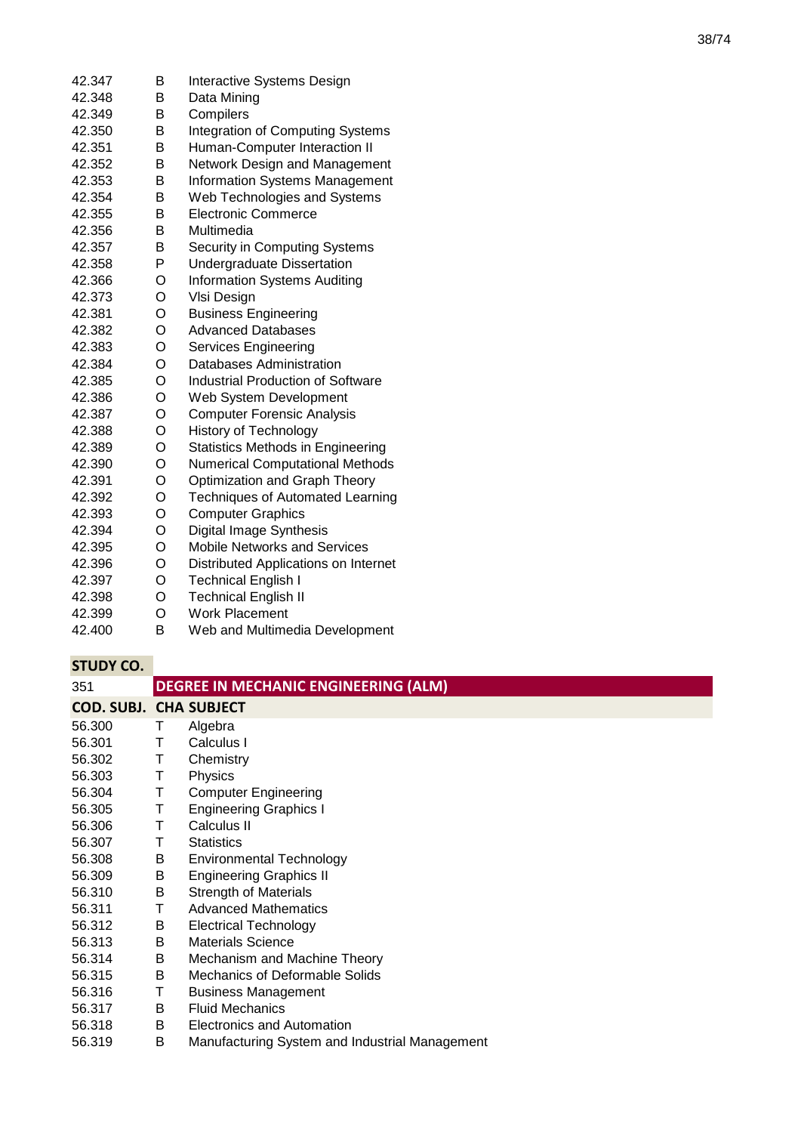| 42.347 | В | Interactive Systems Design               |
|--------|---|------------------------------------------|
| 42.348 | B | Data Mining                              |
| 42.349 | Β | Compilers                                |
| 42.350 | В | <b>Integration of Computing Systems</b>  |
| 42.351 | B | Human-Computer Interaction II            |
| 42.352 | B | Network Design and Management            |
| 42.353 | B | <b>Information Systems Management</b>    |
| 42.354 | B | Web Technologies and Systems             |
| 42.355 | B | <b>Electronic Commerce</b>               |
| 42.356 | B | Multimedia                               |
| 42.357 | B | Security in Computing Systems            |
| 42.358 | P | <b>Undergraduate Dissertation</b>        |
| 42.366 | O | <b>Information Systems Auditing</b>      |
| 42.373 | O | VIsi Design                              |
| 42.381 | O | <b>Business Engineering</b>              |
| 42.382 | O | <b>Advanced Databases</b>                |
| 42.383 | O | Services Engineering                     |
| 42.384 | O | Databases Administration                 |
| 42.385 | O | Industrial Production of Software        |
| 42.386 | O | Web System Development                   |
| 42.387 | O | <b>Computer Forensic Analysis</b>        |
| 42.388 | O | <b>History of Technology</b>             |
| 42.389 | O | <b>Statistics Methods in Engineering</b> |
| 42.390 | O | <b>Numerical Computational Methods</b>   |
| 42.391 | O | Optimization and Graph Theory            |
| 42.392 | O | <b>Techniques of Automated Learning</b>  |
| 42.393 | O | <b>Computer Graphics</b>                 |
| 42.394 | O | Digital Image Synthesis                  |
| 42.395 | O | <b>Mobile Networks and Services</b>      |
| 42.396 | O | Distributed Applications on Internet     |
| 42.397 | O | <b>Technical English I</b>               |
| 42.398 | O | <b>Technical English II</b>              |
| 42.399 | O | <b>Work Placement</b>                    |

42.400 B Web and Multimedia Development

| 351                           |   | <b>DEGREE IN MECHANIC ENGINEERING (ALM)</b>    |
|-------------------------------|---|------------------------------------------------|
| <b>COD. SUBJ. CHA SUBJECT</b> |   |                                                |
| 56.300                        | т | Algebra                                        |
| 56.301                        | т | Calculus I                                     |
| 56.302                        | Τ | Chemistry                                      |
| 56.303                        | Т | Physics                                        |
| 56.304                        | Τ | <b>Computer Engineering</b>                    |
| 56.305                        | Τ | <b>Engineering Graphics I</b>                  |
| 56.306                        | Τ | Calculus II                                    |
| 56.307                        | т | <b>Statistics</b>                              |
| 56.308                        | В | <b>Environmental Technology</b>                |
| 56.309                        | B | <b>Engineering Graphics II</b>                 |
| 56.310                        | B | <b>Strength of Materials</b>                   |
| 56.311                        | Τ | <b>Advanced Mathematics</b>                    |
| 56.312                        | В | <b>Electrical Technology</b>                   |
| 56.313                        | В | <b>Materials Science</b>                       |
| 56.314                        | В | Mechanism and Machine Theory                   |
| 56.315                        | B | <b>Mechanics of Deformable Solids</b>          |
| 56.316                        | Τ | <b>Business Management</b>                     |
| 56.317                        | B | <b>Fluid Mechanics</b>                         |
| 56.318                        | B | Electronics and Automation                     |
| 56.319                        | B | Manufacturing System and Industrial Management |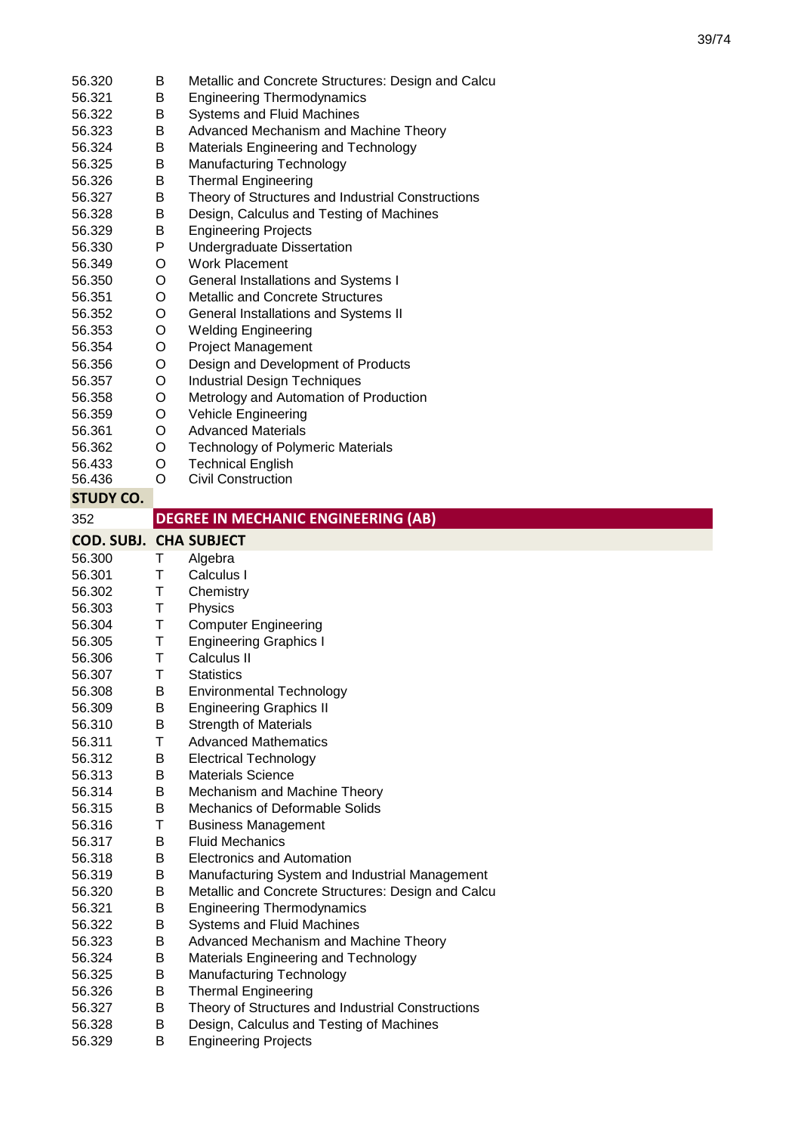| 56.320                        | B       | Metallic and Concrete Structures: Design and Calcu |
|-------------------------------|---------|----------------------------------------------------|
| 56.321                        | В       | <b>Engineering Thermodynamics</b>                  |
| 56.322                        | В       | Systems and Fluid Machines                         |
| 56.323                        | В       | Advanced Mechanism and Machine Theory              |
| 56.324                        | В       | <b>Materials Engineering and Technology</b>        |
| 56.325                        | B       | Manufacturing Technology                           |
| 56.326                        | B       | <b>Thermal Engineering</b>                         |
| 56.327                        | B       | Theory of Structures and Industrial Constructions  |
| 56.328                        | B       | Design, Calculus and Testing of Machines           |
| 56.329                        | B       | <b>Engineering Projects</b>                        |
| 56.330                        | P       | Undergraduate Dissertation                         |
| 56.349                        | O       | <b>Work Placement</b>                              |
| 56.350                        | O       | General Installations and Systems I                |
| 56.351                        | O       | <b>Metallic and Concrete Structures</b>            |
| 56.352                        | O       | General Installations and Systems II               |
| 56.353                        | O       | <b>Welding Engineering</b>                         |
| 56.354                        | O       | <b>Project Management</b>                          |
| 56.356                        | O       | Design and Development of Products                 |
| 56.357                        | O       | <b>Industrial Design Techniques</b>                |
| 56.358                        | O       | Metrology and Automation of Production             |
| 56.359                        | O       | <b>Vehicle Engineering</b>                         |
| 56.361                        | O       | <b>Advanced Materials</b>                          |
| 56.362                        | O       | <b>Technology of Polymeric Materials</b>           |
| 56.433                        | O       | <b>Technical English</b>                           |
| 56.436                        | $\circ$ | <b>Civil Construction</b>                          |
| <b>STUDY CO.</b>              |         |                                                    |
|                               |         | <b>DEGREE IN MECHANIC ENGINEERING (AB)</b>         |
| 352                           |         |                                                    |
| <b>COD. SUBJ. CHA SUBJECT</b> |         |                                                    |
| 56.300                        | Τ       | Algebra                                            |
|                               |         |                                                    |
| 56.301                        | Τ       | Calculus I                                         |
| 56.302                        | Τ       | Chemistry                                          |
| 56.303                        | T       | Physics                                            |
| 56.304                        | Τ       | <b>Computer Engineering</b>                        |
| 56.305                        | Τ       | <b>Engineering Graphics I</b>                      |
| 56.306                        | T       | Calculus II                                        |
| 56.307                        | Τ       | <b>Statistics</b>                                  |
| 56.308                        | В       | <b>Environmental Technology</b>                    |
| 56.309                        | B       | <b>Engineering Graphics II</b>                     |
| 56.310                        | B       | <b>Strength of Materials</b>                       |
| 56.311                        | Τ       | <b>Advanced Mathematics</b>                        |
| 56.312                        | В       | <b>Electrical Technology</b>                       |
| 56.313                        | B       | <b>Materials Science</b>                           |
| 56.314                        | B       | Mechanism and Machine Theory                       |
| 56.315                        | B       | Mechanics of Deformable Solids                     |
| 56.316                        | T       | <b>Business Management</b>                         |
| 56.317                        | B       | <b>Fluid Mechanics</b>                             |
| 56.318                        | B       | <b>Electronics and Automation</b>                  |
| 56.319                        | B       | Manufacturing System and Industrial Management     |
| 56.320                        | B       | Metallic and Concrete Structures: Design and Calcu |
| 56.321                        | B       | <b>Engineering Thermodynamics</b>                  |
| 56.322                        | B       | Systems and Fluid Machines                         |
| 56.323                        | B       | Advanced Mechanism and Machine Theory              |
| 56.324                        | B       | Materials Engineering and Technology               |
| 56.325                        | B       | Manufacturing Technology                           |
| 56.326                        | B       | <b>Thermal Engineering</b>                         |
| 56.327                        | B       | Theory of Structures and Industrial Constructions  |
| 56.328                        | B       | Design, Calculus and Testing of Machines           |
| 56.329                        | B       | <b>Engineering Projects</b>                        |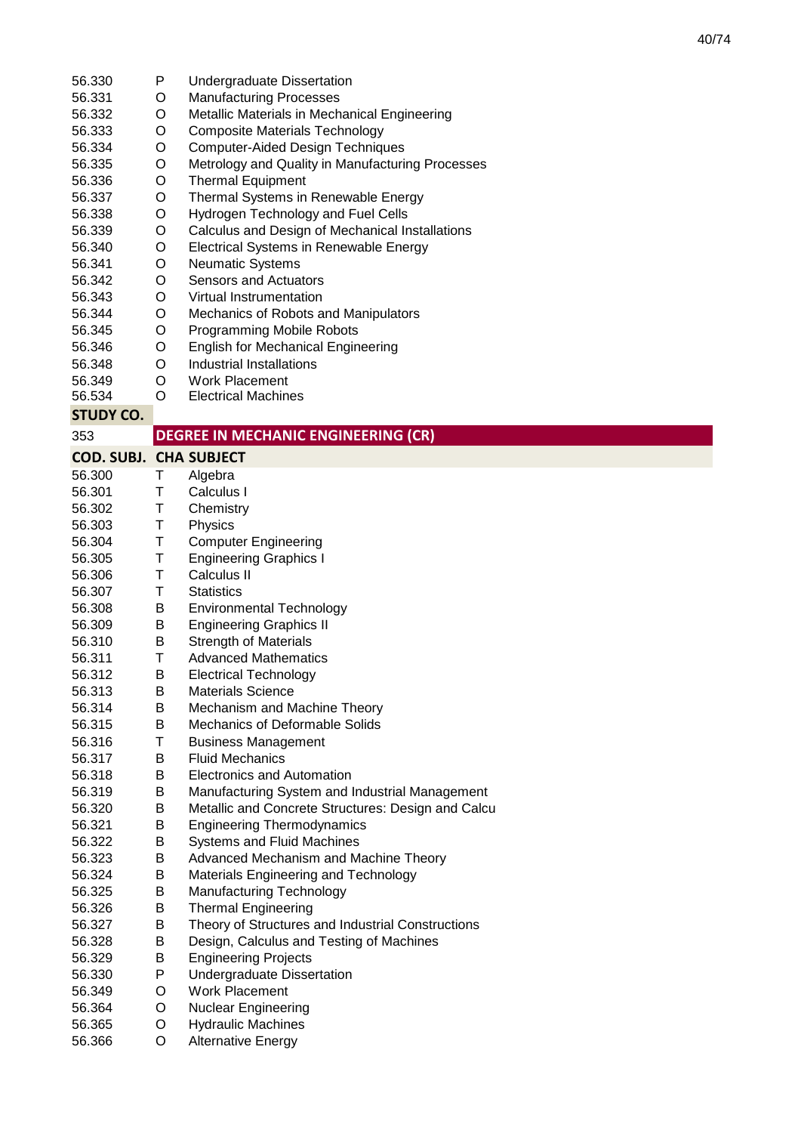- 56.330 P Undergraduate Dissertation<br>O Manufacturing Processes
- 56.331 **Manufacturing Processes**
- 56.332 O Metallic Materials in Mechanical Engineering
- 56.333 O Composite Materials Technology
- 56.334 O Computer-Aided Design Techniques
- 56.335 O Metrology and Quality in Manufacturing Processes
- 56.336 O Thermal Equipment
- 56.337 O Thermal Systems in Renewable Energy
- 56.338 O Hydrogen Technology and Fuel Cells
- 56.339 O Calculus and Design of Mechanical Installations
- 56.340 O Electrical Systems in Renewable Energy
- 56.341 O Neumatic Systems
- 56.342 O Sensors and Actuators
- 56.343 O Virtual Instrumentation
- 56.344 O Mechanics of Robots and Manipulators<br>O Programming Mobile Robots
- 56.345 Programming Mobile Robots
- 56.346 O English for Mechanical Engineering
- 56.348 O Industrial Installations
- 56.349 O Work Placement
- 56.534 O Electrical Machines

353

| <b>COD. SUBJ. CHA SUBJECT</b> |        |                               |
|-------------------------------|--------|-------------------------------|
| 56.300                        | Т.     | Algebra                       |
| 56.301                        | т      | Calculus I                    |
| 56.302                        | т      | Chemistry                     |
| 56.303                        | т      | Physics                       |
| 56.304                        | $\top$ | <b>Computer Engineering</b>   |
| 56.305                        | т      | <b>Engineering Graphics I</b> |
| $-0.000$                      | ᅮ      | . <b>.</b>                    |

- 56.306 T Calculus II
- 56.307 T Statistics
- 56.308 B Environmental Technology<br>B Engineering Graphics II
- 56.309 **Engineering Graphics II**
- 56.310 B Strength of Materials
- 56.311 T Advanced Mathematics
- 56.312 B Electrical Technology
- 56.313 B Materials Science
- 56.314 B Mechanism and Machine Theory
- 56.315 B Mechanics of Deformable Solids
- 56.316 T Business Management<br>B Fluid Mechanics
- 56.317 **Fluid Mechanics**
- 56.318 B Electronics and Automation
- 56.319 B Manufacturing System and Industrial Management
- 56.320 B Metallic and Concrete Structures: Design and Calcu
- 56.321 B Engineering Thermodynamics
- 56.322 B Systems and Fluid Machines
- 56.323 B Advanced Mechanism and Machine Theory
- 56.324 B Materials Engineering and Technology
- 56.325 B Manufacturing Technology
- 56.326 B Thermal Engineering
- 56.327 B Theory of Structures and Industrial Constructions
- 56.328 B Design, Calculus and Testing of Machines
- 56.329 B Engineering Projects
- 56.330 P Undergraduate Dissertation
- 56.349 O Work Placement
- 56.364 O Nuclear Engineering
- 56.365 O Hydraulic Machines
- 56.366 O Alternative Energy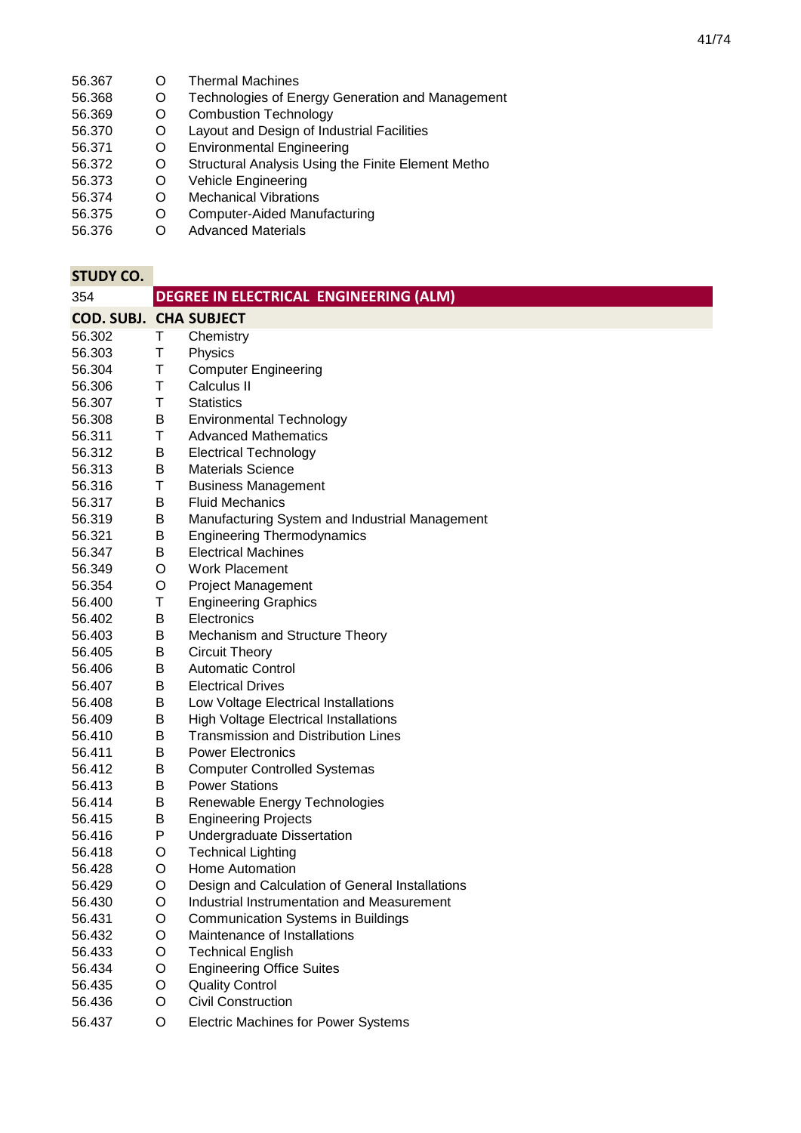- 56.367 O Thermal Machines<br>56.368 O Technologies of En
- 56.368 O Technologies of Energy Generation and Management<br>56.369 O Combustion Technology
- 56.369 O Combustion Technology<br>56.370 O Layout and Design of Ind
- O Layout and Design of Industrial Facilities<br>O Environmental Engineering
- 56.371 O Environmental Engineering<br>56.372 O Structural Analysis Using the
- Structural Analysis Using the Finite Element Metho
- 56.373 O Vehicle Engineering
- 56.374 O Mechanical Vibrations<br>56.375 O Computer-Aided Manu
- 56.375 O Computer-Aided Manufacturing
- Advanced Materials

| 354                           |   | <b>DEGREE IN ELECTRICAL ENGINEERING (ALM)</b>   |
|-------------------------------|---|-------------------------------------------------|
| <b>COD. SUBJ. CHA SUBJECT</b> |   |                                                 |
| 56.302                        | Τ | Chemistry                                       |
| 56.303                        | Τ | Physics                                         |
| 56.304                        | Τ | <b>Computer Engineering</b>                     |
| 56.306                        | T | Calculus II                                     |
| 56.307                        | Τ | <b>Statistics</b>                               |
| 56.308                        | B | <b>Environmental Technology</b>                 |
| 56.311                        | Т | <b>Advanced Mathematics</b>                     |
| 56.312                        | Β | <b>Electrical Technology</b>                    |
| 56.313                        | B | <b>Materials Science</b>                        |
| 56.316                        | Τ | <b>Business Management</b>                      |
| 56.317                        | B | <b>Fluid Mechanics</b>                          |
| 56.319                        | В | Manufacturing System and Industrial Management  |
| 56.321                        | B | <b>Engineering Thermodynamics</b>               |
| 56.347                        | В | <b>Electrical Machines</b>                      |
| 56.349                        | O | <b>Work Placement</b>                           |
| 56.354                        | O | <b>Project Management</b>                       |
| 56.400                        | Τ | <b>Engineering Graphics</b>                     |
| 56.402                        | B | Electronics                                     |
| 56.403                        | B | Mechanism and Structure Theory                  |
| 56.405                        | В | <b>Circuit Theory</b>                           |
| 56.406                        | В | <b>Automatic Control</b>                        |
| 56.407                        | B | <b>Electrical Drives</b>                        |
| 56.408                        | B | Low Voltage Electrical Installations            |
| 56.409                        | В | <b>High Voltage Electrical Installations</b>    |
| 56.410                        | B | <b>Transmission and Distribution Lines</b>      |
| 56.411                        | В | <b>Power Electronics</b>                        |
| 56.412                        | B | <b>Computer Controlled Systemas</b>             |
| 56.413                        | В | <b>Power Stations</b>                           |
| 56.414                        | В | Renewable Energy Technologies                   |
| 56.415                        | В | <b>Engineering Projects</b>                     |
| 56.416                        | P | <b>Undergraduate Dissertation</b>               |
| 56.418                        | O | <b>Technical Lighting</b>                       |
| 56.428                        | O | Home Automation                                 |
| 56.429                        | O | Design and Calculation of General Installations |
| 56.430                        | O | Industrial Instrumentation and Measurement      |
| 56.431                        | O | <b>Communication Systems in Buildings</b>       |
| 56.432                        | O | Maintenance of Installations                    |
| 56.433                        | O | <b>Technical English</b>                        |
| 56.434                        | O | <b>Engineering Office Suites</b>                |
| 56.435                        | O | <b>Quality Control</b>                          |
| 56.436                        | O | <b>Civil Construction</b>                       |
| 56.437                        | O | <b>Electric Machines for Power Systems</b>      |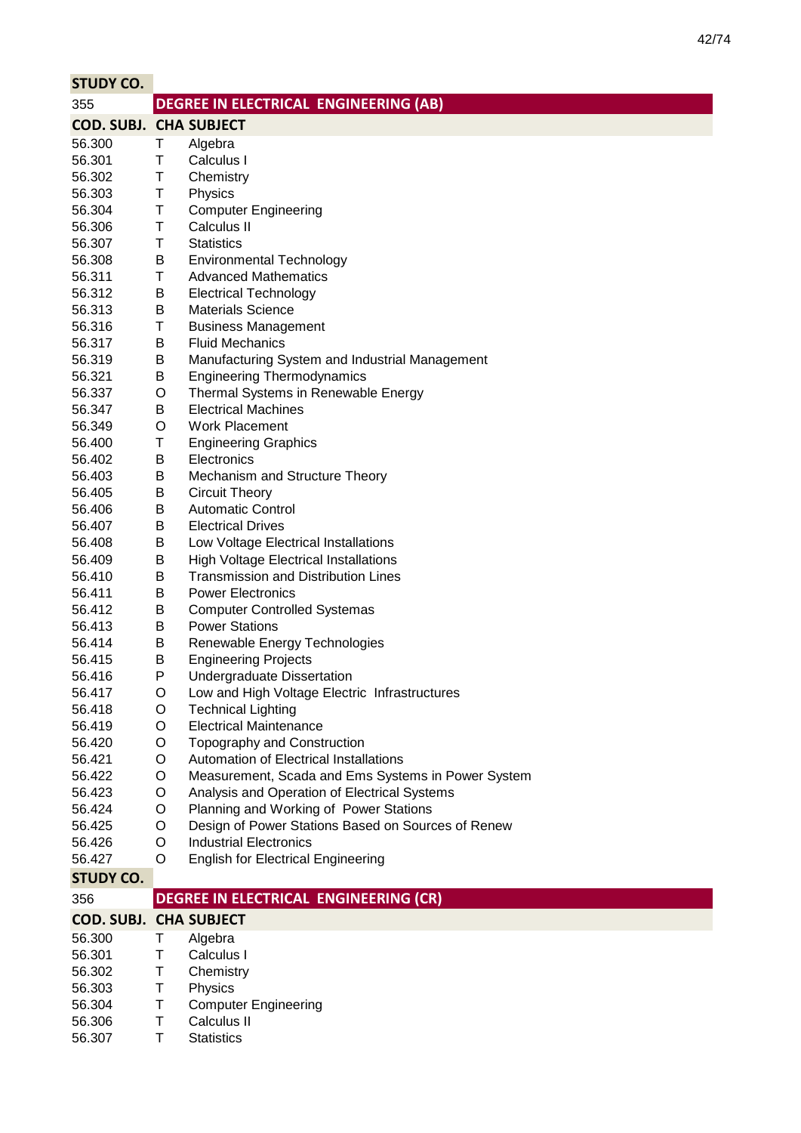| <b>STUDY CO.</b>              |        |                                                                            |
|-------------------------------|--------|----------------------------------------------------------------------------|
| 355                           |        | DEGREE IN ELECTRICAL ENGINEERING (AB)                                      |
| <b>COD. SUBJ. CHA SUBJECT</b> |        |                                                                            |
| 56.300                        | Τ      | Algebra                                                                    |
| 56.301                        | Τ      | Calculus I                                                                 |
| 56.302                        | Τ      | Chemistry                                                                  |
| 56.303                        | Τ      | Physics                                                                    |
| 56.304                        | Τ      | <b>Computer Engineering</b>                                                |
| 56.306                        | Τ      | Calculus II                                                                |
| 56.307                        | Τ      | <b>Statistics</b>                                                          |
| 56.308                        | B      | <b>Environmental Technology</b>                                            |
| 56.311                        | Τ      | <b>Advanced Mathematics</b>                                                |
| 56.312                        | B      | <b>Electrical Technology</b>                                               |
| 56.313                        | В      | <b>Materials Science</b>                                                   |
| 56.316                        | Τ      | <b>Business Management</b>                                                 |
| 56.317                        | B      | <b>Fluid Mechanics</b>                                                     |
| 56.319                        | Β      | Manufacturing System and Industrial Management                             |
| 56.321                        | Β      | <b>Engineering Thermodynamics</b>                                          |
| 56.337                        | O      | Thermal Systems in Renewable Energy                                        |
| 56.347                        | В      | <b>Electrical Machines</b>                                                 |
| 56.349                        | O      | <b>Work Placement</b>                                                      |
| 56.400                        | Τ      | <b>Engineering Graphics</b>                                                |
| 56.402                        | В      | Electronics                                                                |
| 56.403                        | Β      | Mechanism and Structure Theory                                             |
| 56.405                        | B      | <b>Circuit Theory</b>                                                      |
| 56.406                        | Β      | <b>Automatic Control</b>                                                   |
| 56.407                        | Β      | <b>Electrical Drives</b>                                                   |
| 56.408                        | Β      | Low Voltage Electrical Installations                                       |
| 56.409                        | Β      | <b>High Voltage Electrical Installations</b>                               |
| 56.410                        | В      | <b>Transmission and Distribution Lines</b>                                 |
| 56.411                        | В      | <b>Power Electronics</b>                                                   |
| 56.412                        | Β      | <b>Computer Controlled Systemas</b>                                        |
| 56.413                        | B      | <b>Power Stations</b>                                                      |
| 56.414                        | В      | Renewable Energy Technologies                                              |
| 56.415                        | Β      | <b>Engineering Projects</b>                                                |
| 56.416                        | P      | Undergraduate Dissertation                                                 |
| 56.417<br>56.418              | O      | Low and High Voltage Electric Infrastructures<br><b>Technical Lighting</b> |
| 56.419                        | O<br>O | <b>Electrical Maintenance</b>                                              |
| 56.420                        | O      | Topography and Construction                                                |
| 56.421                        | O      | Automation of Electrical Installations                                     |
| 56.422                        | O      | Measurement, Scada and Ems Systems in Power System                         |
| 56.423                        | O      | Analysis and Operation of Electrical Systems                               |
| 56.424                        | O      | Planning and Working of Power Stations                                     |
| 56.425                        | O      | Design of Power Stations Based on Sources of Renew                         |
| 56.426                        | O      | <b>Industrial Electronics</b>                                              |
| 56.427                        | O      | <b>English for Electrical Engineering</b>                                  |
| <b>STUDY CO.</b>              |        |                                                                            |
| 356                           |        | DEGREE IN ELECTRICAL ENGINEERING (CR)                                      |
| <b>COD. SUBJ. CHA SUBJECT</b> |        |                                                                            |
| 56.300                        | т      | Algebra                                                                    |
| 56.301                        | Τ      | Calculus I                                                                 |
| 56.302                        | Τ      | Chemistry                                                                  |
| 56.303                        | Τ      | Physics                                                                    |
| 56.304                        | Т      | <b>Computer Engineering</b>                                                |
| 56.306                        | Τ      | Calculus II                                                                |
| 56.307                        | Τ      | <b>Statistics</b>                                                          |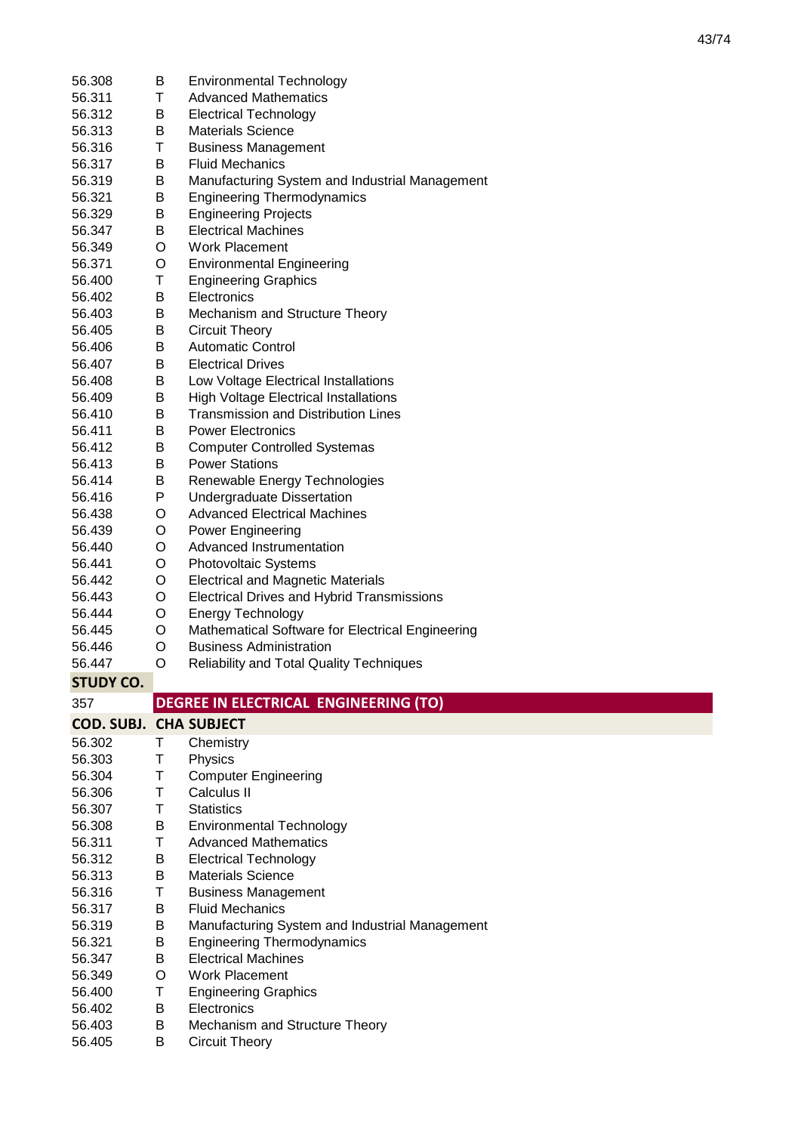| 56.311           | 56.308 | B       | <b>Environmental Technology</b>                                 |
|------------------|--------|---------|-----------------------------------------------------------------|
|                  |        | Τ       | <b>Advanced Mathematics</b>                                     |
| 56.312           |        | В       | <b>Electrical Technology</b>                                    |
| 56.313           |        | B       | <b>Materials Science</b>                                        |
| 56.316           |        | Τ       | <b>Business Management</b>                                      |
| 56.317           |        | В       | <b>Fluid Mechanics</b>                                          |
| 56.319           |        | Β       | Manufacturing System and Industrial Management                  |
| 56.321           |        | В       | <b>Engineering Thermodynamics</b>                               |
| 56.329           |        | В       | <b>Engineering Projects</b>                                     |
| 56.347           |        | В       | <b>Electrical Machines</b>                                      |
| 56.349           |        | O       | <b>Work Placement</b>                                           |
| 56.371           |        | O       | <b>Environmental Engineering</b>                                |
| 56.400           |        | Τ       | <b>Engineering Graphics</b>                                     |
| 56.402           |        | В       | Electronics                                                     |
| 56.403           |        | Β       | Mechanism and Structure Theory                                  |
| 56.405           |        | Β       | <b>Circuit Theory</b>                                           |
| 56.406           |        | Β       | <b>Automatic Control</b>                                        |
| 56.407           |        | B       | <b>Electrical Drives</b>                                        |
| 56.408           |        | Β       | Low Voltage Electrical Installations                            |
| 56.409           |        | Β       | <b>High Voltage Electrical Installations</b>                    |
| 56.410           |        | B       | <b>Transmission and Distribution Lines</b>                      |
| 56.411           |        | B       | <b>Power Electronics</b>                                        |
| 56.412           |        | Β       | <b>Computer Controlled Systemas</b>                             |
| 56.413           |        | B       | <b>Power Stations</b>                                           |
| 56.414           |        | Β       | Renewable Energy Technologies                                   |
| 56.416           |        | P       | <b>Undergraduate Dissertation</b>                               |
| 56.438           |        | O       | <b>Advanced Electrical Machines</b>                             |
| 56.439           |        | O       | <b>Power Engineering</b>                                        |
| 56.440           |        | O       | Advanced Instrumentation                                        |
| 56.441           |        | O       | Photovoltaic Systems                                            |
| 56.442           |        | O       | <b>Electrical and Magnetic Materials</b>                        |
| 56.443           |        | O       | <b>Electrical Drives and Hybrid Transmissions</b>               |
| 56.444           |        | O       | <b>Energy Technology</b>                                        |
| 56.445           |        | O       | Mathematical Software for Electrical Engineering                |
| 56.446           |        |         | <b>Business Administration</b>                                  |
|                  |        | O       |                                                                 |
| 56.447           |        | $\circ$ | <b>Reliability and Total Quality Techniques</b>                 |
| <b>STUDY CO.</b> |        |         |                                                                 |
| 357              |        |         |                                                                 |
|                  |        |         | DEGREE IN ELECTRICAL ENGINEERING (TO)                           |
|                  |        |         | <b>COD. SUBJ. CHA SUBJECT</b>                                   |
| 56.302           |        | Τ       | Chemistry                                                       |
| 56.303           |        | Т       | Physics                                                         |
| 56.304           |        | Т       | <b>Computer Engineering</b>                                     |
| 56.306           |        | Т       | Calculus II                                                     |
| 56.307           |        | Τ       | <b>Statistics</b>                                               |
| 56.308           |        | B       | <b>Environmental Technology</b>                                 |
| 56.311           |        | Τ       | <b>Advanced Mathematics</b>                                     |
| 56.312           |        | Β       | <b>Electrical Technology</b>                                    |
| 56.313           |        | Β       | <b>Materials Science</b>                                        |
| 56.316           |        | Τ       | <b>Business Management</b>                                      |
| 56.317           |        | В       | <b>Fluid Mechanics</b>                                          |
| 56.319           |        | В       | Manufacturing System and Industrial Management                  |
| 56.321<br>56.347 |        | Β<br>Β  | <b>Engineering Thermodynamics</b><br><b>Electrical Machines</b> |
|                  |        | O       | <b>Work Placement</b>                                           |
| 56.349<br>56.400 |        | Τ       |                                                                 |
| 56.402           |        |         | <b>Engineering Graphics</b><br>Electronics                      |
| 56.403           |        | Β<br>В  | Mechanism and Structure Theory                                  |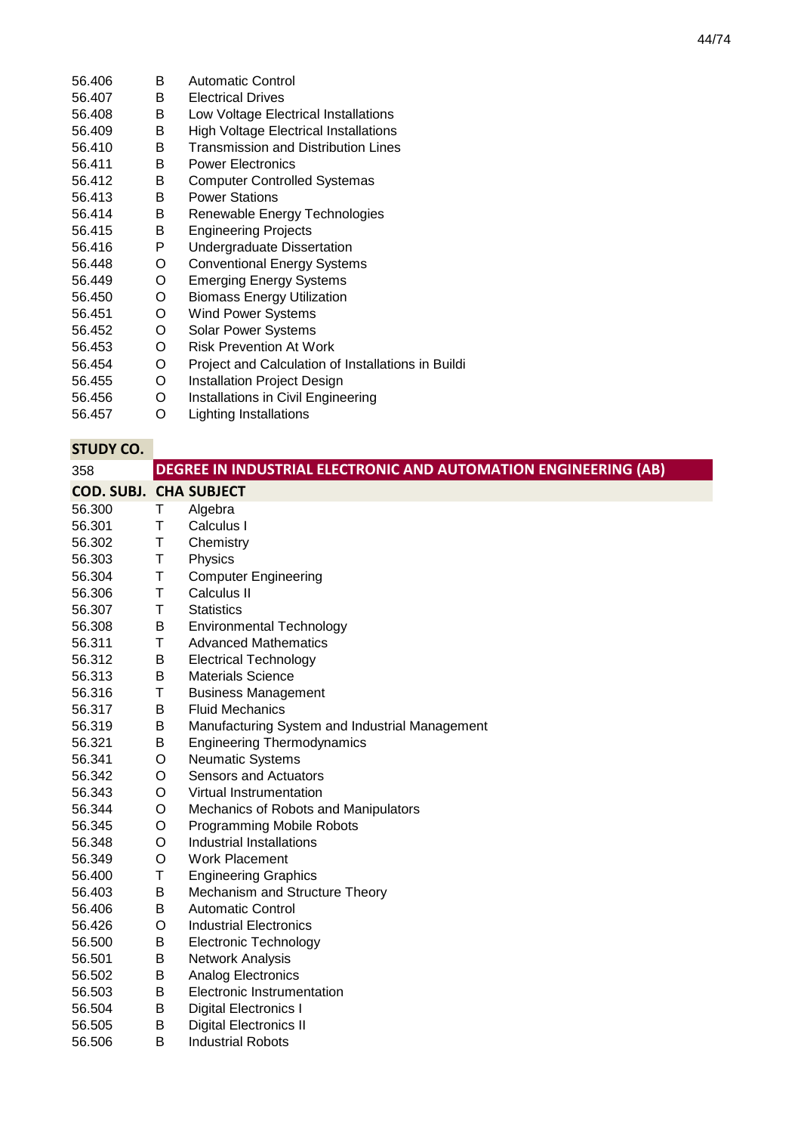| 56.406 | B | Automatic Control                                  |
|--------|---|----------------------------------------------------|
| 56.407 | В | <b>Electrical Drives</b>                           |
| 56.408 | B | Low Voltage Electrical Installations               |
| 56.409 | В | High Voltage Electrical Installations              |
| 56.410 | B | Transmission and Distribution Lines                |
| 56.411 | B | <b>Power Electronics</b>                           |
| 56.412 | В | <b>Computer Controlled Systemas</b>                |
| 56.413 | B | <b>Power Stations</b>                              |
| 56.414 | B | Renewable Energy Technologies                      |
| 56.415 | B | <b>Engineering Projects</b>                        |
| 56.416 | P | Undergraduate Dissertation                         |
| 56.448 | O | <b>Conventional Energy Systems</b>                 |
| 56.449 | O | Emerging Energy Systems                            |
| 56.450 | O | Biomass Energy Utilization                         |
| 56.451 | O | Wind Power Systems                                 |
| 56.452 | O | <b>Solar Power Systems</b>                         |
| 56.453 | O | <b>Risk Prevention At Work</b>                     |
| 56.454 | O | Project and Calculation of Installations in Buildi |
| 56.455 | O | <b>Installation Project Design</b>                 |
|        |   |                                                    |

- 56.456 O Installations in Civil Engineering
- 56.457 O Lighting Installations

| 358                           |   | DEGREE IN INDUSTRIAL ELECTRONIC AND AUTOMATION ENGINEERING (AB) |
|-------------------------------|---|-----------------------------------------------------------------|
| <b>COD. SUBJ. CHA SUBJECT</b> |   |                                                                 |
| 56.300                        | Τ | Algebra                                                         |
| 56.301                        | Τ | Calculus I                                                      |
| 56.302                        | Τ | Chemistry                                                       |
| 56.303                        | Τ | Physics                                                         |
| 56.304                        | T | <b>Computer Engineering</b>                                     |
| 56.306                        | T | Calculus II                                                     |
| 56.307                        | T | <b>Statistics</b>                                               |
| 56.308                        | B | <b>Environmental Technology</b>                                 |
| 56.311                        | Τ | <b>Advanced Mathematics</b>                                     |
| 56.312                        | B | <b>Electrical Technology</b>                                    |
| 56.313                        | B | <b>Materials Science</b>                                        |
| 56.316                        | Τ | <b>Business Management</b>                                      |
| 56.317                        | B | <b>Fluid Mechanics</b>                                          |
| 56.319                        | В | Manufacturing System and Industrial Management                  |
| 56.321                        | В | <b>Engineering Thermodynamics</b>                               |
| 56.341                        | O | Neumatic Systems                                                |
| 56.342                        | O | <b>Sensors and Actuators</b>                                    |
| 56.343                        | O | Virtual Instrumentation                                         |
| 56.344                        | O | Mechanics of Robots and Manipulators                            |
| 56.345                        | O | <b>Programming Mobile Robots</b>                                |
| 56.348                        | O | <b>Industrial Installations</b>                                 |
| 56.349                        | O | <b>Work Placement</b>                                           |
| 56.400                        | Τ | <b>Engineering Graphics</b>                                     |
| 56.403                        | B | Mechanism and Structure Theory                                  |
| 56.406                        | В | <b>Automatic Control</b>                                        |
| 56.426                        | O | <b>Industrial Electronics</b>                                   |
| 56.500                        | В | <b>Electronic Technology</b>                                    |
| 56.501                        | В | Network Analysis                                                |
| 56.502                        | В | Analog Electronics                                              |
| 56.503                        | В | Electronic Instrumentation                                      |
| 56.504                        | B | Digital Electronics I                                           |
| 56.505                        | B | <b>Digital Electronics II</b>                                   |
| 56.506                        | B | <b>Industrial Robots</b>                                        |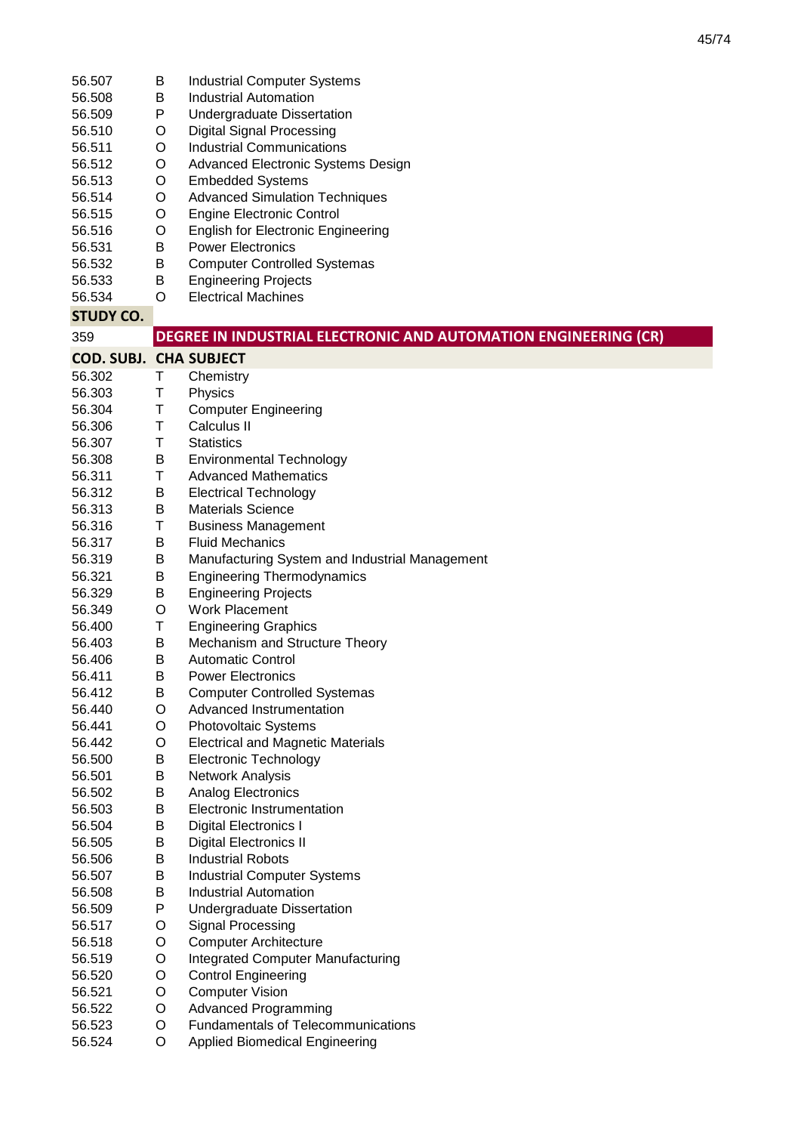| 56.507<br>56.508<br>56.509<br>56.510<br>56.511<br>56.512<br>56.513<br>56.514<br>56.515<br>56.516<br>56.531<br>56.532<br>56.533 | В<br>В<br>P<br>O<br>O<br>O<br>O<br>O<br>O<br>O<br>B<br>Β<br>В | <b>Industrial Computer Systems</b><br><b>Industrial Automation</b><br><b>Undergraduate Dissertation</b><br><b>Digital Signal Processing</b><br><b>Industrial Communications</b><br>Advanced Electronic Systems Design<br><b>Embedded Systems</b><br><b>Advanced Simulation Techniques</b><br><b>Engine Electronic Control</b><br><b>English for Electronic Engineering</b><br><b>Power Electronics</b><br><b>Computer Controlled Systemas</b><br><b>Engineering Projects</b> |
|--------------------------------------------------------------------------------------------------------------------------------|---------------------------------------------------------------|------------------------------------------------------------------------------------------------------------------------------------------------------------------------------------------------------------------------------------------------------------------------------------------------------------------------------------------------------------------------------------------------------------------------------------------------------------------------------|
| 56.534                                                                                                                         | O                                                             | <b>Electrical Machines</b>                                                                                                                                                                                                                                                                                                                                                                                                                                                   |
| <b>STUDY CO.</b>                                                                                                               |                                                               |                                                                                                                                                                                                                                                                                                                                                                                                                                                                              |
| 359                                                                                                                            |                                                               | DEGREE IN INDUSTRIAL ELECTRONIC AND AUTOMATION ENGINEERING (CR)                                                                                                                                                                                                                                                                                                                                                                                                              |
| <b>COD. SUBJ. CHA SUBJECT</b>                                                                                                  |                                                               |                                                                                                                                                                                                                                                                                                                                                                                                                                                                              |
| 56.302<br>56.303                                                                                                               | Т<br>T                                                        | Chemistry                                                                                                                                                                                                                                                                                                                                                                                                                                                                    |
| 56.304                                                                                                                         | Τ                                                             | Physics<br><b>Computer Engineering</b>                                                                                                                                                                                                                                                                                                                                                                                                                                       |
| 56.306                                                                                                                         | Τ                                                             | Calculus II                                                                                                                                                                                                                                                                                                                                                                                                                                                                  |
| 56.307                                                                                                                         | Τ                                                             | <b>Statistics</b>                                                                                                                                                                                                                                                                                                                                                                                                                                                            |
| 56.308                                                                                                                         | B                                                             | <b>Environmental Technology</b>                                                                                                                                                                                                                                                                                                                                                                                                                                              |
| 56.311                                                                                                                         | Τ                                                             | <b>Advanced Mathematics</b>                                                                                                                                                                                                                                                                                                                                                                                                                                                  |
| 56.312                                                                                                                         | В                                                             | <b>Electrical Technology</b>                                                                                                                                                                                                                                                                                                                                                                                                                                                 |
| 56.313                                                                                                                         | B                                                             | <b>Materials Science</b>                                                                                                                                                                                                                                                                                                                                                                                                                                                     |
| 56.316                                                                                                                         | Τ                                                             | <b>Business Management</b>                                                                                                                                                                                                                                                                                                                                                                                                                                                   |
| 56.317                                                                                                                         | B                                                             | <b>Fluid Mechanics</b>                                                                                                                                                                                                                                                                                                                                                                                                                                                       |
| 56.319                                                                                                                         | Β                                                             | Manufacturing System and Industrial Management                                                                                                                                                                                                                                                                                                                                                                                                                               |
| 56.321                                                                                                                         | Β                                                             | <b>Engineering Thermodynamics</b>                                                                                                                                                                                                                                                                                                                                                                                                                                            |
| 56.329                                                                                                                         | B                                                             | <b>Engineering Projects</b>                                                                                                                                                                                                                                                                                                                                                                                                                                                  |
| 56.349                                                                                                                         | O                                                             | <b>Work Placement</b>                                                                                                                                                                                                                                                                                                                                                                                                                                                        |
| 56.400                                                                                                                         | Τ                                                             | <b>Engineering Graphics</b>                                                                                                                                                                                                                                                                                                                                                                                                                                                  |
| 56.403                                                                                                                         | В                                                             | Mechanism and Structure Theory                                                                                                                                                                                                                                                                                                                                                                                                                                               |
| 56.406                                                                                                                         | В                                                             | <b>Automatic Control</b>                                                                                                                                                                                                                                                                                                                                                                                                                                                     |
| 56.411                                                                                                                         | B                                                             | <b>Power Electronics</b>                                                                                                                                                                                                                                                                                                                                                                                                                                                     |
| 56.412                                                                                                                         | B<br>O                                                        | <b>Computer Controlled Systemas</b><br>Advanced Instrumentation                                                                                                                                                                                                                                                                                                                                                                                                              |
| 56.440<br>56.441                                                                                                               | O                                                             | Photovoltaic Systems                                                                                                                                                                                                                                                                                                                                                                                                                                                         |
| 56.442                                                                                                                         | O                                                             | <b>Electrical and Magnetic Materials</b>                                                                                                                                                                                                                                                                                                                                                                                                                                     |
| 56.500                                                                                                                         | Β                                                             | <b>Electronic Technology</b>                                                                                                                                                                                                                                                                                                                                                                                                                                                 |
| 56.501                                                                                                                         | Β                                                             | Network Analysis                                                                                                                                                                                                                                                                                                                                                                                                                                                             |
| 56.502                                                                                                                         | Β                                                             | Analog Electronics                                                                                                                                                                                                                                                                                                                                                                                                                                                           |
| 56.503                                                                                                                         | Β                                                             | Electronic Instrumentation                                                                                                                                                                                                                                                                                                                                                                                                                                                   |
| 56.504                                                                                                                         | Β                                                             | <b>Digital Electronics I</b>                                                                                                                                                                                                                                                                                                                                                                                                                                                 |
| 56.505                                                                                                                         | Β                                                             | <b>Digital Electronics II</b>                                                                                                                                                                                                                                                                                                                                                                                                                                                |
| 56.506                                                                                                                         | Β                                                             | <b>Industrial Robots</b>                                                                                                                                                                                                                                                                                                                                                                                                                                                     |
| 56.507                                                                                                                         | Β                                                             | <b>Industrial Computer Systems</b>                                                                                                                                                                                                                                                                                                                                                                                                                                           |
| 56.508                                                                                                                         | В                                                             | <b>Industrial Automation</b>                                                                                                                                                                                                                                                                                                                                                                                                                                                 |
| 56.509                                                                                                                         | P                                                             | <b>Undergraduate Dissertation</b>                                                                                                                                                                                                                                                                                                                                                                                                                                            |
| 56.517                                                                                                                         | O                                                             | Signal Processing                                                                                                                                                                                                                                                                                                                                                                                                                                                            |
| 56.518<br>56.519                                                                                                               | O<br>O                                                        | <b>Computer Architecture</b>                                                                                                                                                                                                                                                                                                                                                                                                                                                 |
| 56.520                                                                                                                         | O                                                             | Integrated Computer Manufacturing<br><b>Control Engineering</b>                                                                                                                                                                                                                                                                                                                                                                                                              |
| 56.521                                                                                                                         | O                                                             | <b>Computer Vision</b>                                                                                                                                                                                                                                                                                                                                                                                                                                                       |
| 56.522                                                                                                                         | O                                                             | <b>Advanced Programming</b>                                                                                                                                                                                                                                                                                                                                                                                                                                                  |
| 56.523                                                                                                                         | O                                                             | <b>Fundamentals of Telecommunications</b>                                                                                                                                                                                                                                                                                                                                                                                                                                    |
| 56.524                                                                                                                         | O                                                             | <b>Applied Biomedical Engineering</b>                                                                                                                                                                                                                                                                                                                                                                                                                                        |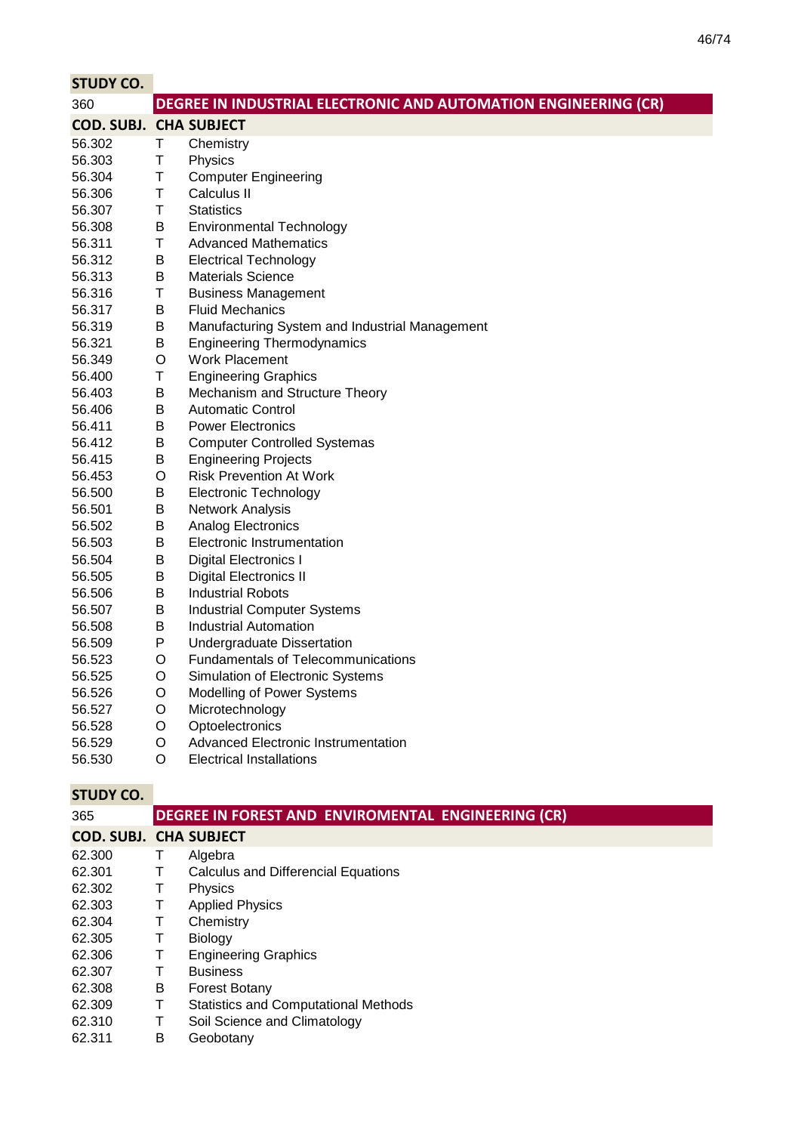| <b>STUDY CO.</b>              |             |                                                                 |
|-------------------------------|-------------|-----------------------------------------------------------------|
| 360                           |             | DEGREE IN INDUSTRIAL ELECTRONIC AND AUTOMATION ENGINEERING (CR) |
| <b>COD. SUBJ. CHA SUBJECT</b> |             |                                                                 |
| 56.302                        | Τ           | Chemistry                                                       |
| 56.303                        | T           | Physics                                                         |
| 56.304                        | T           | <b>Computer Engineering</b>                                     |
| 56.306                        | Τ           | Calculus II                                                     |
| 56.307                        | $\mathsf T$ | <b>Statistics</b>                                               |
| 56.308                        | B           | <b>Environmental Technology</b>                                 |
| 56.311                        | T           | <b>Advanced Mathematics</b>                                     |
| 56.312                        | B           | <b>Electrical Technology</b>                                    |
| 56.313                        | В           | <b>Materials Science</b>                                        |
| 56.316                        | Τ           | <b>Business Management</b>                                      |
| 56.317                        | B           | <b>Fluid Mechanics</b>                                          |
| 56.319                        | B           | Manufacturing System and Industrial Management                  |
| 56.321                        | B           | <b>Engineering Thermodynamics</b>                               |
| 56.349                        | $\circ$     | <b>Work Placement</b>                                           |
| 56.400                        | T           | <b>Engineering Graphics</b>                                     |
| 56.403                        | B           | Mechanism and Structure Theory                                  |
| 56.406                        | В           | <b>Automatic Control</b>                                        |
| 56.411                        | B           | <b>Power Electronics</b>                                        |
| 56.412                        | B           | <b>Computer Controlled Systemas</b>                             |
| 56.415                        | B           | <b>Engineering Projects</b>                                     |
| 56.453                        | $\circ$     | <b>Risk Prevention At Work</b>                                  |
| 56.500                        | B           | <b>Electronic Technology</b>                                    |
| 56.501                        | B           | Network Analysis                                                |
| 56.502                        | B           | Analog Electronics                                              |
| 56.503                        | B           | Electronic Instrumentation                                      |
| 56.504                        | B           | <b>Digital Electronics I</b>                                    |
| 56.505                        | B           | <b>Digital Electronics II</b>                                   |
| 56.506                        | B           | <b>Industrial Robots</b>                                        |
| 56.507                        | B           | <b>Industrial Computer Systems</b>                              |
| 56.508                        | B           | <b>Industrial Automation</b>                                    |
| 56.509                        | P           | Undergraduate Dissertation                                      |
| 56.523                        | O           | Fundamentals of Telecommunications                              |
| 56.525                        | O           | Simulation of Electronic Systems                                |
| 56.526                        | O           | Modelling of Power Systems                                      |
| 56.527                        | O           | Microtechnology                                                 |
| 56.528                        | O           | Optoelectronics                                                 |
| 56.529                        | O           | <b>Advanced Electronic Instrumentation</b>                      |
| 56.530                        | O           | <b>Electrical Installations</b>                                 |

| 365                           |   | DEGREE IN FOREST AND ENVIROMENTAL ENGINEERING (CR) |
|-------------------------------|---|----------------------------------------------------|
| <b>COD. SUBJ. CHA SUBJECT</b> |   |                                                    |
| 62.300                        | T | Algebra                                            |
| 62.301                        | т | Calculus and Differencial Equations                |
| 62.302                        | т | Physics                                            |
| 62.303                        | т | <b>Applied Physics</b>                             |
| 62.304                        | т | Chemistry                                          |
| 62.305                        | т | <b>Biology</b>                                     |
| 62.306                        | т | <b>Engineering Graphics</b>                        |
| 62.307                        | т | <b>Business</b>                                    |
| 62.308                        | В | <b>Forest Botany</b>                               |
| 62.309                        | T | <b>Statistics and Computational Methods</b>        |
| 62.310                        | T | Soil Science and Climatology                       |
| 62.311                        | В | Geobotany                                          |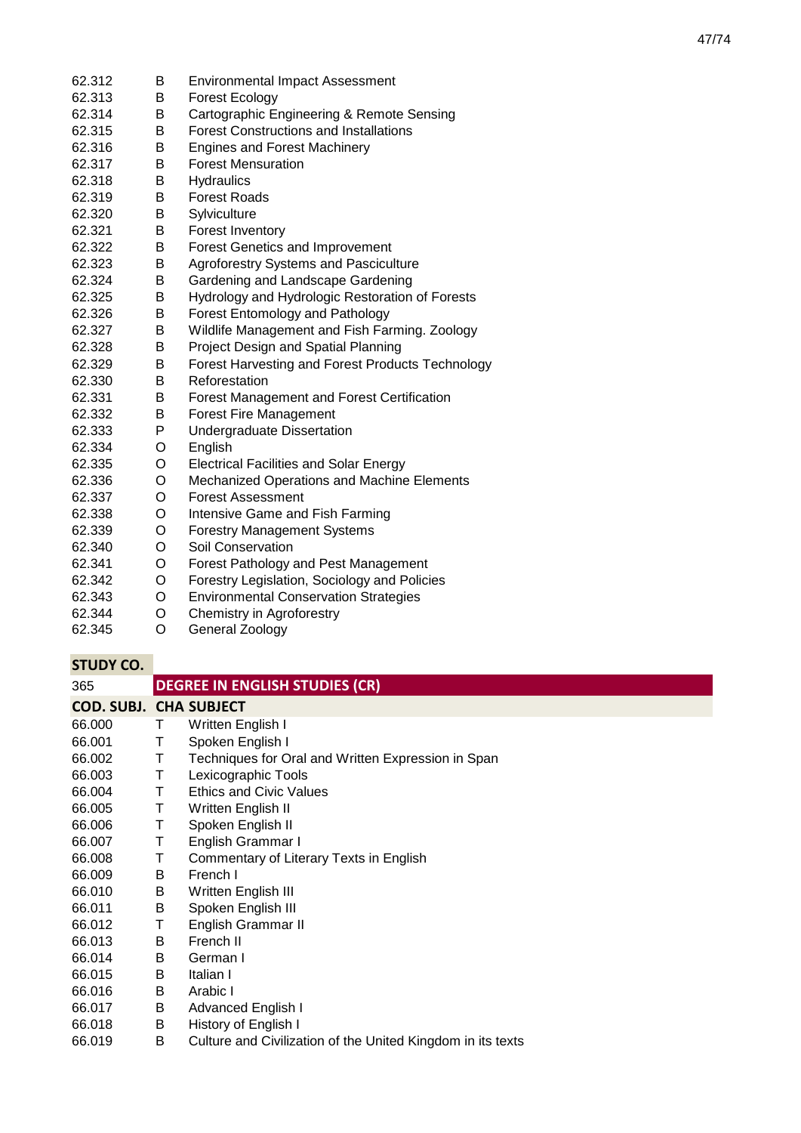| 62.312 | Β | <b>Environmental Impact Assessment</b>            |
|--------|---|---------------------------------------------------|
| 62.313 | B | Forest Ecology                                    |
| 62.314 | Β | Cartographic Engineering & Remote Sensing         |
| 62.315 | B | <b>Forest Constructions and Installations</b>     |
| 62.316 | Β | <b>Engines and Forest Machinery</b>               |
| 62.317 | B | <b>Forest Mensuration</b>                         |
| 62.318 | B | Hydraulics                                        |
| 62.319 | Β | <b>Forest Roads</b>                               |
| 62.320 | B | Sylviculture                                      |
| 62.321 | в | <b>Forest Inventory</b>                           |
| 62.322 | B | <b>Forest Genetics and Improvement</b>            |
| 62.323 | B | Agroforestry Systems and Pasciculture             |
| 62.324 | Β | Gardening and Landscape Gardening                 |
| 62.325 | B | Hydrology and Hydrologic Restoration of Forests   |
| 62.326 | B | Forest Entomology and Pathology                   |
| 62.327 | B | Wildlife Management and Fish Farming. Zoology     |
| 62.328 | B | Project Design and Spatial Planning               |
| 62.329 | Β | Forest Harvesting and Forest Products Technology  |
| 62.330 | В | Reforestation                                     |
| 62.331 | B | <b>Forest Management and Forest Certification</b> |
| 62.332 | Β | <b>Forest Fire Management</b>                     |
| 62.333 | P | Undergraduate Dissertation                        |
| 62.334 | O | English                                           |
| 62.335 | O | <b>Electrical Facilities and Solar Energy</b>     |
| 62.336 | O | Mechanized Operations and Machine Elements        |
| 62.337 | O | <b>Forest Assessment</b>                          |
| 62.338 | O | Intensive Game and Fish Farming                   |
| 62.339 | O | <b>Forestry Management Systems</b>                |
| 62.340 | O | Soil Conservation                                 |
| 62.341 | O | Forest Pathology and Pest Management              |
| 62.342 | O | Forestry Legislation, Sociology and Policies      |
| 62.343 | O | <b>Environmental Conservation Strategies</b>      |
| 62.344 | O | Chemistry in Agroforestry                         |
| 62.345 | O | General Zoology                                   |

| 365                           |   | <b>DEGREE IN ENGLISH STUDIES (CR)</b>                       |
|-------------------------------|---|-------------------------------------------------------------|
| <b>COD. SUBJ. CHA SUBJECT</b> |   |                                                             |
| 66.000                        | Τ | Written English I                                           |
| 66.001                        | т | Spoken English I                                            |
| 66.002                        | Τ | Techniques for Oral and Written Expression in Span          |
| 66.003                        | Τ | Lexicographic Tools                                         |
| 66.004                        | т | <b>Ethics and Civic Values</b>                              |
| 66.005                        | Τ | Written English II                                          |
| 66.006                        | Τ | Spoken English II                                           |
| 66.007                        | Τ | English Grammar I                                           |
| 66.008                        | Τ | Commentary of Literary Texts in English                     |
| 66.009                        | B | French I                                                    |
| 66.010                        | B | Written English III                                         |
| 66.011                        | B | Spoken English III                                          |
| 66.012                        | т | English Grammar II                                          |
| 66.013                        | B | French II                                                   |
| 66.014                        | B | German I                                                    |
| 66.015                        | B | Italian I                                                   |
| 66.016                        | B | Arabic I                                                    |
| 66.017                        | B | Advanced English I                                          |
| 66.018                        | В | History of English I                                        |
| 66.019                        | B | Culture and Civilization of the United Kingdom in its texts |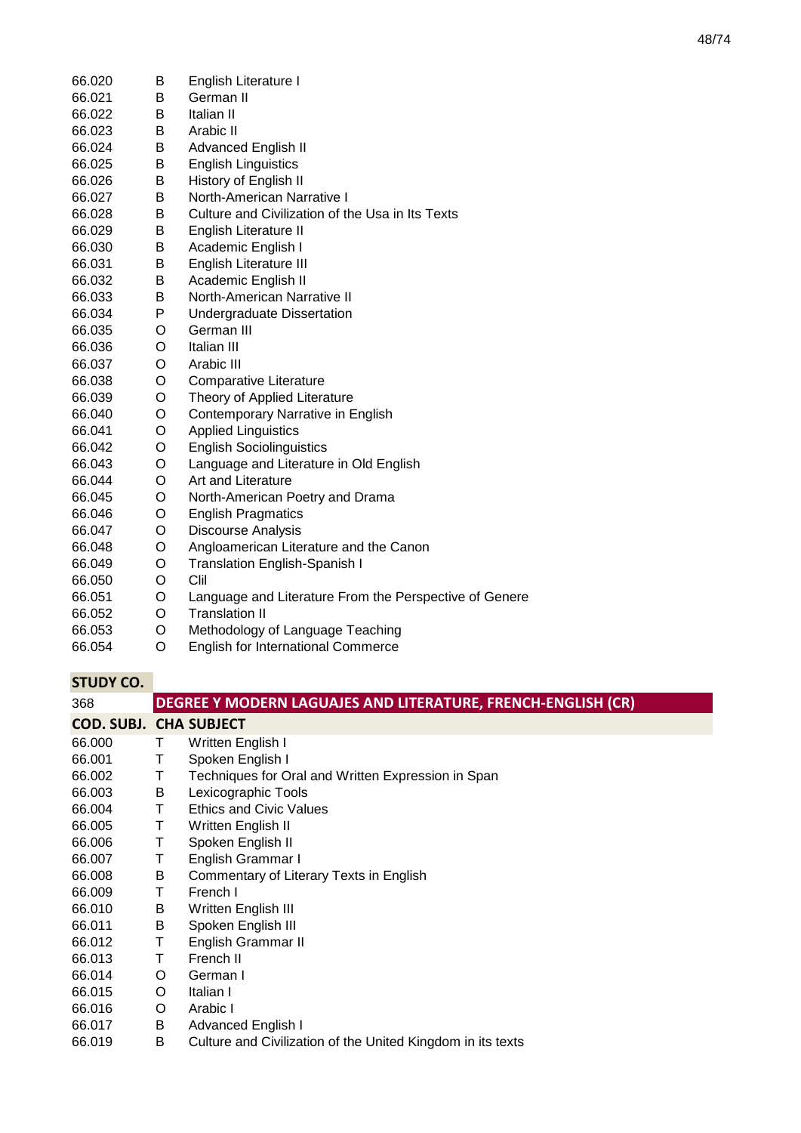| 66.020 | В | English Literature I                                   |
|--------|---|--------------------------------------------------------|
| 66.021 | B | German II                                              |
| 66.022 | B | Italian II                                             |
| 66.023 | В | Arabic II                                              |
| 66.024 | В | <b>Advanced English II</b>                             |
| 66.025 | В | <b>English Linguistics</b>                             |
| 66.026 | В | History of English II                                  |
| 66.027 | B | North-American Narrative I                             |
| 66.028 | B | Culture and Civilization of the Usa in Its Texts       |
| 66.029 | В | English Literature II                                  |
| 66.030 | Β | Academic English I                                     |
| 66.031 | В | English Literature III                                 |
| 66.032 | B | Academic English II                                    |
| 66.033 | В | North-American Narrative II                            |
| 66.034 | P | Undergraduate Dissertation                             |
| 66.035 | O | German III                                             |
| 66.036 | O | Italian III                                            |
| 66.037 | O | Arabic III                                             |
| 66.038 | O | Comparative Literature                                 |
| 66.039 | O | Theory of Applied Literature                           |
| 66.040 | O | Contemporary Narrative in English                      |
| 66.041 | O | <b>Applied Linguistics</b>                             |
| 66.042 | O | <b>English Sociolinguistics</b>                        |
| 66.043 | O | Language and Literature in Old English                 |
| 66.044 | O | Art and Literature                                     |
| 66.045 | O | North-American Poetry and Drama                        |
| 66.046 | O | <b>English Pragmatics</b>                              |
| 66.047 | O | Discourse Analysis                                     |
| 66.048 | O | Angloamerican Literature and the Canon                 |
| 66.049 | O | <b>Translation English-Spanish I</b>                   |
| 66.050 | O | Clil                                                   |
| 66.051 | O | Language and Literature From the Perspective of Genere |
| 66.052 | O | <b>Translation II</b>                                  |
| 66.053 | O | Methodology of Language Teaching                       |
| 66.054 | O | <b>English for International Commerce</b>              |

| 368                           |    | DEGREE Y MODERN LAGUAJES AND LITERATURE, FRENCH-ENGLISH (CR) |
|-------------------------------|----|--------------------------------------------------------------|
| <b>COD. SUBJ. CHA SUBJECT</b> |    |                                                              |
| 66.000                        | Τ  | Written English I                                            |
| 66.001                        | Τ  | Spoken English I                                             |
| 66.002                        | Τ  | Techniques for Oral and Written Expression in Span           |
| 66.003                        | В  | Lexicographic Tools                                          |
| 66.004                        | T. | <b>Ethics and Civic Values</b>                               |
| 66.005                        | Τ  | Written English II                                           |
| 66.006                        | т  | Spoken English II                                            |
| 66.007                        | Τ  | English Grammar I                                            |
| 66.008                        | B  | Commentary of Literary Texts in English                      |
| 66.009                        | Τ  | French I                                                     |
| 66.010                        | B  | Written English III                                          |
| 66.011                        | B  | Spoken English III                                           |
| 66.012                        | Т  | English Grammar II                                           |
| 66.013                        | Τ  | French II                                                    |
| 66.014                        | O  | German I                                                     |
| 66.015                        | O  | Italian I                                                    |
| 66.016                        | O  | Arabic I                                                     |
| 66.017                        | B  | Advanced English I                                           |
| 66.019                        | В  | Culture and Civilization of the United Kingdom in its texts  |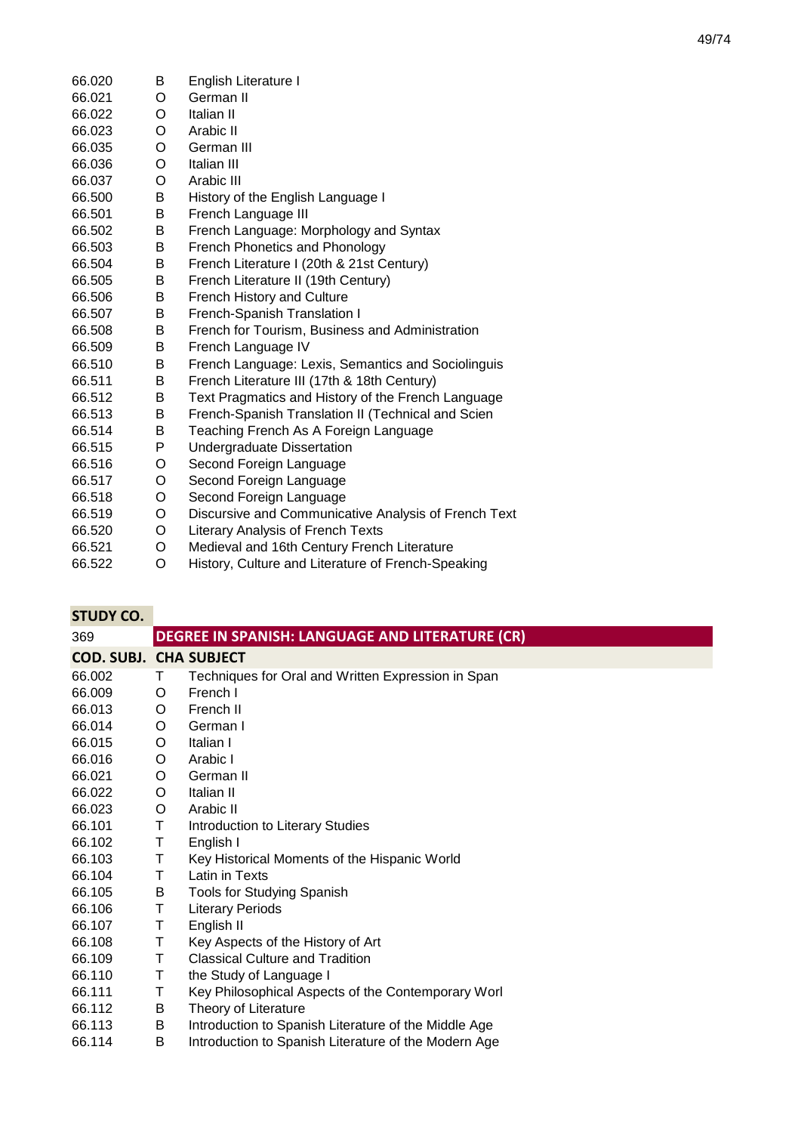| 66.020 | B | English Literature I                                 |
|--------|---|------------------------------------------------------|
| 66.021 | O | German II                                            |
| 66.022 | O | Italian II                                           |
| 66.023 | O | Arabic II                                            |
| 66.035 | O | German III                                           |
| 66.036 | O | Italian III                                          |
| 66.037 | O | Arabic III                                           |
| 66.500 | В | History of the English Language I                    |
| 66.501 | B | French Language III                                  |
| 66.502 | B | French Language: Morphology and Syntax               |
| 66.503 | B | French Phonetics and Phonology                       |
| 66.504 | B | French Literature I (20th & 21st Century)            |
| 66.505 | B | French Literature II (19th Century)                  |
| 66.506 | В | French History and Culture                           |
| 66.507 | B | <b>French-Spanish Translation I</b>                  |
| 66.508 | B | French for Tourism, Business and Administration      |
| 66.509 | B | French Language IV                                   |
| 66.510 | B | French Language: Lexis, Semantics and Sociolinguis   |
| 66.511 | B | French Literature III (17th & 18th Century)          |
| 66.512 | B | Text Pragmatics and History of the French Language   |
| 66.513 | B | French-Spanish Translation II (Technical and Scien   |
| 66.514 | B | Teaching French As A Foreign Language                |
| 66.515 | P | <b>Undergraduate Dissertation</b>                    |
| 66.516 | O | Second Foreign Language                              |
| 66.517 | O | Second Foreign Language                              |
| 66.518 | O | Second Foreign Language                              |
| 66.519 | O | Discursive and Communicative Analysis of French Text |
| 66.520 | O | <b>Literary Analysis of French Texts</b>             |
| 66.521 | O | Medieval and 16th Century French Literature          |
| 66.522 | O | History, Culture and Literature of French-Speaking   |
|        |   |                                                      |

| <b>STUDY CO.</b>              |   |                                                      |
|-------------------------------|---|------------------------------------------------------|
| 369                           |   | DEGREE IN SPANISH: LANGUAGE AND LITERATURE (CR)      |
| <b>COD. SUBJ. CHA SUBJECT</b> |   |                                                      |
| 66.002                        | Τ | Techniques for Oral and Written Expression in Span   |
| 66.009                        | O | French I                                             |
| 66.013                        | O | French II                                            |
| 66.014                        | O | German I                                             |
| 66.015                        | O | Italian I                                            |
| 66.016                        | O | Arabic I                                             |
| 66.021                        | O | German II                                            |
| 66.022                        | O | Italian II                                           |
| 66.023                        | O | Arabic II                                            |
| 66.101                        | Τ | Introduction to Literary Studies                     |
| 66.102                        | Τ | English I                                            |
| 66.103                        | Τ | Key Historical Moments of the Hispanic World         |
| 66.104                        | Τ | Latin in Texts                                       |
| 66.105                        | В | Tools for Studying Spanish                           |
| 66.106                        | Τ | <b>Literary Periods</b>                              |
| 66.107                        | Τ | English II                                           |
| 66.108                        | Τ | Key Aspects of the History of Art                    |
| 66.109                        | Τ | <b>Classical Culture and Tradition</b>               |
| 66.110                        | Τ | the Study of Language I                              |
| 66.111                        | Τ | Key Philosophical Aspects of the Contemporary Worl   |
| 66.112                        | В | Theory of Literature                                 |
| 66.113                        | В | Introduction to Spanish Literature of the Middle Age |
| 66.114                        | В | Introduction to Spanish Literature of the Modern Age |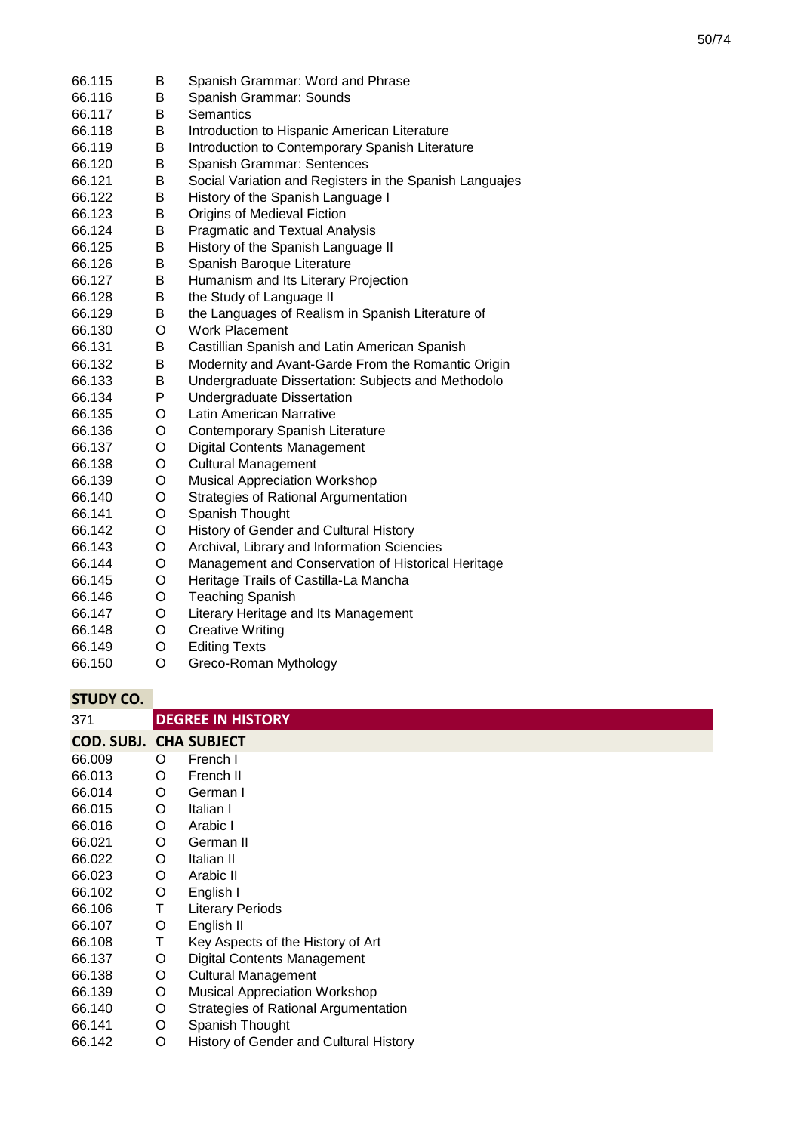| 66.115 | В | Spanish Grammar: Word and Phrase                        |
|--------|---|---------------------------------------------------------|
| 66.116 | B | Spanish Grammar: Sounds                                 |
| 66.117 | В | <b>Semantics</b>                                        |
| 66.118 | B | Introduction to Hispanic American Literature            |
| 66.119 | В | Introduction to Contemporary Spanish Literature         |
| 66.120 | B | Spanish Grammar: Sentences                              |
| 66.121 | B | Social Variation and Registers in the Spanish Languajes |
| 66.122 | B | History of the Spanish Language I                       |
| 66.123 | B | Origins of Medieval Fiction                             |
| 66.124 | B | <b>Pragmatic and Textual Analysis</b>                   |
| 66.125 | В | History of the Spanish Language II                      |
| 66.126 | B | Spanish Baroque Literature                              |
| 66.127 | B | Humanism and Its Literary Projection                    |
| 66.128 | В | the Study of Language II                                |
| 66.129 | B | the Languages of Realism in Spanish Literature of       |
| 66.130 | O | <b>Work Placement</b>                                   |
| 66.131 | B | Castillian Spanish and Latin American Spanish           |
| 66.132 | B | Modernity and Avant-Garde From the Romantic Origin      |
| 66.133 | B | Undergraduate Dissertation: Subjects and Methodolo      |
| 66.134 | P | <b>Undergraduate Dissertation</b>                       |
| 66.135 | O | Latin American Narrative                                |
| 66.136 | O | Contemporary Spanish Literature                         |
| 66.137 | O | <b>Digital Contents Management</b>                      |
| 66.138 | O | <b>Cultural Management</b>                              |
| 66.139 | O | <b>Musical Appreciation Workshop</b>                    |
| 66.140 | O | Strategies of Rational Argumentation                    |
| 66.141 | O | Spanish Thought                                         |
| 66.142 | O | History of Gender and Cultural History                  |
| 66.143 | O | Archival, Library and Information Sciencies             |
| 66.144 | O | Management and Conservation of Historical Heritage      |
| 66.145 | O | Heritage Trails of Castilla-La Mancha                   |
| 66.146 | O | <b>Teaching Spanish</b>                                 |
| 66.147 | O | Literary Heritage and Its Management                    |
| 66.148 | O | <b>Creative Writing</b>                                 |
| 66.149 | O | <b>Editing Texts</b>                                    |
| 66.150 | O | Greco-Roman Mythology                                   |

| 371                           |   | <b>DEGREE IN HISTORY</b>               |
|-------------------------------|---|----------------------------------------|
| <b>COD. SUBJ. CHA SUBJECT</b> |   |                                        |
| 66.009                        | O | French I                               |
| 66.013                        | O | French II                              |
| 66.014                        | O | German I                               |
| 66.015                        | O | Italian I                              |
| 66.016                        | O | Arabic I                               |
| 66.021                        | O | German II                              |
| 66.022                        | O | Italian II                             |
| 66.023                        | O | Arabic II                              |
| 66.102                        | O | English I                              |
| 66.106                        | Τ | <b>Literary Periods</b>                |
| 66.107                        | O | English II                             |
| 66.108                        | Τ | Key Aspects of the History of Art      |
| 66.137                        | O | <b>Digital Contents Management</b>     |
| 66.138                        | O | <b>Cultural Management</b>             |
| 66.139                        | O | <b>Musical Appreciation Workshop</b>   |
| 66.140                        | O | Strategies of Rational Argumentation   |
| 66.141                        | O | Spanish Thought                        |
| 66.142                        | O | History of Gender and Cultural History |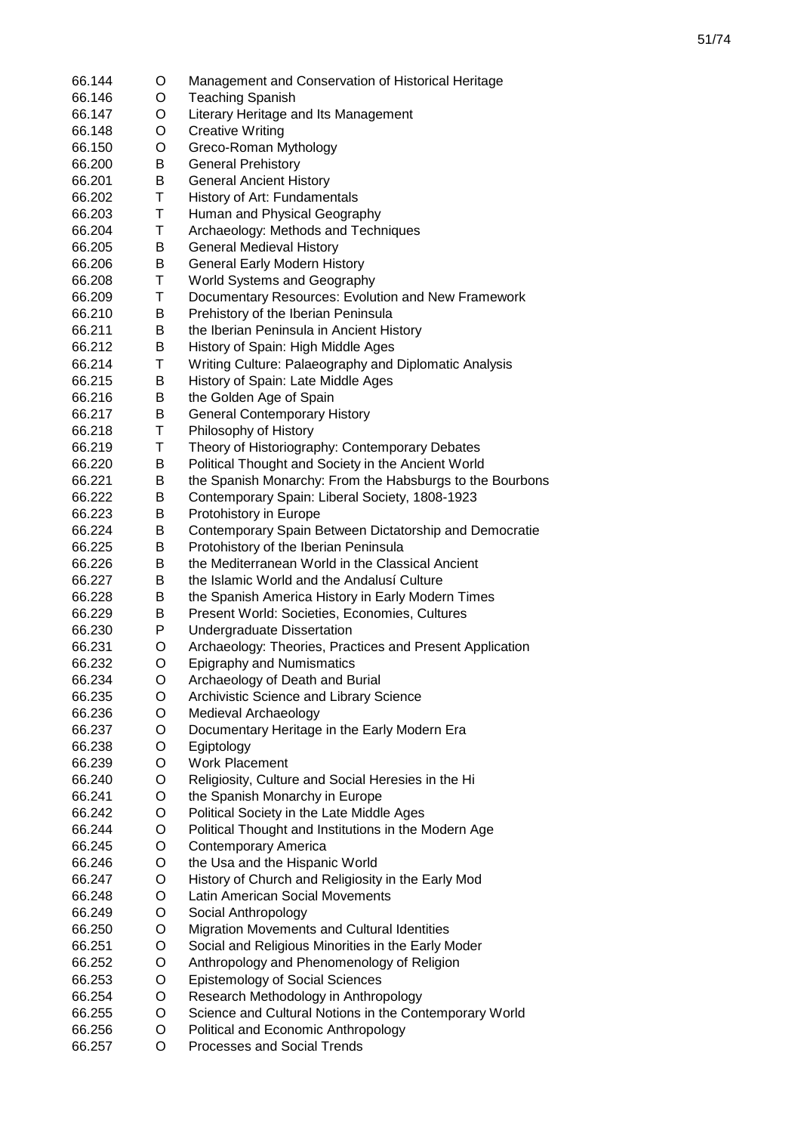| 66.144           | O | Management and Conservation of Historical Heritage                                           |
|------------------|---|----------------------------------------------------------------------------------------------|
| 66.146           | O | <b>Teaching Spanish</b>                                                                      |
| 66.147           | O | Literary Heritage and Its Management                                                         |
| 66.148           | O | <b>Creative Writing</b>                                                                      |
| 66.150           | O | Greco-Roman Mythology                                                                        |
| 66.200           | В | <b>General Prehistory</b>                                                                    |
| 66.201           | Β | <b>General Ancient History</b>                                                               |
| 66.202           | Τ | History of Art: Fundamentals                                                                 |
| 66.203           | Τ | Human and Physical Geography                                                                 |
| 66.204           | Τ | Archaeology: Methods and Techniques                                                          |
| 66.205           | В | <b>General Medieval History</b>                                                              |
| 66.206           | В | <b>General Early Modern History</b>                                                          |
| 66.208           | Τ | World Systems and Geography                                                                  |
| 66.209           | Τ | Documentary Resources: Evolution and New Framework                                           |
| 66.210           | В | Prehistory of the Iberian Peninsula                                                          |
| 66.211           | В | the Iberian Peninsula in Ancient History                                                     |
| 66.212           | В | History of Spain: High Middle Ages                                                           |
| 66.214           | Τ | Writing Culture: Palaeography and Diplomatic Analysis                                        |
| 66.215           | Β | History of Spain: Late Middle Ages                                                           |
| 66.216           | В | the Golden Age of Spain                                                                      |
| 66.217           | В | <b>General Contemporary History</b>                                                          |
| 66.218           | Τ | Philosophy of History                                                                        |
| 66.219           | Τ | Theory of Historiography: Contemporary Debates                                               |
| 66.220           | В | Political Thought and Society in the Ancient World                                           |
| 66.221           | В | the Spanish Monarchy: From the Habsburgs to the Bourbons                                     |
| 66.222           | Β | Contemporary Spain: Liberal Society, 1808-1923                                               |
| 66.223           | В | Protohistory in Europe                                                                       |
| 66.224           | В | Contemporary Spain Between Dictatorship and Democratie                                       |
| 66.225           | В | Protohistory of the Iberian Peninsula                                                        |
| 66.226           | B | the Mediterranean World in the Classical Ancient                                             |
| 66.227           | B | the Islamic World and the Andalusi Culture                                                   |
| 66.228           | В | the Spanish America History in Early Modern Times                                            |
| 66.229           | В | Present World: Societies, Economies, Cultures                                                |
| 66.230           | P | <b>Undergraduate Dissertation</b>                                                            |
|                  |   |                                                                                              |
| 66.231<br>66.232 | O | Archaeology: Theories, Practices and Present Application<br><b>Epigraphy and Numismatics</b> |
|                  | O |                                                                                              |
| 66.234           | O | Archaeology of Death and Burial                                                              |
| 66.235           | O | Archivistic Science and Library Science                                                      |
| 66.236           | O | Medieval Archaeology                                                                         |
| 66.237           | O | Documentary Heritage in the Early Modern Era                                                 |
| 66.238           | O | Egiptology                                                                                   |
| 66.239           | O | <b>Work Placement</b>                                                                        |
| 66.240           | O | Religiosity, Culture and Social Heresies in the Hi                                           |
| 66.241           | O | the Spanish Monarchy in Europe                                                               |
| 66.242           | O | Political Society in the Late Middle Ages                                                    |
| 66.244           | O | Political Thought and Institutions in the Modern Age                                         |
| 66.245           | O | Contemporary America                                                                         |
| 66.246           | O | the Usa and the Hispanic World                                                               |
| 66.247           | O | History of Church and Religiosity in the Early Mod                                           |
| 66.248           | O | Latin American Social Movements                                                              |
| 66.249           | O | Social Anthropology                                                                          |
| 66.250           | O | Migration Movements and Cultural Identities                                                  |
| 66.251           | O | Social and Religious Minorities in the Early Moder                                           |
| 66.252           | O | Anthropology and Phenomenology of Religion                                                   |
| 66.253           | O | <b>Epistemology of Social Sciences</b>                                                       |
| 66.254           | O | Research Methodology in Anthropology                                                         |
| 66.255           | O | Science and Cultural Notions in the Contemporary World                                       |
| 66.256           | O | Political and Economic Anthropology                                                          |
| 66.257           | O | Processes and Social Trends                                                                  |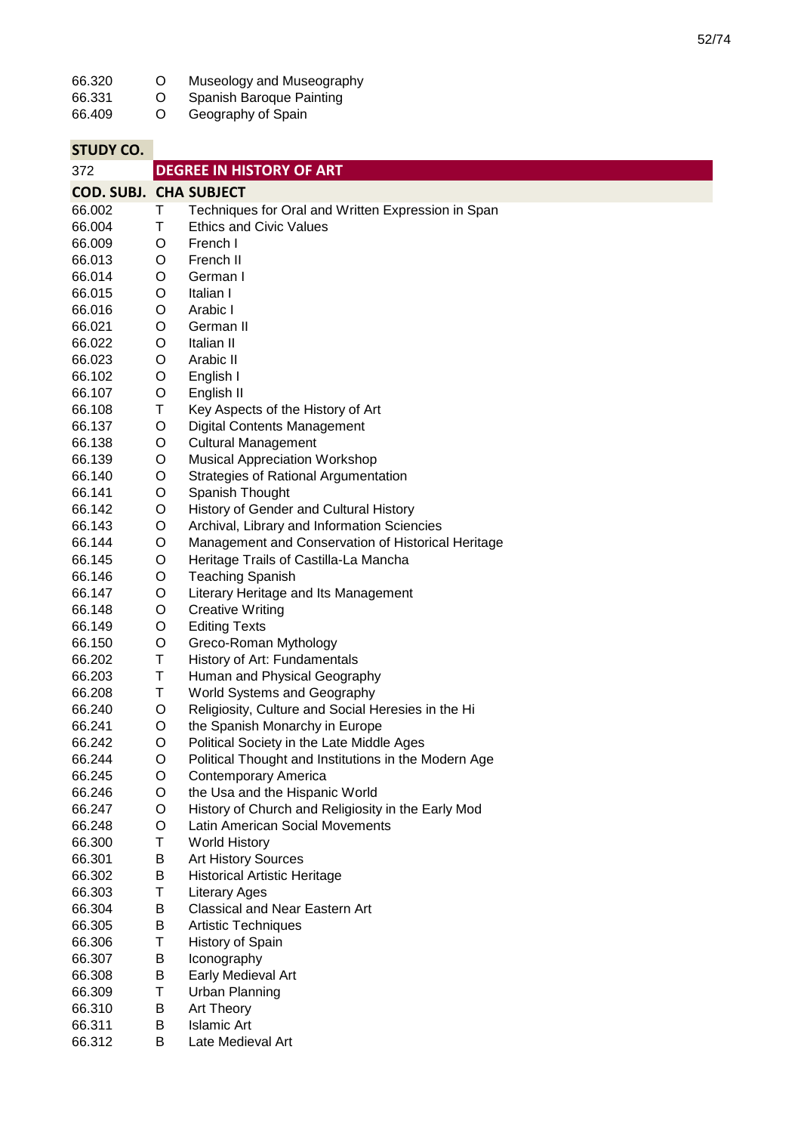| 66.320                        | O | Museology and Museography                            |
|-------------------------------|---|------------------------------------------------------|
| 66.331                        | O | Spanish Baroque Painting                             |
| 66.409                        | O | Geography of Spain                                   |
|                               |   |                                                      |
| <b>STUDY CO.</b>              |   |                                                      |
| 372                           |   | <b>DEGREE IN HISTORY OF ART</b>                      |
| <b>COD. SUBJ. CHA SUBJECT</b> |   |                                                      |
| 66.002                        | Τ | Techniques for Oral and Written Expression in Span   |
| 66.004                        | Τ | <b>Ethics and Civic Values</b>                       |
| 66.009                        | O | French I                                             |
| 66.013                        | O | French II                                            |
| 66.014                        | O | German I                                             |
| 66.015                        | O | Italian I                                            |
| 66.016                        | O | Arabic I                                             |
| 66.021                        | O | German II                                            |
| 66.022                        | O | Italian II                                           |
| 66.023                        | O | Arabic II                                            |
| 66.102                        | O | English I                                            |
| 66.107                        | O | English II                                           |
| 66.108                        | Τ | Key Aspects of the History of Art                    |
| 66.137                        | O | <b>Digital Contents Management</b>                   |
| 66.138                        | O | <b>Cultural Management</b>                           |
| 66.139                        | O | <b>Musical Appreciation Workshop</b>                 |
| 66.140                        | O | Strategies of Rational Argumentation                 |
| 66.141                        | O | Spanish Thought                                      |
| 66.142                        | O | History of Gender and Cultural History               |
| 66.143                        | O | Archival, Library and Information Sciencies          |
| 66.144                        | O | Management and Conservation of Historical Heritage   |
| 66.145                        | O | Heritage Trails of Castilla-La Mancha                |
| 66.146                        | O | <b>Teaching Spanish</b>                              |
| 66.147                        | O | Literary Heritage and Its Management                 |
| 66.148                        | O | <b>Creative Writing</b>                              |
| 66.149                        | O | <b>Editing Texts</b>                                 |
| 66.150                        | O | Greco-Roman Mythology                                |
| 66.202                        | Τ | History of Art: Fundamentals                         |
| 66.203                        | Τ | Human and Physical Geography                         |
| 66.208                        | Τ | World Systems and Geography                          |
| 66.240                        | O | Religiosity, Culture and Social Heresies in the Hi   |
| 66.241                        | O | the Spanish Monarchy in Europe                       |
| 66.242                        | O | Political Society in the Late Middle Ages            |
| 66.244                        | O | Political Thought and Institutions in the Modern Age |
| 66.245                        | O | <b>Contemporary America</b>                          |
| 66.246                        | O | the Usa and the Hispanic World                       |
| 66.247                        | O | History of Church and Religiosity in the Early Mod   |
| 66.248                        | O | Latin American Social Movements                      |
| 66.300                        | Τ | <b>World History</b>                                 |
| 66.301                        | B | <b>Art History Sources</b>                           |
| 66.302                        | B | <b>Historical Artistic Heritage</b>                  |
| 66.303                        | Τ | <b>Literary Ages</b>                                 |
| 66.304                        | В | Classical and Near Eastern Art                       |
| 66.305                        | В | <b>Artistic Techniques</b>                           |
| 66.306                        | Τ | History of Spain                                     |
| 66.307                        | Β | Iconography                                          |
| 66.308                        | В | Early Medieval Art                                   |
| 66.309                        | Τ | <b>Urban Planning</b>                                |
| 66.310                        | В | Art Theory                                           |
| 66.311                        | B | <b>Islamic Art</b>                                   |
| 66.312                        | B | Late Medieval Art                                    |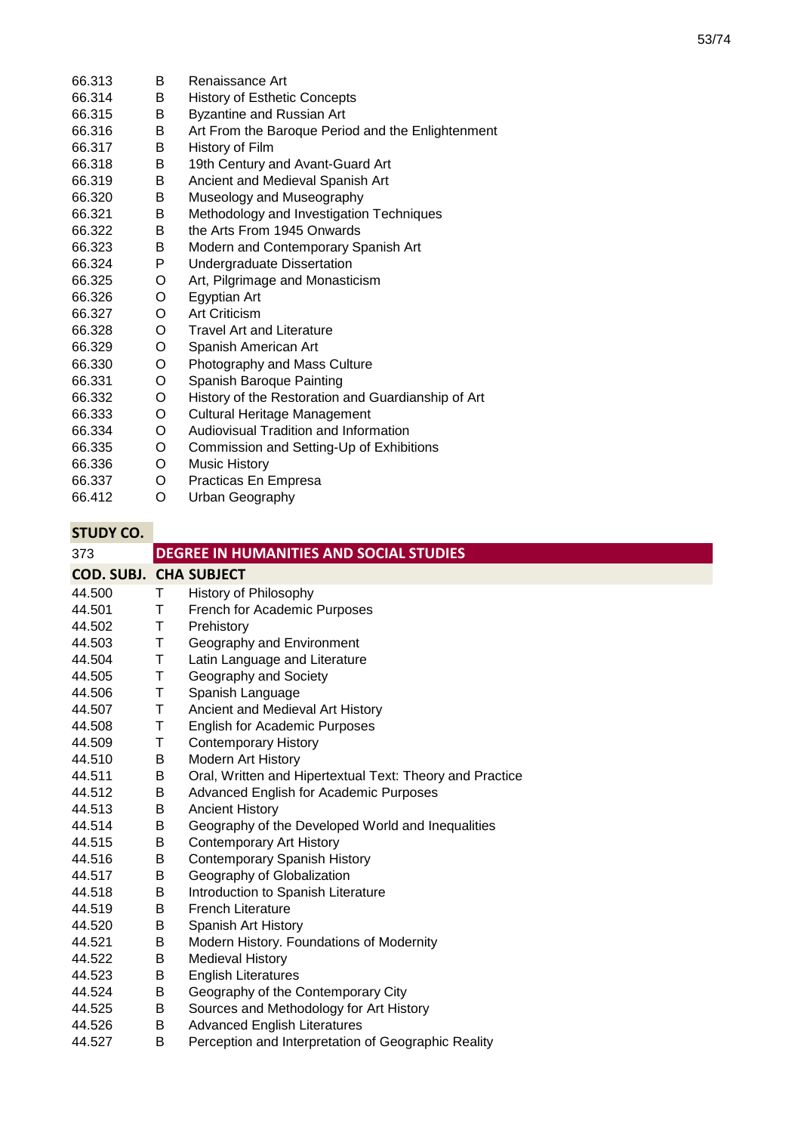| 66.313 | В | Renaissance Art                                    |
|--------|---|----------------------------------------------------|
| 66.314 | B | <b>History of Esthetic Concepts</b>                |
| 66.315 | В | <b>Byzantine and Russian Art</b>                   |
| 66.316 | В | Art From the Baroque Period and the Enlightenment  |
| 66.317 | B | History of Film                                    |
| 66.318 | B | 19th Century and Avant-Guard Art                   |
| 66.319 | B | Ancient and Medieval Spanish Art                   |
| 66.320 | B | Museology and Museography                          |
| 66.321 | B | Methodology and Investigation Techniques           |
| 66.322 | B | the Arts From 1945 Onwards                         |
| 66.323 | B | Modern and Contemporary Spanish Art                |
| 66.324 | P | Undergraduate Dissertation                         |
| 66.325 | O | Art, Pilgrimage and Monasticism                    |
| 66.326 | O | Egyptian Art                                       |
| 66.327 | O | <b>Art Criticism</b>                               |
| 66.328 | O | <b>Travel Art and Literature</b>                   |
| 66.329 | O | Spanish American Art                               |
| 66.330 | O | Photography and Mass Culture                       |
| 66.331 | O | Spanish Baroque Painting                           |
| 66.332 | O | History of the Restoration and Guardianship of Art |
| 66.333 | O | Cultural Heritage Management                       |
| 66.334 | O | Audiovisual Tradition and Information              |
| 66.335 | O | Commission and Setting-Up of Exhibitions           |
| 66.336 | O | <b>Music History</b>                               |
| 66.337 | O | Practicas En Empresa                               |
| 66.412 | O | Urban Geography                                    |

| 373                           |    | DEGREE IN HUMANITIES AND SOCIAL STUDIES                  |
|-------------------------------|----|----------------------------------------------------------|
| <b>COD. SUBJ. CHA SUBJECT</b> |    |                                                          |
| 44.500                        | T. | <b>History of Philosophy</b>                             |
| 44.501                        | T. | French for Academic Purposes                             |
| 44.502                        | Τ  | Prehistory                                               |
| 44.503                        | Τ  | Geography and Environment                                |
| 44.504                        | Τ  | Latin Language and Literature                            |
| 44.505                        | Τ  | Geography and Society                                    |
| 44.506                        | Τ  | Spanish Language                                         |
| 44.507                        | Τ  | Ancient and Medieval Art History                         |
| 44.508                        | Τ  | <b>English for Academic Purposes</b>                     |
| 44.509                        | Τ  | <b>Contemporary History</b>                              |
| 44.510                        | B  | <b>Modern Art History</b>                                |
| 44.511                        | B  | Oral, Written and Hipertextual Text: Theory and Practice |
| 44.512                        | B  | Advanced English for Academic Purposes                   |
| 44.513                        | B  | <b>Ancient History</b>                                   |
| 44.514                        | B  | Geography of the Developed World and Inequalities        |
| 44.515                        | B  | <b>Contemporary Art History</b>                          |
| 44.516                        | B  | <b>Contemporary Spanish History</b>                      |
| 44.517                        | B  | Geography of Globalization                               |
| 44.518                        | B  | Introduction to Spanish Literature                       |
| 44.519                        | B  | <b>French Literature</b>                                 |
| 44.520                        | B  | Spanish Art History                                      |
| 44.521                        | B  | Modern History. Foundations of Modernity                 |
| 44.522                        | B  | <b>Medieval History</b>                                  |
| 44.523                        | B  | <b>English Literatures</b>                               |
| 44.524                        | В  | Geography of the Contemporary City                       |
| 44.525                        | B  | Sources and Methodology for Art History                  |
| 44.526                        | B  | <b>Advanced English Literatures</b>                      |
| 44.527                        | B  | Perception and Interpretation of Geographic Reality      |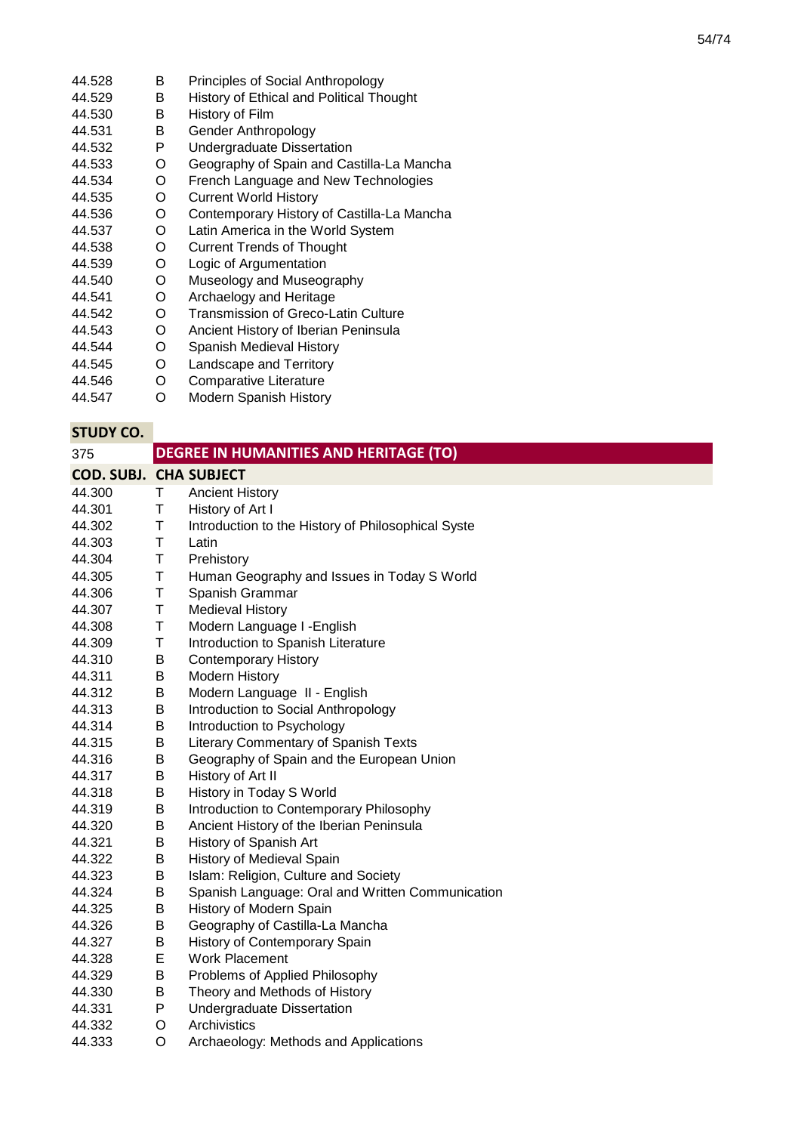- 44.528 B Principles of Social Anthropology<br>B History of Ethical and Political The
- 44.529 B History of Ethical and Political Thought<br>B History of Film
- 44.530 B History of Film<br>B Gender Anthro
- 44.531 B Gender Anthropology<br>P Undergraduate Disser
- 44.532 P Undergraduate Dissertation<br>O Geography of Spain and Cas
- 44.533 Geography of Spain and Castilla-La Mancha
- 44.534 O French Language and New Technologies
- 44.535 O Current World History
- 44.536 O Contemporary History of Castilla-La Mancha<br>O Latin America in the World System
- 44.537 O Latin America in the World System<br>O Current Trends of Thought
- 44.538 O Current Trends of Thought<br>O Logic of Argumentation
- 44.539 Logic of Argumentation
- 44.540 O Museology and Museography<br>O Archaelogy and Heritage
- 44.541 Archaelogy and Heritage
- 44.542 O Transmission of Greco-Latin Culture<br>O Ancient History of Iberian Peninsula
- 44.543 Ancient History of Iberian Peninsula
- 44.544 O Spanish Medieval History<br>O Landscape and Territory
- 44.545 Landscape and Territory
- 44.546 O Comparative Literature<br>O Modern Spanish History
- 44.547 **Modern Spanish History**

| 375                           |             | <b>DEGREE IN HUMANITIES AND HERITAGE (TO)</b>      |
|-------------------------------|-------------|----------------------------------------------------|
| <b>COD. SUBJ. CHA SUBJECT</b> |             |                                                    |
| 44.300                        | T           | <b>Ancient History</b>                             |
| 44.301                        | T           | History of Art I                                   |
| 44.302                        | T           | Introduction to the History of Philosophical Syste |
| 44.303                        | T           | Latin                                              |
| 44.304                        | T           | Prehistory                                         |
| 44.305                        | $\sf T$     | Human Geography and Issues in Today S World        |
| 44.306                        | T           | Spanish Grammar                                    |
| 44.307                        | $\sf T$     | <b>Medieval History</b>                            |
| 44.308                        | $\mathsf T$ | Modern Language I - English                        |
| 44.309                        | T           | Introduction to Spanish Literature                 |
| 44.310                        | B           | <b>Contemporary History</b>                        |
| 44.311                        | В           | <b>Modern History</b>                              |
| 44.312                        | B           | Modern Language II - English                       |
| 44.313                        | B           | Introduction to Social Anthropology                |
| 44.314                        | B           | Introduction to Psychology                         |
| 44.315                        | B           | <b>Literary Commentary of Spanish Texts</b>        |
| 44.316                        | B           | Geography of Spain and the European Union          |
| 44.317                        | B           | History of Art II                                  |
| 44.318                        | B           | History in Today S World                           |
| 44.319                        | B           | Introduction to Contemporary Philosophy            |
| 44.320                        | B           | Ancient History of the Iberian Peninsula           |
| 44.321                        | B           | History of Spanish Art                             |
| 44.322                        | B           | History of Medieval Spain                          |
| 44.323                        | B           | Islam: Religion, Culture and Society               |
| 44.324                        | B           | Spanish Language: Oral and Written Communication   |
| 44.325                        | В           | History of Modern Spain                            |
| 44.326                        | B           | Geography of Castilla-La Mancha                    |
| 44.327                        | B           | History of Contemporary Spain                      |
| 44.328                        | E           | <b>Work Placement</b>                              |
| 44.329                        | B           | Problems of Applied Philosophy                     |
| 44.330                        | B           | Theory and Methods of History                      |
| 44.331                        | P           | <b>Undergraduate Dissertation</b>                  |
| 44.332                        | $\circ$     | Archivistics                                       |
| 44.333                        | O           | Archaeology: Methods and Applications              |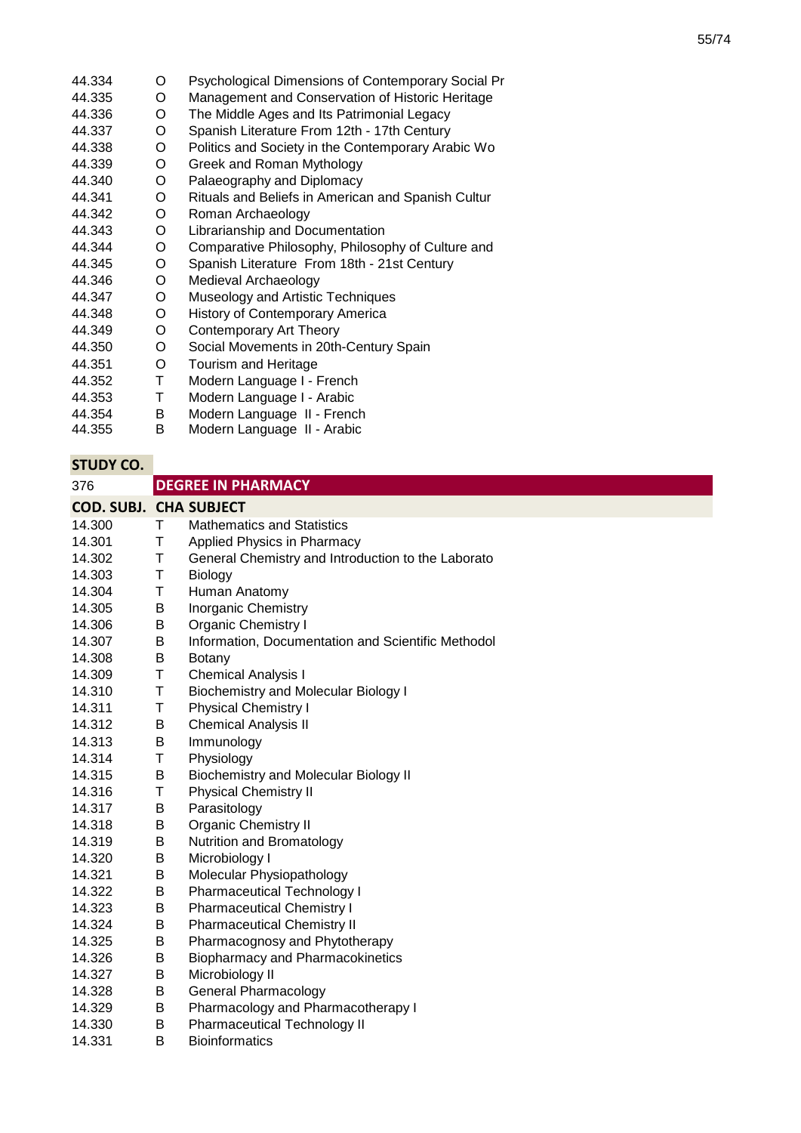- 44.334 O Psychological Dimensions of Contemporary Social Pr
- 44.335 O Management and Conservation of Historic Heritage<br>O The Middle Ages and Its Patrimonial Legacy
- 44.336 O The Middle Ages and Its Patrimonial Legacy<br>O Spanish Literature From 12th - 17th Century
- 44.337 Spanish Literature From 12th - 17th Century
- 44.338 O Politics and Society in the Contemporary Arabic Wo
- 44.339 Greek and Roman Mythology
- 44.340 O Palaeography and Diplomacy
- 44.341 O Rituals and Beliefs in American and Spanish Cultur
- 44.342 O Roman Archaeology
- 44.343 O Librarianship and Documentation
- 44.344 O Comparative Philosophy, Philosophy of Culture and
- 44.345 O Spanish Literature From 18th - 21st Century
- 44.346 O Medieval Archaeology
- 44.347 O Museology and Artistic Techniques
- 44.348 O History of Contemporary America<br>O Contemporary Art Theory
- 44.349 Contemporary Art Theory
- 44.350 O Social Movements in 20th-Century Spain<br>O Tourism and Heritage
- 44.351 Tourism and Heritage
- 44.352 T Modern Language I - French
- 44.353 T Modern Language I - Arabic
- 44.354 B Modern Language II - French<br>B Modern Language II - Arabic
- 44.355 Modern Language II - Arabic

| 376                           |   | <b>DEGREE IN PHARMACY</b>                          |
|-------------------------------|---|----------------------------------------------------|
| <b>COD. SUBJ. CHA SUBJECT</b> |   |                                                    |
| 14.300                        | Τ | <b>Mathematics and Statistics</b>                  |
| 14.301                        | Т | Applied Physics in Pharmacy                        |
| 14.302                        | Τ | General Chemistry and Introduction to the Laborato |
| 14.303                        | Τ | Biology                                            |
| 14.304                        | T | Human Anatomy                                      |
| 14.305                        | B | <b>Inorganic Chemistry</b>                         |
| 14.306                        | B | <b>Organic Chemistry I</b>                         |
| 14.307                        | B | Information, Documentation and Scientific Methodol |
| 14.308                        | B | Botany                                             |
| 14.309                        | Τ | <b>Chemical Analysis I</b>                         |
| 14.310                        | Τ | <b>Biochemistry and Molecular Biology I</b>        |
| 14.311                        | Τ | <b>Physical Chemistry I</b>                        |
| 14.312                        | B | <b>Chemical Analysis II</b>                        |
| 14.313                        | B | Immunology                                         |
| 14.314                        | Τ | Physiology                                         |
| 14.315                        | B | <b>Biochemistry and Molecular Biology II</b>       |
| 14.316                        | Τ | <b>Physical Chemistry II</b>                       |
| 14.317                        | B | Parasitology                                       |
| 14.318                        | Β | Organic Chemistry II                               |
| 14.319                        | B | Nutrition and Bromatology                          |
| 14.320                        | B | Microbiology I                                     |
| 14.321                        | B | Molecular Physiopathology                          |
| 14.322                        | В | <b>Pharmaceutical Technology I</b>                 |
| 14.323                        | B | <b>Pharmaceutical Chemistry I</b>                  |
| 14.324                        | B | <b>Pharmaceutical Chemistry II</b>                 |
| 14.325                        | B | Pharmacognosy and Phytotherapy                     |
| 14.326                        | B | <b>Biopharmacy and Pharmacokinetics</b>            |
| 14.327                        | B | Microbiology II                                    |
| 14.328                        | B | <b>General Pharmacology</b>                        |
| 14.329                        | B | Pharmacology and Pharmacotherapy I                 |
| 14.330                        | B | Pharmaceutical Technology II                       |
| 14.331                        | B | <b>Bioinformatics</b>                              |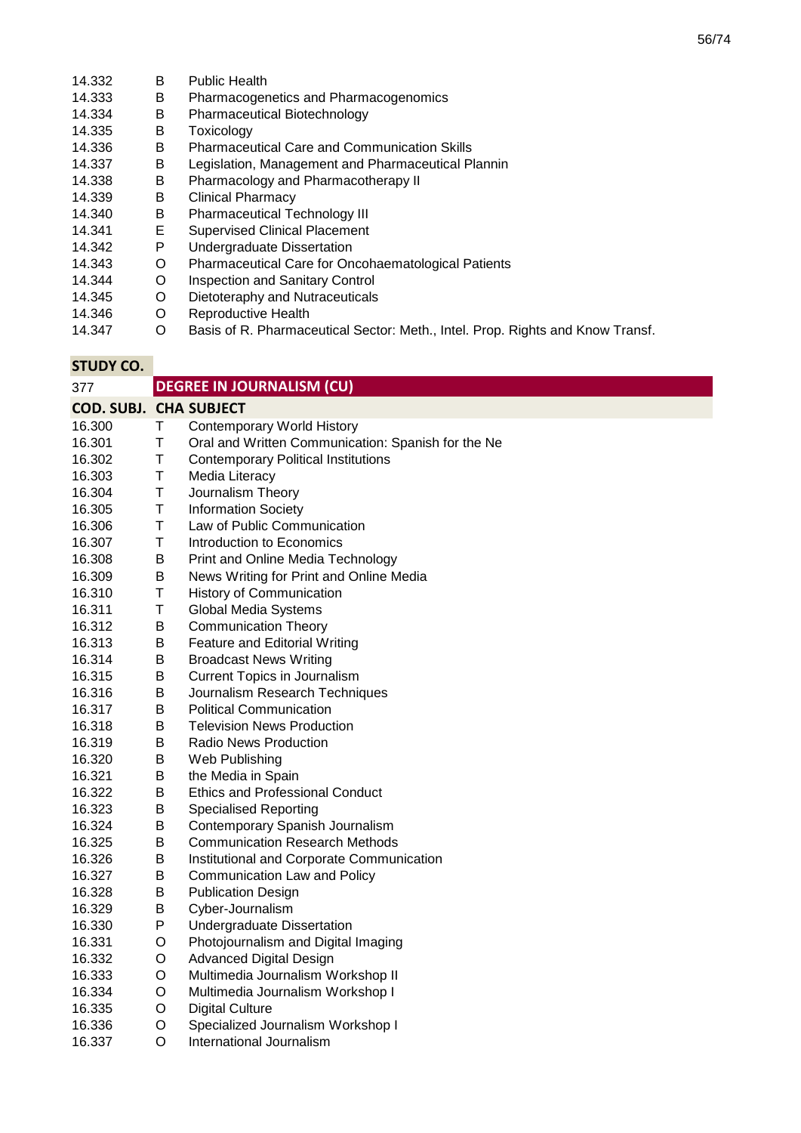| 14.332 | В | <b>Public Health</b>                                                           |
|--------|---|--------------------------------------------------------------------------------|
| 14.333 | в | Pharmacogenetics and Pharmacogenomics                                          |
| 14.334 | В | <b>Pharmaceutical Biotechnology</b>                                            |
| 14.335 | в | Toxicology                                                                     |
| 14.336 | В | <b>Pharmaceutical Care and Communication Skills</b>                            |
| 14.337 | в | Legislation, Management and Pharmaceutical Plannin                             |
| 14.338 | В | Pharmacology and Pharmacotherapy II                                            |
| 14.339 | В | Clinical Pharmacy                                                              |
| 14.340 | в | <b>Pharmaceutical Technology III</b>                                           |
| 14.341 | Е | <b>Supervised Clinical Placement</b>                                           |
| 14.342 | P | Undergraduate Dissertation                                                     |
| 14.343 | O | Pharmaceutical Care for Oncohaematological Patients                            |
| 14.344 | O | Inspection and Sanitary Control                                                |
| 14.345 | O | Dietoteraphy and Nutraceuticals                                                |
| 14.346 | O | Reproductive Health                                                            |
| 14.347 | O | Basis of R. Pharmaceutical Sector: Meth., Intel. Prop. Rights and Know Transf. |

| <b>STUDY CO.</b>              |             |                                                    |
|-------------------------------|-------------|----------------------------------------------------|
| 377                           |             | <b>DEGREE IN JOURNALISM (CU)</b>                   |
| <b>COD. SUBJ. CHA SUBJECT</b> |             |                                                    |
| 16.300                        | T           | <b>Contemporary World History</b>                  |
| 16.301                        | T           | Oral and Written Communication: Spanish for the Ne |
| 16.302                        | T           | <b>Contemporary Political Institutions</b>         |
| 16.303                        | T           | Media Literacy                                     |
| 16.304                        | $\sf T$     | Journalism Theory                                  |
| 16.305                        | T           | <b>Information Society</b>                         |
| 16.306                        | $\mathsf T$ | Law of Public Communication                        |
| 16.307                        | T           | Introduction to Economics                          |
| 16.308                        | $\sf B$     | Print and Online Media Technology                  |
| 16.309                        | B           | News Writing for Print and Online Media            |
| 16.310                        | $\sf T$     | <b>History of Communication</b>                    |
| 16.311                        | T           | Global Media Systems                               |
| 16.312                        | В           | <b>Communication Theory</b>                        |
| 16.313                        | B           | Feature and Editorial Writing                      |
| 16.314                        | B           | <b>Broadcast News Writing</b>                      |
| 16.315                        | B           | <b>Current Topics in Journalism</b>                |
| 16.316                        | B           | Journalism Research Techniques                     |
| 16.317                        | B           | <b>Political Communication</b>                     |
| 16.318                        | B           | <b>Television News Production</b>                  |
| 16.319                        | В           | <b>Radio News Production</b>                       |
| 16.320                        | В           | Web Publishing                                     |
| 16.321                        | B           | the Media in Spain                                 |
| 16.322                        | B           | <b>Ethics and Professional Conduct</b>             |
| 16.323                        | B           | <b>Specialised Reporting</b>                       |
| 16.324                        | B           | Contemporary Spanish Journalism                    |
| 16.325                        | B           | <b>Communication Research Methods</b>              |
| 16.326                        | B           | Institutional and Corporate Communication          |
| 16.327                        | B           | Communication Law and Policy                       |
| 16.328                        | В           | <b>Publication Design</b>                          |
| 16.329                        | B           | Cyber-Journalism                                   |
| 16.330                        | P           | Undergraduate Dissertation                         |
| 16.331                        | O           | Photojournalism and Digital Imaging                |
| 16.332                        | O           | <b>Advanced Digital Design</b>                     |
| 16.333                        | O           | Multimedia Journalism Workshop II                  |
| 16.334                        | O           | Multimedia Journalism Workshop I                   |
| 16.335                        | O           | <b>Digital Culture</b>                             |
| 16.336                        | O           | Specialized Journalism Workshop I                  |
| 16.337                        | O           | International Journalism                           |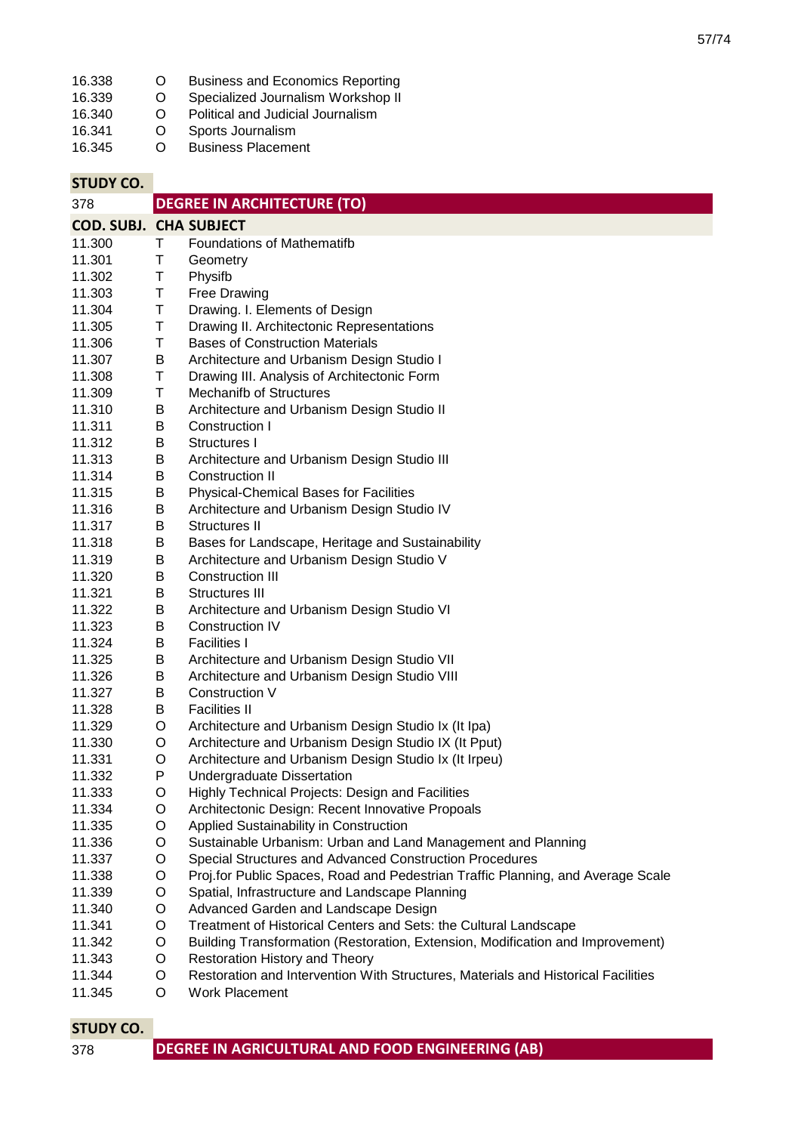| 16.338 | $\mathfrak{g}$ | <b>Business and Economics Reporting</b> |
|--------|----------------|-----------------------------------------|
| 16.339 | O              | Specialized Journalism Workshop II      |
| 16.340 | O              | Political and Judicial Journalism       |
| 16.341 | O              | Sports Journalism                       |
| 16.345 | O              | <b>Business Placement</b>               |

**STUDY CO.** 378 **COD. SUBJ. CHA SUBJECT** 11.300 T Foundations of Mathematifb<br>11.301 T Geometry 11.301 T Geometry 11.302 T Physifb<br>11.303 T Free Dr 11.303 T Free Drawing 11.304 T Drawing. I. Elements of Design 11.305 T Drawing II. Architectonic Representations 11.306 T Bases of Construction Materials 11.307 B Architecture and Urbanism Design Studio I 11.308 T Drawing III. Analysis of Architectonic Form<br>11.309 T Mechanifb of Structures 11.309 T Mechanifb of Structures 11.310 B Architecture and Urbanism Design Studio II 11.311 B Construction I 11.312 B Structures I 11.313 B Architecture and Urbanism Design Studio III 11.314 B Construction II<br>11.315 B Physical-Chem 11.315 B Physical-Chemical Bases for Facilities 11.316 B Architecture and Urbanism Design Studio IV 11.317 B Structures II 11.318 B Bases for Landscape, Heritage and Sustainability 11.319 B Architecture and Urbanism Design Studio V 11.320 B Construction III 11.321 B Structures III 11.322 B Architecture and Urbanism Design Studio VI<br>11.323 B Construction IV 11.323 B Construction IV 11.324 B Facilities I<br>11.325 B Architectul 11.325 B Architecture and Urbanism Design Studio VII 11.326 B Architecture and Urbanism Design Studio VIII 11.327 B Construction V 11.328 B Facilities II 11.329 O Architecture and Urbanism Design Studio Ix (It Ipa) 11.330 O Architecture and Urbanism Design Studio IX (It Pput) 11.331 O Architecture and Urbanism Design Studio Ix (It Irpeu) 11.332 P Undergraduate Dissertation 11.333 O Highly Technical Projects: Design and Facilities 11.334 O Architectonic Design: Recent Innovative Propoals 11.335 O Applied Sustainability in Construction 11.336 O Sustainable Urbanism: Urban and Land Management and Planning 11.337 O Special Structures and Advanced Construction Procedures 11.338 O Proj.for Public Spaces, Road and Pedestrian Traffic Planning, and Average Scale 11.339 O Spatial, Infrastructure and Landscape Planning 11.340 O Advanced Garden and Landscape Design 11.341 O Treatment of Historical Centers and Sets: the Cultural Landscape 11.342 O Building Transformation (Restoration, Extension, Modification and Improvement) 11.343 O Restoration History and Theory 11.344 O Restoration and Intervention With Structures, Materials and Historical Facilities 11.345 O Work Placement **DEGREE IN ARCHITECTURE (TO)**

| 378 | DEGREE IN AGRICULTURAL AND FOOD ENGINEERING (AB) |
|-----|--------------------------------------------------|
|-----|--------------------------------------------------|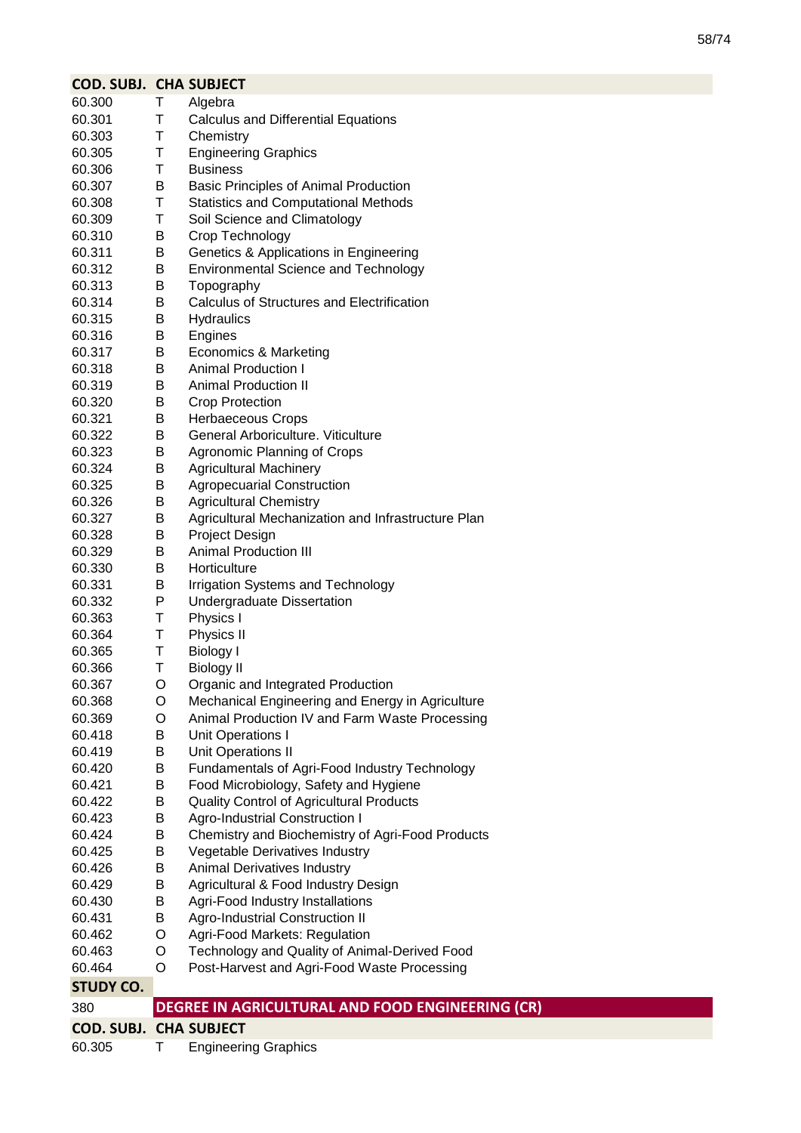| <b>COD. SUBJ. CHA SUBJECT</b> |        |                                                                                |
|-------------------------------|--------|--------------------------------------------------------------------------------|
| 60.300                        | Τ      | Algebra                                                                        |
| 60.301                        | Τ      | <b>Calculus and Differential Equations</b>                                     |
| 60.303                        | Τ      | Chemistry                                                                      |
| 60.305                        | Τ      | <b>Engineering Graphics</b>                                                    |
| 60.306                        | Т      | <b>Business</b>                                                                |
| 60.307                        | B      | <b>Basic Principles of Animal Production</b>                                   |
| 60.308                        | Τ      | <b>Statistics and Computational Methods</b>                                    |
| 60.309                        | Τ      | Soil Science and Climatology                                                   |
| 60.310                        | B      | Crop Technology                                                                |
| 60.311                        | B      | Genetics & Applications in Engineering                                         |
| 60.312                        | B      | <b>Environmental Science and Technology</b>                                    |
| 60.313                        | B      | Topography                                                                     |
| 60.314                        | B      | <b>Calculus of Structures and Electrification</b>                              |
| 60.315                        | B      | <b>Hydraulics</b>                                                              |
| 60.316                        | В      | Engines                                                                        |
| 60.317                        | В      | <b>Economics &amp; Marketing</b>                                               |
| 60.318                        | B      | <b>Animal Production I</b>                                                     |
| 60.319                        | B      | <b>Animal Production II</b>                                                    |
| 60.320                        | B      | <b>Crop Protection</b>                                                         |
| 60.321                        | B      | <b>Herbaeceous Crops</b>                                                       |
| 60.322                        | B      | General Arboriculture. Viticulture                                             |
| 60.323                        | В      | Agronomic Planning of Crops                                                    |
| 60.324                        | B      | <b>Agricultural Machinery</b>                                                  |
| 60.325                        | B      | <b>Agropecuarial Construction</b>                                              |
| 60.326                        | B      | <b>Agricultural Chemistry</b>                                                  |
| 60.327                        | B      | Agricultural Mechanization and Infrastructure Plan                             |
| 60.328                        | B      | Project Design                                                                 |
| 60.329                        | B      | <b>Animal Production III</b>                                                   |
| 60.330                        | B      | Horticulture                                                                   |
| 60.331                        | B      | Irrigation Systems and Technology                                              |
| 60.332                        | P      | Undergraduate Dissertation                                                     |
| 60.363                        | Τ      | Physics I                                                                      |
| 60.364                        | Τ      | Physics II                                                                     |
| 60.365                        | Т      | <b>Biology I</b>                                                               |
| 60.366                        | Т      | <b>Biology II</b>                                                              |
| 60.367                        | O      | Organic and Integrated Production                                              |
| 60.368                        | O      | Mechanical Engineering and Energy in Agriculture                               |
| 60.369                        | O      | Animal Production IV and Farm Waste Processing                                 |
| 60.418                        | B      | Unit Operations I                                                              |
| 60.419                        | B      | <b>Unit Operations II</b>                                                      |
| 60.420                        | В      | Fundamentals of Agri-Food Industry Technology                                  |
| 60.421                        | B      | Food Microbiology, Safety and Hygiene                                          |
| 60.422<br>60.423              | B<br>Β | Quality Control of Agricultural Products                                       |
| 60.424                        |        | <b>Agro-Industrial Construction I</b>                                          |
| 60.425                        | В<br>Β | Chemistry and Biochemistry of Agri-Food Products                               |
|                               | B      | Vegetable Derivatives Industry                                                 |
| 60.426<br>60.429              | В      | Animal Derivatives Industry<br>Agricultural & Food Industry Design             |
|                               |        |                                                                                |
| 60.430                        | B      | Agri-Food Industry Installations                                               |
| 60.431<br>60.462              | B      | <b>Agro-Industrial Construction II</b>                                         |
|                               | O<br>O | Agri-Food Markets: Regulation<br>Technology and Quality of Animal-Derived Food |
| 60.463<br>60.464              | O      | Post-Harvest and Agri-Food Waste Processing                                    |
|                               |        |                                                                                |
| <b>STUDY CO.</b>              |        |                                                                                |
| 380                           |        | DEGREE IN AGRICULTURAL AND FOOD ENGINEERING (CR)                               |
| <b>COD. SUBJ. CHA SUBJECT</b> |        |                                                                                |
| 60.305                        | т      | <b>Engineering Graphics</b>                                                    |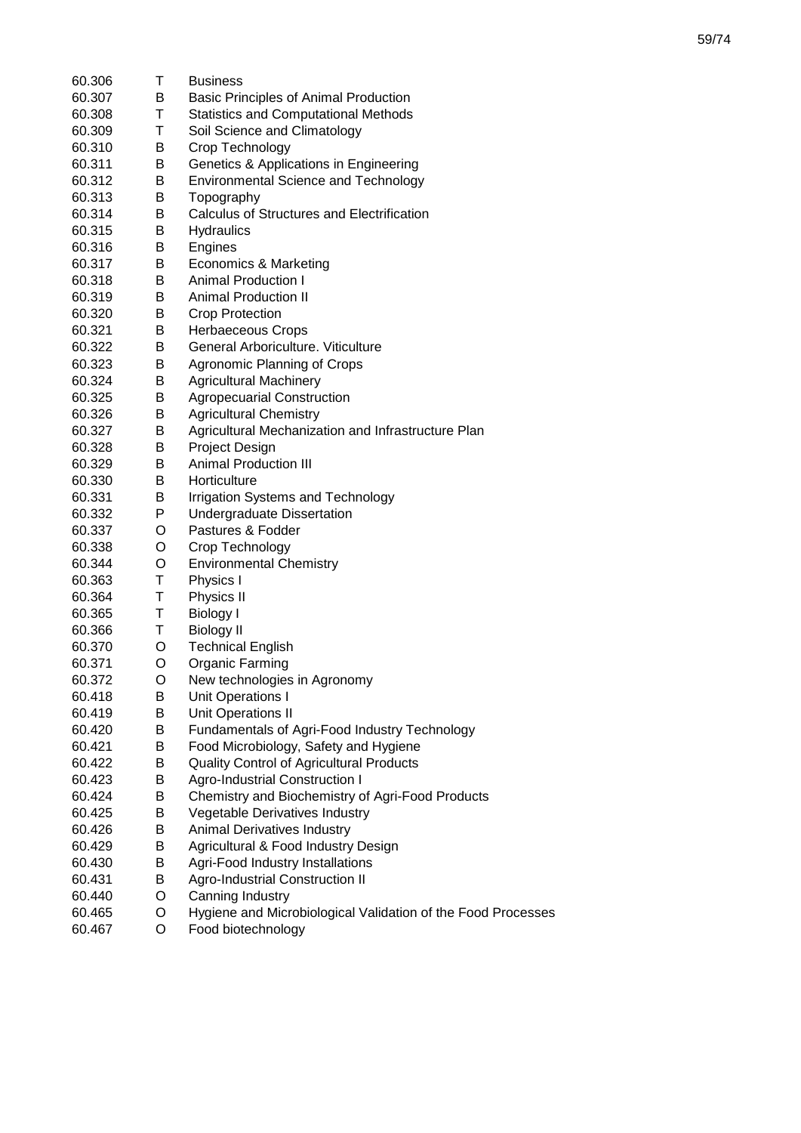|        | т | <b>Business</b>                                                                   |
|--------|---|-----------------------------------------------------------------------------------|
| 60.306 |   |                                                                                   |
| 60.307 | В | Basic Principles of Animal Production                                             |
| 60.308 | Τ | <b>Statistics and Computational Methods</b>                                       |
| 60.309 | Τ | Soil Science and Climatology                                                      |
| 60.310 | В | Crop Technology                                                                   |
| 60.311 | В | Genetics & Applications in Engineering                                            |
| 60.312 | В | <b>Environmental Science and Technology</b>                                       |
| 60.313 | В | Topography                                                                        |
| 60.314 | В | Calculus of Structures and Electrification                                        |
| 60.315 | В | <b>Hydraulics</b>                                                                 |
| 60.316 | В | Engines                                                                           |
| 60.317 | В | Economics & Marketing                                                             |
| 60.318 | B | <b>Animal Production I</b>                                                        |
| 60.319 | В | <b>Animal Production II</b>                                                       |
| 60.320 | В | <b>Crop Protection</b>                                                            |
| 60.321 | В | <b>Herbaeceous Crops</b>                                                          |
| 60.322 | В | General Arboriculture. Viticulture                                                |
| 60.323 | Β | Agronomic Planning of Crops                                                       |
| 60.324 | В | <b>Agricultural Machinery</b>                                                     |
| 60.325 | В | <b>Agropecuarial Construction</b>                                                 |
| 60.326 | В | <b>Agricultural Chemistry</b>                                                     |
| 60.327 | В | Agricultural Mechanization and Infrastructure Plan                                |
| 60.328 | В | Project Design                                                                    |
| 60.329 | Β | <b>Animal Production III</b>                                                      |
| 60.330 | В | Horticulture                                                                      |
| 60.331 | Β | Irrigation Systems and Technology                                                 |
| 60.332 | P | <b>Undergraduate Dissertation</b>                                                 |
| 60.337 | O | Pastures & Fodder                                                                 |
| 60.338 | O | Crop Technology                                                                   |
| 60.344 | O | <b>Environmental Chemistry</b>                                                    |
| 60.363 | Τ | Physics I                                                                         |
| 60.364 | Τ | Physics II                                                                        |
| 60.365 | Τ | <b>Biology I</b>                                                                  |
| 60.366 | Τ | <b>Biology II</b>                                                                 |
| 60.370 | O | <b>Technical English</b>                                                          |
| 60.371 | O | Organic Farming                                                                   |
| 60.372 | O | New technologies in Agronomy                                                      |
| 60.418 | В | Unit Operations I                                                                 |
| 60.419 | Β | Unit Operations II                                                                |
| 60.420 | В | Fundamentals of Agri-Food Industry Technology                                     |
| 60.421 | Β | Food Microbiology, Safety and Hygiene                                             |
| 60.422 | Β |                                                                                   |
|        |   | Quality Control of Agricultural Products<br><b>Agro-Industrial Construction I</b> |
| 60.423 | В |                                                                                   |
| 60.424 | B | Chemistry and Biochemistry of Agri-Food Products                                  |
| 60.425 | В | Vegetable Derivatives Industry                                                    |
| 60.426 | Β | Animal Derivatives Industry                                                       |
| 60.429 | В | Agricultural & Food Industry Design                                               |
| 60.430 | Β | Agri-Food Industry Installations                                                  |
| 60.431 | В | <b>Agro-Industrial Construction II</b>                                            |
| 60.440 | O | Canning Industry                                                                  |
| 60.465 | O | Hygiene and Microbiological Validation of the Food Processes                      |
| 60.467 | O | Food biotechnology                                                                |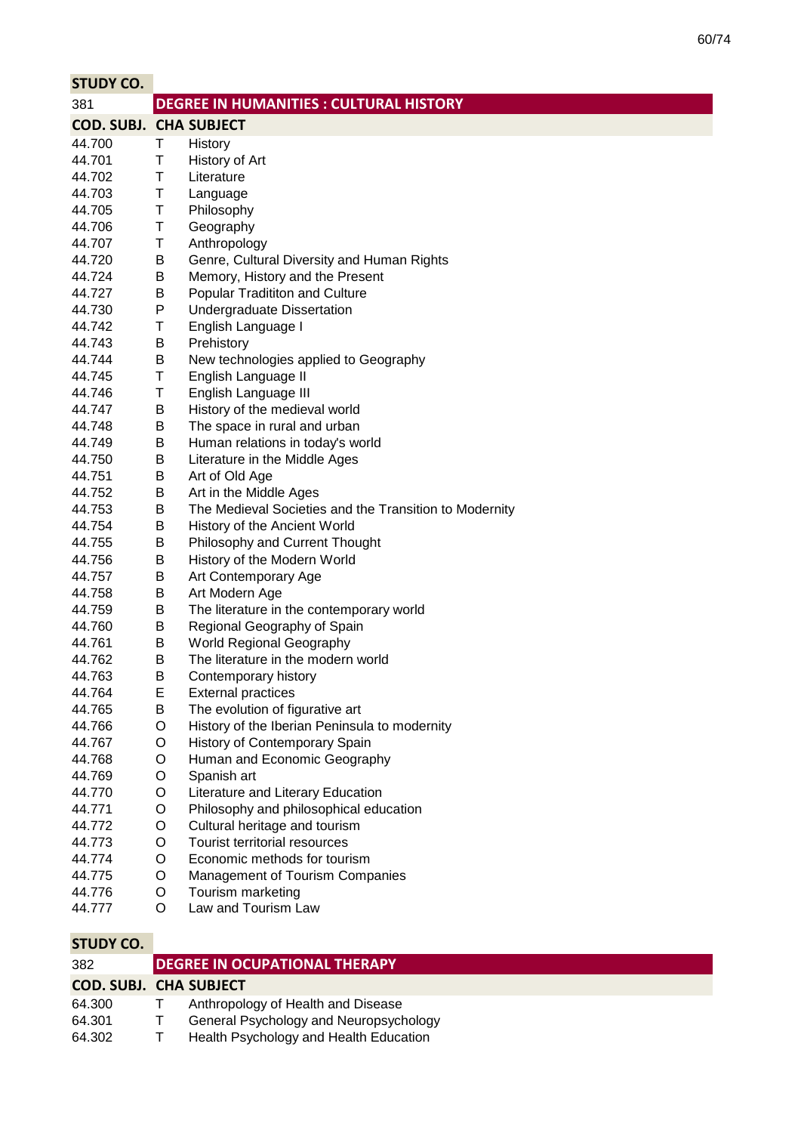| <b>DEGREE IN HUMANITIES : CULTURAL HISTORY</b><br>381<br><b>COD. SUBJ. CHA SUBJECT</b><br>44.700<br>Τ<br>History<br>44.701<br>Т<br>History of Art<br>44.702<br>Τ<br>Literature<br>Τ<br>44.703<br>Language<br>T<br>44.705<br>Philosophy<br>T<br>Geography<br>44.706<br>T<br>Anthropology<br>44.707<br>B<br>Genre, Cultural Diversity and Human Rights<br>44.720<br>44.724<br>B<br>Memory, History and the Present<br>44.727<br>Popular Tradititon and Culture<br>B<br>P<br><b>Undergraduate Dissertation</b><br>44.730<br>44.742<br>Τ<br>English Language I<br>B<br>Prehistory<br>44.743<br>44.744<br>B<br>New technologies applied to Geography<br>$\mathsf T$<br>English Language II<br>44.745<br>T<br>English Language III<br>44.746<br>B<br>History of the medieval world<br>44.747 | <b>STUDY CO.</b> |  |
|----------------------------------------------------------------------------------------------------------------------------------------------------------------------------------------------------------------------------------------------------------------------------------------------------------------------------------------------------------------------------------------------------------------------------------------------------------------------------------------------------------------------------------------------------------------------------------------------------------------------------------------------------------------------------------------------------------------------------------------------------------------------------------------|------------------|--|
|                                                                                                                                                                                                                                                                                                                                                                                                                                                                                                                                                                                                                                                                                                                                                                                        |                  |  |
|                                                                                                                                                                                                                                                                                                                                                                                                                                                                                                                                                                                                                                                                                                                                                                                        |                  |  |
|                                                                                                                                                                                                                                                                                                                                                                                                                                                                                                                                                                                                                                                                                                                                                                                        |                  |  |
|                                                                                                                                                                                                                                                                                                                                                                                                                                                                                                                                                                                                                                                                                                                                                                                        |                  |  |
|                                                                                                                                                                                                                                                                                                                                                                                                                                                                                                                                                                                                                                                                                                                                                                                        |                  |  |
|                                                                                                                                                                                                                                                                                                                                                                                                                                                                                                                                                                                                                                                                                                                                                                                        |                  |  |
|                                                                                                                                                                                                                                                                                                                                                                                                                                                                                                                                                                                                                                                                                                                                                                                        |                  |  |
|                                                                                                                                                                                                                                                                                                                                                                                                                                                                                                                                                                                                                                                                                                                                                                                        |                  |  |
|                                                                                                                                                                                                                                                                                                                                                                                                                                                                                                                                                                                                                                                                                                                                                                                        |                  |  |
|                                                                                                                                                                                                                                                                                                                                                                                                                                                                                                                                                                                                                                                                                                                                                                                        |                  |  |
|                                                                                                                                                                                                                                                                                                                                                                                                                                                                                                                                                                                                                                                                                                                                                                                        |                  |  |
|                                                                                                                                                                                                                                                                                                                                                                                                                                                                                                                                                                                                                                                                                                                                                                                        |                  |  |
|                                                                                                                                                                                                                                                                                                                                                                                                                                                                                                                                                                                                                                                                                                                                                                                        |                  |  |
|                                                                                                                                                                                                                                                                                                                                                                                                                                                                                                                                                                                                                                                                                                                                                                                        |                  |  |
|                                                                                                                                                                                                                                                                                                                                                                                                                                                                                                                                                                                                                                                                                                                                                                                        |                  |  |
|                                                                                                                                                                                                                                                                                                                                                                                                                                                                                                                                                                                                                                                                                                                                                                                        |                  |  |
|                                                                                                                                                                                                                                                                                                                                                                                                                                                                                                                                                                                                                                                                                                                                                                                        |                  |  |
|                                                                                                                                                                                                                                                                                                                                                                                                                                                                                                                                                                                                                                                                                                                                                                                        |                  |  |
|                                                                                                                                                                                                                                                                                                                                                                                                                                                                                                                                                                                                                                                                                                                                                                                        |                  |  |
| B<br>The space in rural and urban<br>44.748                                                                                                                                                                                                                                                                                                                                                                                                                                                                                                                                                                                                                                                                                                                                            |                  |  |
| B<br>44.749<br>Human relations in today's world                                                                                                                                                                                                                                                                                                                                                                                                                                                                                                                                                                                                                                                                                                                                        |                  |  |
| B<br>44.750<br>Literature in the Middle Ages                                                                                                                                                                                                                                                                                                                                                                                                                                                                                                                                                                                                                                                                                                                                           |                  |  |
| B<br>Art of Old Age<br>44.751                                                                                                                                                                                                                                                                                                                                                                                                                                                                                                                                                                                                                                                                                                                                                          |                  |  |
| B<br>44.752<br>Art in the Middle Ages                                                                                                                                                                                                                                                                                                                                                                                                                                                                                                                                                                                                                                                                                                                                                  |                  |  |
| B<br>The Medieval Societies and the Transition to Modernity<br>44.753                                                                                                                                                                                                                                                                                                                                                                                                                                                                                                                                                                                                                                                                                                                  |                  |  |
| B<br>44.754<br>History of the Ancient World                                                                                                                                                                                                                                                                                                                                                                                                                                                                                                                                                                                                                                                                                                                                            |                  |  |
| B<br>Philosophy and Current Thought<br>44.755                                                                                                                                                                                                                                                                                                                                                                                                                                                                                                                                                                                                                                                                                                                                          |                  |  |
| 44.756<br>B<br>History of the Modern World                                                                                                                                                                                                                                                                                                                                                                                                                                                                                                                                                                                                                                                                                                                                             |                  |  |
| Art Contemporary Age<br>44.757<br>B                                                                                                                                                                                                                                                                                                                                                                                                                                                                                                                                                                                                                                                                                                                                                    |                  |  |
| Art Modern Age<br>44.758<br>В                                                                                                                                                                                                                                                                                                                                                                                                                                                                                                                                                                                                                                                                                                                                                          |                  |  |
| B<br>The literature in the contemporary world<br>44.759                                                                                                                                                                                                                                                                                                                                                                                                                                                                                                                                                                                                                                                                                                                                |                  |  |
| B<br>Regional Geography of Spain<br>44.760                                                                                                                                                                                                                                                                                                                                                                                                                                                                                                                                                                                                                                                                                                                                             |                  |  |
| B<br>World Regional Geography<br>44.761                                                                                                                                                                                                                                                                                                                                                                                                                                                                                                                                                                                                                                                                                                                                                |                  |  |
| The literature in the modern world<br>44.762<br>В                                                                                                                                                                                                                                                                                                                                                                                                                                                                                                                                                                                                                                                                                                                                      |                  |  |
| В<br>44.763<br>Contemporary history                                                                                                                                                                                                                                                                                                                                                                                                                                                                                                                                                                                                                                                                                                                                                    |                  |  |
| Е<br>44.764<br><b>External practices</b>                                                                                                                                                                                                                                                                                                                                                                                                                                                                                                                                                                                                                                                                                                                                               |                  |  |
| B<br>44.765<br>The evolution of figurative art                                                                                                                                                                                                                                                                                                                                                                                                                                                                                                                                                                                                                                                                                                                                         |                  |  |
| 44.766<br>O<br>History of the Iberian Peninsula to modernity                                                                                                                                                                                                                                                                                                                                                                                                                                                                                                                                                                                                                                                                                                                           |                  |  |
| 44.767<br>O<br>History of Contemporary Spain                                                                                                                                                                                                                                                                                                                                                                                                                                                                                                                                                                                                                                                                                                                                           |                  |  |
| 44.768<br>O<br>Human and Economic Geography                                                                                                                                                                                                                                                                                                                                                                                                                                                                                                                                                                                                                                                                                                                                            |                  |  |
| 44.769<br>O<br>Spanish art                                                                                                                                                                                                                                                                                                                                                                                                                                                                                                                                                                                                                                                                                                                                                             |                  |  |
| O<br>Literature and Literary Education<br>44.770                                                                                                                                                                                                                                                                                                                                                                                                                                                                                                                                                                                                                                                                                                                                       |                  |  |
| 44.771<br>O<br>Philosophy and philosophical education                                                                                                                                                                                                                                                                                                                                                                                                                                                                                                                                                                                                                                                                                                                                  |                  |  |
| 44.772<br>O<br>Cultural heritage and tourism                                                                                                                                                                                                                                                                                                                                                                                                                                                                                                                                                                                                                                                                                                                                           |                  |  |
| 44.773<br>O<br><b>Tourist territorial resources</b>                                                                                                                                                                                                                                                                                                                                                                                                                                                                                                                                                                                                                                                                                                                                    |                  |  |
| 44.774<br>Economic methods for tourism<br>O                                                                                                                                                                                                                                                                                                                                                                                                                                                                                                                                                                                                                                                                                                                                            |                  |  |
| 44.775<br>O<br>Management of Tourism Companies                                                                                                                                                                                                                                                                                                                                                                                                                                                                                                                                                                                                                                                                                                                                         |                  |  |
| Tourism marketing<br>O<br>44.776                                                                                                                                                                                                                                                                                                                                                                                                                                                                                                                                                                                                                                                                                                                                                       |                  |  |
| Law and Tourism Law<br>44.777<br>O                                                                                                                                                                                                                                                                                                                                                                                                                                                                                                                                                                                                                                                                                                                                                     |                  |  |

| 382                           | <b>DEGREE IN OCUPATIONAL THERAPY</b>   |
|-------------------------------|----------------------------------------|
| <b>COD. SUBJ. CHA SUBJECT</b> |                                        |
| 64.300                        | Anthropology of Health and Disease     |
| 64.301                        | General Psychology and Neuropsychology |
| 64.302                        | Health Psychology and Health Education |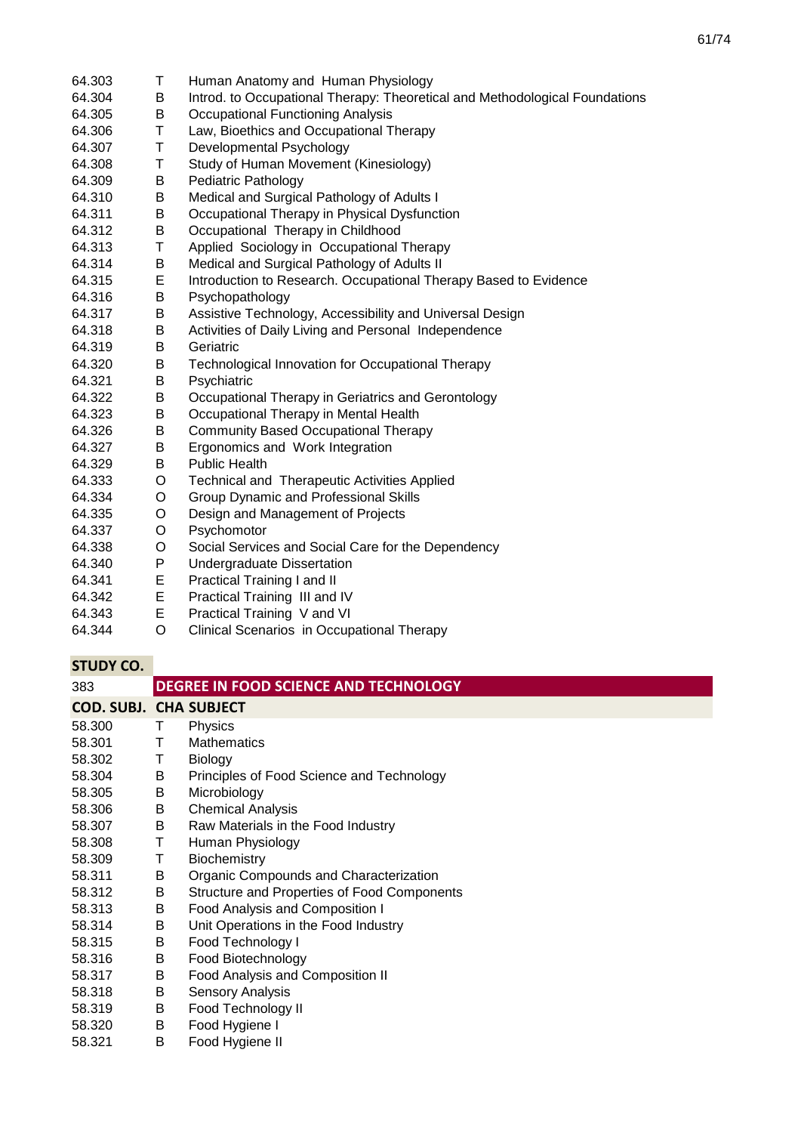| 64.303 | Τ       | Human Anatomy and Human Physiology                                          |
|--------|---------|-----------------------------------------------------------------------------|
| 64.304 | B       | Introd. to Occupational Therapy: Theoretical and Methodological Foundations |
| 64.305 | B       | <b>Occupational Functioning Analysis</b>                                    |
| 64.306 | Τ       | Law, Bioethics and Occupational Therapy                                     |
| 64.307 | T       | Developmental Psychology                                                    |
| 64.308 | T       | Study of Human Movement (Kinesiology)                                       |
| 64.309 | B       | <b>Pediatric Pathology</b>                                                  |
| 64.310 | B       | Medical and Surgical Pathology of Adults I                                  |
| 64.311 | B       | Occupational Therapy in Physical Dysfunction                                |
| 64.312 | B       | Occupational Therapy in Childhood                                           |
| 64.313 | Τ       | Applied Sociology in Occupational Therapy                                   |
| 64.314 | B       | Medical and Surgical Pathology of Adults II                                 |
| 64.315 | E       | Introduction to Research. Occupational Therapy Based to Evidence            |
| 64.316 | B       | Psychopathology                                                             |
| 64.317 | B       | Assistive Technology, Accessibility and Universal Design                    |
| 64.318 | В       | Activities of Daily Living and Personal Independence                        |
| 64.319 | B       | Geriatric                                                                   |
| 64.320 | B       | Technological Innovation for Occupational Therapy                           |
| 64.321 | B       | Psychiatric                                                                 |
| 64.322 | B       | Occupational Therapy in Geriatrics and Gerontology                          |
| 64.323 | B       | Occupational Therapy in Mental Health                                       |
| 64.326 | B       | <b>Community Based Occupational Therapy</b>                                 |
| 64.327 | B       | Ergonomics and Work Integration                                             |
| 64.329 | В       | <b>Public Health</b>                                                        |
| 64.333 | O       | Technical and Therapeutic Activities Applied                                |
| 64.334 | O       | Group Dynamic and Professional Skills                                       |
| 64.335 | O       | Design and Management of Projects                                           |
| 64.337 | $\circ$ | Psychomotor                                                                 |
| 64.338 | O       | Social Services and Social Care for the Dependency                          |
| 64.340 | P       | <b>Undergraduate Dissertation</b>                                           |
| 64.341 | E       | Practical Training I and II                                                 |
| 64.342 | E       | Practical Training III and IV                                               |
| 64.343 | E       | Practical Training V and VI                                                 |

64.344 O Clinical Scenarios in Occupational Therapy

| 383                           |   | DEGREE IN FOOD SCIENCE AND TECHNOLOGY       |
|-------------------------------|---|---------------------------------------------|
| <b>COD. SUBJ. CHA SUBJECT</b> |   |                                             |
| 58,300                        | Τ | Physics                                     |
| 58.301                        | Τ | <b>Mathematics</b>                          |
| 58.302                        | Τ | <b>Biology</b>                              |
| 58.304                        | В | Principles of Food Science and Technology   |
| 58.305                        | В | Microbiology                                |
| 58.306                        | В | <b>Chemical Analysis</b>                    |
| 58.307                        | B | Raw Materials in the Food Industry          |
| 58.308                        | Т | Human Physiology                            |
| 58.309                        | Τ | Biochemistry                                |
| 58.311                        | В | Organic Compounds and Characterization      |
| 58.312                        | В | Structure and Properties of Food Components |
| 58.313                        | В | Food Analysis and Composition I             |
| 58.314                        | B | Unit Operations in the Food Industry        |
| 58.315                        | В | Food Technology I                           |
| 58.316                        | В | Food Biotechnology                          |
| 58.317                        | B | Food Analysis and Composition II            |
| 58.318                        | В | <b>Sensory Analysis</b>                     |
| 58.319                        | В | Food Technology II                          |
| 58.320                        | B | Food Hygiene I                              |
| 58.321                        | B | Food Hygiene II                             |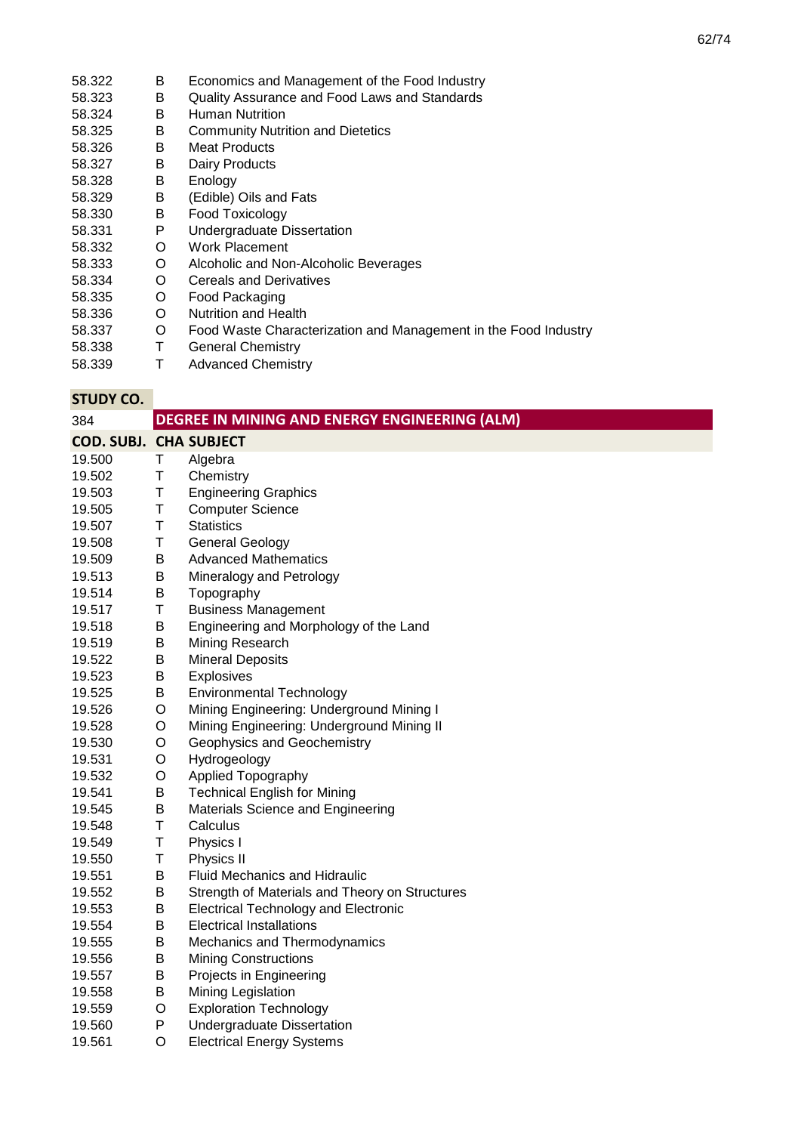- 58.322 B Economics and Management of the Food Industry<br>58.323 B Quality Assurance and Food Laws and Standards
- 58.323 B Quality Assurance and Food Laws and Standards<br>58.324 B Human Nutrition
- 58.324 B Human Nutrition<br>58.325 B Community Nutri
- **B** Community Nutrition and Dietetics<br>**B** Meat Products
- 58.326 B Meat Products<br>58.327 B Dairy Products Dairy Products
- 
- 58.328 B Enology
- 58.329 B (Edible) Oils and Fats<br>58.330 B Food Toxicology
- 58.330 B Food Toxicology<br>58.331 P Undergraduate D 58.331 P Undergraduate Dissertation<br>58.332 O Work Placement
- 58.332 O Work Placement
- 58.333 O Alcoholic and Non-Alcoholic Beverages
- 58.334 O Cereals and Derivatives<br>58.335 O Food Packaging
- 58.335 O Food Packaging
- 58.336 O Nutrition and Health<br>58.337 O Food Waste Charac
- O Food Waste Characterization and Management in the Food Industry<br>T General Chemistry
- 58.338 T General Chemistry<br>58.339 T Advanced Chemistr
- Advanced Chemistry

| 384                           |   | <b>DEGREE IN MINING AND ENERGY ENGINEERING (ALM)</b> |
|-------------------------------|---|------------------------------------------------------|
| <b>COD. SUBJ. CHA SUBJECT</b> |   |                                                      |
| 19.500                        | Τ | Algebra                                              |
| 19.502                        | Τ | Chemistry                                            |
| 19.503                        | Τ | <b>Engineering Graphics</b>                          |
| 19.505                        | Τ | <b>Computer Science</b>                              |
| 19.507                        | T | <b>Statistics</b>                                    |
| 19.508                        | Τ | <b>General Geology</b>                               |
| 19.509                        | B | <b>Advanced Mathematics</b>                          |
| 19.513                        | B | Mineralogy and Petrology                             |
| 19.514                        | B | Topography                                           |
| 19.517                        | T | <b>Business Management</b>                           |
| 19.518                        | Β | Engineering and Morphology of the Land               |
| 19.519                        | В | Mining Research                                      |
| 19.522                        | B | <b>Mineral Deposits</b>                              |
| 19.523                        | B | Explosives                                           |
| 19.525                        | B | <b>Environmental Technology</b>                      |
| 19.526                        | O | Mining Engineering: Underground Mining I             |
| 19.528                        | O | Mining Engineering: Underground Mining II            |
| 19.530                        | O | Geophysics and Geochemistry                          |
| 19.531                        | O | Hydrogeology                                         |
| 19.532                        | O | Applied Topography                                   |
| 19.541                        | Β | <b>Technical English for Mining</b>                  |
| 19.545                        | B | Materials Science and Engineering                    |
| 19.548                        | Τ | Calculus                                             |
| 19.549                        | Τ | Physics I                                            |
| 19.550                        | Τ | Physics II                                           |
| 19.551                        | B | Fluid Mechanics and Hidraulic                        |
| 19.552                        | Β | Strength of Materials and Theory on Structures       |
| 19.553                        | B | <b>Electrical Technology and Electronic</b>          |
| 19.554                        | Β | <b>Electrical Installations</b>                      |
| 19.555                        | Β | Mechanics and Thermodynamics                         |
| 19.556                        | B | <b>Mining Constructions</b>                          |
| 19.557                        | B | Projects in Engineering                              |
| 19.558                        | Β | Mining Legislation                                   |
| 19.559                        | O | <b>Exploration Technology</b>                        |
| 19.560                        | P | Undergraduate Dissertation                           |
| 19.561                        | O | <b>Electrical Energy Systems</b>                     |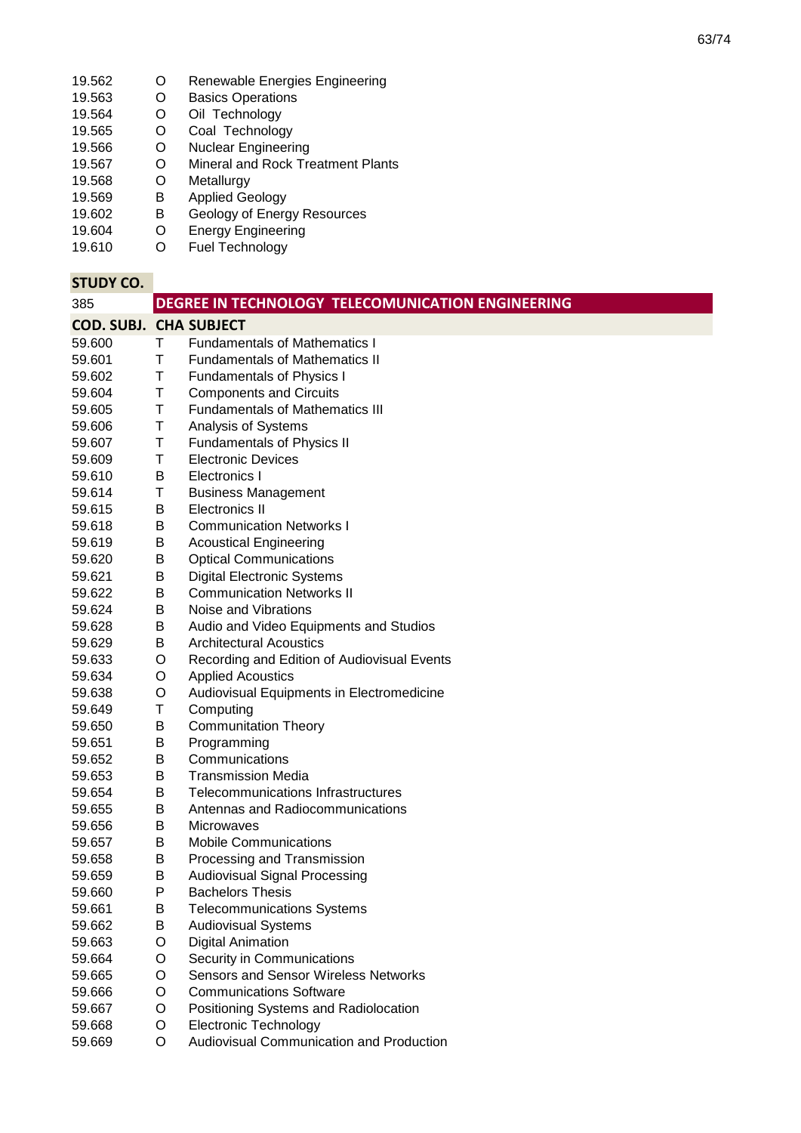- 19.562 O Renewable Energies Engineering
- 19.563 O Basics Operations 19.564 O Oil Technology
- 19.565 O Coal Technology
- 19.566 O Nuclear Engineering
- 19.567 O Mineral and Rock Treatment Plants
- 19.568 O Metallurgy
- 19.569 B Applied Geology
- 19.602 B Geology of Energy Resources
- 19.604 O Energy Engineering
- 19.610 O Fuel Technology

#### **STUDY CO.** 385 **COD. SUBJ. CHA SUBJECT** 59.600 T Fundamentals of Mathematics I 59.601 T Fundamentals of Mathematics II<br>59.602 T Fundamentals of Physics I 59.602 T Fundamentals of Physics I 59.604 T Components and Circuits 59.605 T Fundamentals of Mathematics III 59.606 T Analysis of Systems 59.607 T Fundamentals of Physics II<br>59.609 T Electronic Devices 59.609 T Electronic Devices 59.610 B Electronics I<br>59.614 T Business Ma 59.614 T Business Management 59.615 B Electronics II 59.618 B Communication Networks I 59.619 B Acoustical Engineering 59.620 B Optical Communications 59.621 B Digital Electronic Systems 59.622 B Communication Networks II 59.624 B Noise and Vibrations<br>59.628 B Audio and Video Equ 59.628 B Audio and Video Equipments and Studios 59.629 B Architectural Acoustics 59.633 O Recording and Edition of Audiovisual Events 59.634 O Applied Acoustics 59.638 O Audiovisual Equipments in Electromedicine 59.649 T Computing 59.650 B Communitation Theory 59.651 B Programming 59.652 B Communications 59.653 B Transmission Media 59.654 B Telecommunications Infrastructures 59.655 B Antennas and Radiocommunications 59.656 B Microwaves 59.657 B Mobile Communications 59.658 B Processing and Transmission 59.659 B Audiovisual Signal Processing 59.660 P Bachelors Thesis 59.661 B Telecommunications Systems 59.662 B Audiovisual Systems 59.663 O Digital Animation 59.664 O Security in Communications 59.665 O Sensors and Sensor Wireless Networks 59.666 O Communications Software 59.667 O Positioning Systems and Radiolocation 59.668 O Electronic Technology 59.669 O Audiovisual Communication and Production **DEGREE IN TECHNOLOGY TELECOMUNICATION ENGINEERING**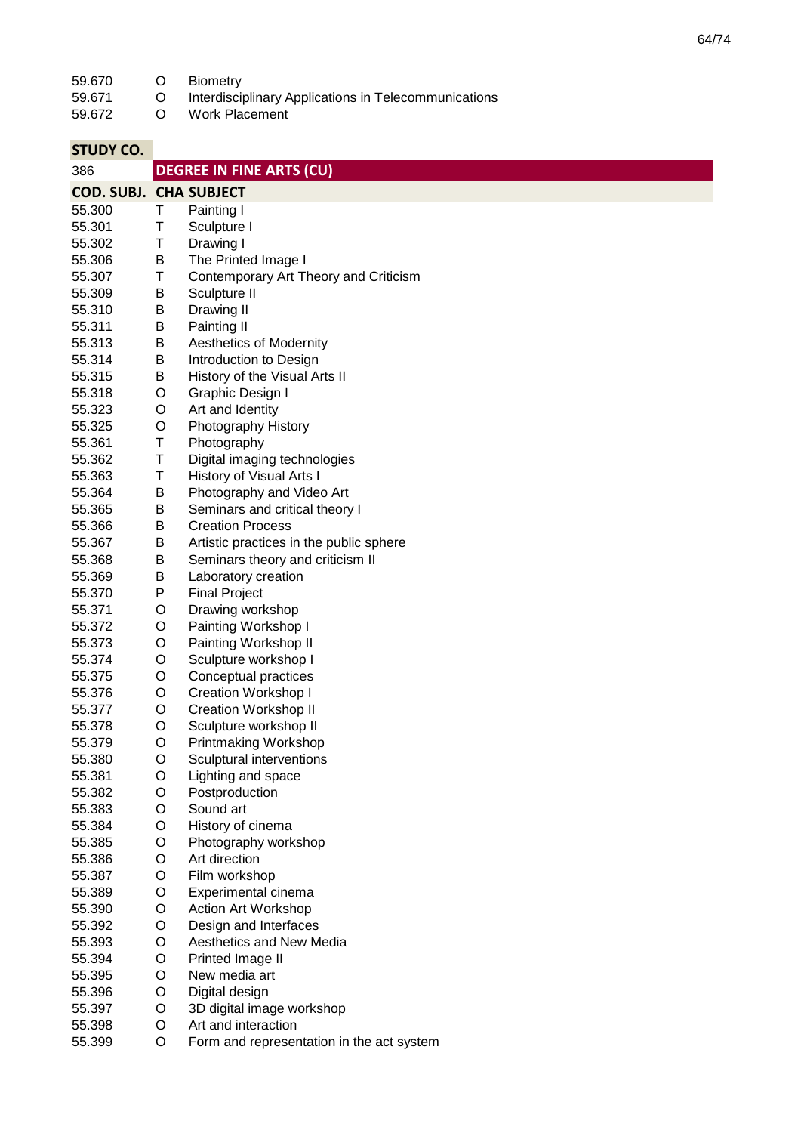**STATISTICS** 

| 59.670                        | O      | <b>Biometry</b>                                      |
|-------------------------------|--------|------------------------------------------------------|
| 59.671                        | O      | Interdisciplinary Applications in Telecommunications |
| 59.672                        | O      | <b>Work Placement</b>                                |
|                               |        |                                                      |
| <b>STUDY CO.</b>              |        |                                                      |
| 386                           |        | <b>DEGREE IN FINE ARTS (CU)</b>                      |
|                               |        |                                                      |
| <b>COD. SUBJ. CHA SUBJECT</b> |        |                                                      |
| 55.300                        | Τ      | Painting I                                           |
| 55.301                        | Τ      | Sculpture I                                          |
| 55.302                        | Τ      | Drawing I                                            |
| 55.306                        | B      | The Printed Image I                                  |
| 55.307                        | Τ      | Contemporary Art Theory and Criticism                |
| 55.309                        | B      | Sculpture II                                         |
| 55.310                        | B      | Drawing II                                           |
| 55.311                        | B      | Painting II                                          |
| 55.313                        | B      | <b>Aesthetics of Modernity</b>                       |
| 55.314                        | B      | Introduction to Design                               |
| 55.315<br>55.318              | B      | History of the Visual Arts II                        |
|                               | O<br>O | Graphic Design I                                     |
| 55.323<br>55.325              | O      | Art and Identity<br>Photography History              |
| 55.361                        | T      | Photography                                          |
| 55.362                        | T      | Digital imaging technologies                         |
| 55.363                        | Τ      | History of Visual Arts I                             |
| 55.364                        | В      | Photography and Video Art                            |
| 55.365                        | B      | Seminars and critical theory I                       |
| 55.366                        | В      | <b>Creation Process</b>                              |
| 55.367                        | B      | Artistic practices in the public sphere              |
| 55.368                        | В      | Seminars theory and criticism II                     |
| 55.369                        | B      | Laboratory creation                                  |
| 55.370                        | P      | <b>Final Project</b>                                 |
| 55.371                        | O      | Drawing workshop                                     |
| 55.372                        | O      | Painting Workshop I                                  |
| 55.373                        | O      | Painting Workshop II                                 |
| 55.374                        | O      | Sculpture workshop I                                 |
| 55.375                        | O      | Conceptual practices                                 |
| 55.376                        | O      | <b>Creation Workshop I</b>                           |
| 55.377                        | O      | <b>Creation Workshop II</b>                          |
| 55.378                        | O      | Sculpture workshop II                                |
| 55.379                        | O      | Printmaking Workshop                                 |
| 55.380                        | O      | Sculptural interventions                             |
| 55.381                        | O      | Lighting and space                                   |
| 55.382                        | O      | Postproduction                                       |
| 55.383                        | O      | Sound art                                            |
| 55.384                        | O      | History of cinema                                    |
| 55.385                        | O      | Photography workshop                                 |
| 55.386                        | O      | Art direction                                        |
| 55.387                        | O      | Film workshop                                        |
| 55.389                        | O      | Experimental cinema                                  |
| 55.390                        | O      | Action Art Workshop                                  |
| 55.392                        | O      | Design and Interfaces                                |
| 55.393                        | O      | Aesthetics and New Media                             |
| 55.394                        | O      | Printed Image II                                     |
| 55.395                        | O      | New media art                                        |
| 55.396                        | O      | Digital design                                       |
| 55.397                        | O      | 3D digital image workshop                            |
| 55.398                        | O      | Art and interaction                                  |
| 55.399                        | O      | Form and representation in the act system            |

O Form and representation in the act system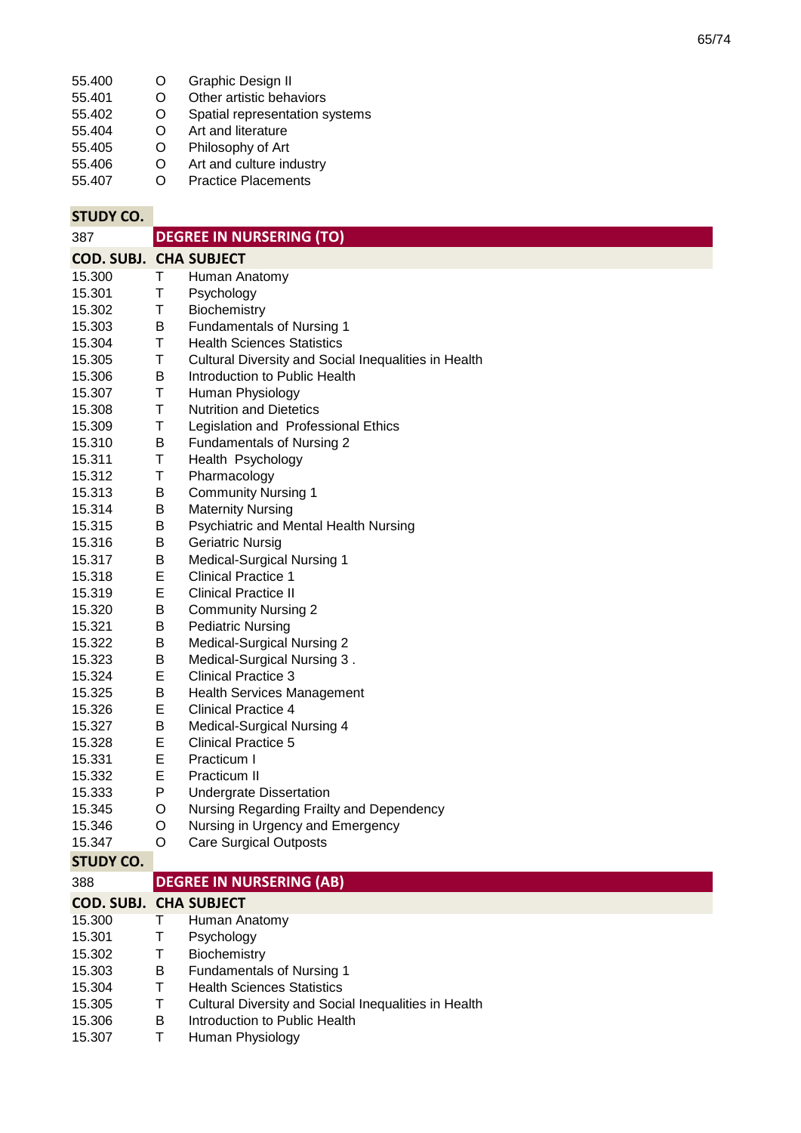| 55.400 | O | Graphic Design II |
|--------|---|-------------------|
|--------|---|-------------------|

- 55.401 O Other artistic behaviors<br>O Spatial representation s
- 55.402 O Spatial representation systems<br>O Art and literature
- 55.404 O Art and literature<br>O Philosophy of Art
- 55.405 O Philosophy of Art<br>O Art and culture in
- 55.406 O Art and culture industry<br>O Practice Placements
- 55.407 **Practice Placements**

| <b>STUDY CO.</b>                        |         |                                                      |
|-----------------------------------------|---------|------------------------------------------------------|
| 387                                     |         | <b>DEGREE IN NURSERING (TO)</b>                      |
| <b>COD. SUBJ. CHA SUBJECT</b>           |         |                                                      |
| 15.300                                  | Τ       | Human Anatomy                                        |
| 15.301                                  | Τ       | Psychology                                           |
| 15.302                                  | Τ       | Biochemistry                                         |
| 15.303                                  | B       | <b>Fundamentals of Nursing 1</b>                     |
| 15.304                                  | Τ       | <b>Health Sciences Statistics</b>                    |
| 15.305                                  | Τ       | Cultural Diversity and Social Inequalities in Health |
| 15.306                                  | B       | Introduction to Public Health                        |
| 15.307                                  | Τ       | Human Physiology                                     |
| 15.308                                  | Τ       | <b>Nutrition and Dietetics</b>                       |
| 15.309                                  | Τ       | Legislation and Professional Ethics                  |
| 15.310                                  | B       | Fundamentals of Nursing 2                            |
| 15.311                                  | Τ       | Health Psychology                                    |
| 15.312                                  | Τ       | Pharmacology                                         |
| 15.313                                  | B       | <b>Community Nursing 1</b>                           |
| 15.314                                  | B       | <b>Maternity Nursing</b>                             |
| 15.315                                  | B       | Psychiatric and Mental Health Nursing                |
| 15.316                                  | Β       | <b>Geriatric Nursig</b>                              |
| 15.317                                  | B       | <b>Medical-Surgical Nursing 1</b>                    |
| 15.318                                  | E       | <b>Clinical Practice 1</b>                           |
| 15.319                                  | Е       | <b>Clinical Practice II</b>                          |
| 15.320                                  | B       | <b>Community Nursing 2</b>                           |
| 15.321                                  | B       | <b>Pediatric Nursing</b>                             |
| 15.322                                  | B       | Medical-Surgical Nursing 2                           |
| 15.323                                  | B       | Medical-Surgical Nursing 3.                          |
| 15.324                                  | Ε       | <b>Clinical Practice 3</b>                           |
| 15.325                                  | В       | <b>Health Services Management</b>                    |
| 15.326                                  | Е       | <b>Clinical Practice 4</b>                           |
| 15.327                                  | Β       | Medical-Surgical Nursing 4                           |
| 15.328                                  | Е       | <b>Clinical Practice 5</b>                           |
| 15.331                                  | E       | Practicum I                                          |
| 15.332                                  | E       | Practicum II                                         |
| 15.333                                  | P       | <b>Undergrate Dissertation</b>                       |
| 15.345                                  | $\circ$ | Nursing Regarding Frailty and Dependency             |
| 15.346                                  | O       | Nursing in Urgency and Emergency                     |
| 15.347                                  | O       | <b>Care Surgical Outposts</b>                        |
| <b>STUDY CO.</b><br>388                 |         | <b>DEGREE IN NURSERING (AB)</b>                      |
|                                         |         |                                                      |
| <b>COD. SUBJ. CHA SUBJECT</b><br>15.300 | T       | Human Anatomy                                        |
| 15.301                                  | Τ       |                                                      |
| 15.302                                  | Τ       | Psychology<br>Biochemistry                           |
| 15.303                                  | B       | <b>Fundamentals of Nursing 1</b>                     |
| 15.304                                  | Τ       | <b>Health Sciences Statistics</b>                    |
| 15.305                                  | T       | Cultural Diversity and Social Inequalities in Health |
| 15.306                                  | B       | Introduction to Public Health                        |

15.307 T Human Physiology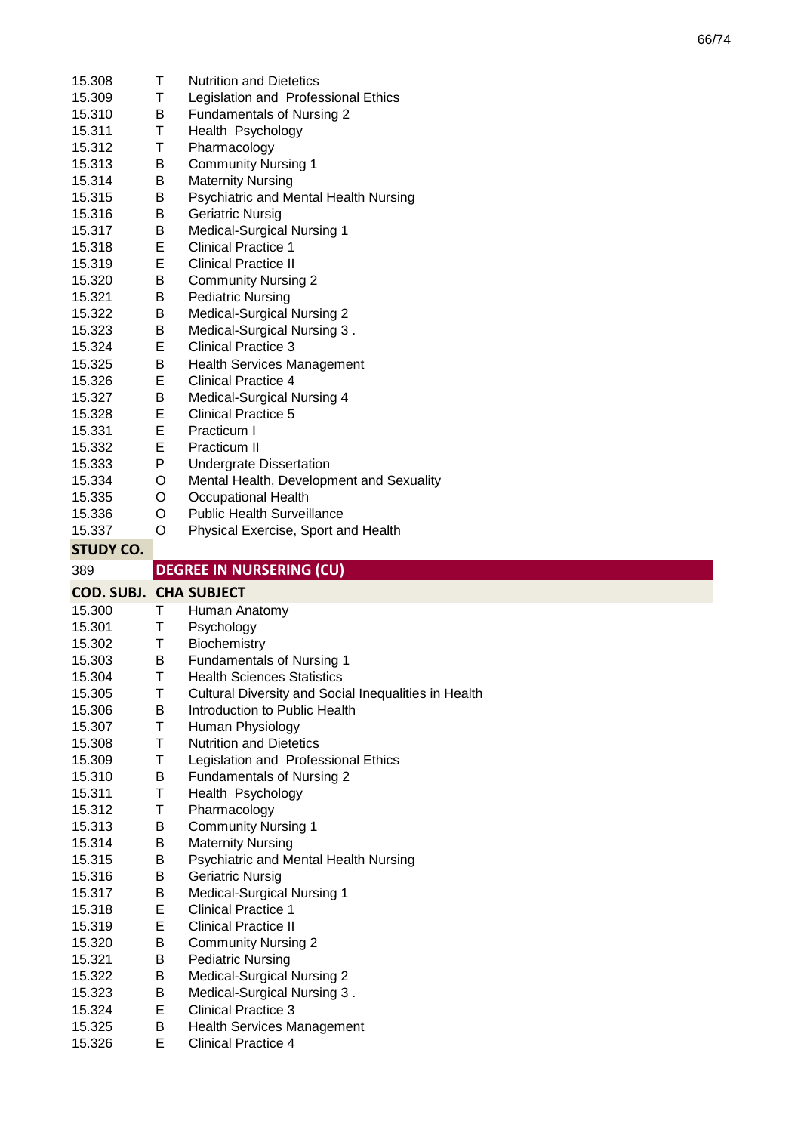| 15.308                        | Τ      | <b>Nutrition and Dietetics</b>                                  |
|-------------------------------|--------|-----------------------------------------------------------------|
| 15.309                        | Τ      | Legislation and Professional Ethics                             |
| 15.310                        | B      | Fundamentals of Nursing 2                                       |
| 15.311                        | Τ      | Health Psychology                                               |
| 15.312                        | Т      | Pharmacology                                                    |
| 15.313                        | B      | <b>Community Nursing 1</b>                                      |
| 15.314                        | B      | <b>Maternity Nursing</b>                                        |
| 15.315                        | B      | Psychiatric and Mental Health Nursing                           |
| 15.316                        | В      | <b>Geriatric Nursig</b>                                         |
| 15.317                        | В      | <b>Medical-Surgical Nursing 1</b>                               |
| 15.318                        | E      | <b>Clinical Practice 1</b>                                      |
| 15.319                        | E      | <b>Clinical Practice II</b>                                     |
| 15.320                        | B      | <b>Community Nursing 2</b>                                      |
| 15.321                        | B      | <b>Pediatric Nursing</b>                                        |
| 15.322                        | B      | <b>Medical-Surgical Nursing 2</b>                               |
| 15.323                        | B      | Medical-Surgical Nursing 3.                                     |
| 15.324                        | Е      | <b>Clinical Practice 3</b>                                      |
| 15.325                        | B      | <b>Health Services Management</b>                               |
| 15.326                        | E      | <b>Clinical Practice 4</b>                                      |
| 15.327                        | В      | Medical-Surgical Nursing 4                                      |
| 15.328                        | Е      | <b>Clinical Practice 5</b>                                      |
| 15.331                        | E      | Practicum I                                                     |
| 15.332                        | Е      | Practicum II                                                    |
| 15.333                        | P      | <b>Undergrate Dissertation</b>                                  |
| 15.334                        | O      | Mental Health, Development and Sexuality                        |
| 15.335                        | O      | <b>Occupational Health</b>                                      |
| 15.336                        | O      | <b>Public Health Surveillance</b>                               |
|                               |        |                                                                 |
|                               |        |                                                                 |
| 15.337                        | O      | Physical Exercise, Sport and Health                             |
| <b>STUDY CO.</b>              |        |                                                                 |
| 389                           |        | <b>DEGREE IN NURSERING (CU)</b>                                 |
| <b>COD. SUBJ. CHA SUBJECT</b> |        |                                                                 |
| 15.300                        | T.     | Human Anatomy                                                   |
| 15.301                        | Τ      | Psychology                                                      |
| 15.302                        | Τ      | Biochemistry                                                    |
| 15.303                        | B      | <b>Fundamentals of Nursing 1</b>                                |
| 15.304                        | Τ      | <b>Health Sciences Statistics</b>                               |
| 15.305                        | Τ      | Cultural Diversity and Social Inequalities in Health            |
| 15.306                        | B      | Introduction to Public Health                                   |
| 15.307                        | Τ      | Human Physiology                                                |
| 15.308                        | T      | <b>Nutrition and Dietetics</b>                                  |
| 15.309                        | Τ      | Legislation and Professional Ethics                             |
| 15.310                        | B      | Fundamentals of Nursing 2                                       |
| 15.311                        | T      | Health Psychology                                               |
| 15.312                        | Τ      | Pharmacology                                                    |
| 15.313                        | B      | <b>Community Nursing 1</b>                                      |
| 15.314                        | B      | <b>Maternity Nursing</b>                                        |
| 15.315                        | B      | Psychiatric and Mental Health Nursing                           |
| 15.316                        | B      | Geriatric Nursig                                                |
| 15.317                        | B      | <b>Medical-Surgical Nursing 1</b>                               |
| 15.318                        | E      | <b>Clinical Practice 1</b>                                      |
| 15.319                        | E      | <b>Clinical Practice II</b>                                     |
| 15.320                        | B      | <b>Community Nursing 2</b>                                      |
| 15.321                        | B      | <b>Pediatric Nursing</b>                                        |
| 15.322                        | B      | <b>Medical-Surgical Nursing 2</b>                               |
| 15.323                        | B      | Medical-Surgical Nursing 3.                                     |
| 15.324                        | E      | <b>Clinical Practice 3</b>                                      |
| 15.325<br>15.326              | B<br>E | <b>Health Services Management</b><br><b>Clinical Practice 4</b> |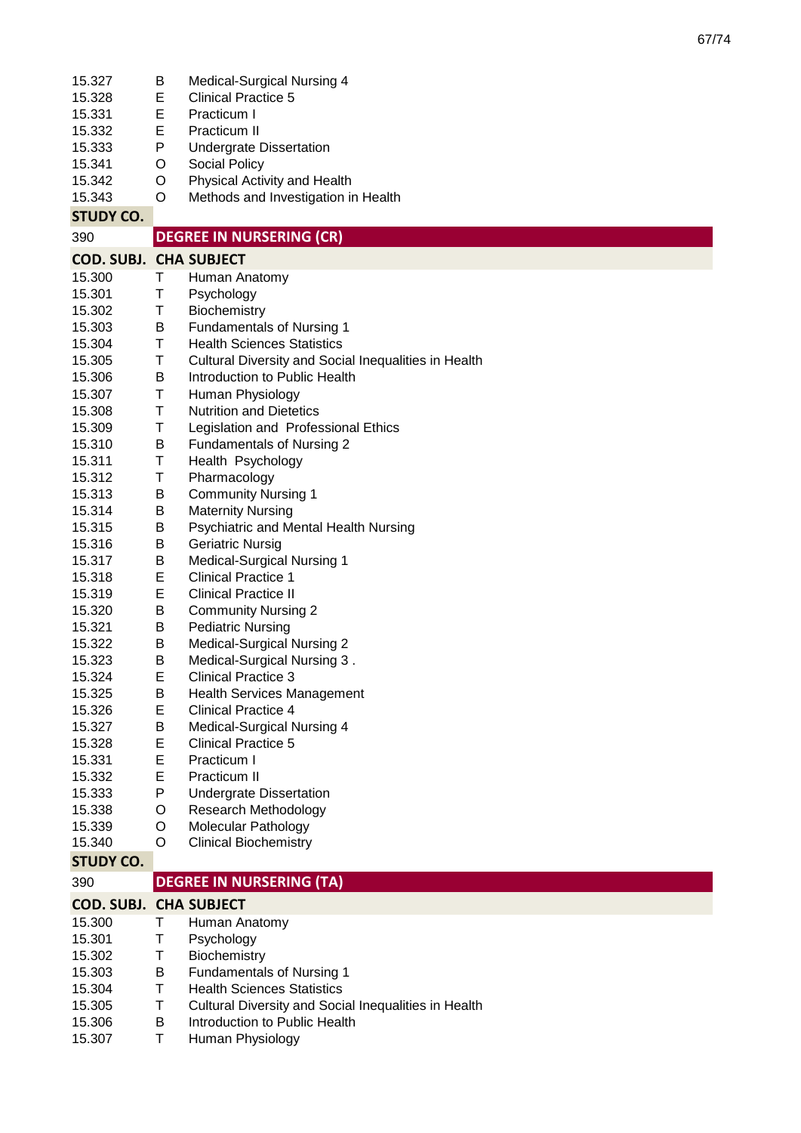| 15.327                        | Β | Medical-Surgical Nursing 4                           |
|-------------------------------|---|------------------------------------------------------|
| 15.328                        | E | <b>Clinical Practice 5</b>                           |
| 15.331                        | E | Practicum I                                          |
| 15.332                        | Е | Practicum II                                         |
| 15.333                        | P | <b>Undergrate Dissertation</b>                       |
| 15.341                        | O | Social Policy                                        |
| 15.342                        | O | Physical Activity and Health                         |
| 15.343                        | O | Methods and Investigation in Health                  |
| <b>STUDY CO.</b>              |   |                                                      |
| 390                           |   | <b>DEGREE IN NURSERING (CR)</b>                      |
| <b>COD. SUBJ. CHA SUBJECT</b> |   |                                                      |
| 15.300                        | Τ | Human Anatomy                                        |
| 15.301                        | Τ | Psychology                                           |
| 15.302                        | Т | Biochemistry                                         |
| 15.303                        | В | <b>Fundamentals of Nursing 1</b>                     |
| 15.304                        | T | <b>Health Sciences Statistics</b>                    |
| 15.305                        | Т | Cultural Diversity and Social Inequalities in Health |
| 15.306                        | B | Introduction to Public Health                        |
| 15.307                        | Τ | Human Physiology                                     |
| 15.308                        | Τ | <b>Nutrition and Dietetics</b>                       |
| 15.309                        | Τ | Legislation and Professional Ethics                  |
| 15.310                        | В | Fundamentals of Nursing 2                            |
| 15.311                        | Τ | Health Psychology                                    |
| 15.312                        | Τ | Pharmacology                                         |
| 15.313                        | B | <b>Community Nursing 1</b>                           |
| 15.314                        | В | <b>Maternity Nursing</b>                             |
| 15.315                        | В | Psychiatric and Mental Health Nursing                |
| 15.316                        | В | <b>Geriatric Nursig</b>                              |
| 15.317                        | В | <b>Medical-Surgical Nursing 1</b>                    |
| 15.318                        | Е | <b>Clinical Practice 1</b>                           |
| 15.319                        | Е | <b>Clinical Practice II</b>                          |
| 15.320                        | В | <b>Community Nursing 2</b>                           |
| 15.321                        | В | <b>Pediatric Nursing</b>                             |
| 15.322                        | B | Medical-Surgical Nursing 2                           |
| 15.323                        | B | Medical-Surgical Nursing 3.                          |
| 15.324                        | Е | <b>Clinical Practice 3</b>                           |
| 15.325                        | B | <b>Health Services Management</b>                    |
| 15.326                        | E | <b>Clinical Practice 4</b>                           |
| 15.327                        | В | Medical-Surgical Nursing 4                           |
| 15.328                        | E | <b>Clinical Practice 5</b>                           |
| 15.331                        | Е | Practicum I                                          |
| 15.332                        | E | Practicum II                                         |
| 15.333                        | P | <b>Undergrate Dissertation</b>                       |
| 15.338                        | O | Research Methodology                                 |
| 15.339                        | O | <b>Molecular Pathology</b>                           |
| 15.340                        | O | <b>Clinical Biochemistry</b>                         |
| <b>STUDY CO.</b>              |   |                                                      |
| 390                           |   | <b>DEGREE IN NURSERING (TA)</b>                      |
| <b>COD. SUBJ. CHA SUBJECT</b> |   |                                                      |
| 15.300                        | Т | Human Anatomy                                        |
| 15.301                        | Т | Psychology                                           |
| 15.302                        | Т | Biochemistry                                         |
| 15.303                        | B | <b>Fundamentals of Nursing 1</b>                     |
| 15.304                        | Τ | <b>Health Sciences Statistics</b>                    |
| 15.305                        | Т | Cultural Diversity and Social Inequalities in Health |
| 15.306                        | В | Introduction to Public Health                        |
| 15.307                        | Τ | Human Physiology                                     |

67/74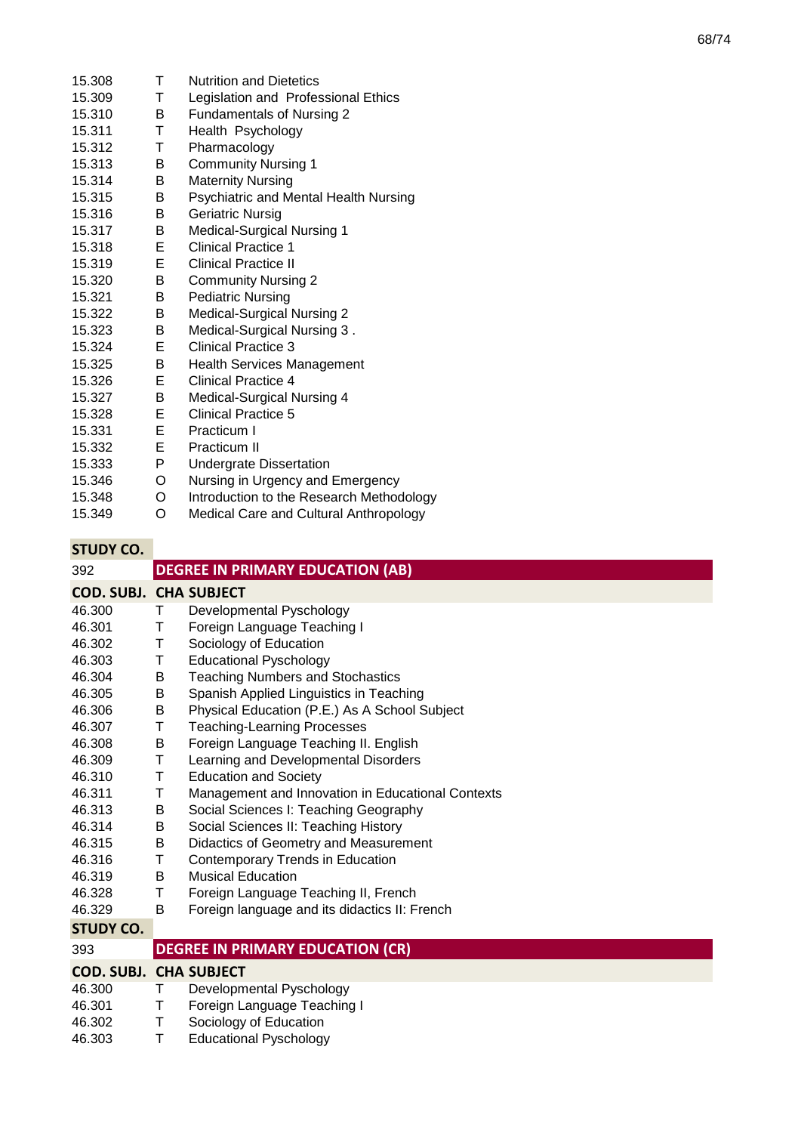| 15.308 | Τ  | <b>Nutrition and Dietetics</b>           |
|--------|----|------------------------------------------|
| 15.309 | T. | Legislation and Professional Ethics      |
| 15.310 | B. | Fundamentals of Nursing 2                |
| 15.311 | T  | Health Psychology                        |
| 15.312 | T  | Pharmacology                             |
| 15.313 | B  | <b>Community Nursing 1</b>               |
| 15.314 | B  | <b>Maternity Nursing</b>                 |
| 15.315 | B  | Psychiatric and Mental Health Nursing    |
| 15.316 | B  | <b>Geriatric Nursig</b>                  |
| 15.317 | B  | <b>Medical-Surgical Nursing 1</b>        |
| 15.318 | Е  | <b>Clinical Practice 1</b>               |
| 15.319 | Е  | <b>Clinical Practice II</b>              |
| 15.320 | B  | <b>Community Nursing 2</b>               |
| 15.321 | В  | <b>Pediatric Nursing</b>                 |
| 15.322 | B  | Medical-Surgical Nursing 2               |
| 15.323 | B  | Medical-Surgical Nursing 3.              |
| 15.324 | E. | Clinical Practice 3                      |
| 15.325 | B  | <b>Health Services Management</b>        |
| 15.326 | Е  | Clinical Practice 4                      |
| 15.327 | B  | Medical-Surgical Nursing 4               |
| 15.328 | Е  | Clinical Practice 5                      |
| 15.331 | Е  | Practicum I                              |
| 15.332 | Е  | Practicum II                             |
| 15.333 | P  | <b>Undergrate Dissertation</b>           |
| 15.346 | O  | Nursing in Urgency and Emergency         |
| 15.348 | O  | Introduction to the Research Methodology |
| 15.349 | O  | Medical Care and Cultural Anthropology   |

|  | STUDY CO. |  |
|--|-----------|--|
|  |           |  |
|  |           |  |

| <b>STUDY CO.</b>              |   |                                                   |
|-------------------------------|---|---------------------------------------------------|
| 392                           |   | <b>DEGREE IN PRIMARY EDUCATION (AB)</b>           |
| <b>COD. SUBJ. CHA SUBJECT</b> |   |                                                   |
| 46.300                        | Τ | Developmental Pyschology                          |
| 46.301                        | Τ | Foreign Language Teaching I                       |
| 46.302                        | Τ | Sociology of Education                            |
| 46.303                        | Τ | <b>Educational Pyschology</b>                     |
| 46.304                        | B | <b>Teaching Numbers and Stochastics</b>           |
| 46.305                        | В | Spanish Applied Linguistics in Teaching           |
| 46.306                        | В | Physical Education (P.E.) As A School Subject     |
| 46.307                        | Τ | <b>Teaching-Learning Processes</b>                |
| 46.308                        | В | Foreign Language Teaching II. English             |
| 46.309                        | T | Learning and Developmental Disorders              |
| 46.310                        | Τ | <b>Education and Society</b>                      |
| 46.311                        | Τ | Management and Innovation in Educational Contexts |
| 46.313                        | B | Social Sciences I: Teaching Geography             |
| 46.314                        | B | Social Sciences II: Teaching History              |
| 46.315                        | B | Didactics of Geometry and Measurement             |
| 46.316                        | Τ | Contemporary Trends in Education                  |
| 46.319                        | В | <b>Musical Education</b>                          |
| 46.328                        | T | Foreign Language Teaching II, French              |
| 46.329                        | B | Foreign language and its didactics II: French     |
| <b>STUDY CO.</b>              |   |                                                   |
| 393                           |   | <b>DEGREE IN PRIMARY EDUCATION (CR)</b>           |
| <b>COD. SUBJ. CHA SUBJECT</b> |   |                                                   |
| 46.300                        | Τ | Developmental Pyschology                          |
| 46.301                        | Τ | Foreign Language Teaching I                       |
| 46.302                        | Τ | Sociology of Education                            |
| 46.303                        | Τ | <b>Educational Pyschology</b>                     |
|                               |   |                                                   |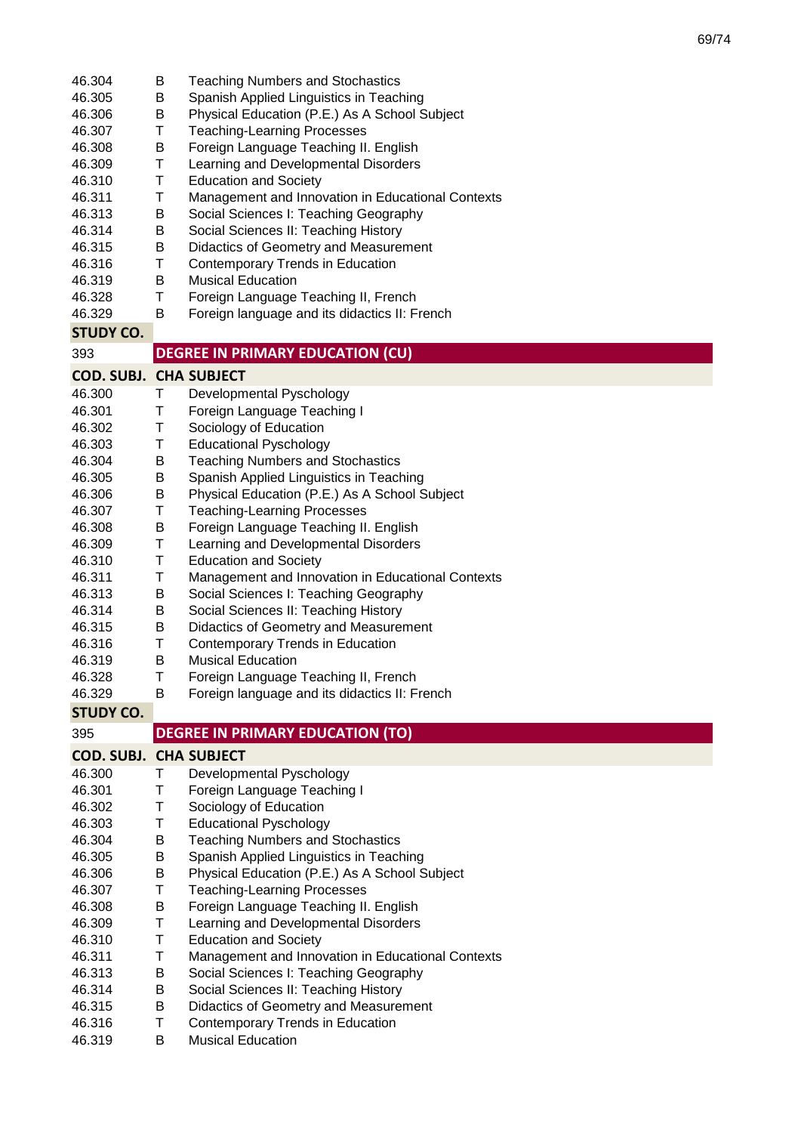| 46.304                        | B      | <b>Teaching Numbers and Stochastics</b>                                   |
|-------------------------------|--------|---------------------------------------------------------------------------|
| 46.305                        | В      | Spanish Applied Linguistics in Teaching                                   |
| 46.306                        | В      | Physical Education (P.E.) As A School Subject                             |
| 46.307                        | Τ      | <b>Teaching-Learning Processes</b>                                        |
| 46.308                        | В      | Foreign Language Teaching II. English                                     |
| 46.309                        | Τ      | Learning and Developmental Disorders                                      |
| 46.310                        | Τ      | <b>Education and Society</b>                                              |
| 46.311                        | Τ      | Management and Innovation in Educational Contexts                         |
| 46.313                        | B      | Social Sciences I: Teaching Geography                                     |
| 46.314                        | B      | Social Sciences II: Teaching History                                      |
| 46.315                        | В      | Didactics of Geometry and Measurement                                     |
| 46.316                        | Τ      | Contemporary Trends in Education                                          |
| 46.319                        | B      | <b>Musical Education</b>                                                  |
| 46.328                        | Τ      | Foreign Language Teaching II, French                                      |
| 46.329                        | B      | Foreign language and its didactics II: French                             |
| <b>STUDY CO.</b>              |        |                                                                           |
| 393                           |        | <b>DEGREE IN PRIMARY EDUCATION (CU)</b>                                   |
| <b>COD. SUBJ. CHA SUBJECT</b> |        |                                                                           |
| 46.300                        |        |                                                                           |
| 46.301                        | Τ      | Developmental Pyschology                                                  |
| 46.302                        | Τ<br>Τ | Foreign Language Teaching I<br>Sociology of Education                     |
| 46.303                        | Τ      | <b>Educational Pyschology</b>                                             |
| 46.304                        |        | <b>Teaching Numbers and Stochastics</b>                                   |
| 46.305                        | B<br>Β | Spanish Applied Linguistics in Teaching                                   |
| 46.306                        | Β      | Physical Education (P.E.) As A School Subject                             |
| 46.307                        | Τ      | <b>Teaching-Learning Processes</b>                                        |
| 46.308                        | В      | Foreign Language Teaching II. English                                     |
| 46.309                        | Τ      | Learning and Developmental Disorders                                      |
| 46.310                        | Τ      | <b>Education and Society</b>                                              |
| 46.311                        | Τ      | Management and Innovation in Educational Contexts                         |
| 46.313                        | B      | Social Sciences I: Teaching Geography                                     |
| 46.314                        | Β      | Social Sciences II: Teaching History                                      |
| 46.315                        | B      | Didactics of Geometry and Measurement                                     |
| 46.316                        | Τ      | Contemporary Trends in Education                                          |
| 46.319                        | B      | <b>Musical Education</b>                                                  |
| 46.328                        | Τ      | Foreign Language Teaching II, French                                      |
| 46.329                        | B      | Foreign language and its didactics II: French                             |
| <b>STUDY CO.</b>              |        |                                                                           |
| 395                           |        | <b>DEGREE IN PRIMARY EDUCATION (TO)</b>                                   |
|                               |        |                                                                           |
| <b>COD. SUBJ. CHA SUBJECT</b> |        |                                                                           |
| 46.300                        | Τ      | Developmental Pyschology                                                  |
| 46.301                        | Т      | Foreign Language Teaching I                                               |
| 46.302                        | Т      | Sociology of Education                                                    |
| 46.303                        | Т      | <b>Educational Pyschology</b>                                             |
| 46.304                        | Β      | <b>Teaching Numbers and Stochastics</b>                                   |
| 46.305                        | Β      | Spanish Applied Linguistics in Teaching                                   |
| 46.306                        | Β      | Physical Education (P.E.) As A School Subject                             |
| 46.307                        | Τ      | <b>Teaching-Learning Processes</b>                                        |
| 46.308                        | В      | Foreign Language Teaching II. English                                     |
| 46.309                        | Τ      | Learning and Developmental Disorders                                      |
| 46.310                        | Τ      | <b>Education and Society</b>                                              |
| 46.311                        | Τ      | Management and Innovation in Educational Contexts                         |
| 46.313                        | B      | Social Sciences I: Teaching Geography                                     |
| 46.314<br>46.315              | Β<br>B | Social Sciences II: Teaching History                                      |
| 46.316                        | Τ      | Didactics of Geometry and Measurement<br>Contemporary Trends in Education |
|                               |        |                                                                           |
| 46.319                        | B      | <b>Musical Education</b>                                                  |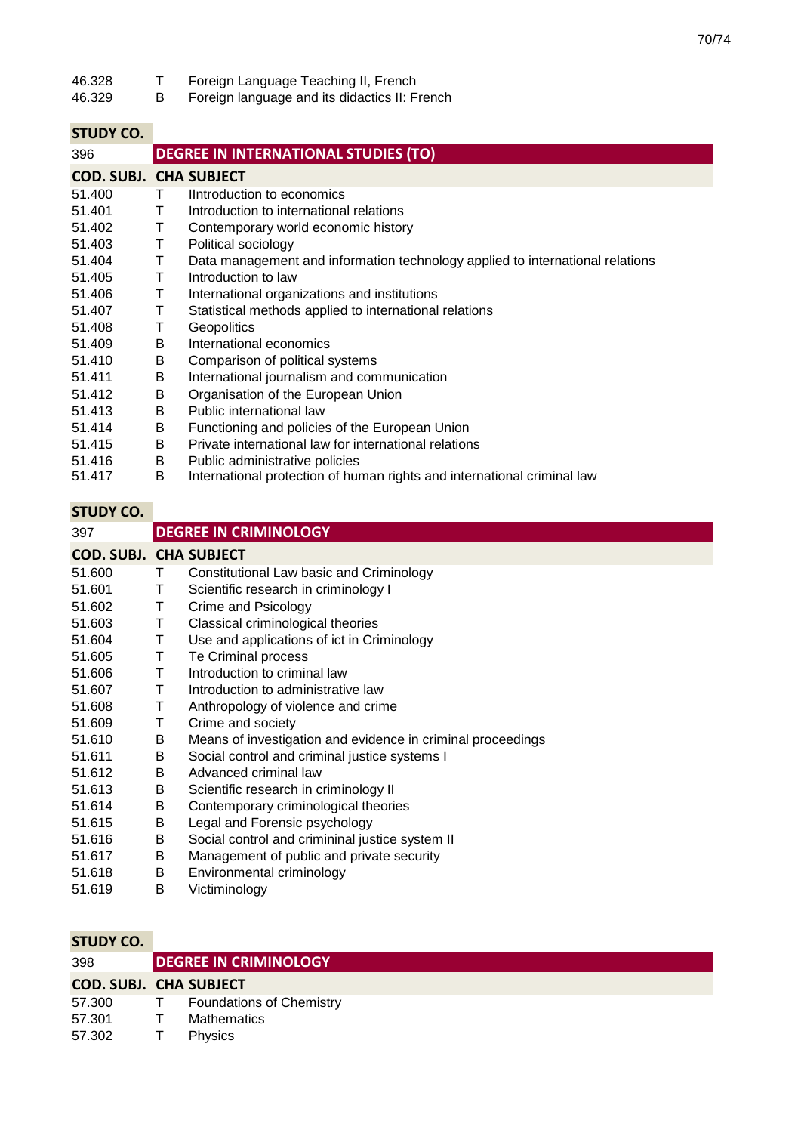| 46.328 |  | Foreign Language Teaching II, French |  |
|--------|--|--------------------------------------|--|
|--------|--|--------------------------------------|--|

46.329 B Foreign language and its didactics II: French

## **STUDY CO.**

| 396                           |   | <b>DEGREE IN INTERNATIONAL STUDIES (TO)</b>                                   |
|-------------------------------|---|-------------------------------------------------------------------------------|
| <b>COD. SUBJ. CHA SUBJECT</b> |   |                                                                               |
| 51.400                        | Τ | Introduction to economics                                                     |
| 51.401                        | т | Introduction to international relations                                       |
| 51.402                        | т | Contemporary world economic history                                           |
| 51.403                        | Т | Political sociology                                                           |
| 51.404                        | Τ | Data management and information technology applied to international relations |
| 51.405                        | Τ | Introduction to law                                                           |
| 51.406                        | т | International organizations and institutions                                  |
| 51.407                        | т | Statistical methods applied to international relations                        |
| 51.408                        | т | <b>Geopolitics</b>                                                            |
| 51.409                        | B | International economics                                                       |
| 51.410                        | B | Comparison of political systems                                               |
| 51.411                        | B | International journalism and communication                                    |
| 51.412                        | B | Organisation of the European Union                                            |
| 51.413                        | B | Public international law                                                      |
| 51.414                        | B | Functioning and policies of the European Union                                |
| 51.415                        | B | Private international law for international relations                         |
| 51.416                        | B | Public administrative policies                                                |
| 51.417                        | B | International protection of human rights and international criminal law       |
|                               |   |                                                                               |

# **STUDY CO.**

| 397                           |   | <b>DEGREE IN CRIMINOLOGY</b>                                |
|-------------------------------|---|-------------------------------------------------------------|
| <b>COD. SUBJ. CHA SUBJECT</b> |   |                                                             |
| 51.600                        | Τ | Constitutional Law basic and Criminology                    |
| 51.601                        | Τ | Scientific research in criminology I                        |
| 51.602                        | Т | Crime and Psicology                                         |
| 51.603                        | Τ | Classical criminological theories                           |
| 51.604                        | Т | Use and applications of ict in Criminology                  |
| 51.605                        | Τ | Te Criminal process                                         |
| 51.606                        | Τ | Introduction to criminal law                                |
| 51.607                        | т | Introduction to administrative law                          |
| 51.608                        | т | Anthropology of violence and crime                          |
| 51.609                        | т | Crime and society                                           |
| 51.610                        | B | Means of investigation and evidence in criminal proceedings |
| 51.611                        | В | Social control and criminal justice systems I               |
| 51.612                        | В | Advanced criminal law                                       |
| 51.613                        | В | Scientific research in criminology II                       |
| 51.614                        | B | Contemporary criminological theories                        |
| 51.615                        | В | Legal and Forensic psychology                               |
| 51.616                        | В | Social control and crimininal justice system II             |
| 51.617                        | В | Management of public and private security                   |
| 51.618                        | В | Environmental criminology                                   |
| 51.619                        | В | Victiminology                                               |

| 398                           | <b>DEGREE IN CRIMINOLOGY</b> |                                 |  |
|-------------------------------|------------------------------|---------------------------------|--|
| <b>COD. SUBJ. CHA SUBJECT</b> |                              |                                 |  |
| 57.300                        |                              | <b>Foundations of Chemistry</b> |  |
| 57.301                        |                              | <b>Mathematics</b>              |  |
| 57.302                        |                              | <b>Physics</b>                  |  |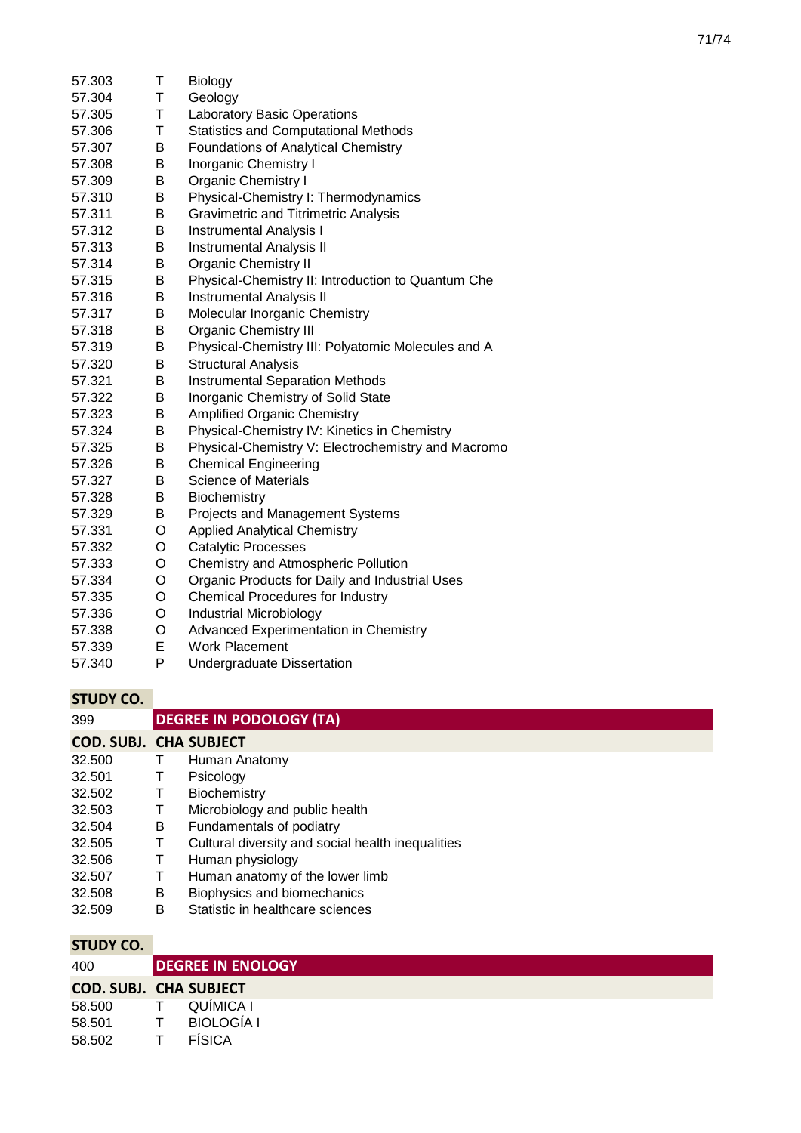| 57.303 | Τ | Biology                                            |
|--------|---|----------------------------------------------------|
| 57.304 | T | Geology                                            |
| 57.305 | T | <b>Laboratory Basic Operations</b>                 |
| 57.306 | T | <b>Statistics and Computational Methods</b>        |
| 57.307 | В | <b>Foundations of Analytical Chemistry</b>         |
| 57.308 | B | Inorganic Chemistry I                              |
| 57.309 | В | <b>Organic Chemistry I</b>                         |
| 57.310 | B | Physical-Chemistry I: Thermodynamics               |
| 57.311 | B | <b>Gravimetric and Titrimetric Analysis</b>        |
| 57.312 | B | <b>Instrumental Analysis I</b>                     |
| 57.313 | Β | <b>Instrumental Analysis II</b>                    |
| 57.314 | B | <b>Organic Chemistry II</b>                        |
| 57.315 | B | Physical-Chemistry II: Introduction to Quantum Che |
| 57.316 | В | <b>Instrumental Analysis II</b>                    |
| 57.317 | В | Molecular Inorganic Chemistry                      |
| 57.318 | В | <b>Organic Chemistry III</b>                       |
| 57.319 | В | Physical-Chemistry III: Polyatomic Molecules and A |
| 57.320 | B | <b>Structural Analysis</b>                         |
| 57.321 | B | <b>Instrumental Separation Methods</b>             |
| 57.322 | B | Inorganic Chemistry of Solid State                 |
| 57.323 | B | <b>Amplified Organic Chemistry</b>                 |
| 57.324 | B | Physical-Chemistry IV: Kinetics in Chemistry       |
| 57.325 | B | Physical-Chemistry V: Electrochemistry and Macromo |
| 57.326 | B | <b>Chemical Engineering</b>                        |
| 57.327 | B | <b>Science of Materials</b>                        |
| 57.328 | В | Biochemistry                                       |
| 57.329 | В | Projects and Management Systems                    |
| 57.331 | O | <b>Applied Analytical Chemistry</b>                |
| 57.332 | O | <b>Catalytic Processes</b>                         |
| 57.333 | O | Chemistry and Atmospheric Pollution                |
| 57.334 | O | Organic Products for Daily and Industrial Uses     |
| 57.335 | O | <b>Chemical Procedures for Industry</b>            |
| 57.336 | O | Industrial Microbiology                            |
| 57.338 | Ο | <b>Advanced Experimentation in Chemistry</b>       |
| 57.339 | E | <b>Work Placement</b>                              |
| 57.340 | P | Undergraduate Dissertation                         |

| 399                           |   | <b>DEGREE IN PODOLOGY (TA)</b>                    |
|-------------------------------|---|---------------------------------------------------|
| <b>COD. SUBJ. CHA SUBJECT</b> |   |                                                   |
| 32.500                        |   | Human Anatomy                                     |
| 32.501                        | Τ | Psicology                                         |
| 32.502                        | Τ | Biochemistry                                      |
| 32.503                        | Т | Microbiology and public health                    |
| 32.504                        | B | Fundamentals of podiatry                          |
| 32.505                        | Τ | Cultural diversity and social health inequalities |
| 32.506                        | Τ | Human physiology                                  |
| 32.507                        | т | Human anatomy of the lower limb                   |
| 32.508                        | B | Biophysics and biomechanics                       |
| 32.509                        | B | Statistic in healthcare sciences                  |
|                               |   |                                                   |
| STIJDY CO                     |   |                                                   |

| JIUDI LU.                     |                          |
|-------------------------------|--------------------------|
| 400                           | <b>DEGREE IN ENOLOGY</b> |
| <b>COD. SUBJ. CHA SUBJECT</b> |                          |
| 58.500                        | QUÍMICA I                |
| 58.501                        | <b>BIOLOGÍA I</b>        |
| 58.502                        | <b>FÍSICA</b>            |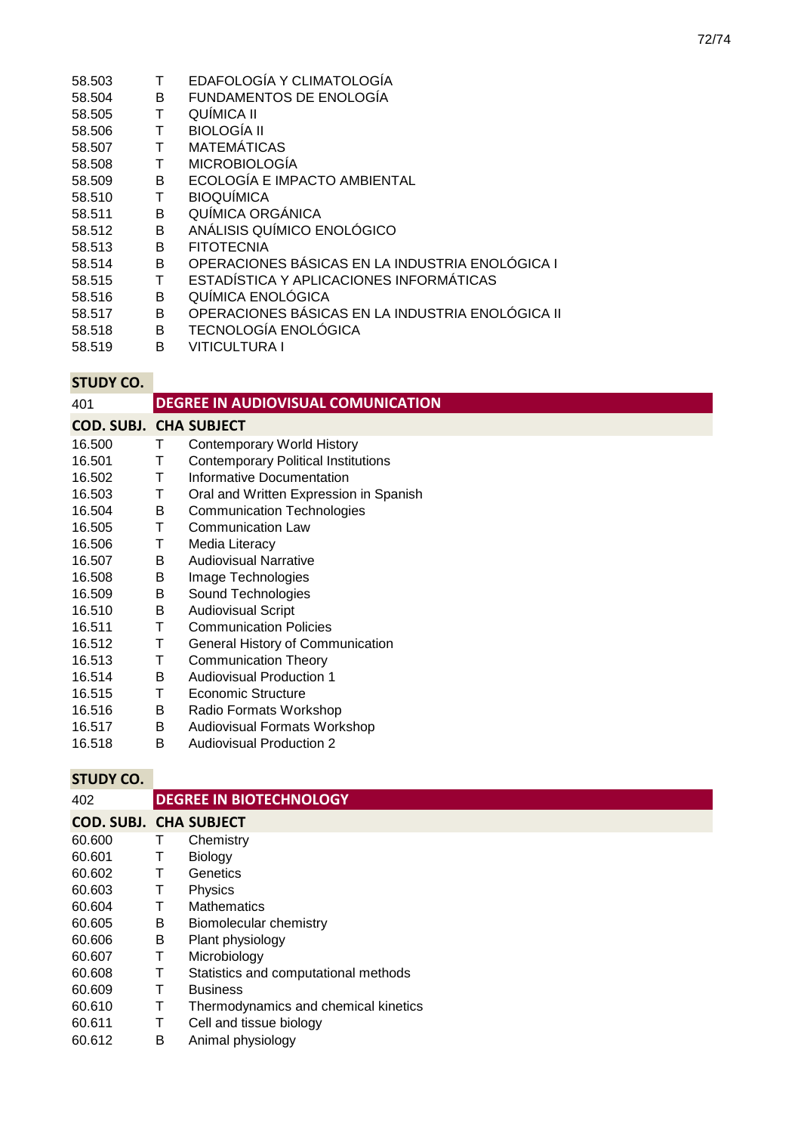- 58.503 T EDAFOLOGÍA Y CLIMATOLOGÍA<br>58.504 B FUNDAMENTOS DE ENOLOGÍA
- 58.504 B FUNDAMENTOS DE ENOLOGÍA<br>58.505 T QUÍMICA II
- 58.505 T QUÍMICA II
- BIOLOGÍA II
- 58.507 T MATEMÁTICAS<br>58.508 T MICROBIOLOGÍ
- **MICROBIOLOGÍA**
- 58.509 B ECOLOGÍA E IMPACTO AMBIENTAL
- 58.510 T BIOQUÍMICA<br>58.511 B QUÍMICA OR
- 58.511 B QUÍMICA ORGÁNICA<br>58.512 B ANÁLISIS QUÍMICO E
- 58.512 B ANÁLISIS QUÍMICO ENOLÓGICO<br>58.513 B FITOTECNIA
- 58.513 B FITOTECNIA<br>58.514 B OPERACIONI
- 58.514 B OPERACIONES BÁSICAS EN LA INDUSTRIA ENOLÓGICA I
- 58.515 T ESTADÍSTICA Y APLICACIONES INFORMÁTICAS
- 58.516 B QUÍMICA ENOLÓGICA
- 58.517 B OPERACIONES BÁSICAS EN LA INDUSTRIA ENOLÓGICA II<br>58.518 B TECNOLOGÍA ENOLÓGICA
- TECNOLOGÍA ENOLÓGICA
- 58.519 B VITICULTURA I

| 401                           |   | <b>DEGREE IN AUDIOVISUAL COMUNICATION</b>  |
|-------------------------------|---|--------------------------------------------|
| <b>COD. SUBJ. CHA SUBJECT</b> |   |                                            |
| 16.500                        | Τ | Contemporary World History                 |
| 16.501                        | т | <b>Contemporary Political Institutions</b> |
| 16.502                        | т | Informative Documentation                  |
| 16.503                        | т | Oral and Written Expression in Spanish     |
| 16.504                        | B | <b>Communication Technologies</b>          |
| 16.505                        | Τ | <b>Communication Law</b>                   |
| 16.506                        | Τ | Media Literacy                             |
| 16.507                        | B | <b>Audiovisual Narrative</b>               |
| 16.508                        | B | Image Technologies                         |
| 16.509                        | B | Sound Technologies                         |
| 16.510                        | B | <b>Audiovisual Script</b>                  |
| 16.511                        | Τ | <b>Communication Policies</b>              |
| 16.512                        | Τ | General History of Communication           |
| 16.513                        | Τ | <b>Communication Theory</b>                |
| 16.514                        | B | Audiovisual Production 1                   |
| 16.515                        | Τ | Economic Structure                         |
| 16.516                        | B | Radio Formats Workshop                     |
| 16.517                        | B | <b>Audiovisual Formats Workshop</b>        |
| 16.518                        | B | <b>Audiovisual Production 2</b>            |

| 402                           |   | <b>DEGREE IN BIOTECHNOLOGY</b>       |
|-------------------------------|---|--------------------------------------|
| <b>COD. SUBJ. CHA SUBJECT</b> |   |                                      |
| 60.600                        | т | Chemistry                            |
| 60.601                        | т | Biology                              |
| 60.602                        | Т | Genetics                             |
| 60.603                        | Τ | <b>Physics</b>                       |
| 60.604                        | Т | <b>Mathematics</b>                   |
| 60.605                        | В | Biomolecular chemistry               |
| 60.606                        | В | Plant physiology                     |
| 60.607                        | Τ | Microbiology                         |
| 60.608                        | Т | Statistics and computational methods |
| 60.609                        | Т | <b>Business</b>                      |
| 60.610                        | Τ | Thermodynamics and chemical kinetics |
| 60.611                        | Τ | Cell and tissue biology              |
| 60.612                        | B | Animal physiology                    |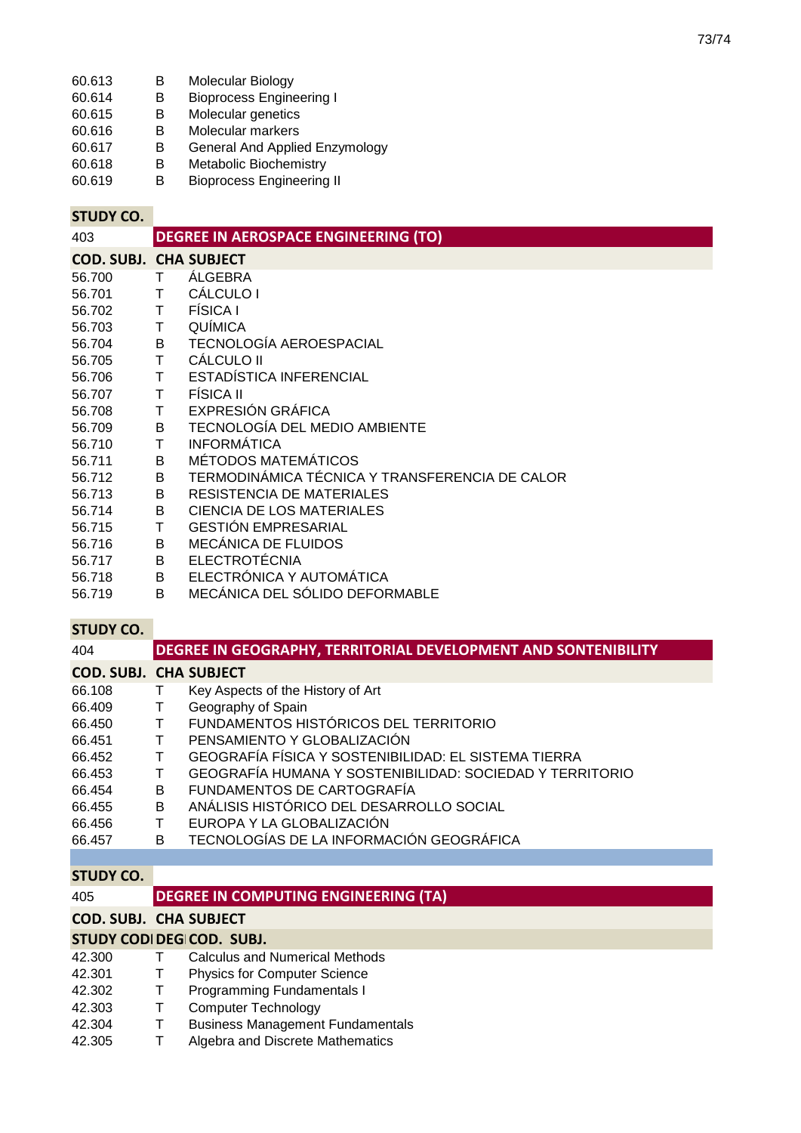| 60.613 | <b>Molecular Biology</b> |
|--------|--------------------------|
|--------|--------------------------|

- 60.614 B Bioprocess Engineering I
- 60.615 B Molecular genetics
- 60.616 B Molecular markers<br>60.617 B General And Applie
- 60.617 B General And Applied Enzymology
- B Metabolic Biochemistry<br>B Bioprocess Engineering
- 60.619 B Bioprocess Engineering II

## **STUDY CO.**

| 403    | <b>DEGREE IN AEROSPACE ENGINEERING (TO)</b> |                                                |  |  |  |
|--------|---------------------------------------------|------------------------------------------------|--|--|--|
|        | <b>COD. SUBJ. CHA SUBJECT</b>               |                                                |  |  |  |
| 56.700 |                                             | ÁLGEBRA                                        |  |  |  |
| 56.701 | Τ                                           | <b>CÁLCULO I</b>                               |  |  |  |
| 56.702 | Τ                                           | <b>FÍSICA I</b>                                |  |  |  |
| 56.703 | T.                                          | <b>QUÍMICA</b>                                 |  |  |  |
| 56.704 | B                                           | TECNOLOGÍA AEROESPACIAL                        |  |  |  |
| 56.705 | T                                           | <b>CÁLCULO II</b>                              |  |  |  |
| 56.706 | T.                                          | ESTADÍSTICA INFERENCIAL                        |  |  |  |
| 56.707 | T.                                          | <b>FÍSICA II</b>                               |  |  |  |
| 56.708 | Τ                                           | EXPRESIÓN GRÁFICA                              |  |  |  |
| 56.709 | B.                                          | <b>TECNOLOGÍA DEL MEDIO AMBIENTE</b>           |  |  |  |
| 56.710 | T                                           | <b>INFORMÁTICA</b>                             |  |  |  |
| 56.711 | B                                           | MÉTODOS MATEMÁTICOS                            |  |  |  |
| 56.712 | B                                           | TERMODINÁMICA TÉCNICA Y TRANSFERENCIA DE CALOR |  |  |  |
| 56.713 | B                                           | RESISTENCIA DE MATERIALES                      |  |  |  |
| 56.714 | B                                           | CIENCIA DE LOS MATERIALES                      |  |  |  |
| 56.715 | Τ                                           | <b>GESTIÓN EMPRESARIAL</b>                     |  |  |  |
| 56.716 | B                                           | MECÁNICA DE FLUIDOS                            |  |  |  |
| 56.717 | B                                           | <b>ELECTROTÉCNIA</b>                           |  |  |  |
| 56.718 | B                                           | ELECTRÓNICA Y AUTOMÁTICA                       |  |  |  |
| 56.719 | B                                           | MECÁNICA DEL SÓLIDO DEFORMABLE                 |  |  |  |

## **STUDY CO.**

| 404                           | <b>DEGREE IN GEOGRAPHY, TERRITORIAL DEVELOPMENT AND SONTENIBILITY</b> |                                                          |  |  |
|-------------------------------|-----------------------------------------------------------------------|----------------------------------------------------------|--|--|
| <b>COD. SUBJ. CHA SUBJECT</b> |                                                                       |                                                          |  |  |
| 66.108                        |                                                                       | Key Aspects of the History of Art                        |  |  |
| 66.409                        | т                                                                     | Geography of Spain                                       |  |  |
| 66.450                        | Τ                                                                     | FUNDAMENTOS HISTÓRICOS DEL TERRITORIO                    |  |  |
| 66.451                        | T                                                                     | PENSAMIENTO Y GLOBALIZACIÓN                              |  |  |
| 66.452                        | т                                                                     | GEOGRAFÍA FÍSICA Y SOSTENIBILIDAD: EL SISTEMA TIERRA     |  |  |
| 66.453                        | Τ                                                                     | GEOGRAFÍA HUMANA Y SOSTENIBILIDAD: SOCIEDAD Y TERRITORIO |  |  |
| 66.454                        | B                                                                     | FUNDAMENTOS DE CARTOGRAFÍA                               |  |  |
| 66.455                        | B                                                                     | ANÁLISIS HISTÓRICO DEL DESARROLLO SOCIAL                 |  |  |
| 66.456                        | Τ                                                                     | EUROPA Y LA GLOBALIZACIÓN                                |  |  |
| 66.457                        | B                                                                     | TECNOLOGÍAS DE LA INFORMACIÓN GEOGRÁFICA                 |  |  |
|                               |                                                                       |                                                          |  |  |
| <b>STUDY CO.</b>              |                                                                       |                                                          |  |  |
| 405                           |                                                                       | <b>DEGREE IN COMPUTING ENGINEERING (TA)</b>              |  |  |
|                               | <b>COD. SUBJ. CHA SUBJECT</b>                                         |                                                          |  |  |
| STUDY CODI DEGICOD. SUBJ.     |                                                                       |                                                          |  |  |

| 42.300 | T.     | <b>Calculus and Numerical Methods</b>   |
|--------|--------|-----------------------------------------|
| 42.301 | $\top$ | <b>Physics for Computer Science</b>     |
| 42.302 | $\top$ | Programming Fundamentals I              |
| 42.303 | T.     | <b>Computer Technology</b>              |
| 42.304 | T.     | <b>Business Management Fundamentals</b> |
| 42.305 |        | Algebra and Discrete Mathematics        |